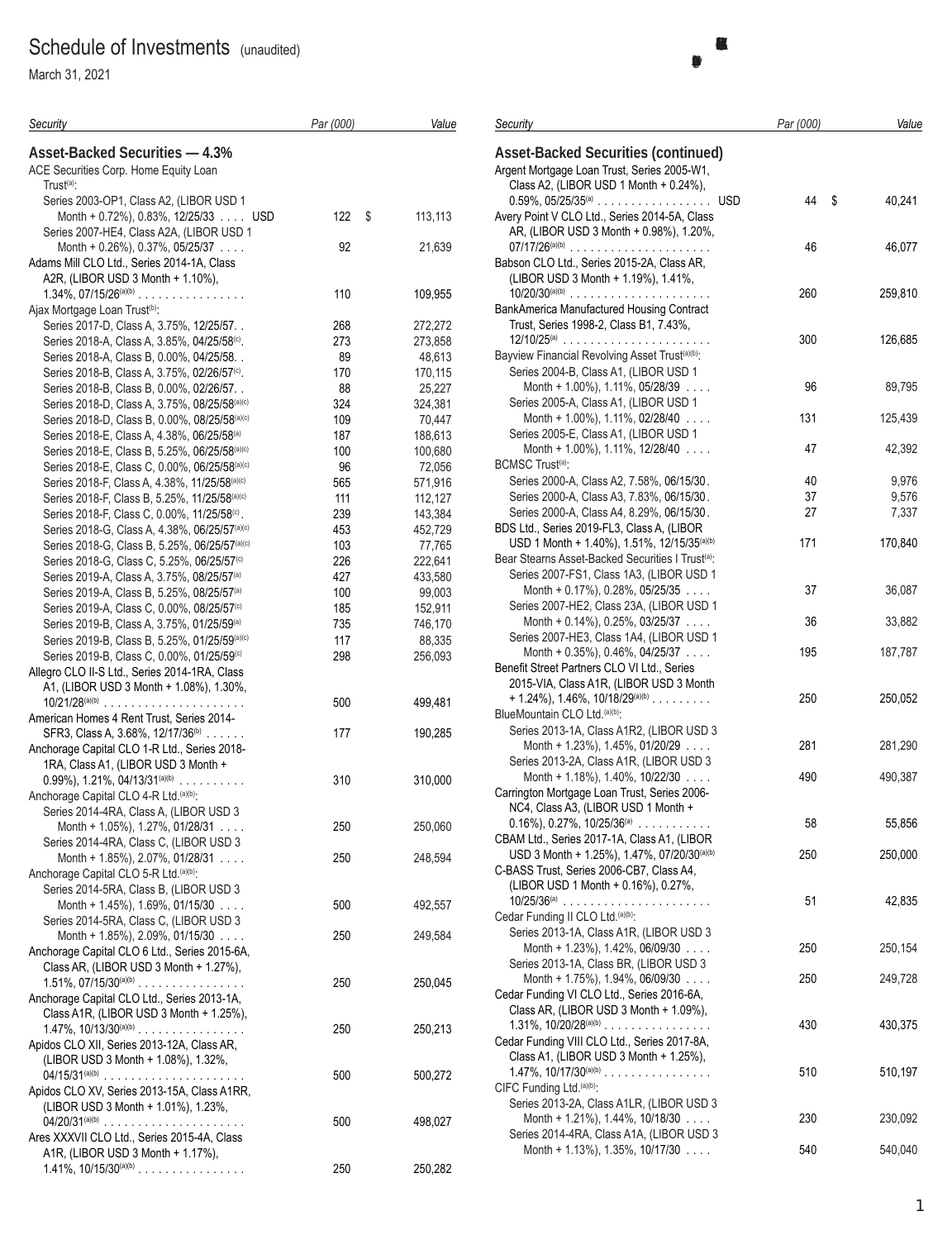# Schedule of Investments (unaudited)

March 31, 2021

| Security                                                                                                         | Par (000)  | Value              |
|------------------------------------------------------------------------------------------------------------------|------------|--------------------|
| <b>Asset-Backed Securities - 4.3%</b>                                                                            |            |                    |
| ACE Securities Corp. Home Equity Loan                                                                            |            |                    |
| Trust <sup>(a)</sup> :<br>Series 2003-OP1, Class A2, (LIBOR USD 1                                                |            |                    |
| Month + 0.72%), 0.83%, 12/25/33 USD                                                                              | 122<br>\$  | 113,113            |
| Series 2007-HE4, Class A2A, (LIBOR USD 1                                                                         |            |                    |
| Month + $0.26\%$ ), $0.37\%$ , $0.5/25/37$                                                                       | 92         | 21,639             |
| Adams Mill CLO Ltd., Series 2014-1A, Class                                                                       |            |                    |
| A2R, (LIBOR USD 3 Month + 1.10%),                                                                                |            |                    |
| $1.34\%$ , $07/15/26^{(a)(b)}$                                                                                   | 110        | 109,955            |
| Ajax Mortgage Loan Trust <sup>(b)</sup> :<br>Series 2017-D, Class A, 3.75%, 12/25/57                             | 268        | 272,272            |
| Series 2018-A, Class A, 3.85%, 04/25/58 <sup>(c)</sup> .                                                         | 273        | 273,858            |
| Series 2018-A, Class B, 0.00%, 04/25/58. .                                                                       | 89         | 48,613             |
| Series 2018-B, Class A, 3.75%, 02/26/57 <sup>(c)</sup> .                                                         | 170        | 170,115            |
| Series 2018-B, Class B, 0.00%, 02/26/57                                                                          | 88         | 25,227             |
| Series 2018-D, Class A, 3.75%, 08/25/58(a)(c)                                                                    | 324        | 324,381            |
| Series 2018-D, Class B, 0.00%, 08/25/58(a)(c)                                                                    | 109        | 70,447             |
| Series 2018-E, Class A, 4.38%, 06/25/58 <sup>(a)</sup>                                                           | 187        | 188,613            |
| Series 2018-E, Class B, 5.25%, 06/25/58(a)(c)                                                                    | 100        | 100,680            |
| Series 2018-E, Class C, 0.00%, 06/25/58(a)(c)                                                                    | 96         | 72,056             |
| Series 2018-F, Class A, 4.38%, 11/25/58(a)(c)                                                                    | 565        | 571,916            |
| Series 2018-F, Class B, 5.25%, 11/25/58(a)(c)                                                                    | 111        | 112,127            |
| Series 2018-F, Class C, 0.00%, 11/25/58 <sup>(c)</sup> .                                                         | 239        | 143,384            |
| Series 2018-G, Class A, 4.38%, 06/25/57 <sup>(a)(c)</sup>                                                        | 453        | 452,729            |
| Series 2018-G, Class B, 5.25%, 06/25/57(a)(c)                                                                    | 103        | 77,765             |
| Series 2018-G, Class C, 5.25%, 06/25/57 <sup>(c)</sup>                                                           | 226<br>427 | 222,641<br>433,580 |
| Series 2019-A, Class A, 3.75%, 08/25/57 <sup>(a)</sup><br>Series 2019-A, Class B, 5.25%, 08/25/57 <sup>(a)</sup> | 100        | 99,003             |
| Series 2019-A, Class C, 0.00%, 08/25/57 <sup>(c)</sup>                                                           | 185        | 152,911            |
| Series 2019-B, Class A, 3.75%, 01/25/59 <sup>(a)</sup>                                                           | 735        | 746,170            |
| Series 2019-B, Class B, 5.25%, 01/25/59(a)(c)                                                                    | 117        | 88,335             |
| Series 2019-B, Class C, 0.00%, 01/25/59(c)                                                                       | 298        | 256,093            |
| Allegro CLO II-S Ltd., Series 2014-1RA, Class                                                                    |            |                    |
| A1, (LIBOR USD 3 Month + 1.08%), 1.30%,                                                                          |            |                    |
| $10/21/28^{(a)(b)}$                                                                                              | 500        | 499,481            |
| American Homes 4 Rent Trust, Series 2014-                                                                        |            |                    |
| SFR3, Class A, 3.68%, 12/17/36 <sup>(b)</sup>                                                                    | 177        | 190,285            |
| Anchorage Capital CLO 1-R Ltd., Series 2018-                                                                     |            |                    |
| 1RA, Class A1, (LIBOR USD 3 Month +                                                                              |            |                    |
| $0.99\%$ , 1.21%, 04/13/31 <sup>(a)(b)</sup><br>Anchorage Capital CLO 4-R Ltd. (a)(b):                           | 310        | 310,000            |
| Series 2014-4RA, Class A, (LIBOR USD 3                                                                           |            |                    |
| Month + 1.05%), 1.27%, 01/28/31                                                                                  | 250        | 250,060            |
| Series 2014-4RA, Class C, (LIBOR USD 3                                                                           |            |                    |
| Month + 1.85%), 2.07%, 01/28/31                                                                                  | 250        | 248,594            |
| Anchorage Capital CLO 5-R Ltd. (a)(b):                                                                           |            |                    |
| Series 2014-5RA, Class B, (LIBOR USD 3                                                                           |            |                    |
| Month + $1.45\%$ ), $1.69\%$ , $01/15/30$                                                                        | 500        | 492,557            |
| Series 2014-5RA, Class C, (LIBOR USD 3                                                                           |            |                    |
| Month + 1.85%), 2.09%, 01/15/30                                                                                  | 250        | 249,584            |
| Anchorage Capital CLO 6 Ltd., Series 2015-6A,                                                                    |            |                    |
| Class AR, (LIBOR USD 3 Month + 1.27%),                                                                           |            | 250,045            |
| $1.51\%$ , $07/15/30^{(a)(b)}$<br>Anchorage Capital CLO Ltd., Series 2013-1A,                                    | 250        |                    |
| Class A1R, (LIBOR USD 3 Month + 1.25%),                                                                          |            |                    |
| $1.47\%$ , $10/13/30^{(a)(b)}$                                                                                   | 250        | 250,213            |
| Apidos CLO XII, Series 2013-12A, Class AR,                                                                       |            |                    |
| (LIBOR USD 3 Month + 1.08%), 1.32%,                                                                              |            |                    |
| $04/15/31^{(a)(b)}$                                                                                              | 500        | 500,272            |
| Apidos CLO XV, Series 2013-15A, Class A1RR,                                                                      |            |                    |
| (LIBOR USD 3 Month + 1.01%), 1.23%,                                                                              |            |                    |
|                                                                                                                  | 500        | 498,027            |
| Ares XXXVII CLO Ltd., Series 2015-4A, Class                                                                      |            |                    |
| A1R, (LIBOR USD 3 Month + 1.17%),<br>$1.41\%$ , $10/15/30^{(a)(b)}$                                              |            |                    |
|                                                                                                                  | 250        | 250,282            |

| Security                                                                                                          | Par (000) | Value        |
|-------------------------------------------------------------------------------------------------------------------|-----------|--------------|
| <b>Asset-Backed Securities (continued)</b><br>Argent Mortgage Loan Trust, Series 2005-W1,                         |           |              |
| Class A2, (LIBOR USD 1 Month + 0.24%),                                                                            | 44        | \$<br>40,241 |
| Avery Point V CLO Ltd., Series 2014-5A, Class<br>AR, (LIBOR USD 3 Month + 0.98%), 1.20%,                          |           |              |
| $07/17/26^{(a)(b)}$<br>Babson CLO Ltd., Series 2015-2A, Class AR,<br>(LIBOR USD 3 Month + 1.19%), 1.41%,          | 46        | 46,077       |
| $10/20/30^{(a)(b)}$<br>BankAmerica Manufactured Housing Contract                                                  | 260       | 259,810      |
| Trust, Series 1998-2, Class B1, 7.43%,<br>Bayview Financial Revolving Asset Trust <sup>(a)(b)</sup> :             | 300       | 126,685      |
| Series 2004-B, Class A1, (LIBOR USD 1<br>Month + $1.00\%$ ), $1.11\%$ , 05/28/39                                  | 96        | 89,795       |
| Series 2005-A, Class A1, (LIBOR USD 1<br>Month + 1.00%), 1.11%, 02/28/40<br>Series 2005-E, Class A1, (LIBOR USD 1 | 131       | 125,439      |
| Month + 1.00%), 1.11%, 12/28/40 $\ldots$<br><b>BCMSC Trust<sup>(a)</sup>:</b>                                     | 47        | 42,392       |
| Series 2000-A, Class A2, 7.58%, 06/15/30.                                                                         | 40        | 9,976        |
| Series 2000-A, Class A3, 7.83%, 06/15/30.                                                                         | 37        | 9,576        |
| Series 2000-A, Class A4, 8.29%, 06/15/30.                                                                         | 27        | 7,337        |
| BDS Ltd., Series 2019-FL3, Class A, (LIBOR                                                                        |           |              |
| USD 1 Month + 1.40%), 1.51%, 12/15/35 <sup>(a)(b)</sup>                                                           | 171       | 170,840      |
| Bear Stearns Asset-Backed Securities   Trust <sup>(a)</sup> :                                                     |           |              |
| Series 2007-FS1, Class 1A3, (LIBOR USD 1<br>Month + $0.17\%$ ), 0.28%, 05/25/35                                   | 37        | 36,087       |
| Series 2007-HE2, Class 23A, (LIBOR USD 1                                                                          |           |              |
| Month + $0.14\%$ ), 0.25%, 03/25/37                                                                               | 36        | 33,882       |
| Series 2007-HE3, Class 1A4, (LIBOR USD 1                                                                          |           |              |
| Month + $0.35\%$ ), $0.46\%$ , $04/25/37$                                                                         | 195       | 187,787      |
| Benefit Street Partners CLO VI Ltd., Series                                                                       |           |              |
| 2015-VIA, Class A1R, (LIBOR USD 3 Month                                                                           |           |              |
| $+ 1.24\%$ ), 1.46%, 10/18/29(a)(b)                                                                               | 250       | 250,052      |
| BlueMountain CLO Ltd. (a)(b):                                                                                     |           |              |
| Series 2013-1A, Class A1R2, (LIBOR USD 3                                                                          |           |              |
| Month + 1.23%), 1.45%, 01/20/29                                                                                   | 281       | 281,290      |
| Series 2013-2A, Class A1R, (LIBOR USD 3<br>Month + 1.18%), 1.40%, 10/22/30 $\ldots$                               | 490       | 490,387      |
| Carrington Mortgage Loan Trust, Series 2006-                                                                      |           |              |
| NC4, Class A3, (LIBOR USD 1 Month +                                                                               |           |              |
| $0.16\%$ ), $0.27\%$ , $10/25/36^{(a)}$                                                                           | 58        | 55,856       |
| CBAM Ltd., Series 2017-1A, Class A1, (LIBOR                                                                       |           |              |
| USD 3 Month + 1.25%), 1.47%, 07/20/30(a)(b)                                                                       | 250       | 250,000      |
| C-BASS Trust, Series 2006-CB7, Class A4,                                                                          |           |              |
| (LIBOR USD 1 Month + 0.16%), 0.27%,                                                                               |           |              |
| 10/25/36@                                                                                                         | 51        | 42,835       |
| Cedar Funding II CLO Ltd. (a)(b):                                                                                 |           |              |
| Series 2013-1A, Class A1R, (LIBOR USD 3                                                                           |           |              |
| Month + 1.23%), 1.42%, 06/09/30 $\ldots$                                                                          | 250       | 250,154      |
| Series 2013-1A, Class BR, (LIBOR USD 3                                                                            |           |              |
| Month + 1.75%), 1.94%, 06/09/30<br>Cedar Funding VI CLO Ltd., Series 2016-6A,                                     | 250       | 249,728      |
|                                                                                                                   |           |              |
| Class AR, (LIBOR USD 3 Month + 1.09%),<br>1.31%, $10/20/28^{(a)(b)}$                                              | 430       | 430,375      |
| Cedar Funding VIII CLO Ltd., Series 2017-8A,                                                                      |           |              |
| Class A1, (LIBOR USD 3 Month + 1.25%),                                                                            |           |              |
| $1.47\%$ , $10/17/30^{(a)(b)}$                                                                                    | 510       | 510,197      |
| CIFC Funding Ltd.(a)(b):                                                                                          |           |              |
| Series 2013-2A, Class A1LR, (LIBOR USD 3                                                                          |           |              |
| Month + 1.21%), 1.44%, 10/18/30 $\ldots$                                                                          | 230       | 230,092      |
| Series 2014-4RA, Class A1A, (LIBOR USD 3                                                                          |           |              |
| Month + $1.13\%$ ), $1.35\%$ , $10/17/30$                                                                         | 540       | 540,040      |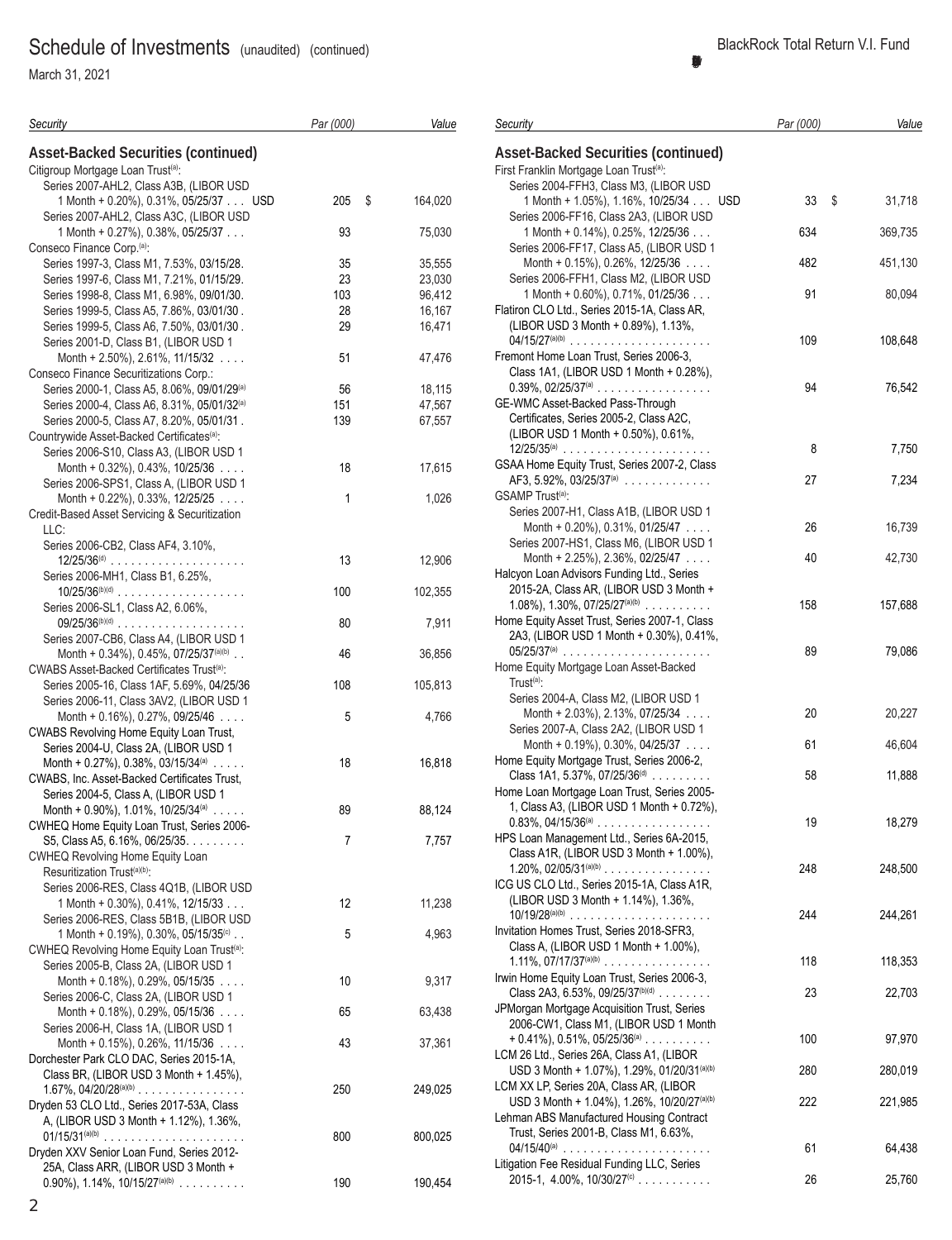March 31, 2021

| Security                                                                               | Par (000)      |               | Value            | Security                                                                                           | Par (000) | Value          |
|----------------------------------------------------------------------------------------|----------------|---------------|------------------|----------------------------------------------------------------------------------------------------|-----------|----------------|
| <b>Asset-Backed Securities (continued)</b>                                             |                |               |                  | <b>Asset-Backed Securities (continued)</b>                                                         |           |                |
| Citigroup Mortgage Loan Trust <sup>(a)</sup> :                                         |                |               |                  | First Franklin Mortgage Loan Trust <sup>(a)</sup> :                                                |           |                |
| Series 2007-AHL2, Class A3B, (LIBOR USD                                                |                |               |                  | Series 2004-FFH3, Class M3, (LIBOR USD                                                             |           |                |
| 1 Month + 0.20%), 0.31%, 05/25/37 USD                                                  | 205            | $\mathfrak s$ | 164,020          | 1 Month + 1.05%), 1.16%, 10/25/34 USD                                                              | 33        | 31,718<br>- \$ |
| Series 2007-AHL2, Class A3C, (LIBOR USD                                                |                |               |                  | Series 2006-FF16, Class 2A3, (LIBOR USD                                                            |           |                |
| 1 Month + $0.27\%$ ), 0.38%, 05/25/37                                                  | 93             |               | 75,030           | 1 Month + 0.14%), 0.25%, 12/25/36                                                                  | 634       | 369,735        |
| Conseco Finance Corp. <sup>(a)</sup> :                                                 |                |               |                  | Series 2006-FF17, Class A5, (LIBOR USD 1                                                           |           |                |
| Series 1997-3, Class M1, 7.53%, 03/15/28.                                              | 35             |               | 35,555           | Month + 0.15%), 0.26%, 12/25/36                                                                    | 482       | 451,130        |
| Series 1997-6, Class M1, 7.21%, 01/15/29.                                              | 23             |               | 23,030           | Series 2006-FFH1, Class M2, (LIBOR USD                                                             |           |                |
| Series 1998-8, Class M1, 6.98%, 09/01/30.                                              | 103            |               | 96,412           | 1 Month + 0.60%), 0.71%, 01/25/36                                                                  | 91        | 80,094         |
| Series 1999-5, Class A5, 7.86%, 03/01/30.<br>Series 1999-5, Class A6, 7.50%, 03/01/30. | 28<br>29       |               | 16,167<br>16,471 | Flatiron CLO Ltd., Series 2015-1A, Class AR,<br>(LIBOR USD 3 Month + 0.89%), 1.13%,                |           |                |
| Series 2001-D, Class B1, (LIBOR USD 1                                                  |                |               |                  |                                                                                                    | 109       | 108,648        |
| Month + 2.50%), 2.61%, 11/15/32 $\ldots$                                               | 51             |               | 47,476           | Fremont Home Loan Trust, Series 2006-3,                                                            |           |                |
| Conseco Finance Securitizations Corp.:                                                 |                |               |                  | Class 1A1, (LIBOR USD 1 Month + 0.28%),                                                            |           |                |
| Series 2000-1, Class A5, 8.06%, 09/01/29 <sup>(a)</sup>                                | 56             |               | 18,115           | $0.39\%$ , $02/25/37$ <sup>(a)</sup>                                                               | 94        | 76,542         |
| Series 2000-4, Class A6, 8.31%, 05/01/32 <sup>(a)</sup>                                | 151            |               | 47,567           | GE-WMC Asset-Backed Pass-Through                                                                   |           |                |
| Series 2000-5, Class A7, 8.20%, 05/01/31.                                              | 139            |               | 67,557           | Certificates, Series 2005-2, Class A2C,                                                            |           |                |
| Countrywide Asset-Backed Certificates <sup>(a)</sup> :                                 |                |               |                  | (LIBOR USD 1 Month + 0.50%), 0.61%,                                                                |           |                |
| Series 2006-S10, Class A3, (LIBOR USD 1                                                |                |               |                  |                                                                                                    | 8         | 7,750          |
| Month + $0.32\%$ ), 0.43%, 10/25/36 $\ldots$                                           | 18             |               | 17,615           | GSAA Home Equity Trust, Series 2007-2, Class                                                       |           |                |
| Series 2006-SPS1, Class A, (LIBOR USD 1                                                |                |               |                  | AF3, 5.92%, 03/25/37 <sup>(a)</sup>                                                                | 27        | 7,234          |
| Month + 0.22%), 0.33%, 12/25/25 $\dots$                                                | 1              |               | 1,026            | GSAMP Trust <sup>(a)</sup> :                                                                       |           |                |
| Credit-Based Asset Servicing & Securitization                                          |                |               |                  | Series 2007-H1, Class A1B, (LIBOR USD 1                                                            |           |                |
| LLC:                                                                                   |                |               |                  | Month + $0.20\%$ ), $0.31\%$ , $01/25/47$                                                          | 26        | 16,739         |
| Series 2006-CB2, Class AF4, 3.10%,                                                     |                |               |                  | Series 2007-HS1, Class M6, (LIBOR USD 1                                                            |           |                |
|                                                                                        | 13             |               | 12,906           | Month + 2.25%), 2.36%, 02/25/47                                                                    | 40        | 42,730         |
| Series 2006-MH1, Class B1, 6.25%,                                                      |                |               |                  | Halcyon Loan Advisors Funding Ltd., Series                                                         |           |                |
| $10/25/36^{(b)(d)}$                                                                    | 100            |               | 102,355          | 2015-2A, Class AR, (LIBOR USD 3 Month +<br>1.08%), 1.30%, 07/25/27 <sup>(a)(b)</sup>               | 158       | 157,688        |
| Series 2006-SL1, Class A2, 6.06%,                                                      |                |               |                  | Home Equity Asset Trust, Series 2007-1, Class                                                      |           |                |
| $09/25/36^{(b)(d)}$<br>Series 2007-CB6, Class A4, (LIBOR USD 1                         | 80             |               | 7,911            | 2A3, (LIBOR USD 1 Month + 0.30%), 0.41%,                                                           |           |                |
| Month + $0.34\%$ ), 0.45%, 07/25/37 <sup>(a)(b)</sup>                                  | 46             |               | 36,856           |                                                                                                    | 89        | 79,086         |
| CWABS Asset-Backed Certificates Trust <sup>(a)</sup> :                                 |                |               |                  | Home Equity Mortgage Loan Asset-Backed                                                             |           |                |
| Series 2005-16, Class 1AF, 5.69%, 04/25/36                                             | 108            |               | 105,813          | $Trust(a)$ :                                                                                       |           |                |
| Series 2006-11, Class 3AV2, (LIBOR USD 1                                               |                |               |                  | Series 2004-A, Class M2, (LIBOR USD 1                                                              |           |                |
| Month + $0.16\%$ ), 0.27%, 09/25/46 $\dots$                                            | 5              |               | 4,766            | Month + 2.03%), 2.13%, 07/25/34 $\ldots$                                                           | 20        | 20,227         |
| <b>CWABS Revolving Home Equity Loan Trust,</b>                                         |                |               |                  | Series 2007-A, Class 2A2, (LIBOR USD 1                                                             |           |                |
| Series 2004-U, Class 2A, (LIBOR USD 1                                                  |                |               |                  | Month + $0.19\%$ ), $0.30\%$ , $04/25/37$                                                          | 61        | 46,604         |
| Month + 0.27%), 0.38%, 03/15/34(a) $\ldots$ .                                          | 18             |               | 16,818           | Home Equity Mortgage Trust, Series 2006-2,                                                         |           |                |
| CWABS, Inc. Asset-Backed Certificates Trust,                                           |                |               |                  | Class 1A1, 5.37%, 07/25/36 $(d)$                                                                   | 58        | 11,888         |
| Series 2004-5, Class A, (LIBOR USD 1                                                   |                |               |                  | Home Loan Mortgage Loan Trust, Series 2005-                                                        |           |                |
| Month + 0.90%), 1.01%, 10/25/34(a) $\ldots$ .                                          | 89             |               | 88,124           | 1, Class A3, (LIBOR USD 1 Month + 0.72%),                                                          |           |                |
| CWHEQ Home Equity Loan Trust, Series 2006-                                             |                |               |                  | $0.83\%$ , $04/15/36^{(a)}$                                                                        | $19$      | 18,279         |
| S5, Class A5, 6.16%, 06/25/35.                                                         | $\overline{7}$ |               | 7,757            | HPS Loan Management Ltd., Series 6A-2015,<br>Class A1R, (LIBOR USD 3 Month + 1.00%),               |           |                |
| <b>CWHEQ Revolving Home Equity Loan</b>                                                |                |               |                  |                                                                                                    | 248       | 248,500        |
| Resuritization Trust <sup>(a)(b)</sup> :<br>Series 2006-RES, Class 4Q1B, (LIBOR USD    |                |               |                  | ICG US CLO Ltd., Series 2015-1A, Class A1R,                                                        |           |                |
| 1 Month + 0.30%), 0.41%, 12/15/33                                                      | 12             |               | 11,238           | (LIBOR USD 3 Month + 1.14%), 1.36%,                                                                |           |                |
| Series 2006-RES, Class 5B1B, (LIBOR USD                                                |                |               |                  | $10/19/28^{(a)(b)}$                                                                                | 244       | 244,261        |
| 1 Month + 0.19%), 0.30%, 05/15/35 <sup>(c)</sup>                                       | 5              |               | 4,963            | Invitation Homes Trust, Series 2018-SFR3,                                                          |           |                |
| CWHEQ Revolving Home Equity Loan Trust <sup>(a)</sup> :                                |                |               |                  | Class A, (LIBOR USD 1 Month + 1.00%),                                                              |           |                |
| Series 2005-B, Class 2A, (LIBOR USD 1                                                  |                |               |                  | $1.11\%$ , $07/17/37^{(a)(b)}$                                                                     | 118       | 118,353        |
| Month + $0.18\%$ ), 0.29%, 05/15/35 $\ldots$                                           | 10             |               | 9,317            | Irwin Home Equity Loan Trust, Series 2006-3,                                                       |           |                |
| Series 2006-C, Class 2A, (LIBOR USD 1                                                  |                |               |                  | Class 2A3, 6.53%, 09/25/37 <sup>(b)(d)</sup>                                                       | 23        | 22,703         |
| Month + $0.18\%$ ), 0.29%, 05/15/36                                                    | 65             |               | 63,438           | JPMorgan Mortgage Acquisition Trust, Series                                                        |           |                |
| Series 2006-H, Class 1A, (LIBOR USD 1                                                  |                |               |                  | 2006-CW1, Class M1, (LIBOR USD 1 Month                                                             |           |                |
| Month + $0.15\%$ ), 0.26%, 11/15/36 $\ldots$                                           | 43             |               | 37,361           | $+ 0.41\%$ , 0.51%, 05/25/36 <sup>(a)</sup>                                                        | 100       | 97,970         |
| Dorchester Park CLO DAC, Series 2015-1A,                                               |                |               |                  | LCM 26 Ltd., Series 26A, Class A1, (LIBOR                                                          |           |                |
| Class BR, (LIBOR USD 3 Month + 1.45%),                                                 |                |               |                  | USD 3 Month + 1.07%), 1.29%, 01/20/31(a)(b)                                                        | 280       | 280,019        |
| $1.67\%$ , $04/20/28^{(a)(b)}$                                                         | 250            |               | 249,025          | LCM XX LP, Series 20A, Class AR, (LIBOR<br>USD 3 Month + 1.04%), 1.26%, 10/20/27 <sup>(a)(b)</sup> | 222       | 221,985        |
| Dryden 53 CLO Ltd., Series 2017-53A, Class                                             |                |               |                  | Lehman ABS Manufactured Housing Contract                                                           |           |                |
| A, (LIBOR USD 3 Month + 1.12%), 1.36%,                                                 |                |               |                  | Trust, Series 2001-B, Class M1, 6.63%,                                                             |           |                |
| $01/15/31^{(a)(b)}$<br>Dryden XXV Senior Loan Fund, Series 2012-                       | 800            |               | 800,025          | $04/15/40^{(a)}$                                                                                   | 61        | 64,438         |
| 25A, Class ARR, (LIBOR USD 3 Month +                                                   |                |               |                  | Litigation Fee Residual Funding LLC, Series                                                        |           |                |
| $0.90\%$ , 1.14%, 10/15/27 <sup>(a)(b)</sup>                                           | 190            |               | 190,454          | 2015-1, 4.00%, 10/30/27 <sup>(c)</sup>                                                             | 26        | 25,760         |

0.90%), 1.14%, 10/15/27(a)(b) .......... 190 190,454

#### **BlackRock Total Return V.I. Fund (Percentages shown are based on Net Assets)**

| Security                                                                                | Par (000) | Value        |
|-----------------------------------------------------------------------------------------|-----------|--------------|
| <b>Asset-Backed Securities (continued)</b>                                              |           |              |
| First Franklin Mortgage Loan Trust <sup>(a)</sup> :                                     |           |              |
| Series 2004-FFH3, Class M3, (LIBOR USD                                                  |           |              |
| 1 Month + 1.05%), 1.16%, 10/25/34 USD                                                   | 33        | \$<br>31,718 |
| Series 2006-FF16, Class 2A3, (LIBOR USD                                                 |           |              |
| 1 Month + 0.14%), 0.25%, 12/25/36<br>Series 2006-FF17, Class A5, (LIBOR USD 1           | 634       | 369,735      |
| Month + $0.15\%$ ), 0.26%, 12/25/36 $\ldots$                                            | 482       | 451,130      |
| Series 2006-FFH1, Class M2, (LIBOR USD                                                  |           |              |
| 1 Month + 0.60%), 0.71%, 01/25/36                                                       | 91        | 80,094       |
| Flatiron CLO Ltd., Series 2015-1A, Class AR,                                            |           |              |
| (LIBOR USD 3 Month + 0.89%), 1.13%,                                                     |           |              |
| $04/15/27^{(a)(b)}$                                                                     | 109       | 108,648      |
| Fremont Home Loan Trust, Series 2006-3,                                                 |           |              |
| Class 1A1, (LIBOR USD 1 Month + 0.28%),                                                 |           |              |
| $0.39\%$ , $02/25/37$ <sup>(a)</sup>                                                    | 94        | 76,542       |
| GE-WMC Asset-Backed Pass-Through                                                        |           |              |
| Certificates, Series 2005-2, Class A2C,                                                 |           |              |
| (LIBOR USD 1 Month + 0.50%), 0.61%,                                                     |           |              |
|                                                                                         | 8         | 7,750        |
| GSAA Home Equity Trust, Series 2007-2, Class                                            |           |              |
| AF3, 5.92%, 03/25/37 <sup>(a)</sup>                                                     | 27        | 7,234        |
| GSAMP Trust <sup>(a)</sup> :                                                            |           |              |
| Series 2007-H1, Class A1B, (LIBOR USD 1                                                 | 26        |              |
| Month + $0.20\%$ ), $0.31\%$ , $01/25/47$<br>Series 2007-HS1, Class M6, (LIBOR USD 1    |           | 16,739       |
| Month + 2.25%), 2.36%, 02/25/47 $\ldots$                                                | 40        | 42,730       |
| Halcyon Loan Advisors Funding Ltd., Series                                              |           |              |
| 2015-2A, Class AR, (LIBOR USD 3 Month +                                                 |           |              |
| 1.08%), 1.30%, 07/25/27 <sup>(a)(b)</sup>                                               | 158       | 157,688      |
| Home Equity Asset Trust, Series 2007-1, Class                                           |           |              |
| 2A3, (LIBOR USD 1 Month + 0.30%), 0.41%,                                                |           |              |
| $05/25/37^{(a)}$                                                                        | 89        | 79,086       |
| Home Equity Mortgage Loan Asset-Backed                                                  |           |              |
| Trust <sup>(a)</sup> :                                                                  |           |              |
| Series 2004-A, Class M2, (LIBOR USD 1                                                   |           |              |
| Month + 2.03%), 2.13%, 07/25/34                                                         | 20        | 20,227       |
| Series 2007-A, Class 2A2, (LIBOR USD 1                                                  | 61        |              |
| Month + $0.19\%$ ), $0.30\%$ , $04/25/37$<br>Home Equity Mortgage Trust, Series 2006-2, |           | 46,604       |
| Class 1A1, 5.37%, 07/25/36 $(d)$                                                        | 58        | 11,888       |
| Home Loan Mortgage Loan Trust, Series 2005-                                             |           |              |
| 1, Class A3, (LIBOR USD 1 Month + 0.72%),                                               |           |              |
| $0.83\%$ , 04/15/36 <sup>(a)</sup>                                                      | 19        | 18,279       |
| HPS Loan Management Ltd., Series 6A-2015,                                               |           |              |
| Class A1R, (LIBOR USD 3 Month + 1.00%),                                                 |           |              |
|                                                                                         | 248       | 248,500      |
| ICG US CLO Ltd., Series 2015-1A, Class A1R,                                             |           |              |
| (LIBOR USD 3 Month + 1.14%), 1.36%,                                                     |           |              |
| $10/19/28^{(a)(b)}$                                                                     | 244       | 244,261      |
| Invitation Homes Trust, Series 2018-SFR3,                                               |           |              |
| Class A, (LIBOR USD 1 Month + 1.00%),                                                   |           |              |
| 1.11%, $07/17/37^{(a)(b)}$                                                              | 118       | 118,353      |
| Irwin Home Equity Loan Trust, Series 2006-3,<br>Class 2A3, 6.53%, 09/25/37 $(b)(d)$     | 23        | 22,703       |
| JPMorgan Mortgage Acquisition Trust, Series                                             |           |              |
| 2006-CW1, Class M1, (LIBOR USD 1 Month                                                  |           |              |
| $+ 0.41\%$ , 0.51%, 05/25/36 <sup>(a)</sup>                                             | 100       | 97,970       |
| LCM 26 Ltd., Series 26A, Class A1, (LIBOR                                               |           |              |
| USD 3 Month + 1.07%), 1.29%, 01/20/31(a)(b)                                             | 280       | 280,019      |
| LCM XX LP, Series 20A, Class AR, (LIBOR                                                 |           |              |
| USD 3 Month + 1.04%), 1.26%, 10/20/27(a)(b)                                             | 222       | 221,985      |
| Lehman ABS Manufactured Housing Contract                                                |           |              |
| Trust, Series 2001-B, Class M1, 6.63%,                                                  |           |              |
| $04/15/40^{\text{(a)}}$                                                                 | 61        | 64,438       |
| Litigation Fee Residual Funding LLC, Series                                             |           |              |

2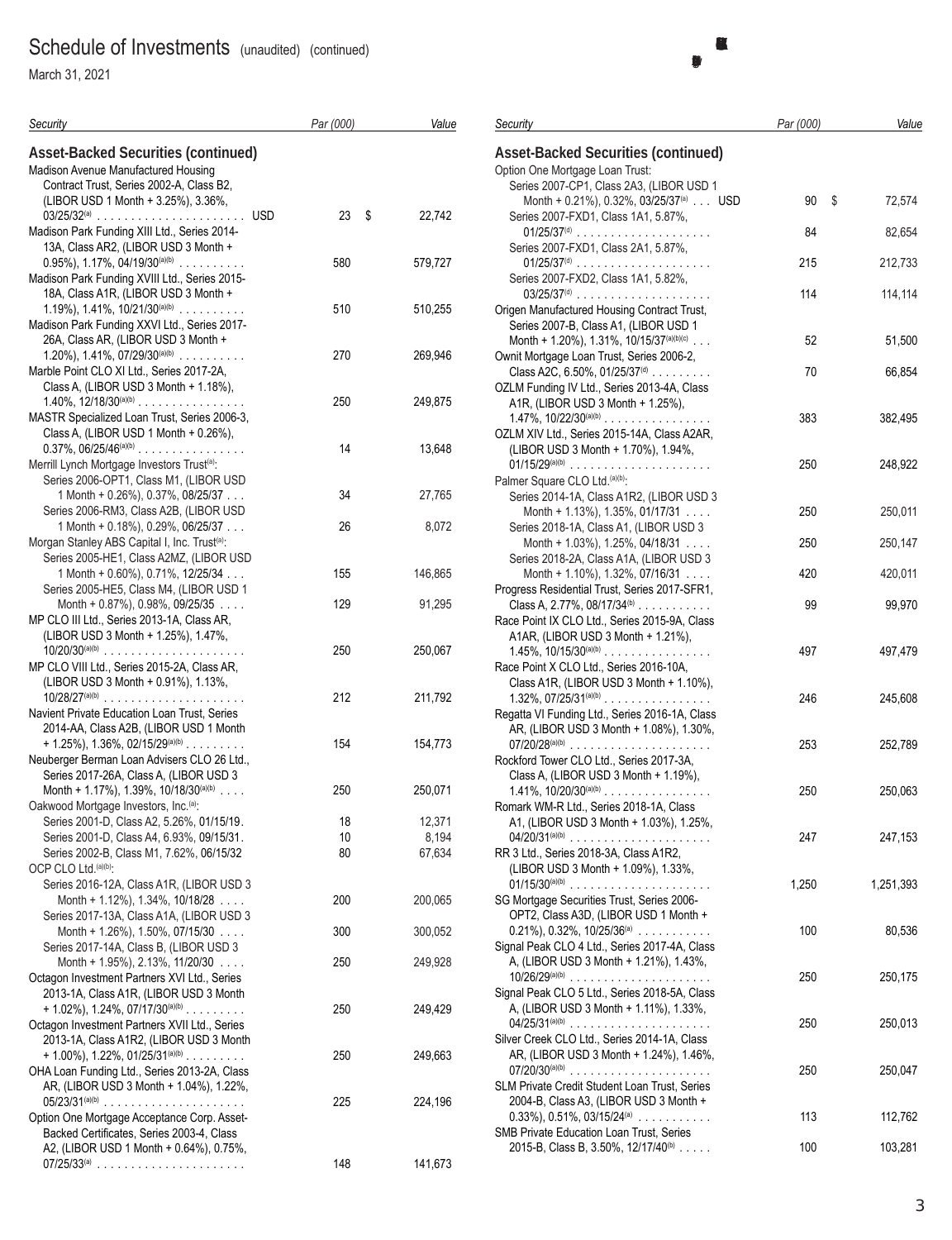March 31, 2021

| Security                                                                               | Par (000) | Value   | <b>Secur</b>    |
|----------------------------------------------------------------------------------------|-----------|---------|-----------------|
| <b>Asset-Backed Securities (continued)</b>                                             |           |         | <b>Asse</b>     |
| Madison Avenue Manufactured Housing                                                    |           |         | Option          |
| Contract Trust, Series 2002-A, Class B2,                                               |           |         | Se              |
| (LIBOR USD 1 Month + 3.25%), 3.36%,                                                    |           |         |                 |
|                                                                                        | 23<br>\$  | 22,742  | Se              |
| Madison Park Funding XIII Ltd., Series 2014-                                           |           |         |                 |
| 13A, Class AR2, (LIBOR USD 3 Month +                                                   |           |         | Se              |
| $0.95\%$ , 1.17%, 04/19/30 <sup>(a)(b)</sup>                                           | 580       | 579,727 |                 |
| Madison Park Funding XVIII Ltd., Series 2015-                                          |           |         | Se              |
| 18A, Class A1R, (LIBOR USD 3 Month +                                                   |           |         |                 |
| 1.19%), 1.41%, $10/21/30^{(a)(b)}$<br>Madison Park Funding XXVI Ltd., Series 2017-     | 510       | 510,255 | Origer          |
| 26A, Class AR, (LIBOR USD 3 Month +                                                    |           |         | Se<br>Mo        |
| 1.20%), 1.41%, $07/29/30^{(a)(b)}$                                                     | 270       | 269,946 | Ownit           |
| Marble Point CLO XI Ltd., Series 2017-2A,                                              |           |         | CΙa             |
| Class A, (LIBOR USD 3 Month + 1.18%),                                                  |           |         | <b>OZLM</b>     |
| 1.40%, $12/18/30^{(a)(b)}$                                                             | 250       | 249,875 | A1              |
| MASTR Specialized Loan Trust, Series 2006-3,                                           |           |         | 1.4             |
| Class A, (LIBOR USD 1 Month + 0.26%),                                                  |           |         | <b>OZLM</b>     |
| $0.37\%$ , $06/25/46^{(a)(b)}$                                                         | 14        | 13,648  | (LI             |
| Merrill Lynch Mortgage Investors Trust <sup>(a)</sup> :                                |           |         | 01/             |
| Series 2006-OPT1, Class M1, (LIBOR USD                                                 |           |         | Palme           |
| $1$ Month + 0.26%), 0.37%, 08/25/37                                                    | 34        | 27,765  | Se              |
| Series 2006-RM3, Class A2B, (LIBOR USD                                                 |           |         |                 |
| 1 Month + 0.18%), 0.29%, 06/25/37                                                      | 26        | 8,072   | Se              |
| Morgan Stanley ABS Capital I, Inc. Trust <sup>(a)</sup> :                              |           |         |                 |
| Series 2005-HE1, Class A2MZ, (LIBOR USD                                                |           |         | Se              |
| 1 Month + 0.60%), 0.71%, 12/25/34                                                      | 155       | 146,865 |                 |
| Series 2005-HE5, Class M4, (LIBOR USD 1                                                |           |         | Progre          |
| Month + $0.87\%$ ), 0.98%, 09/25/35                                                    | 129       | 91,295  | CΙa             |
| MP CLO III Ltd., Series 2013-1A, Class AR,                                             |           |         | Race            |
| (LIBOR USD 3 Month + 1.25%), 1.47%,                                                    |           |         | A1.             |
|                                                                                        | 250       | 250,067 | 1.4             |
| MP CLO VIII Ltd., Series 2015-2A, Class AR,                                            |           |         | Race            |
| (LIBOR USD 3 Month + 0.91%), 1.13%,                                                    |           |         | CΙa             |
| $10/28/27^{(a)(b)}$                                                                    | 212       | 211,792 | 1.3             |
| Navient Private Education Loan Trust, Series<br>2014-AA, Class A2B, (LIBOR USD 1 Month |           |         | Regat           |
| $+ 1.25\%$ , 1.36%, 02/15/29 <sup>(a)(b)</sup>                                         | 154       | 154,773 | AR<br>07/       |
| Neuberger Berman Loan Advisers CLO 26 Ltd.,                                            |           |         | Rockf           |
| Series 2017-26A, Class A, (LIBOR USD 3                                                 |           |         | Cla             |
| Month + 1.17%), 1.39%, 10/18/30(a)(b)                                                  | 250       | 250,071 | 1.4             |
| Oakwood Mortgage Investors, Inc. <sup>(a)</sup> :                                      |           |         | Roma            |
| Series 2001-D, Class A2, 5.26%, 01/15/19                                               | 18        | 12,371  | A1              |
| Series 2001-D, Class A4, 6.93%, 09/15/31.                                              | 10        | 8,194   | 04              |
| Series 2002-B, Class M1, 7.62%, 06/15/32                                               | 80        | 67,634  | RR 31           |
| OCP CLO Ltd. (a)(b):                                                                   |           |         | (LI             |
| Series 2016-12A, Class A1R, (LIBOR USD 3                                               |           |         | 01/             |
| Month + $1.12\%$ ), $1.34\%$ , $10/18/28$                                              | 200       | 200,065 | SG M            |
| Series 2017-13A, Class A1A, (LIBOR USD 3                                               |           |         | OF              |
| Month + 1.26%), 1.50%, 07/15/30                                                        | 300       | 300,052 | 0.2             |
| Series 2017-14A, Class B, (LIBOR USD 3                                                 |           |         | Signal          |
| Month + $1.95\%$ ), $2.13\%$ , $11/20/30$                                              | 250       | 249,928 | А,              |
| Octagon Investment Partners XVI Ltd., Series                                           |           |         | 10 <sub>l</sub> |
| 2013-1A, Class A1R, (LIBOR USD 3 Month                                                 |           |         | Signal          |
| $+ 1.02\%$ , 1.24%, 07/17/30 <sup>(a)(b)</sup>                                         | 250       | 249,429 | А,              |
| Octagon Investment Partners XVII Ltd., Series                                          |           |         | 04              |
| 2013-1A, Class A1R2, (LIBOR USD 3 Month                                                |           |         | Silver          |
| $+ 1.00\%$ ), 1.22%, 01/25/31 $(0, 0)$                                                 | 250       | 249,663 | ΑR              |
| OHA Loan Funding Ltd., Series 2013-2A, Class                                           |           |         | 07/             |
| AR, (LIBOR USD 3 Month + 1.04%), 1.22%,                                                |           |         | SLM F           |
|                                                                                        | 225       | 224,196 | 20              |
| Option One Mortgage Acceptance Corp. Asset-                                            |           |         | 0.3             |
| Backed Certificates, Series 2003-4, Class                                              |           |         | SMB I           |
| A2, (LIBOR USD 1 Month + 0.64%), 0.75%,                                                |           |         | $20^{\circ}$    |
| $07/25/33^{(a)}$                                                                       | 148       | 141,673 |                 |

| Security                                             | Par (000) | Value     |
|------------------------------------------------------|-----------|-----------|
| <b>Asset-Backed Securities (continued)</b>           |           |           |
| Option One Mortgage Loan Trust:                      |           |           |
| Series 2007-CP1, Class 2A3, (LIBOR USD 1             |           |           |
| Month + 0.21%), 0.32%, 03/25/37 <sup>(a)</sup> USD   | 90<br>\$  | 72,574    |
| Series 2007-FXD1, Class 1A1, 5.87%,                  |           |           |
|                                                      | 84        | 82,654    |
| Series 2007-FXD1, Class 2A1, 5.87%,                  |           |           |
| $01/25/37(d)$                                        | 215       | 212,733   |
| Series 2007-FXD2, Class 1A1, 5.82%,                  |           |           |
| $03/25/37(d)$                                        | 114       | 114,114   |
| Origen Manufactured Housing Contract Trust,          |           |           |
|                                                      |           |           |
| Series 2007-B, Class A1, (LIBOR USD 1                |           |           |
| Month + 1.20%), 1.31%, 10/15/37 <sup>(a)(b)(c)</sup> | 52        | 51,500    |
| Ownit Mortgage Loan Trust, Series 2006-2,            |           |           |
| Class A2C, 6.50%, 01/25/37(d)                        | 70        | 66,854    |
| OZLM Funding IV Ltd., Series 2013-4A, Class          |           |           |
| A1R, (LIBOR USD 3 Month + 1.25%),                    |           |           |
| $1.47\%$ , $10/22/30^{(a)(b)}$                       | 383       | 382,495   |
| OZLM XIV Ltd., Series 2015-14A, Class A2AR,          |           |           |
| (LIBOR USD 3 Month + 1.70%), 1.94%,                  |           |           |
|                                                      | 250       | 248,922   |
| Palmer Square CLO Ltd.(a)(b):                        |           |           |
| Series 2014-1A, Class A1R2, (LIBOR USD 3             |           |           |
| Month + 1.13%), 1.35%, 01/17/31 $\ldots$             | 250       | 250,011   |
| Series 2018-1A, Class A1, (LIBOR USD 3               |           |           |
| Month + $1.03\%$ ), $1.25\%$ , 04/18/31              | 250       | 250,147   |
| Series 2018-2A, Class A1A, (LIBOR USD 3              |           |           |
|                                                      | 420       | 420,011   |
| Month + 1.10%), 1.32%, 07/16/31 $\ldots$             |           |           |
| Progress Residential Trust, Series 2017-SFR1,        |           |           |
| Class A, 2.77%, 08/17/34 <sup>(b)</sup>              | 99        | 99,970    |
| Race Point IX CLO Ltd., Series 2015-9A, Class        |           |           |
| A1AR, (LIBOR USD 3 Month + 1.21%),                   |           |           |
| $1.45\%$ , $10/15/30^{(a)(b)}$                       | 497       | 497,479   |
| Race Point X CLO Ltd., Series 2016-10A,              |           |           |
| Class A1R, (LIBOR USD 3 Month + 1.10%),              |           |           |
| $1.32\%$ , $07/25/31^{(a)(b)}$                       | 246       | 245,608   |
| Regatta VI Funding Ltd., Series 2016-1A, Class       |           |           |
| AR, (LIBOR USD 3 Month + 1.08%), 1.30%,              |           |           |
|                                                      | 253       | 252,789   |
| Rockford Tower CLO Ltd., Series 2017-3A,             |           |           |
| Class A, (LIBOR USD 3 Month + 1.19%),                |           |           |
| $1.41\%$ , $10/20/30^{(a)(b)}$                       | 250       | 250,063   |
| Romark WM-R Ltd., Series 2018-1A, Class              |           |           |
| A1, (LIBOR USD 3 Month + 1.03%), 1.25%,              |           |           |
|                                                      | 247       | 247,153   |
|                                                      |           |           |
| RR 3 Ltd., Series 2018-3A, Class A1R2,               |           |           |
| (LIBOR USD 3 Month + 1.09%), 1.33%,                  |           |           |
| $01/15/30^{(a)(b)}$                                  | 1,250     | 1,251,393 |
| SG Mortgage Securities Trust, Series 2006-           |           |           |
| OPT2, Class A3D, (LIBOR USD 1 Month +                |           |           |
| $0.21\%$ , $0.32\%$ , $10/25/36^{(a)}$               | 100       | 80,536    |
| Signal Peak CLO 4 Ltd., Series 2017-4A, Class        |           |           |
| A, (LIBOR USD 3 Month + 1.21%), 1.43%,               |           |           |
| $10/26/29^{(a)(b)}$                                  | 250       | 250,175   |
| Signal Peak CLO 5 Ltd., Series 2018-5A, Class        |           |           |
| A, (LIBOR USD 3 Month + 1.11%), 1.33%,               |           |           |
| $04/25/31^{(a)(b)}$                                  | 250       | 250,013   |
| Silver Creek CLO Ltd., Series 2014-1A, Class         |           |           |
| AR, (LIBOR USD 3 Month + 1.24%), 1.46%,              |           |           |
|                                                      | 250       | 250,047   |
| SLM Private Credit Student Loan Trust, Series        |           |           |
|                                                      |           |           |
| 2004-B, Class A3, (LIBOR USD 3 Month +               |           |           |
| $0.33\%$ , $0.51\%$ , $03/15/24$ <sup>(a)</sup>      | 113       | 112,762   |
| SMB Private Education Loan Trust, Series             |           |           |
| 2015-B, Class B, 3.50%, 12/17/40 <sup>(b)</sup>      | 100       | 103,281   |
|                                                      |           |           |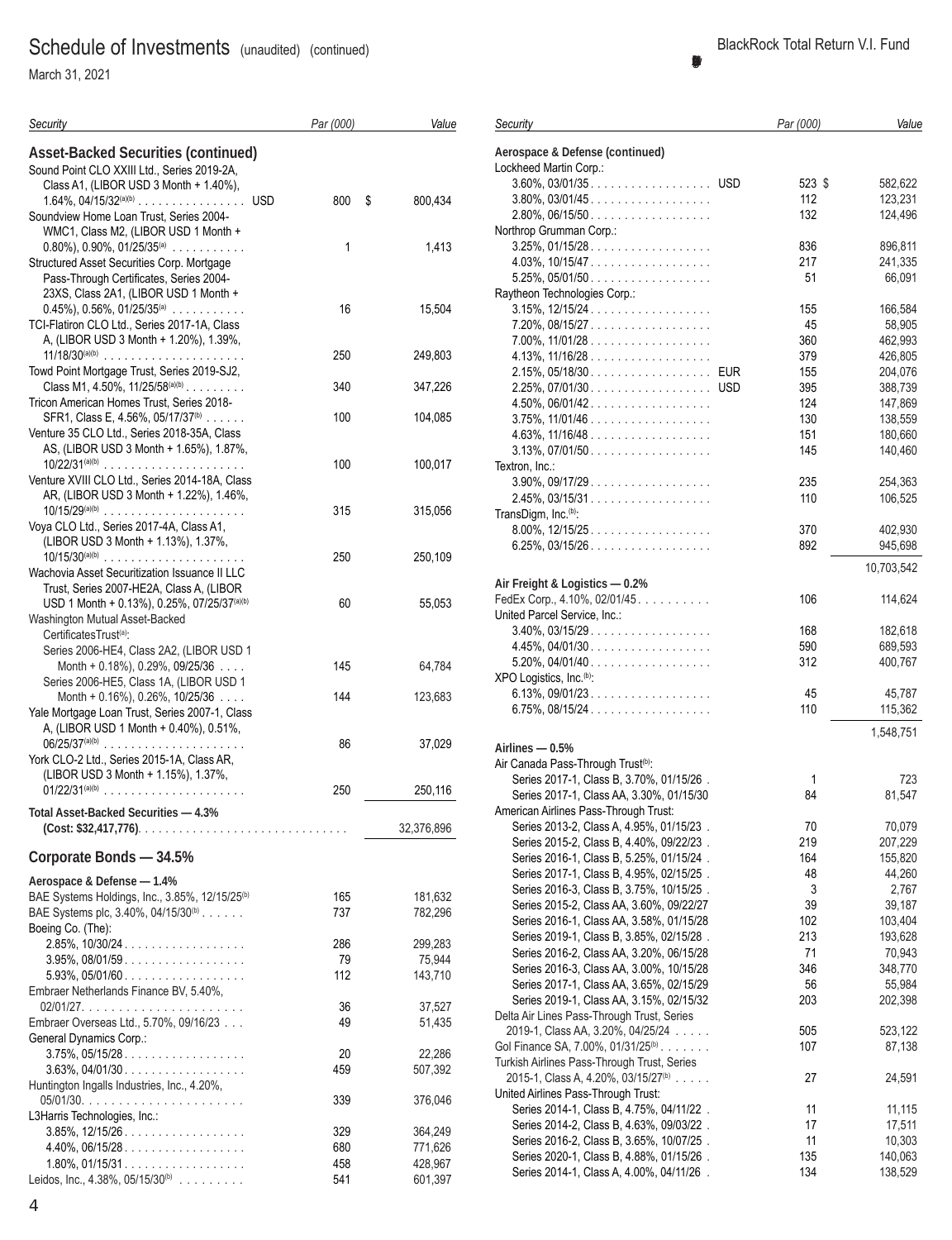March 31, 2021

| Security                                                                                 | Par (000)  | Value              |
|------------------------------------------------------------------------------------------|------------|--------------------|
| <b>Asset-Backed Securities (continued)</b>                                               |            |                    |
| Sound Point CLO XXIII Ltd., Series 2019-2A,<br>Class A1, (LIBOR USD 3 Month + 1.40%),    |            |                    |
|                                                                                          | 800        | \$<br>800,434      |
| Soundview Home Loan Trust, Series 2004-                                                  |            |                    |
| WMC1, Class M2, (LIBOR USD 1 Month +                                                     |            |                    |
| $0.80\%$ , 0.90%, 01/25/35 <sup>(a)</sup><br>Structured Asset Securities Corp. Mortgage  | 1          | 1,413              |
| Pass-Through Certificates, Series 2004-                                                  |            |                    |
| 23XS, Class 2A1, (LIBOR USD 1 Month +                                                    |            |                    |
| $0.45\%$ , $0.56\%$ , $01/25/35(a)$                                                      | 16         | 15,504             |
| TCI-Flatiron CLO Ltd., Series 2017-1A, Class<br>A, (LIBOR USD 3 Month + 1.20%), 1.39%,   |            |                    |
| $11/18/30^{(a)(b)}$                                                                      | 250        | 249,803            |
| Towd Point Mortgage Trust, Series 2019-SJ2,                                              |            |                    |
| Class M1, 4.50%, $11/25/58^{(a)(b)}$                                                     | 340        | 347,226            |
| Tricon American Homes Trust, Series 2018-                                                |            |                    |
| SFR1, Class E, 4.56%, 05/17/37 <sup>(b)</sup>                                            | 100        | 104,085            |
| Venture 35 CLO Ltd., Series 2018-35A, Class                                              |            |                    |
| AS, (LIBOR USD 3 Month + 1.65%), 1.87%,                                                  | 100        | 100,017            |
| Venture XVIII CLO Ltd., Series 2014-18A, Class                                           |            |                    |
| AR, (LIBOR USD 3 Month + 1.22%), 1.46%,                                                  |            |                    |
| $10/15/29^{(a)(b)}$                                                                      | 315        | 315,056            |
| Voya CLO Ltd., Series 2017-4A, Class A1,                                                 |            |                    |
| (LIBOR USD 3 Month + 1.13%), 1.37%,<br>$10/15/30^{(a)(b)}$                               | 250        |                    |
| Wachovia Asset Securitization Issuance II LLC                                            |            | 250,109            |
| Trust, Series 2007-HE2A, Class A, (LIBOR                                                 |            |                    |
| USD 1 Month + 0.13%), 0.25%, 07/25/37 <sup>(a)(b)</sup>                                  | 60         | 55,053             |
| Washington Mutual Asset-Backed                                                           |            |                    |
| CertificatesTrust <sup>(a)</sup> :                                                       |            |                    |
| Series 2006-HE4, Class 2A2, (LIBOR USD 1<br>Month + $0.18\%$ ), 0.29%, 09/25/36 $\ldots$ | 145        | 64,784             |
| Series 2006-HE5, Class 1A, (LIBOR USD 1                                                  |            |                    |
| Month + 0.16%), 0.26%, 10/25/36                                                          | 144        | 123,683            |
| Yale Mortgage Loan Trust, Series 2007-1, Class                                           |            |                    |
| A, (LIBOR USD 1 Month + 0.40%), 0.51%,                                                   |            |                    |
| $06/25/37^{(a)(b)}$<br>York CLO-2 Ltd., Series 2015-1A, Class AR,                        | 86         | 37,029             |
| (LIBOR USD 3 Month + 1.15%), 1.37%,                                                      |            |                    |
| $01/22/31^{(a)(b)}$                                                                      | 250        | 250,116            |
| Total Asset-Backed Securities - 4.3%                                                     |            |                    |
|                                                                                          |            | 32,376,896         |
|                                                                                          |            |                    |
| Corporate Bonds - 34.5%                                                                  |            |                    |
| Aerospace & Defense - 1.4%                                                               |            |                    |
| BAE Systems Holdings, Inc., 3.85%, 12/15/25 <sup>(b)</sup>                               | 165        | 181,632            |
| BAE Systems plc, 3.40%, 04/15/30 <sup>(b)</sup>                                          | 737        | 782,296            |
| Boeing Co. (The):<br>$2.85\%$ , $10/30/24$                                               | 286        | 299,283            |
| $3.95\%$ , 08/01/59.                                                                     | 79         | 75,944             |
| $5.93\%$ , $05/01/60$                                                                    | 112        | 143,710            |
| Embraer Netherlands Finance BV, 5.40%,                                                   |            |                    |
|                                                                                          | 36         | 37,527             |
| Embraer Overseas Ltd., 5.70%, 09/16/23                                                   | 49         | 51,435             |
| General Dynamics Corp.:<br>$3.75\%$ , 05/15/28                                           | 20         | 22,286             |
| $3.63\%$ , 04/01/30                                                                      | 459        | 507,392            |
| Huntington Ingalls Industries, Inc., 4.20%,                                              |            |                    |
|                                                                                          | 339        | 376,046            |
| L3Harris Technologies, Inc.:                                                             |            |                    |
| $3.85\%$ , $12/15/26$                                                                    | 329        | 364,249            |
| $4.40\%$ , 06/15/28<br>$1.80\%$ , 01/15/31                                               | 680<br>458 | 771,626<br>428,967 |
| Leidos, Inc., 4.38%, 05/15/30 <sup>(b)</sup>                                             | 541        | 601,397            |

# **BlackRock Total Return V.I. Fund (Percentages shown are based on Net Assets)** *Par (000) Value*

*Security*

| Aerospace & Defense (continued)                                                               |        |            |
|-----------------------------------------------------------------------------------------------|--------|------------|
| Lockheed Martin Corp.:                                                                        |        |            |
|                                                                                               | 523 \$ | 582,622    |
| $3.80\%$ , $03/01/45$                                                                         | 112    | 123,231    |
| $2.80\%$ , 06/15/50                                                                           | 132    | 124,496    |
| Northrop Grumman Corp.:<br>$3.25\%$ , 01/15/28                                                | 836    | 896,811    |
|                                                                                               | 217    | 241,335    |
| $5.25\%$ , 05/01/50                                                                           | 51     | 66,091     |
| Raytheon Technologies Corp.:                                                                  |        |            |
| $3.15\%$ , $12/15/24$                                                                         | 155    | 166,584    |
| 7.20%, 08/15/27                                                                               | 45     | 58,905     |
| $7.00\%$ , $11/01/28$                                                                         | 360    | 462,993    |
| 4.13%, $11/16/28$                                                                             | 379    | 426,805    |
| 2.15%, 05/18/30. EUR                                                                          | 155    | 204,076    |
| 2.25%, 07/01/30. USD                                                                          | 395    | 388,739    |
| $4.50\%$ , 06/01/42.                                                                          | 124    | 147,869    |
| $3.75\%$ , $11/01/46$                                                                         | 130    | 138,559    |
| $4.63\%$ , $11/16/48$                                                                         | 151    | 180,660    |
| $3.13\%$ , 07/01/50                                                                           | 145    | 140,460    |
| Textron, Inc.:                                                                                |        |            |
| $3.90\%$ , 09/17/29.                                                                          | 235    | 254,363    |
| $2.45\%$ , 03/15/31                                                                           | 110    | 106,525    |
| TransDigm, Inc. <sup>(b)</sup> :                                                              |        |            |
| $8.00\%$ , $12/15/25$                                                                         | 370    | 402,930    |
| $6.25\%$ , 03/15/26.                                                                          | 892    | 945,698    |
|                                                                                               |        | 10,703,542 |
| Air Freight & Logistics - 0.2%                                                                |        |            |
| FedEx Corp., 4.10%, 02/01/45.                                                                 | 106    | 114,624    |
| United Parcel Service, Inc.:                                                                  |        |            |
| $3.40\%$ , 03/15/29.                                                                          | 168    | 182,618    |
| $4.45\%, 04/01/30 \ldots \ldots \ldots \ldots \ldots$                                         | 590    | 689,593    |
| $5.20\%$ , 04/01/40                                                                           | 312    | 400,767    |
| XPO Logistics, Inc. <sup>(b)</sup> :                                                          |        |            |
| $6.13\%$ , 09/01/23                                                                           | 45     | 45,787     |
| $6.75\%$ , 08/15/24                                                                           | 110    | 115,362    |
|                                                                                               |        | 1,548,751  |
| Airlines - 0.5%                                                                               |        |            |
| Air Canada Pass-Through Trust <sup>(b)</sup> :                                                |        |            |
| Series 2017-1, Class B, 3.70%, 01/15/26.                                                      | 1      | 723        |
| Series 2017-1, Class AA, 3.30%, 01/15/30                                                      | 84     | 81,547     |
| American Airlines Pass-Through Trust:                                                         |        |            |
| Series 2013-2, Class A, 4.95%, 01/15/23.                                                      | 70     | 70,079     |
| Series 2015-2, Class B, 4.40%, 09/22/23.                                                      | 219    | 207,229    |
| Series 2016-1, Class B, 5.25%, 01/15/24.                                                      | 164    | 155,820    |
| Series 2017-1, Class B, 4.95%, 02/15/25.                                                      | 48     | 44,260     |
| Series 2016-3, Class B, 3.75%, 10/15/25.                                                      | 3      | 2,767      |
| Series 2015-2, Class AA, 3.60%, 09/22/27                                                      | 39     | 39,187     |
| Series 2016-1, Class AA, 3.58%, 01/15/28                                                      | 102    | 103,404    |
| Series 2019-1, Class B, 3.85%, 02/15/28.                                                      | 213    | 193,628    |
| Series 2016-2, Class AA, 3.20%, 06/15/28                                                      | 71     | 70,943     |
| Series 2016-3, Class AA, 3.00%, 10/15/28                                                      | 346    | 348,770    |
| Series 2017-1, Class AA, 3.65%, 02/15/29                                                      | 56     | 55,984     |
| Series 2019-1, Class AA, 3.15%, 02/15/32                                                      | 203    | 202,398    |
| Delta Air Lines Pass-Through Trust, Series                                                    |        |            |
| 2019-1, Class AA, 3.20%, 04/25/24                                                             | 505    | 523,122    |
| Gol Finance SA, 7.00%, 01/31/25 <sup>(b)</sup><br>Turkish Airlines Pass-Through Trust, Series | 107    | 87,138     |
| 2015-1, Class A, 4.20%, 03/15/27 <sup>(b)</sup>                                               | 27     | 24,591     |
| United Airlines Pass-Through Trust:                                                           |        |            |
| Series 2014-1, Class B, 4.75%, 04/11/22.                                                      | 11     | 11,115     |
| Series 2014-2, Class B, 4.63%, 09/03/22.                                                      | 17     | 17,511     |
| Series 2016-2, Class B, 3.65%, 10/07/25.                                                      | 11     | 10,303     |
| Series 2020-1, Class B, 4.88%, 01/15/26.                                                      | 135    | 140,063    |
| Series 2014-1, Class A, 4.00%, 04/11/26.                                                      | 134    | 138,529    |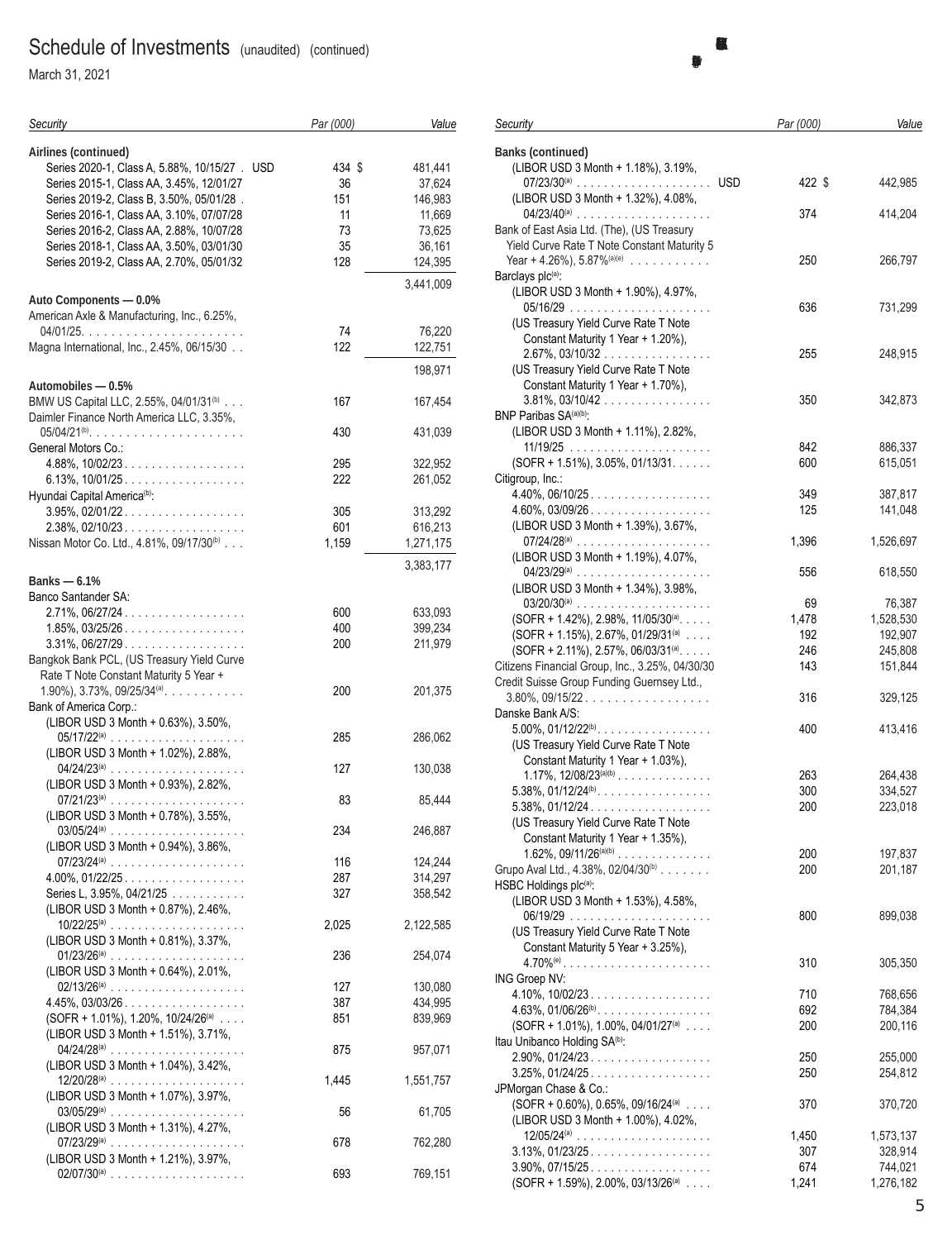March 31, 2021

| Security                                                                                                                                                                                                                                                                                          | Par (000)                             | Value                                                      |
|---------------------------------------------------------------------------------------------------------------------------------------------------------------------------------------------------------------------------------------------------------------------------------------------------|---------------------------------------|------------------------------------------------------------|
| Airlines (continued)<br>Series 2020-1, Class A, 5.88%, 10/15/27 . USD<br>Series 2015-1, Class AA, 3.45%, 12/01/27<br>Series 2019-2, Class B, 3.50%, 05/01/28.<br>Series 2016-1, Class AA, 3.10%, 07/07/28<br>Series 2016-2, Class AA, 2.88%, 10/07/28<br>Series 2018-1, Class AA, 3.50%, 03/01/30 | 434 \$<br>36<br>151<br>11<br>73<br>35 | 481,441<br>37,624<br>146,983<br>11,669<br>73,625<br>36,161 |
| Series 2019-2, Class AA, 2.70%, 05/01/32                                                                                                                                                                                                                                                          | 128                                   | 124,395                                                    |
| Auto Components - 0.0%                                                                                                                                                                                                                                                                            |                                       | 3.441.009                                                  |
| American Axle & Manufacturing, Inc., 6.25%,                                                                                                                                                                                                                                                       | 74                                    | 76,220                                                     |
| Magna International, Inc., 2.45%, 06/15/30                                                                                                                                                                                                                                                        | 122                                   | 122,751                                                    |
|                                                                                                                                                                                                                                                                                                   |                                       | 198,971                                                    |
| Automobiles - 0.5%<br>BMW US Capital LLC, 2.55%, 04/01/31 <sup>(b)</sup><br>Daimler Finance North America LLC, 3.35%,                                                                                                                                                                             | 167                                   | 167,454                                                    |
| $05/04/21^{(b)}$<br>General Motors Co.:                                                                                                                                                                                                                                                           | 430                                   | 431,039                                                    |
| $4.88\%$ , 10/02/23.                                                                                                                                                                                                                                                                              | 295                                   | 322,952                                                    |
| Hyundai Capital America <sup>(b)</sup> :                                                                                                                                                                                                                                                          | 222                                   | 261,052                                                    |
| $3.95\%$ , 02/01/22.                                                                                                                                                                                                                                                                              | 305                                   | 313,292                                                    |
| 2.38%, 02/10/23<br>Nissan Motor Co. Ltd., 4.81%, 09/17/30 <sup>(b)</sup>                                                                                                                                                                                                                          | 601<br>1,159                          | 616,213<br>1,271,175                                       |
|                                                                                                                                                                                                                                                                                                   |                                       | 3,383,177                                                  |
| Banks $-6.1%$                                                                                                                                                                                                                                                                                     |                                       |                                                            |
| Banco Santander SA:                                                                                                                                                                                                                                                                               |                                       |                                                            |
| 2.71%, 06/27/24<br>$1.85\%$ , 03/25/26                                                                                                                                                                                                                                                            | 600<br>400                            | 633,093<br>399,234                                         |
| 3.31%, 06/27/29                                                                                                                                                                                                                                                                                   | 200                                   | 211,979                                                    |
| Bangkok Bank PCL, (US Treasury Yield Curve<br>Rate T Note Constant Maturity 5 Year +                                                                                                                                                                                                              |                                       |                                                            |
| $1.90\%$ , $3.73\%$ , $09/25/34$ <sup>(a)</sup> .                                                                                                                                                                                                                                                 | 200                                   | 201,375                                                    |
| Bank of America Corp.:                                                                                                                                                                                                                                                                            |                                       |                                                            |
| (LIBOR USD 3 Month + 0.63%), 3.50%,<br>$05/17/22^{(a)}$                                                                                                                                                                                                                                           | 285                                   | 286,062                                                    |
| (LIBOR USD 3 Month + 1.02%), 2.88%,                                                                                                                                                                                                                                                               | 127                                   | 130,038                                                    |
| (LIBOR USD 3 Month + 0.93%), 2.82%,                                                                                                                                                                                                                                                               |                                       |                                                            |
| (LIBOR USD 3 Month + 0.78%), 3.55%,                                                                                                                                                                                                                                                               | 83                                    | 85,444                                                     |
| (LIBOR USD 3 Month + 0.94%), 3.86%,                                                                                                                                                                                                                                                               | 234                                   | 246,887                                                    |
|                                                                                                                                                                                                                                                                                                   | 116                                   | 124,244                                                    |
| $4.00\%$ , $01/22/25$                                                                                                                                                                                                                                                                             | 287                                   | 314,297                                                    |
| Series L, 3.95%, 04/21/25<br>(LIBOR USD 3 Month + 0.87%), 2.46%,                                                                                                                                                                                                                                  | 327                                   | 358,542                                                    |
| $10/22/25^{(a)}$                                                                                                                                                                                                                                                                                  | 2,025                                 | 2,122,585                                                  |
| (LIBOR USD 3 Month + 0.81%), 3.37%,                                                                                                                                                                                                                                                               | 236                                   | 254,074                                                    |
| (LIBOR USD 3 Month + 0.64%), 2.01%,                                                                                                                                                                                                                                                               |                                       |                                                            |
| $4.45\%, 03/03/26 \dots  \dots $                                                                                                                                                                                                                                                                  | 127<br>387                            | 130,080<br>434,995                                         |
| (SOFR + 1.01%), 1.20%, 10/24/26(a)                                                                                                                                                                                                                                                                | 851                                   | 839,969                                                    |
| (LIBOR USD 3 Month + 1.51%), 3.71%,                                                                                                                                                                                                                                                               | 875                                   | 957,071                                                    |
| (LIBOR USD 3 Month + 1.04%), 3.42%,                                                                                                                                                                                                                                                               | 1,445                                 | 1,551,757                                                  |
| (LIBOR USD 3 Month + 1.07%), 3.97%,                                                                                                                                                                                                                                                               |                                       |                                                            |
| (LIBOR USD 3 Month + 1.31%), 4.27%,                                                                                                                                                                                                                                                               | 56                                    | 61,705                                                     |
| (LIBOR USD 3 Month + 1.21%), 3.97%,                                                                                                                                                                                                                                                               | 678                                   | 762,280                                                    |
|                                                                                                                                                                                                                                                                                                   | 693                                   | 769,151                                                    |

| Security                                                                | Par (000)  | Value              |
|-------------------------------------------------------------------------|------------|--------------------|
|                                                                         |            |                    |
| <b>Banks (continued)</b><br>(LIBOR USD 3 Month + 1.18%), 3.19%,         |            |                    |
|                                                                         | 422 \$     | 442,985            |
| (LIBOR USD 3 Month + 1.32%), 4.08%,                                     |            |                    |
|                                                                         | 374        | 414,204            |
| Bank of East Asia Ltd. (The), (US Treasury                              |            |                    |
| Yield Curve Rate T Note Constant Maturity 5                             |            |                    |
| Year + 4.26%), $5.87\%^{\text{(a)(e)}}$                                 | 250        | 266,797            |
| Barclays plc(a):                                                        |            |                    |
| (LIBOR USD 3 Month + 1.90%), 4.97%,                                     |            |                    |
|                                                                         | 636        | 731,299            |
| (US Treasury Yield Curve Rate T Note                                    |            |                    |
| Constant Maturity 1 Year + 1.20%),<br>$2.67\%$ , 03/10/32               | 255        |                    |
| (US Treasury Yield Curve Rate T Note                                    |            | 248,915            |
| Constant Maturity 1 Year + 1.70%),                                      |            |                    |
| $3.81\%$ , $03/10/42$                                                   | 350        | 342,873            |
| BNP Paribas SA(a)(b):                                                   |            |                    |
| (LIBOR USD 3 Month + 1.11%), 2.82%,                                     |            |                    |
|                                                                         | 842        | 886,337            |
| (SOFR + 1.51%), 3.05%, 01/13/31.                                        | 600        | 615,051            |
| Citigroup, Inc.:                                                        |            |                    |
| $4.40\%$ , $06/10/25$                                                   | 349        | 387,817            |
| $4.60\%$ , 03/09/26                                                     | 125        | 141,048            |
| (LIBOR USD 3 Month + 1.39%), 3.67%,                                     |            |                    |
| $07/24/28^{(a)}$                                                        | 1,396      | 1,526,697          |
| (LIBOR USD 3 Month + 1.19%), 4.07%,                                     |            |                    |
|                                                                         | 556        | 618,550            |
| (LIBOR USD 3 Month + 1.34%), 3.98%,                                     | 69         | 76,387             |
| $(SOFR + 1.42%), 2.98%, 11/05/30(a).$                                   | 1,478      | 1,528,530          |
| $(SOFR + 1.15%), 2.67%, 01/29/31(a)$                                    | 192        | 192,907            |
| $(SOFR + 2.11\%), 2.57\%, 06/03/31^{(a)}.$                              | 246        | 245,808            |
| Citizens Financial Group, Inc., 3.25%, 04/30/30                         | 143        | 151,844            |
| Credit Suisse Group Funding Guernsey Ltd.,                              |            |                    |
| $3.80\%$ , 09/15/22.                                                    | 316        | 329,125            |
| Danske Bank A/S:                                                        |            |                    |
| $5.00\%$ , $01/12/22^{(b)}$                                             | 400        | 413,416            |
| (US Treasury Yield Curve Rate T Note                                    |            |                    |
| Constant Maturity 1 Year + 1.03%),                                      |            |                    |
| 1.17%, $12/08/23^{(a)(b)}$                                              | 263        | 264,438            |
| $5.38\%$ , $01/12/24^{(b)}$ .                                           | 300        | 334,527            |
| $5.38\%$ , $01/12/24$                                                   | 200        | 223,018            |
| (US Treasury Yield Curve Rate T Note                                    |            |                    |
| Constant Maturity 1 Year + 1.35%),<br>1.62%, 09/11/26 <sup>(a)(b)</sup> | 200        | 197,837            |
| Grupo Aval Ltd., 4.38%, 02/04/30 <sup>(b)</sup>                         | 200        | 201,187            |
| HSBC Holdings plc(a):                                                   |            |                    |
| (LIBOR USD 3 Month + 1.53%), 4.58%,                                     |            |                    |
|                                                                         | 800        | 899,038            |
| (US Treasury Yield Curve Rate T Note                                    |            |                    |
| Constant Maturity 5 Year + 3.25%),                                      |            |                    |
|                                                                         | 310        | 305,350            |
| ING Groep NV:                                                           |            |                    |
| $4.10\%$ , $10/02/23$                                                   | 710        | 768,656            |
| $4.63\%$ , $01/06/26^{(b)}$ .                                           | 692        | 784,384            |
| (SOFR + 1.01%), 1.00%, 04/01/27(a)                                      | 200        | 200,116            |
| Itau Unibanco Holding SA <sup>(b)</sup> :                               |            |                    |
| $2.90\%$ , 01/24/23.<br>$3.25\%$ , 01/24/25.                            | 250<br>250 | 255,000<br>254,812 |
| JPMorgan Chase & Co.:                                                   |            |                    |
| $(SOFF + 0.60\%)$ , 0.65%, 09/16/24(a)                                  | 370        | 370,720            |
| (LIBOR USD 3 Month + 1.00%), 4.02%,                                     |            |                    |
|                                                                         | 1,450      | 1,573,137          |
| $3.13\%, 01/23/25 \dots $                                               | 307        | 328,914            |
| $3.90\%$ , $07/15/25$                                                   | 674        | 744,021            |
| $(SOFF + 1.59\%), 2.00\%, 03/13/26^{(a)} \dots$                         | 1,241      | 1,276,182          |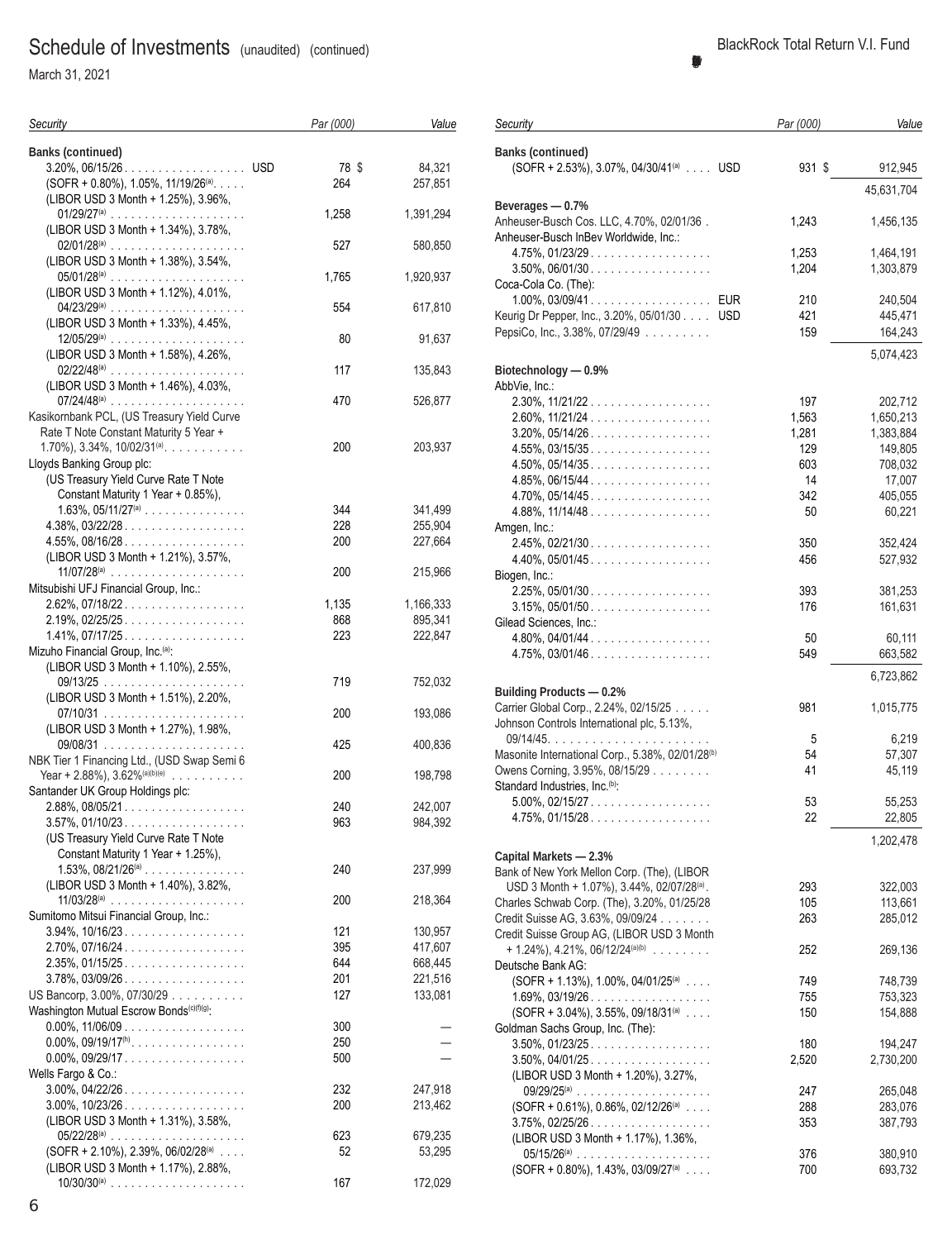March 31, 2021

| Security                                                                             | Par (000) | Value     |
|--------------------------------------------------------------------------------------|-----------|-----------|
| <b>Banks (continued)</b>                                                             |           |           |
| 3.20%, 06/15/26. USD                                                                 | 78 \$     | 84,321    |
| $(SOFF + 0.80\%)$ , 1.05%, 11/19/26 <sup>(a)</sup> .                                 | 264       | 257,851   |
| (LIBOR USD 3 Month + 1.25%), 3.96%,                                                  |           | 1,391,294 |
| (LIBOR USD 3 Month + 1.34%), 3.78%,                                                  | 1,258     |           |
| $02/01/28^{(a)}$<br>(LIBOR USD 3 Month + 1.38%), 3.54%,                              | 527       | 580,850   |
| (LIBOR USD 3 Month + 1.12%), 4.01%,                                                  | 1,765     | 1,920,937 |
| (LIBOR USD 3 Month + 1.33%), 4.45%,                                                  | 554       | 617,810   |
| $12/05/29^{(a)}$                                                                     | 80        | 91,637    |
| (LIBOR USD 3 Month + 1.58%), 4.26%,                                                  | 117       | 135,843   |
| (LIBOR USD 3 Month + 1.46%), 4.03%,<br>07/24/48@                                     | 470       | 526,877   |
| Kasikornbank PCL, (US Treasury Yield Curve<br>Rate T Note Constant Maturity 5 Year + |           |           |
| $1.70\%$ , $3.34\%$ , $10/02/31^{(a)}$ .                                             | 200       | 203,937   |
| Lloyds Banking Group plc:<br>(US Treasury Yield Curve Rate T Note                    |           |           |
| Constant Maturity 1 Year + 0.85%),                                                   |           |           |
| $1.63\%$ , $05/11/27^{(a)}$                                                          | 344       | 341,499   |
| $4.38\%$ , $03/22/28$                                                                | 228       | 255,904   |
| $4.55\%$ , 08/16/28                                                                  | 200       | 227,664   |
| (LIBOR USD 3 Month + 1.21%), 3.57%,                                                  |           |           |
| $11/07/28^{(a)}$<br>Mitsubishi UFJ Financial Group, Inc.:                            | 200       | 215,966   |
| $2.62\%$ , 07/18/22                                                                  | 1,135     | 1,166,333 |
| $2.19\%, 02/25/25 \dots  \dots $                                                     | 868       | 895,341   |
| $1.41\%, 07/17/25 \dots  \dots $                                                     | 223       | 222,847   |
| Mizuho Financial Group, Inc. <sup>(a)</sup> :                                        |           |           |
| (LIBOR USD 3 Month + 1.10%), 2.55%,                                                  |           |           |
|                                                                                      | 719       | 752,032   |
| (LIBOR USD 3 Month + 1.51%), 2.20%,                                                  | 200       | 193,086   |
| (LIBOR USD 3 Month + 1.27%), 1.98%,                                                  | 425       | 400,836   |
| NBK Tier 1 Financing Ltd., (USD Swap Semi 6<br>Year + 2.88%), $3.62\%^{{(a)(b)(e)}}$ | 200       | 198,798   |
| Santander UK Group Holdings plc:                                                     |           |           |
| $2.88\%$ , 08/05/21                                                                  | 240       | 242,007   |
| $3.57\%$ , 01/10/23.                                                                 | 963       | 984,392   |
| (US Treasury Yield Curve Rate T Note                                                 |           |           |
| Constant Maturity 1 Year + 1.25%),                                                   |           |           |
| $1.53\%$ , $08/21/26^{(a)}$                                                          | 240       | 237,999   |
| (LIBOR USD 3 Month + 1.40%), 3.82%,                                                  |           |           |
| $11/03/28^{(a)}$                                                                     | 200       | 218,364   |
| Sumitomo Mitsui Financial Group, Inc.:                                               |           |           |
| $3.94\%$ , $10/16/23$                                                                | 121       | 130,957   |
| $2.70\%$ , 07/16/24                                                                  | 395       | 417,607   |
| $2.35\%$ , 01/15/25.                                                                 | 644       | 668,445   |
| $3.78\%$ , 03/09/26                                                                  | 201       | 221,516   |
| US Bancorp, 3.00%, 07/30/29                                                          | 127       | 133,081   |
| Washington Mutual Escrow Bonds <sup>(c)(f)(g)</sup> :                                |           |           |
| $0.00\%$ , 11/06/09                                                                  | 300       |           |
| $0.00\%$ , $09/19/17$ <sup>(h)</sup>                                                 | 250       |           |
| $0.00\%$ , $09/29/17$                                                                | 500       |           |
| Wells Fargo & Co.:                                                                   |           |           |
| $3.00\%$ , $04/22/26$                                                                | 232       | 247,918   |
| $3.00\%$ , $10/23/26$                                                                | 200       | 213,462   |
| (LIBOR USD 3 Month + 1.31%), 3.58%,<br>$05/22/28^{(a)}$                              |           |           |
| $(SOFR + 2.10\%), 2.39\%, 06/02/28^{(a)} \dots$                                      | 623       | 679,235   |
| (LIBOR USD 3 Month + 1.17%), 2.88%,                                                  | 52        | 53,295    |
| $10/30/30^{(a)}$                                                                     | 167       | 172,029   |

| Security                                                                                              | Par (000)      | Value                  |
|-------------------------------------------------------------------------------------------------------|----------------|------------------------|
| <b>Banks (continued)</b>                                                                              |                |                        |
| (SOFR + 2.53%), 3.07%, 04/30/41 <sup>(a)</sup> USD                                                    | 931 \$         | 912,945                |
| Beverages - 0.7%                                                                                      |                | 45.631.704             |
| Anheuser-Busch Cos. LLC, 4.70%, 02/01/36.<br>Anheuser-Busch InBev Worldwide, Inc.:                    | 1,243          | 1,456,135              |
| 4.75%, 01/23/29<br>$3.50\%$ , 06/01/30                                                                | 1,253<br>1,204 | 1,464,191<br>1,303,879 |
| Coca-Cola Co. (The):<br>1.00%, 03/09/41. EUR                                                          | 210            | 240,504                |
| Keurig Dr Pepper, Inc., 3.20%, 05/01/30 USD<br>PepsiCo, Inc., 3.38%, 07/29/49                         | 421<br>159     | 445,471<br>164,243     |
|                                                                                                       |                | 5,074,423              |
| Biotechnology - 0.9%                                                                                  |                |                        |
| AbbVie, Inc.:<br>2.30%, 11/21/22                                                                      | 197            | 202,712                |
| 2.60%, 11/21/24                                                                                       | 1,563          | 1,650,213              |
| $3.20\%$ , $05/14/26$                                                                                 | 1,281          | 1,383,884              |
| $4.55\%$ , 03/15/35.                                                                                  | 129            | 149,805                |
| $4.50\%$ , $05/14/35$                                                                                 | 603            | 708,032                |
| $4.85\%$ , 06/15/44                                                                                   | 14             | 17,007                 |
| $4.70\%$ , 05/14/45                                                                                   | 342            | 405,055                |
| $4.88\%$ , 11/14/48                                                                                   | 50             | 60,221                 |
| Amgen, Inc.:                                                                                          |                |                        |
| $2.45\%, 02/21/30 \dots  \dots $                                                                      | 350            | 352,424                |
| $4.40\%$ , $05/01/45$                                                                                 | 456            | 527,932                |
| Biogen, Inc.:<br>2.25%, 05/01/30                                                                      | 393            | 381,253                |
| $3.15\%, 05/01/50 \dots  \dots $                                                                      | 176            | 161,631                |
| Gilead Sciences, Inc.:                                                                                |                |                        |
| $4.80\%$ , 04/01/44                                                                                   | 50             | 60,111                 |
| $4.75\%$ , 03/01/46                                                                                   | 549            | 663,582                |
|                                                                                                       |                | 6,723,862              |
| <b>Building Products - 0.2%</b>                                                                       |                |                        |
| Carrier Global Corp., 2.24%, 02/15/25                                                                 | 981            | 1,015,775              |
| Johnson Controls International plc, 5.13%,                                                            |                |                        |
|                                                                                                       | 5              | 6,219                  |
| Masonite International Corp., 5.38%, 02/01/28 <sup>(b)</sup>                                          | 54             | 57,307                 |
| Owens Corning, 3.95%, 08/15/29                                                                        | 41             | 45,119                 |
| Standard Industries, Inc. <sup>(b)</sup> :                                                            |                |                        |
| $5.00\%$ , 02/15/27                                                                                   | 53             | 55,253                 |
| $4.75\%$ , 01/15/28.                                                                                  | 22             | 22,805                 |
|                                                                                                       |                | 1,202,478              |
| Capital Markets - 2.3%<br>Bank of New York Mellon Corp. (The), (LIBOR                                 |                |                        |
|                                                                                                       | 293            |                        |
| USD 3 Month + 1.07%), 3.44%, 02/07/28 <sup>(a)</sup> .<br>Charles Schwab Corp. (The), 3.20%, 01/25/28 | 105            | 322,003<br>113,661     |
| Credit Suisse AG, 3.63%, 09/09/24                                                                     | 263            | 285,012                |
| Credit Suisse Group AG, (LIBOR USD 3 Month                                                            |                |                        |
| $+ 1.24\%$ , 4.21%, 06/12/24(a)(b)                                                                    | 252            | 269,136                |
| Deutsche Bank AG:                                                                                     |                |                        |
| (SOFR + 1.13%), 1.00%, 04/01/25 <sup>(a)</sup>                                                        | 749            | 748,739                |
| $1.69\%$ , 03/19/26.                                                                                  | 755            | 753,323                |
| $(SOFF + 3.04\%), 3.55\%, 09/18/31^{(a)} \dots$                                                       | 150            | 154,888                |
| Goldman Sachs Group, Inc. (The):                                                                      |                |                        |
| $3.50\%$ , $01/23/25$                                                                                 | 180            | 194,247                |
| $3.50\%$ , $04/01/25$                                                                                 | 2,520          | 2,730,200              |
| (LIBOR USD 3 Month + 1.20%), 3.27%,                                                                   |                |                        |
|                                                                                                       | 247            | 265,048                |
| $(SOFR + 0.61\%)$ , 0.86%, 02/12/26 <sup>(a)</sup>                                                    | 288            | 283,076                |
| $3.75\%$ , $02/25/26$<br>(LIBOR USD 3 Month + 1.17%), 1.36%,                                          | 353            | 387,793                |
| $05/15/26^{(a)}$                                                                                      | 376            | 380,910                |
| $(SOFR + 0.80\%), 1.43\%, 03/09/27^{(a)} \dots$                                                       | 700            | 693,732                |
|                                                                                                       |                |                        |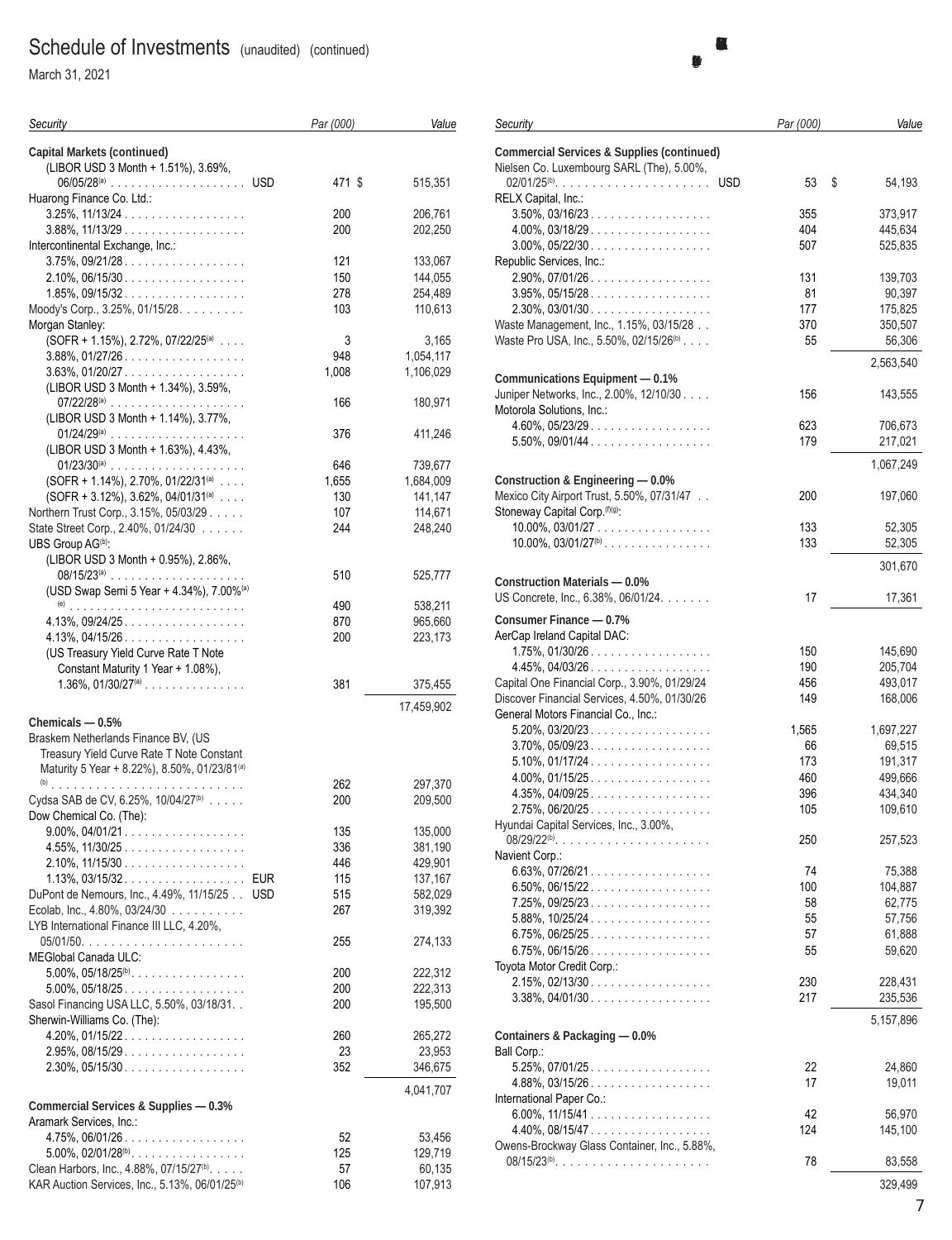March 31, 2021

| Security                                                                  | Par (000) | Value      |
|---------------------------------------------------------------------------|-----------|------------|
| <b>Capital Markets (continued)</b><br>(LIBOR USD 3 Month + 1.51%), 3.69%, |           |            |
|                                                                           | 471 \$    | 515,351    |
| Huarong Finance Co. Ltd.:                                                 |           |            |
|                                                                           | 200       | 206,761    |
| $3.88\%$ , $11/13/29$                                                     | 200       | 202,250    |
| Intercontinental Exchange, Inc.:                                          |           |            |
| $3.75\%$ , $09/21/28$                                                     | 121       | 133,067    |
| $2.10\%$ , 06/15/30                                                       | 150       | 144,055    |
| $1.85\%$ , 09/15/32                                                       | 278       | 254,489    |
| Moody's Corp., 3.25%, 01/15/28.<br>Morgan Stanley:                        | 103       | 110,613    |
| $(SOFR + 1.15%), 2.72%, 07/22/25(a) $                                     | 3         | 3,165      |
| $3.88\%$ , $01/27/26$                                                     | 948       | 1,054,117  |
| $3.63\%$ , $01/20/27$                                                     | 1,008     | 1,106,029  |
| (LIBOR USD 3 Month + 1.34%), 3.59%,                                       |           |            |
| 07/22/28@                                                                 | 166       | 180,971    |
| (LIBOR USD 3 Month + 1.14%), 3.77%,                                       |           |            |
|                                                                           | 376       | 411,246    |
| (LIBOR USD 3 Month + 1.63%), 4.43%,                                       |           |            |
| 01/23/30@                                                                 | 646       | 739,677    |
| $(SOFR + 1.14%), 2.70%, 01/22/31(a)$                                      | 1,655     | 1,684,009  |
| (SOFR + 3.12%), 3.62%, 04/01/31(a)                                        | 130       | 141,147    |
| Northern Trust Corp., 3.15%, 05/03/29                                     | 107       | 114,671    |
| State Street Corp., 2.40%, 01/24/30                                       | 244       | 248,240    |
| UBS Group AG <sup>(b)</sup> :                                             |           |            |
| (LIBOR USD 3 Month + 0.95%), 2.86%,                                       | 510       | 525,777    |
| (USD Swap Semi 5 Year + 4.34%), 7.00% <sup>(a)</sup>                      |           |            |
|                                                                           | 490       | 538,211    |
| $4.13\%$ , $09/24/25$                                                     | 870       | 965,660    |
| $4.13\%$ , 04/15/26                                                       | 200       | 223,173    |
| (US Treasury Yield Curve Rate T Note                                      |           |            |
| Constant Maturity 1 Year + 1.08%),                                        |           |            |
| $1.36\%$ , $01/30/27$ <sup>(a)</sup>                                      | 381       | 375,455    |
|                                                                           |           | 17,459,902 |
| Chemicals $-0.5%$                                                         |           |            |
| Braskem Netherlands Finance BV, (US                                       |           |            |
| Treasury Yield Curve Rate T Note Constant                                 |           |            |
| Maturity 5 Year + 8.22%), 8.50%, 01/23/81(a)                              |           |            |
|                                                                           | 262       | 297,370    |
| Cydsa SAB de CV, 6.25%, 10/04/27 <sup>(b)</sup>                           | 200       | 209,500    |
| Dow Chemical Co. (The):                                                   |           |            |
| $9.00\%$ , $04/01/21$                                                     | 135       | 135,000    |
| 4.55%, 11/30/25                                                           | 336       | 381,190    |
| $2.10\%$ , $11/15/30$                                                     | 446       | 429,901    |
| $1.13\%$ , 03/15/32<br><b>EUR</b>                                         | 115       | 137,167    |
| DuPont de Nemours, Inc., 4.49%, 11/15/25<br><b>USD</b>                    | 515       | 582,029    |
| Ecolab, Inc., 4.80%, 03/24/30                                             | 267       | 319,392    |
| LYB International Finance III LLC, 4.20%,                                 | 255       | 274,133    |
| MEGlobal Canada ULC:                                                      |           |            |
| $5.00\%$ , $05/18/25^{\text{(b)}}$ .                                      | 200       | 222,312    |
| 5.00%, 05/18/25                                                           | 200       | 222,313    |
| Sasol Financing USA LLC, 5.50%, 03/18/31. .                               | 200       | 195,500    |
| Sherwin-Williams Co. (The):                                               |           |            |
| $4.20\%$ , 01/15/22.                                                      | 260       | 265,272    |
| $2.95\%$ , 08/15/29.                                                      | 23        | 23,953     |
| $2.30\%$ , 05/15/30                                                       | 352       | 346,675    |
|                                                                           |           | 4,041,707  |
| Commercial Services & Supplies - 0.3%                                     |           |            |
| Aramark Services, Inc.:                                                   |           |            |
| 4.75%, 06/01/26                                                           | 52        | 53,456     |
| $5.00\%$ , $02/01/28^{(b)}$                                               | 125       | 129,719    |
| Clean Harbors, Inc., 4.88%, 07/15/27 <sup>(b)</sup> .                     | 57        | 60,135     |
| KAR Auction Services, Inc., 5.13%, 06/01/25 <sup>(b)</sup>                | 106       | 107,913    |

|                                                                                 |            | <b>BlackRock Total Return V.I. Fund</b><br>(Percentages shown are based on Net Assets) |
|---------------------------------------------------------------------------------|------------|----------------------------------------------------------------------------------------|
|                                                                                 |            |                                                                                        |
| Security                                                                        | Par (000)  | Value                                                                                  |
| <b>Commercial Services &amp; Supplies (continued)</b>                           |            |                                                                                        |
| Nielsen Co. Luxembourg SARL (The), 5.00%,                                       |            |                                                                                        |
| $02/01/25^{(b)}$<br><b>USD</b>                                                  | 53         | \$<br>54,193                                                                           |
| RELX Capital, Inc.:                                                             |            |                                                                                        |
| $3.50\%$ , $03/16/23$                                                           | 355        | 373,917                                                                                |
| $4.00\%$ , 03/18/29.                                                            | 404        | 445,634                                                                                |
| $3.00\%$ , $05/22/30$                                                           | 507        | 525,835                                                                                |
| Republic Services, Inc.:<br>$2.90\%$ , 07/01/26.                                | 131        | 139,703                                                                                |
| $3.95\%, 05/15/28 \dots  \dots $                                                | 81         | 90,397                                                                                 |
| $2.30\%$ , 03/01/30                                                             | 177        | 175.825                                                                                |
| Waste Management, Inc., 1.15%, 03/15/28                                         | 370        | 350,507                                                                                |
| Waste Pro USA, Inc., 5.50%, 02/15/26 <sup>(b)</sup> .                           | 55         | 56,306                                                                                 |
|                                                                                 |            |                                                                                        |
|                                                                                 |            | 2,563,540                                                                              |
| Communications Equipment - 0.1%<br>Juniper Networks, Inc., 2.00%, 12/10/30.     | 156        | 143,555                                                                                |
| Motorola Solutions, Inc.:                                                       |            |                                                                                        |
| $4.60\%$ , $05/23/29$                                                           | 623        | 706,673                                                                                |
| $5.50\%$ , 09/01/44                                                             | 179        | 217,021                                                                                |
|                                                                                 |            |                                                                                        |
|                                                                                 |            | 1,067,249                                                                              |
| Construction & Engineering - 0.0%<br>Mexico City Airport Trust, 5.50%, 07/31/47 | 200        | 197,060                                                                                |
| Stoneway Capital Corp. (f)(g):                                                  |            |                                                                                        |
| 10.00%, 03/01/27                                                                | 133        | 52,305                                                                                 |
| $10.00\%$ , $03/01/27^{(b)}$                                                    | 133        | 52,305                                                                                 |
|                                                                                 |            |                                                                                        |
| <b>Construction Materials - 0.0%</b>                                            |            | 301,670                                                                                |
| US Concrete, Inc., 6.38%, 06/01/24.                                             | 17         | 17,361                                                                                 |
|                                                                                 |            |                                                                                        |
| Consumer Finance - 0.7%                                                         |            |                                                                                        |
| AerCap Ireland Capital DAC:                                                     |            |                                                                                        |
| $1.75\%$ , $01/30/26$<br>$4.45\%$ , 04/03/26.                                   | 150<br>190 | 145,690<br>205,704                                                                     |
| Capital One Financial Corp., 3.90%, 01/29/24                                    | 456        | 493,017                                                                                |
| Discover Financial Services, 4.50%, 01/30/26                                    | 149        | 168,006                                                                                |
| General Motors Financial Co., Inc.:                                             |            |                                                                                        |
| 5.20%, 03/20/23                                                                 | 1,565      | 1,697,227                                                                              |
| $3.70\%$ 0.5/09/23                                                              | 66.        | 69.515                                                                                 |

|                                              |       | 1,067,249 |
|----------------------------------------------|-------|-----------|
| Construction & Engineering - 0.0%            |       |           |
| Mexico City Airport Trust, 5.50%, 07/31/47   | 200   | 197,060   |
| Stoneway Capital Corp. (f)(g):               |       |           |
| $10.00\%$ , $03/01/27$                       | 133   | 52,305    |
| $10.00\%$ , $03/01/27^{(b)}$                 | 133   | 52,305    |
|                                              |       | 301,670   |
| <b>Construction Materials - 0.0%</b>         |       |           |
| US Concrete, Inc., 6.38%, 06/01/24.          | 17    | 17,361    |
| Consumer Finance - 0.7%                      |       |           |
| AerCap Ireland Capital DAC:                  |       |           |
| $1.75\%$ , 01/30/26                          | 150   | 145,690   |
| $4.45\%$ , $04/03/26$                        | 190   | 205,704   |
| Capital One Financial Corp., 3.90%, 01/29/24 | 456   | 493,017   |
| Discover Financial Services, 4.50%, 01/30/26 | 149   | 168,006   |
| General Motors Financial Co., Inc.:          |       |           |
| $5.20\%$ , $03/20/23$                        | 1,565 | 1,697,227 |
| $3.70\%$ , $05/09/23$                        | 66    | 69,515    |
| $5.10\%$ , 01/17/24.                         | 173   | 191,317   |
| $4.00\%$ , 01/15/25.                         | 460   | 499,666   |
| $4.35\%$ , $04/09/25$                        | 396   | 434,340   |
| 2.75%, 06/20/25                              | 105   | 109,610   |
| Hyundai Capital Services, Inc., 3.00%,       |       |           |
| $08/29/22^{(b)}$                             | 250   | 257,523   |
| Navient Corp.:                               |       |           |
| $6.63\%$ , 07/26/21.                         | 74    | 75,388    |
| $6.50\%$ , 06/15/22.                         | 100   | 104,887   |
| 7.25%, 09/25/23                              | 58    | 62,775    |
| $5.88\%$ , $10/25/24$                        | 55    | 57,756    |
| $6.75\%$ , 06/25/25.                         | 57    | 61,888    |
| $6.75\%$ , 06/15/26                          | 55    | 59,620    |
| Toyota Motor Credit Corp.:                   |       |           |
| $2.15\%$ , 02/13/30                          | 230   | 228,431   |
| $3.38\%$ , 04/01/30                          | 217   | 235,536   |
|                                              |       |           |
|                                              |       | 5,157,896 |
| Containers & Packaging - 0.0%                |       |           |
| Ball Corp.:                                  |       |           |
| $5.25\%$ , 07/01/25.                         | 22    | 24,860    |
| $4.88\%$ , 03/15/26                          | 17    | 19,011    |
| International Paper Co.:                     |       |           |
| 6.00%, $11/15/41$                            | 42    | 56,970    |
| $4.40\%$ , 08/15/47                          | 124   | 145,100   |
| Owens-Brockway Glass Container, Inc., 5.88%, |       |           |
| $08/15/23^{(b)}$                             | 78    | 83,558    |
|                                              |       | 329,499   |
|                                              |       | 7         |
|                                              |       |           |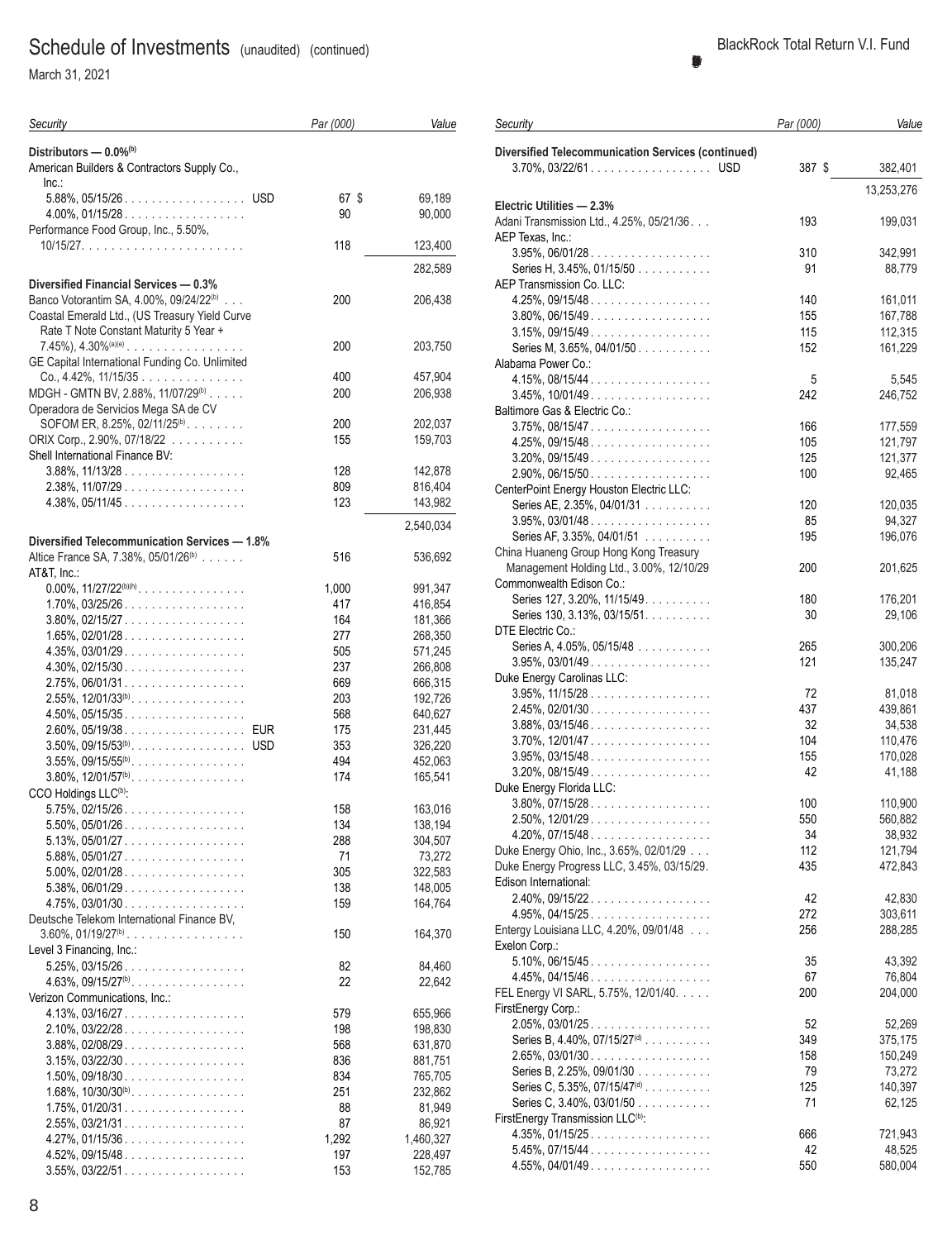March 31, 2021

| Security                                                                        | Par (000)  | Value              |
|---------------------------------------------------------------------------------|------------|--------------------|
| Distributors - 0.0% <sup>(b)</sup>                                              |            |                    |
| American Builders & Contractors Supply Co.,                                     |            |                    |
| Inc.                                                                            |            |                    |
|                                                                                 | 67 \$      | 69,189             |
| $4.00\%$ , $01/15/28$<br>Performance Food Group, Inc., 5.50%,                   | 90         | 90,000             |
|                                                                                 | 118        | 123,400            |
|                                                                                 |            | 282,589            |
| Diversified Financial Services - 0.3%                                           |            |                    |
| Banco Votorantim SA, 4.00%, 09/24/22 <sup>(b)</sup>                             | 200        | 206,438            |
| Coastal Emerald Ltd., (US Treasury Yield Curve                                  |            |                    |
| Rate T Note Constant Maturity 5 Year +<br>$7.45\%$ , $4.30\%$ <sup>(a)(e)</sup> | 200        | 203,750            |
| GE Capital International Funding Co. Unlimited                                  |            |                    |
| $Co., 4.42\%, 11/15/35$                                                         | 400        | 457,904            |
| MDGH - GMTN BV, 2.88%, 11/07/29 <sup>(b)</sup>                                  | 200        | 206,938            |
| Operadora de Servicios Mega SA de CV                                            |            |                    |
| SOFOM ER, 8.25%, 02/11/25 <sup>(b)</sup> .<br>ORIX Corp., 2.90%, 07/18/22       | 200<br>155 | 202,037            |
| Shell International Finance BV:                                                 |            | 159,703            |
| $3.88\%$ , $11/13/28$                                                           | 128        | 142,878            |
| $2.38\%$ , 11/07/29                                                             | 809        | 816,404            |
| $4.38\%$ , 05/11/45                                                             | 123        | 143,982            |
|                                                                                 |            | 2,540,034          |
| Diversified Telecommunication Services - 1.8%                                   |            |                    |
| Altice France SA, 7.38%, 05/01/26 <sup>(b)</sup><br>AT&T, Inc.:                 | 516        | 536,692            |
| $0.00\%$ , $11/27/22^{(b)(h)}$ .                                                | 1,000      | 991,347            |
| $1.70\%$ , 03/25/26                                                             | 417        | 416,854            |
| $3.80\%$ , 02/15/27                                                             | 164        | 181,366            |
| $1.65\%$ , 02/01/28.                                                            | 277        | 268,350            |
| $4.35\%$ , 03/01/29.                                                            | 505        | 571,245            |
| $4.30\%$ , 02/15/30<br>$2.75\%$ , 06/01/31                                      | 237<br>669 | 266,808<br>666,315 |
| $2.55\%$ , $12/01/33^{(b)}$ .                                                   | 203        | 192,726            |
| $4.50\%$ , 05/15/35                                                             | 568        | 640,627            |
|                                                                                 | 175        | 231,445            |
|                                                                                 | 353        | 326,220            |
| $3.55\%$ , $09/15/55^{(b)}$<br>$3.80\%$ , $12/01/57^{(b)}$ .                    | 494<br>174 | 452,063<br>165,541 |
| CCO Holdings LLC <sup>(b)</sup> :                                               |            |                    |
| $5.75\%$ , 02/15/26.                                                            | 158        | 163,016            |
| $5.50\%$ , $05/01/26$                                                           | 134        | 138,194            |
| $5.13\%$ , $05/01/27$                                                           | 288        | 304,507            |
| 5.88%, 05/01/27                                                                 | 71         | 73,272             |
| $5.00\%$ , 02/01/28.<br>5.38%, 06/01/29                                         | 305<br>138 | 322,583<br>148,005 |
| $4.75\%$ , 03/01/30                                                             | 159        | 164,764            |
| Deutsche Telekom International Finance BV,                                      |            |                    |
| $3.60\%$ , $01/19/27^{(b)}$ .                                                   | 150        | 164,370            |
| Level 3 Financing, Inc.:                                                        | 82         | 84,460             |
| $5.25\%$ , 03/15/26<br>4.63%, 09/15/27 <sup>(b)</sup> .                         | 22         | 22,642             |
| Verizon Communications, Inc.:                                                   |            |                    |
| $4.13\%$ , 03/16/27                                                             | 579        | 655,966            |
| $2.10\%$ , 03/22/28.                                                            | 198        | 198,830            |
| $3.88\%$ , 02/08/29                                                             | 568        | 631,870            |
| $3.15\%, 03/22/30$<br>$1.50\%$ , 09/18/30                                       | 836<br>834 | 881,751<br>765,705 |
| 1.68%, $10/30/30^{(b)}$                                                         | 251        | 232,862            |
| $1.75\%$ , $01/20/31$                                                           | 88         | 81,949             |
| $2.55\%, 03/21/31.$                                                             | 87         | 86,921             |
| $4.27\%$ , 01/15/36.                                                            | 1,292      | 1,460,327          |
| $4.52\%$ , 09/15/48                                                             | 197        | 228,497            |
| $3.55\%$ , 03/22/51                                                             | 153        | 152,785            |

| <b>Diversified Telecommunication Services (continued)</b><br>387 \$<br>382,401<br>13,253,276<br>Electric Utilities - 2.3%<br>Adani Transmission Ltd., 4.25%, 05/21/36.<br>193<br>199,031<br>AEP Texas, Inc.:<br>$3.95\%$ , 06/01/28.<br>310<br>342,991<br>Series H, 3.45%, 01/15/50<br>91<br>88,779<br><b>AEP Transmission Co. LLC:</b><br>$4.25\%$ , 09/15/48<br>140<br>161,011<br>$3.80\%$ , 06/15/49<br>155<br>167,788<br>$3.15\%, 09/15/49 \dots $<br>115<br>112,315<br>Series M, 3.65%, 04/01/50<br>152<br>161,229<br>Alabama Power Co.:<br>4.15%, 08/15/44<br>5<br>5,545<br>$3.45\%$ , $10/01/49$<br>242<br>246,752<br>Baltimore Gas & Electric Co.:<br>$3.75\%$ , 08/15/47<br>166<br>177,559<br>$4.25\%$ , 09/15/48<br>105<br>121,797<br>$3.20\%$ , 09/15/49<br>125<br>121,377<br>$2.90\%$ , 06/15/50<br>100<br>92,465<br>CenterPoint Energy Houston Electric LLC:<br>Series AE, 2.35%, 04/01/31<br>120<br>120,035<br>94,327<br>$3.95\%$ , 03/01/48<br>85<br>Series AF, 3.35%, 04/01/51<br>195<br>196,076<br>China Huaneng Group Hong Kong Treasury<br>Management Holding Ltd., 3.00%, 12/10/29<br>200<br>201,625<br>Commonwealth Edison Co.:<br>Series 127, 3.20%, 11/15/49.<br>180<br>176,201<br>Series 130, 3.13%, 03/15/51.<br>30<br>29,106<br>DTE Electric Co.:<br>Series A, 4.05%, 05/15/48<br>265<br>300,206<br>$3.95\%$ , 03/01/49<br>121<br>135,247<br>Duke Energy Carolinas LLC:<br>$3.95\%$ , $11/15/28$<br>72<br>81,018<br>437<br>$2.45\%, 02/01/30 \dots  \dots $<br>439,861<br>$3.88\%, 03/15/46 \dots  \dots $<br>32<br>34,538<br>104<br>$3.70\%$ , 12/01/47.<br>110,476<br>155<br>170,028<br>$3.95\%$ , 03/15/48<br>$3.20\%$ , 08/15/49<br>42<br>41,188<br>Duke Energy Florida LLC:<br>$3.80\%, 07/15/28$<br>100<br>110,900<br>$2.50\%$ , 12/01/29.<br>550<br>560,882<br>4.20%, 07/15/48<br>34<br>38,932<br>Duke Energy Ohio, Inc., 3.65%, 02/01/29<br>112<br>121,794<br>Duke Energy Progress LLC, 3.45%, 03/15/29.<br>435<br>472,843<br>Edison International:<br>$2.40\%$ , 09/15/22.<br>42<br>42,830<br>$4.95\%$ , $04/15/25$<br>272<br>303,611<br>Entergy Louisiana LLC, 4.20%, 09/01/48<br>256<br>288,285<br>Exelon Corp.:<br>$5.10\%$ , 06/15/45.<br>35<br>43,392<br>$4.45\%$ , $04/15/46$<br>67<br>76,804<br>FEL Energy VI SARL, 5.75%, 12/01/40.<br>200<br>204,000<br>FirstEnergy Corp.:<br>$2.05\%$ , 03/01/25<br>52<br>52,269<br>Series B, 4.40%, 07/15/27 <sup>(d)</sup><br>349<br>375,175<br>$2.65\%$ , 03/01/30<br>158<br>150,249<br>Series B, 2.25%, 09/01/30<br>79<br>73,272<br>Series C, 5.35%, 07/15/47 <sup>(d)</sup><br>125<br>140,397<br>Series C, 3.40%, 03/01/50<br>71<br>62,125<br>FirstEnergy Transmission LLC <sup>(b)</sup> :<br>$4.35\%$ , 01/15/25.<br>666<br>721,943<br>$5.45\%$ , 07/15/44<br>42<br>48,525<br>$4.55\%$ , 04/01/49<br>550<br>580,004 | Security | Par (000) | Value |
|---------------------------------------------------------------------------------------------------------------------------------------------------------------------------------------------------------------------------------------------------------------------------------------------------------------------------------------------------------------------------------------------------------------------------------------------------------------------------------------------------------------------------------------------------------------------------------------------------------------------------------------------------------------------------------------------------------------------------------------------------------------------------------------------------------------------------------------------------------------------------------------------------------------------------------------------------------------------------------------------------------------------------------------------------------------------------------------------------------------------------------------------------------------------------------------------------------------------------------------------------------------------------------------------------------------------------------------------------------------------------------------------------------------------------------------------------------------------------------------------------------------------------------------------------------------------------------------------------------------------------------------------------------------------------------------------------------------------------------------------------------------------------------------------------------------------------------------------------------------------------------------------------------------------------------------------------------------------------------------------------------------------------------------------------------------------------------------------------------------------------------------------------------------------------------------------------------------------------------------------------------------------------------------------------------------------------------------------------------------------------------------------------------------------------------------------------------------------------------------------------------------------------------------------------------------------------------------------------------------------------------------------------------------------------------------------------------------------------------------------------------------------------------------------------------|----------|-----------|-------|
|                                                                                                                                                                                                                                                                                                                                                                                                                                                                                                                                                                                                                                                                                                                                                                                                                                                                                                                                                                                                                                                                                                                                                                                                                                                                                                                                                                                                                                                                                                                                                                                                                                                                                                                                                                                                                                                                                                                                                                                                                                                                                                                                                                                                                                                                                                                                                                                                                                                                                                                                                                                                                                                                                                                                                                                                         |          |           |       |
|                                                                                                                                                                                                                                                                                                                                                                                                                                                                                                                                                                                                                                                                                                                                                                                                                                                                                                                                                                                                                                                                                                                                                                                                                                                                                                                                                                                                                                                                                                                                                                                                                                                                                                                                                                                                                                                                                                                                                                                                                                                                                                                                                                                                                                                                                                                                                                                                                                                                                                                                                                                                                                                                                                                                                                                                         |          |           |       |
|                                                                                                                                                                                                                                                                                                                                                                                                                                                                                                                                                                                                                                                                                                                                                                                                                                                                                                                                                                                                                                                                                                                                                                                                                                                                                                                                                                                                                                                                                                                                                                                                                                                                                                                                                                                                                                                                                                                                                                                                                                                                                                                                                                                                                                                                                                                                                                                                                                                                                                                                                                                                                                                                                                                                                                                                         |          |           |       |
|                                                                                                                                                                                                                                                                                                                                                                                                                                                                                                                                                                                                                                                                                                                                                                                                                                                                                                                                                                                                                                                                                                                                                                                                                                                                                                                                                                                                                                                                                                                                                                                                                                                                                                                                                                                                                                                                                                                                                                                                                                                                                                                                                                                                                                                                                                                                                                                                                                                                                                                                                                                                                                                                                                                                                                                                         |          |           |       |
|                                                                                                                                                                                                                                                                                                                                                                                                                                                                                                                                                                                                                                                                                                                                                                                                                                                                                                                                                                                                                                                                                                                                                                                                                                                                                                                                                                                                                                                                                                                                                                                                                                                                                                                                                                                                                                                                                                                                                                                                                                                                                                                                                                                                                                                                                                                                                                                                                                                                                                                                                                                                                                                                                                                                                                                                         |          |           |       |
|                                                                                                                                                                                                                                                                                                                                                                                                                                                                                                                                                                                                                                                                                                                                                                                                                                                                                                                                                                                                                                                                                                                                                                                                                                                                                                                                                                                                                                                                                                                                                                                                                                                                                                                                                                                                                                                                                                                                                                                                                                                                                                                                                                                                                                                                                                                                                                                                                                                                                                                                                                                                                                                                                                                                                                                                         |          |           |       |
|                                                                                                                                                                                                                                                                                                                                                                                                                                                                                                                                                                                                                                                                                                                                                                                                                                                                                                                                                                                                                                                                                                                                                                                                                                                                                                                                                                                                                                                                                                                                                                                                                                                                                                                                                                                                                                                                                                                                                                                                                                                                                                                                                                                                                                                                                                                                                                                                                                                                                                                                                                                                                                                                                                                                                                                                         |          |           |       |
|                                                                                                                                                                                                                                                                                                                                                                                                                                                                                                                                                                                                                                                                                                                                                                                                                                                                                                                                                                                                                                                                                                                                                                                                                                                                                                                                                                                                                                                                                                                                                                                                                                                                                                                                                                                                                                                                                                                                                                                                                                                                                                                                                                                                                                                                                                                                                                                                                                                                                                                                                                                                                                                                                                                                                                                                         |          |           |       |
|                                                                                                                                                                                                                                                                                                                                                                                                                                                                                                                                                                                                                                                                                                                                                                                                                                                                                                                                                                                                                                                                                                                                                                                                                                                                                                                                                                                                                                                                                                                                                                                                                                                                                                                                                                                                                                                                                                                                                                                                                                                                                                                                                                                                                                                                                                                                                                                                                                                                                                                                                                                                                                                                                                                                                                                                         |          |           |       |
|                                                                                                                                                                                                                                                                                                                                                                                                                                                                                                                                                                                                                                                                                                                                                                                                                                                                                                                                                                                                                                                                                                                                                                                                                                                                                                                                                                                                                                                                                                                                                                                                                                                                                                                                                                                                                                                                                                                                                                                                                                                                                                                                                                                                                                                                                                                                                                                                                                                                                                                                                                                                                                                                                                                                                                                                         |          |           |       |
|                                                                                                                                                                                                                                                                                                                                                                                                                                                                                                                                                                                                                                                                                                                                                                                                                                                                                                                                                                                                                                                                                                                                                                                                                                                                                                                                                                                                                                                                                                                                                                                                                                                                                                                                                                                                                                                                                                                                                                                                                                                                                                                                                                                                                                                                                                                                                                                                                                                                                                                                                                                                                                                                                                                                                                                                         |          |           |       |
|                                                                                                                                                                                                                                                                                                                                                                                                                                                                                                                                                                                                                                                                                                                                                                                                                                                                                                                                                                                                                                                                                                                                                                                                                                                                                                                                                                                                                                                                                                                                                                                                                                                                                                                                                                                                                                                                                                                                                                                                                                                                                                                                                                                                                                                                                                                                                                                                                                                                                                                                                                                                                                                                                                                                                                                                         |          |           |       |
|                                                                                                                                                                                                                                                                                                                                                                                                                                                                                                                                                                                                                                                                                                                                                                                                                                                                                                                                                                                                                                                                                                                                                                                                                                                                                                                                                                                                                                                                                                                                                                                                                                                                                                                                                                                                                                                                                                                                                                                                                                                                                                                                                                                                                                                                                                                                                                                                                                                                                                                                                                                                                                                                                                                                                                                                         |          |           |       |
|                                                                                                                                                                                                                                                                                                                                                                                                                                                                                                                                                                                                                                                                                                                                                                                                                                                                                                                                                                                                                                                                                                                                                                                                                                                                                                                                                                                                                                                                                                                                                                                                                                                                                                                                                                                                                                                                                                                                                                                                                                                                                                                                                                                                                                                                                                                                                                                                                                                                                                                                                                                                                                                                                                                                                                                                         |          |           |       |
|                                                                                                                                                                                                                                                                                                                                                                                                                                                                                                                                                                                                                                                                                                                                                                                                                                                                                                                                                                                                                                                                                                                                                                                                                                                                                                                                                                                                                                                                                                                                                                                                                                                                                                                                                                                                                                                                                                                                                                                                                                                                                                                                                                                                                                                                                                                                                                                                                                                                                                                                                                                                                                                                                                                                                                                                         |          |           |       |
|                                                                                                                                                                                                                                                                                                                                                                                                                                                                                                                                                                                                                                                                                                                                                                                                                                                                                                                                                                                                                                                                                                                                                                                                                                                                                                                                                                                                                                                                                                                                                                                                                                                                                                                                                                                                                                                                                                                                                                                                                                                                                                                                                                                                                                                                                                                                                                                                                                                                                                                                                                                                                                                                                                                                                                                                         |          |           |       |
|                                                                                                                                                                                                                                                                                                                                                                                                                                                                                                                                                                                                                                                                                                                                                                                                                                                                                                                                                                                                                                                                                                                                                                                                                                                                                                                                                                                                                                                                                                                                                                                                                                                                                                                                                                                                                                                                                                                                                                                                                                                                                                                                                                                                                                                                                                                                                                                                                                                                                                                                                                                                                                                                                                                                                                                                         |          |           |       |
|                                                                                                                                                                                                                                                                                                                                                                                                                                                                                                                                                                                                                                                                                                                                                                                                                                                                                                                                                                                                                                                                                                                                                                                                                                                                                                                                                                                                                                                                                                                                                                                                                                                                                                                                                                                                                                                                                                                                                                                                                                                                                                                                                                                                                                                                                                                                                                                                                                                                                                                                                                                                                                                                                                                                                                                                         |          |           |       |
|                                                                                                                                                                                                                                                                                                                                                                                                                                                                                                                                                                                                                                                                                                                                                                                                                                                                                                                                                                                                                                                                                                                                                                                                                                                                                                                                                                                                                                                                                                                                                                                                                                                                                                                                                                                                                                                                                                                                                                                                                                                                                                                                                                                                                                                                                                                                                                                                                                                                                                                                                                                                                                                                                                                                                                                                         |          |           |       |
|                                                                                                                                                                                                                                                                                                                                                                                                                                                                                                                                                                                                                                                                                                                                                                                                                                                                                                                                                                                                                                                                                                                                                                                                                                                                                                                                                                                                                                                                                                                                                                                                                                                                                                                                                                                                                                                                                                                                                                                                                                                                                                                                                                                                                                                                                                                                                                                                                                                                                                                                                                                                                                                                                                                                                                                                         |          |           |       |
|                                                                                                                                                                                                                                                                                                                                                                                                                                                                                                                                                                                                                                                                                                                                                                                                                                                                                                                                                                                                                                                                                                                                                                                                                                                                                                                                                                                                                                                                                                                                                                                                                                                                                                                                                                                                                                                                                                                                                                                                                                                                                                                                                                                                                                                                                                                                                                                                                                                                                                                                                                                                                                                                                                                                                                                                         |          |           |       |
|                                                                                                                                                                                                                                                                                                                                                                                                                                                                                                                                                                                                                                                                                                                                                                                                                                                                                                                                                                                                                                                                                                                                                                                                                                                                                                                                                                                                                                                                                                                                                                                                                                                                                                                                                                                                                                                                                                                                                                                                                                                                                                                                                                                                                                                                                                                                                                                                                                                                                                                                                                                                                                                                                                                                                                                                         |          |           |       |
|                                                                                                                                                                                                                                                                                                                                                                                                                                                                                                                                                                                                                                                                                                                                                                                                                                                                                                                                                                                                                                                                                                                                                                                                                                                                                                                                                                                                                                                                                                                                                                                                                                                                                                                                                                                                                                                                                                                                                                                                                                                                                                                                                                                                                                                                                                                                                                                                                                                                                                                                                                                                                                                                                                                                                                                                         |          |           |       |
|                                                                                                                                                                                                                                                                                                                                                                                                                                                                                                                                                                                                                                                                                                                                                                                                                                                                                                                                                                                                                                                                                                                                                                                                                                                                                                                                                                                                                                                                                                                                                                                                                                                                                                                                                                                                                                                                                                                                                                                                                                                                                                                                                                                                                                                                                                                                                                                                                                                                                                                                                                                                                                                                                                                                                                                                         |          |           |       |
|                                                                                                                                                                                                                                                                                                                                                                                                                                                                                                                                                                                                                                                                                                                                                                                                                                                                                                                                                                                                                                                                                                                                                                                                                                                                                                                                                                                                                                                                                                                                                                                                                                                                                                                                                                                                                                                                                                                                                                                                                                                                                                                                                                                                                                                                                                                                                                                                                                                                                                                                                                                                                                                                                                                                                                                                         |          |           |       |
|                                                                                                                                                                                                                                                                                                                                                                                                                                                                                                                                                                                                                                                                                                                                                                                                                                                                                                                                                                                                                                                                                                                                                                                                                                                                                                                                                                                                                                                                                                                                                                                                                                                                                                                                                                                                                                                                                                                                                                                                                                                                                                                                                                                                                                                                                                                                                                                                                                                                                                                                                                                                                                                                                                                                                                                                         |          |           |       |
|                                                                                                                                                                                                                                                                                                                                                                                                                                                                                                                                                                                                                                                                                                                                                                                                                                                                                                                                                                                                                                                                                                                                                                                                                                                                                                                                                                                                                                                                                                                                                                                                                                                                                                                                                                                                                                                                                                                                                                                                                                                                                                                                                                                                                                                                                                                                                                                                                                                                                                                                                                                                                                                                                                                                                                                                         |          |           |       |
|                                                                                                                                                                                                                                                                                                                                                                                                                                                                                                                                                                                                                                                                                                                                                                                                                                                                                                                                                                                                                                                                                                                                                                                                                                                                                                                                                                                                                                                                                                                                                                                                                                                                                                                                                                                                                                                                                                                                                                                                                                                                                                                                                                                                                                                                                                                                                                                                                                                                                                                                                                                                                                                                                                                                                                                                         |          |           |       |
|                                                                                                                                                                                                                                                                                                                                                                                                                                                                                                                                                                                                                                                                                                                                                                                                                                                                                                                                                                                                                                                                                                                                                                                                                                                                                                                                                                                                                                                                                                                                                                                                                                                                                                                                                                                                                                                                                                                                                                                                                                                                                                                                                                                                                                                                                                                                                                                                                                                                                                                                                                                                                                                                                                                                                                                                         |          |           |       |
|                                                                                                                                                                                                                                                                                                                                                                                                                                                                                                                                                                                                                                                                                                                                                                                                                                                                                                                                                                                                                                                                                                                                                                                                                                                                                                                                                                                                                                                                                                                                                                                                                                                                                                                                                                                                                                                                                                                                                                                                                                                                                                                                                                                                                                                                                                                                                                                                                                                                                                                                                                                                                                                                                                                                                                                                         |          |           |       |
|                                                                                                                                                                                                                                                                                                                                                                                                                                                                                                                                                                                                                                                                                                                                                                                                                                                                                                                                                                                                                                                                                                                                                                                                                                                                                                                                                                                                                                                                                                                                                                                                                                                                                                                                                                                                                                                                                                                                                                                                                                                                                                                                                                                                                                                                                                                                                                                                                                                                                                                                                                                                                                                                                                                                                                                                         |          |           |       |
|                                                                                                                                                                                                                                                                                                                                                                                                                                                                                                                                                                                                                                                                                                                                                                                                                                                                                                                                                                                                                                                                                                                                                                                                                                                                                                                                                                                                                                                                                                                                                                                                                                                                                                                                                                                                                                                                                                                                                                                                                                                                                                                                                                                                                                                                                                                                                                                                                                                                                                                                                                                                                                                                                                                                                                                                         |          |           |       |
|                                                                                                                                                                                                                                                                                                                                                                                                                                                                                                                                                                                                                                                                                                                                                                                                                                                                                                                                                                                                                                                                                                                                                                                                                                                                                                                                                                                                                                                                                                                                                                                                                                                                                                                                                                                                                                                                                                                                                                                                                                                                                                                                                                                                                                                                                                                                                                                                                                                                                                                                                                                                                                                                                                                                                                                                         |          |           |       |
|                                                                                                                                                                                                                                                                                                                                                                                                                                                                                                                                                                                                                                                                                                                                                                                                                                                                                                                                                                                                                                                                                                                                                                                                                                                                                                                                                                                                                                                                                                                                                                                                                                                                                                                                                                                                                                                                                                                                                                                                                                                                                                                                                                                                                                                                                                                                                                                                                                                                                                                                                                                                                                                                                                                                                                                                         |          |           |       |
|                                                                                                                                                                                                                                                                                                                                                                                                                                                                                                                                                                                                                                                                                                                                                                                                                                                                                                                                                                                                                                                                                                                                                                                                                                                                                                                                                                                                                                                                                                                                                                                                                                                                                                                                                                                                                                                                                                                                                                                                                                                                                                                                                                                                                                                                                                                                                                                                                                                                                                                                                                                                                                                                                                                                                                                                         |          |           |       |
|                                                                                                                                                                                                                                                                                                                                                                                                                                                                                                                                                                                                                                                                                                                                                                                                                                                                                                                                                                                                                                                                                                                                                                                                                                                                                                                                                                                                                                                                                                                                                                                                                                                                                                                                                                                                                                                                                                                                                                                                                                                                                                                                                                                                                                                                                                                                                                                                                                                                                                                                                                                                                                                                                                                                                                                                         |          |           |       |
|                                                                                                                                                                                                                                                                                                                                                                                                                                                                                                                                                                                                                                                                                                                                                                                                                                                                                                                                                                                                                                                                                                                                                                                                                                                                                                                                                                                                                                                                                                                                                                                                                                                                                                                                                                                                                                                                                                                                                                                                                                                                                                                                                                                                                                                                                                                                                                                                                                                                                                                                                                                                                                                                                                                                                                                                         |          |           |       |
|                                                                                                                                                                                                                                                                                                                                                                                                                                                                                                                                                                                                                                                                                                                                                                                                                                                                                                                                                                                                                                                                                                                                                                                                                                                                                                                                                                                                                                                                                                                                                                                                                                                                                                                                                                                                                                                                                                                                                                                                                                                                                                                                                                                                                                                                                                                                                                                                                                                                                                                                                                                                                                                                                                                                                                                                         |          |           |       |
|                                                                                                                                                                                                                                                                                                                                                                                                                                                                                                                                                                                                                                                                                                                                                                                                                                                                                                                                                                                                                                                                                                                                                                                                                                                                                                                                                                                                                                                                                                                                                                                                                                                                                                                                                                                                                                                                                                                                                                                                                                                                                                                                                                                                                                                                                                                                                                                                                                                                                                                                                                                                                                                                                                                                                                                                         |          |           |       |
|                                                                                                                                                                                                                                                                                                                                                                                                                                                                                                                                                                                                                                                                                                                                                                                                                                                                                                                                                                                                                                                                                                                                                                                                                                                                                                                                                                                                                                                                                                                                                                                                                                                                                                                                                                                                                                                                                                                                                                                                                                                                                                                                                                                                                                                                                                                                                                                                                                                                                                                                                                                                                                                                                                                                                                                                         |          |           |       |
|                                                                                                                                                                                                                                                                                                                                                                                                                                                                                                                                                                                                                                                                                                                                                                                                                                                                                                                                                                                                                                                                                                                                                                                                                                                                                                                                                                                                                                                                                                                                                                                                                                                                                                                                                                                                                                                                                                                                                                                                                                                                                                                                                                                                                                                                                                                                                                                                                                                                                                                                                                                                                                                                                                                                                                                                         |          |           |       |
|                                                                                                                                                                                                                                                                                                                                                                                                                                                                                                                                                                                                                                                                                                                                                                                                                                                                                                                                                                                                                                                                                                                                                                                                                                                                                                                                                                                                                                                                                                                                                                                                                                                                                                                                                                                                                                                                                                                                                                                                                                                                                                                                                                                                                                                                                                                                                                                                                                                                                                                                                                                                                                                                                                                                                                                                         |          |           |       |
|                                                                                                                                                                                                                                                                                                                                                                                                                                                                                                                                                                                                                                                                                                                                                                                                                                                                                                                                                                                                                                                                                                                                                                                                                                                                                                                                                                                                                                                                                                                                                                                                                                                                                                                                                                                                                                                                                                                                                                                                                                                                                                                                                                                                                                                                                                                                                                                                                                                                                                                                                                                                                                                                                                                                                                                                         |          |           |       |
|                                                                                                                                                                                                                                                                                                                                                                                                                                                                                                                                                                                                                                                                                                                                                                                                                                                                                                                                                                                                                                                                                                                                                                                                                                                                                                                                                                                                                                                                                                                                                                                                                                                                                                                                                                                                                                                                                                                                                                                                                                                                                                                                                                                                                                                                                                                                                                                                                                                                                                                                                                                                                                                                                                                                                                                                         |          |           |       |
|                                                                                                                                                                                                                                                                                                                                                                                                                                                                                                                                                                                                                                                                                                                                                                                                                                                                                                                                                                                                                                                                                                                                                                                                                                                                                                                                                                                                                                                                                                                                                                                                                                                                                                                                                                                                                                                                                                                                                                                                                                                                                                                                                                                                                                                                                                                                                                                                                                                                                                                                                                                                                                                                                                                                                                                                         |          |           |       |
|                                                                                                                                                                                                                                                                                                                                                                                                                                                                                                                                                                                                                                                                                                                                                                                                                                                                                                                                                                                                                                                                                                                                                                                                                                                                                                                                                                                                                                                                                                                                                                                                                                                                                                                                                                                                                                                                                                                                                                                                                                                                                                                                                                                                                                                                                                                                                                                                                                                                                                                                                                                                                                                                                                                                                                                                         |          |           |       |
|                                                                                                                                                                                                                                                                                                                                                                                                                                                                                                                                                                                                                                                                                                                                                                                                                                                                                                                                                                                                                                                                                                                                                                                                                                                                                                                                                                                                                                                                                                                                                                                                                                                                                                                                                                                                                                                                                                                                                                                                                                                                                                                                                                                                                                                                                                                                                                                                                                                                                                                                                                                                                                                                                                                                                                                                         |          |           |       |
|                                                                                                                                                                                                                                                                                                                                                                                                                                                                                                                                                                                                                                                                                                                                                                                                                                                                                                                                                                                                                                                                                                                                                                                                                                                                                                                                                                                                                                                                                                                                                                                                                                                                                                                                                                                                                                                                                                                                                                                                                                                                                                                                                                                                                                                                                                                                                                                                                                                                                                                                                                                                                                                                                                                                                                                                         |          |           |       |
|                                                                                                                                                                                                                                                                                                                                                                                                                                                                                                                                                                                                                                                                                                                                                                                                                                                                                                                                                                                                                                                                                                                                                                                                                                                                                                                                                                                                                                                                                                                                                                                                                                                                                                                                                                                                                                                                                                                                                                                                                                                                                                                                                                                                                                                                                                                                                                                                                                                                                                                                                                                                                                                                                                                                                                                                         |          |           |       |
|                                                                                                                                                                                                                                                                                                                                                                                                                                                                                                                                                                                                                                                                                                                                                                                                                                                                                                                                                                                                                                                                                                                                                                                                                                                                                                                                                                                                                                                                                                                                                                                                                                                                                                                                                                                                                                                                                                                                                                                                                                                                                                                                                                                                                                                                                                                                                                                                                                                                                                                                                                                                                                                                                                                                                                                                         |          |           |       |
|                                                                                                                                                                                                                                                                                                                                                                                                                                                                                                                                                                                                                                                                                                                                                                                                                                                                                                                                                                                                                                                                                                                                                                                                                                                                                                                                                                                                                                                                                                                                                                                                                                                                                                                                                                                                                                                                                                                                                                                                                                                                                                                                                                                                                                                                                                                                                                                                                                                                                                                                                                                                                                                                                                                                                                                                         |          |           |       |
|                                                                                                                                                                                                                                                                                                                                                                                                                                                                                                                                                                                                                                                                                                                                                                                                                                                                                                                                                                                                                                                                                                                                                                                                                                                                                                                                                                                                                                                                                                                                                                                                                                                                                                                                                                                                                                                                                                                                                                                                                                                                                                                                                                                                                                                                                                                                                                                                                                                                                                                                                                                                                                                                                                                                                                                                         |          |           |       |
|                                                                                                                                                                                                                                                                                                                                                                                                                                                                                                                                                                                                                                                                                                                                                                                                                                                                                                                                                                                                                                                                                                                                                                                                                                                                                                                                                                                                                                                                                                                                                                                                                                                                                                                                                                                                                                                                                                                                                                                                                                                                                                                                                                                                                                                                                                                                                                                                                                                                                                                                                                                                                                                                                                                                                                                                         |          |           |       |
|                                                                                                                                                                                                                                                                                                                                                                                                                                                                                                                                                                                                                                                                                                                                                                                                                                                                                                                                                                                                                                                                                                                                                                                                                                                                                                                                                                                                                                                                                                                                                                                                                                                                                                                                                                                                                                                                                                                                                                                                                                                                                                                                                                                                                                                                                                                                                                                                                                                                                                                                                                                                                                                                                                                                                                                                         |          |           |       |
|                                                                                                                                                                                                                                                                                                                                                                                                                                                                                                                                                                                                                                                                                                                                                                                                                                                                                                                                                                                                                                                                                                                                                                                                                                                                                                                                                                                                                                                                                                                                                                                                                                                                                                                                                                                                                                                                                                                                                                                                                                                                                                                                                                                                                                                                                                                                                                                                                                                                                                                                                                                                                                                                                                                                                                                                         |          |           |       |
|                                                                                                                                                                                                                                                                                                                                                                                                                                                                                                                                                                                                                                                                                                                                                                                                                                                                                                                                                                                                                                                                                                                                                                                                                                                                                                                                                                                                                                                                                                                                                                                                                                                                                                                                                                                                                                                                                                                                                                                                                                                                                                                                                                                                                                                                                                                                                                                                                                                                                                                                                                                                                                                                                                                                                                                                         |          |           |       |
|                                                                                                                                                                                                                                                                                                                                                                                                                                                                                                                                                                                                                                                                                                                                                                                                                                                                                                                                                                                                                                                                                                                                                                                                                                                                                                                                                                                                                                                                                                                                                                                                                                                                                                                                                                                                                                                                                                                                                                                                                                                                                                                                                                                                                                                                                                                                                                                                                                                                                                                                                                                                                                                                                                                                                                                                         |          |           |       |
|                                                                                                                                                                                                                                                                                                                                                                                                                                                                                                                                                                                                                                                                                                                                                                                                                                                                                                                                                                                                                                                                                                                                                                                                                                                                                                                                                                                                                                                                                                                                                                                                                                                                                                                                                                                                                                                                                                                                                                                                                                                                                                                                                                                                                                                                                                                                                                                                                                                                                                                                                                                                                                                                                                                                                                                                         |          |           |       |
|                                                                                                                                                                                                                                                                                                                                                                                                                                                                                                                                                                                                                                                                                                                                                                                                                                                                                                                                                                                                                                                                                                                                                                                                                                                                                                                                                                                                                                                                                                                                                                                                                                                                                                                                                                                                                                                                                                                                                                                                                                                                                                                                                                                                                                                                                                                                                                                                                                                                                                                                                                                                                                                                                                                                                                                                         |          |           |       |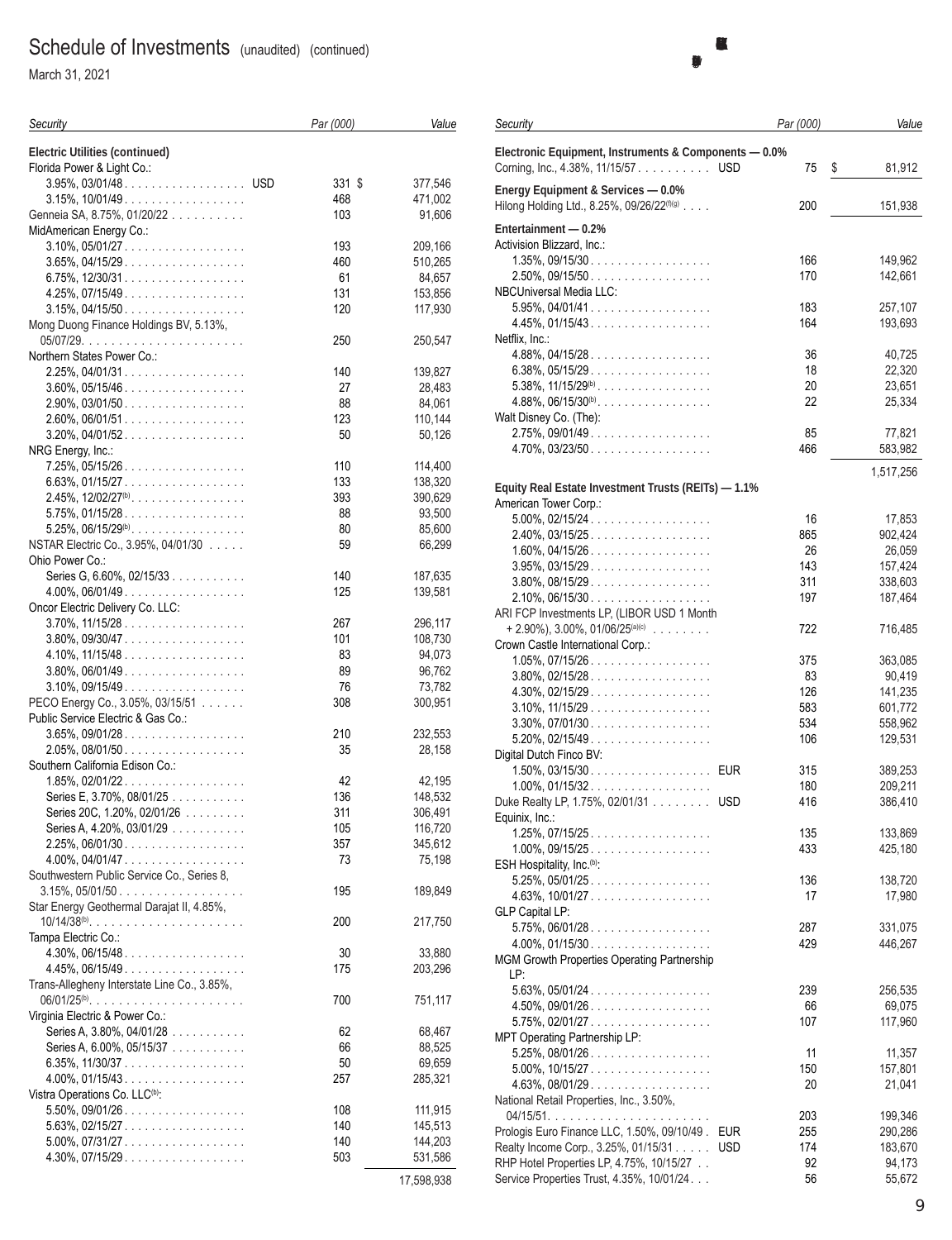March 31, 2021

| Security                                                                | Par (000)  | Value              |
|-------------------------------------------------------------------------|------------|--------------------|
| Electric Utilities (continued)                                          |            |                    |
| Florida Power & Light Co.:                                              |            |                    |
| 3.95%, 03/01/48. USD                                                    | 331 \$     | 377,546            |
| $3.15\%$ , $10/01/49$                                                   | 468        | 471,002            |
| Genneia SA, 8.75%, 01/20/22                                             | 103        | 91,606             |
| MidAmerican Energy Co.:                                                 |            |                    |
| $3.10\%$ , $05/01/27$                                                   | 193        | 209,166            |
| $3.65\%$ , 04/15/29.                                                    | 460        | 510,265            |
| $6.75\%$ , 12/30/31                                                     | 61         | 84,657             |
| $4.25\%$ , 07/15/49                                                     | 131        | 153,856            |
| $3.15\%$ , 04/15/50                                                     | 120        | 117,930            |
| Mong Duong Finance Holdings BV, 5.13%,                                  |            |                    |
|                                                                         | 250        | 250,547            |
| Northern States Power Co.:                                              |            |                    |
| $2.25\%$ , 04/01/31                                                     | 140        | 139,827            |
| $3.60\%$ , 05/15/46                                                     | 27         | 28,483             |
| $2.90\%$ , 03/01/50                                                     | 88         | 84,061             |
| $2.60\%$ , 06/01/51                                                     | 123        | 110,144            |
| $3.20\%$ , 04/01/52.                                                    | 50         | 50,126             |
| NRG Energy, Inc.:                                                       |            |                    |
| $7.25\%$ , 05/15/26                                                     | 110        | 114,400            |
| $6.63\%$ , 01/15/27                                                     | 133        | 138,320            |
| $2.45\%$ , $12/02/27^{(b)}$ .                                           | 393        | 390,629            |
| $5.75\%$ , 01/15/28                                                     | 88         | 93,500             |
| $5.25\%$ , $06/15/29^{(b)}$                                             | 80         | 85,600             |
| NSTAR Electric Co., 3.95%, 04/01/30                                     | 59         | 66,299             |
| Ohio Power Co.:                                                         |            |                    |
| Series G, 6.60%, 02/15/33                                               | 140        | 187,635            |
| $4.00\%$ , 06/01/49                                                     | 125        | 139,581            |
| Oncor Electric Delivery Co. LLC:                                        |            |                    |
| $3.70\%$ , $11/15/28$                                                   | 267        | 296,117            |
| $3.80\%$ , 09/30/47                                                     | 101        | 108,730            |
| $4.10\%$ , $11/15/48$                                                   | 83         | 94,073             |
| $3.80\%$ , 06/01/49.                                                    | 89         | 96,762             |
| $3.10\%$ , 09/15/49                                                     | 76         | 73,782             |
| PECO Energy Co., 3.05%, 03/15/51                                        | 308        | 300,951            |
| Public Service Electric & Gas Co.:                                      |            |                    |
| $3.65\%$ , 09/01/28.                                                    | 210        | 232,553            |
| $2.05\%$ , 08/01/50                                                     | 35         | 28,158             |
| Southern California Edison Co.:                                         |            |                    |
| $1.85\%$ , 02/01/22.                                                    | 42         | 42,195             |
| Series E, 3.70%, 08/01/25                                               | 136        | 148,532            |
| Series 20C, 1.20%, 02/01/26                                             | 311        | 306,491            |
|                                                                         |            |                    |
| Series A, 4.20%, 03/01/29 $\ldots \ldots \ldots$<br>$2.25\%$ , 06/01/30 | 105<br>357 | 116,720<br>345,612 |
| $4.00\%$ , $04/01/47$                                                   | 73         | 75,198             |
| Southwestern Public Service Co., Series 8,                              |            |                    |
| $3.15\%$ , 05/01/50                                                     | 195        |                    |
|                                                                         |            | 189,849            |
| Star Energy Geothermal Darajat II, 4.85%,                               |            |                    |
|                                                                         | 200        | 217,750            |
| Tampa Electric Co.:                                                     |            |                    |
| $4.30\%$ , $06/15/48$                                                   | 30         | 33,880             |
| $4.45\%, 06/15/49 \dots $                                               | 175        | 203,296            |
| Trans-Allegheny Interstate Line Co., 3.85%,                             |            |                    |
|                                                                         | 700        | 751,117            |
| Virginia Electric & Power Co.:                                          |            |                    |
| Series A, 3.80%, 04/01/28                                               | 62         | 68,467             |
| Series A, 6.00%, 05/15/37                                               | 66         | 88,525             |
| 6.35%, $11/30/37$                                                       | 50         | 69,659             |
| $4.00\%$ , 01/15/43                                                     | 257        | 285,321            |
| Vistra Operations Co. LLC <sup>(b)</sup> :                              |            |                    |
| $5.50\%$ , 09/01/26                                                     | 108        | 111,915            |
| $5.63\%$ , 02/15/27.                                                    | 140        | 145,513            |
| $5.00\%$ , $07/31/27$                                                   | 140        | 144,203            |
| $4.30\%$ , 07/15/29                                                     | 503        | 531,586            |
|                                                                         |            |                    |

| Security                                                                                     | Par (000) | Value             |
|----------------------------------------------------------------------------------------------|-----------|-------------------|
| Electronic Equipment, Instruments & Components - 0.0%<br>Corning, Inc., 4.38%, 11/15/57USD   | 75        | \$<br>81,912      |
| Energy Equipment & Services - 0.0%<br>Hilong Holding Ltd., 8.25%, 09/26/22 <sup>(f)(g)</sup> | 200       | 151,938           |
| Entertainment - 0.2%                                                                         |           |                   |
| Activision Blizzard, Inc.:                                                                   |           |                   |
| $1.35\%$ , 09/15/30                                                                          | 166       | 149,962           |
| $2.50\%$ , 09/15/50                                                                          | 170       | 142,661           |
| NBCUniversal Media LLC:<br>$5.95\%$ , 04/01/41                                               | 183       | 257,107           |
| $4.45\%$ , 01/15/43.                                                                         | 164       | 193,693           |
| Netflix, Inc.:                                                                               |           |                   |
| $4.88\%$ , 04/15/28.                                                                         | 36        | 40,725            |
| $6.38\%$ , 05/15/29                                                                          | 18        | 22,320            |
| $5.38\%$ , $11/15/29^{(b)}$                                                                  | 20        | 23,651            |
| $4.88\%, 06/15/30^{(b)}$                                                                     | 22        | 25,334            |
| Walt Disney Co. (The):                                                                       |           |                   |
| $2.75\%$ , 09/01/49<br>$4.70\%$ , 03/23/50                                                   | 85<br>466 | 77,821<br>583,982 |
|                                                                                              |           |                   |
| Equity Real Estate Investment Trusts (REITs) - 1.1%                                          |           | 1,517,256         |
| American Tower Corp.:                                                                        |           |                   |
| $5.00\%$ , 02/15/24.                                                                         | 16        | 17,853            |
| $2.40\%$ , 03/15/25.                                                                         | 865       | 902,424           |
| $1.60\%$ , 04/15/26                                                                          | 26        | 26,059            |
| $3.95\%$ , 03/15/29.                                                                         | 143       | 157,424           |
| $3.80\%$ , 08/15/29.                                                                         | 311       | 338,603           |
| $2.10\%$ , 06/15/30                                                                          | 197       | 187,464           |
| ARI FCP Investments LP, (LIBOR USD 1 Month<br>$+ 2.90\%$ , 3.00%, 01/06/25 <sup>(a)(c)</sup> | 722       | 716,485           |
| Crown Castle International Corp.:                                                            |           |                   |
| $1.05\%$ , 07/15/26                                                                          | 375       | 363,085           |
| $3.80\%$ , 02/15/28.                                                                         | 83        | 90,419            |
| $4.30\%$ , 02/15/29                                                                          | 126       | 141,235           |
| $3.10\%$ , $11/15/29$                                                                        | 583       | 601,772           |
| $3.30\%$ , 07/01/30                                                                          | 534       | 558,962           |
| $5.20\%$ , 02/15/49.                                                                         | 106       | 129,531           |
| Digital Dutch Finco BV:<br>1.50%, 03/15/30. EUR                                              | 315       | 389,253           |
| $1.00\%$ , 01/15/32.                                                                         | 180       | 209,211           |
| Duke Realty LP, 1.75%, 02/01/31<br><b>USD</b>                                                | 416       | 386,410           |
| Equinix, Inc.:                                                                               |           |                   |
| $1.25\%$ , 07/15/25.                                                                         | 135       | 133,869           |
| $1.00\%$ , 09/15/25                                                                          | 433       | 425,180           |
| ESH Hospitality, Inc. <sup>(b)</sup> :                                                       |           |                   |
| $5.25\%$ , $05/01/25$                                                                        | 136       | 138,720           |
| $4.63\%$ , $10/01/27$                                                                        | 17        | 17,980            |
| <b>GLP Capital LP:</b><br>$5.75\%$ , 06/01/28                                                | 287       | 331,075           |
| $4.00\%$ , 01/15/30                                                                          | 429       | 446,267           |
| MGM Growth Properties Operating Partnership                                                  |           |                   |
| LP:                                                                                          |           |                   |
| $5.63\%$ , $05/01/24$                                                                        | 239       | 256,535           |
| $4.50\%$ , 09/01/26                                                                          | 66        | 69,075            |
| $5.75\%$ , 02/01/27                                                                          | 107       | 117,960           |
| MPT Operating Partnership LP:<br>$5.25\%$ , 08/01/26.                                        | 11        | 11,357            |
| $5.00\%$ , $10/15/27$                                                                        | 150       | 157,801           |
| $4.63\%$ , 08/01/29.                                                                         | 20        | 21,041            |
| National Retail Properties, Inc., 3.50%,                                                     |           |                   |
|                                                                                              | 203       | 199,346           |
| Prologis Euro Finance LLC, 1.50%, 09/10/49.<br><b>EUR</b>                                    | 255       | 290,286           |
| Realty Income Corp., 3.25%, 01/15/31<br><b>USD</b>                                           | 174       | 183,670           |
| RHP Hotel Properties LP, 4.75%, 10/15/27                                                     | 92        | 94,173            |
| Service Properties Trust, 4.35%, 10/01/24.                                                   | 56        | 55,672            |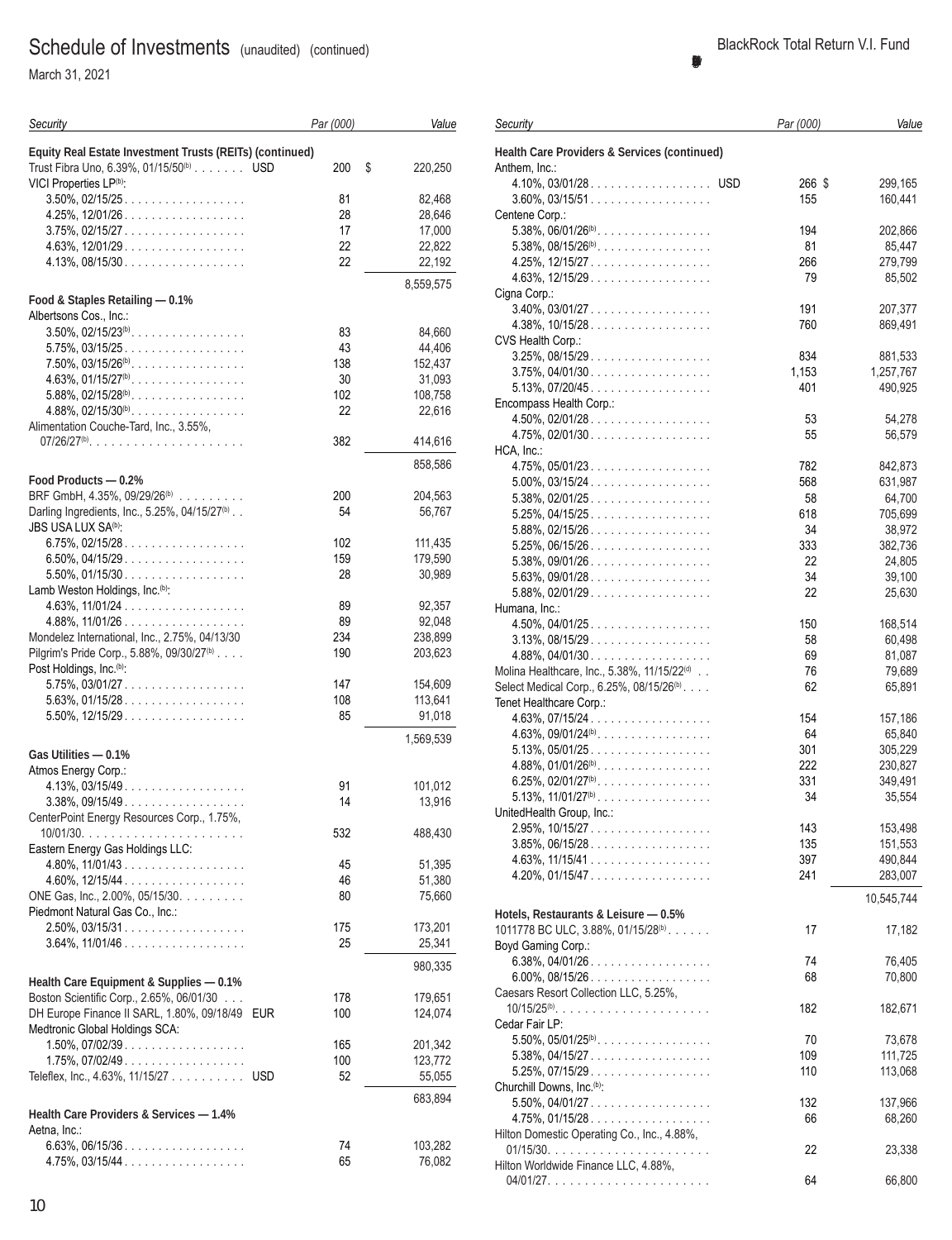March 31, 2021

| Security                                                                                                                                  | Par (000) | Value         |
|-------------------------------------------------------------------------------------------------------------------------------------------|-----------|---------------|
| Equity Real Estate Investment Trusts (REITs) (continued)<br>Trust Fibra Uno, 6.39%, 01/15/50 <sup>(b)</sup> USD<br>VICI Properties LP(b): | 200       | \$<br>220,250 |
| $3.50\%$ , 02/15/25.                                                                                                                      | 81        | 82,468        |
| 4.25%, 12/01/26                                                                                                                           | 28        | 28,646        |
| $3.75\%$ , 02/15/27                                                                                                                       | 17        | 17,000        |
| $4.63\%$ , 12/01/29.                                                                                                                      | 22        | 22,822        |
| $4.13\%$ , 08/15/30                                                                                                                       | 22        | 22,192        |
|                                                                                                                                           |           |               |
| Food & Staples Retailing - 0.1%<br>Albertsons Cos., Inc.:                                                                                 |           | 8,559,575     |
| $3.50\%$ , $02/15/23^{(b)}$                                                                                                               | 83        | 84,660        |
| $5.75\%$ , 03/15/25.                                                                                                                      | 43        | 44,406        |
| $7.50\%$ , $03/15/26^{(b)}$                                                                                                               | 138       | 152,437       |
| $4.63\%$ , $01/15/27^{(b)}$ .                                                                                                             | 30        | 31,093        |
| $5.88\%$ , 02/15/28 <sup>(b)</sup>                                                                                                        | 102       | 108,758       |
| $4.88\%$ , $02/15/30^{(b)}$                                                                                                               | 22        | 22,616        |
| Alimentation Couche-Tard, Inc., 3.55%,                                                                                                    |           |               |
| $07/26/27(b)$                                                                                                                             | 382       | 414,616       |
|                                                                                                                                           |           | 858,586       |
| Food Products - 0.2%                                                                                                                      |           |               |
| BRF GmbH, 4.35%, 09/29/26 <sup>(b)</sup>                                                                                                  | 200       | 204,563       |
| Darling Ingredients, Inc., 5.25%, 04/15/27 <sup>(b)</sup>                                                                                 | 54        | 56,767        |
| <b>JBS USA LUX SA<sup>(b)</sup></b> .                                                                                                     |           |               |
| $6.75\%$ , 02/15/28.                                                                                                                      | 102       | 111,435       |
| 6.50%, 04/15/29.                                                                                                                          | 159       | 179,590       |
| $5.50\%$ , 01/15/30                                                                                                                       | 28        | 30,989        |
| Lamb Weston Holdings, Inc. <sup>(b)</sup> :                                                                                               |           |               |
| $4.63\%, 11/01/24 \ldots \ldots \ldots \ldots \ldots$                                                                                     | 89        | 92,357        |
| $4.88\%$ , $11/01/26$                                                                                                                     | 89        | 92,048        |
| Mondelez International, Inc., 2.75%, 04/13/30                                                                                             | 234       | 238,899       |
| Pilgrim's Pride Corp., 5.88%, 09/30/27 <sup>(b)</sup><br>Post Holdings, Inc. <sup>(b)</sup> :                                             | 190       | 203,623       |
| $5.75\%$ , $03/01/27$                                                                                                                     | 147       | 154,609       |
| $5.63\%$ , 01/15/28.                                                                                                                      | 108       | 113,641       |
| $5.50\%$ , $12/15/29$                                                                                                                     | 85        | 91,018        |
|                                                                                                                                           |           |               |
|                                                                                                                                           |           | 1,569,539     |
| Gas Utilities - 0.1%                                                                                                                      |           |               |
| Atmos Energy Corp.:                                                                                                                       |           |               |
| $4.13\%$ , 03/15/49                                                                                                                       | 91        | 101,012       |
| $3.38\%$ , 09/15/49                                                                                                                       | 14        | 13,916        |
| CenterPoint Energy Resources Corp., 1.75%,                                                                                                |           |               |
|                                                                                                                                           | 532       | 488,430       |
| Eastern Energy Gas Holdings LLC:                                                                                                          |           |               |
|                                                                                                                                           | 45        | 51,395        |
| $4.60\%$ , 12/15/44<br>ONE Gas, Inc., 2.00%, 05/15/30.                                                                                    | 46        | 51,380        |
| Piedmont Natural Gas Co., Inc.:                                                                                                           | 80        | 75,660        |
| $2.50\%$ , 03/15/31                                                                                                                       | 175       | 173,201       |
| $3.64\%$ , $11/01/46$                                                                                                                     | 25        | 25,341        |
|                                                                                                                                           |           |               |
| Health Care Equipment & Supplies - 0.1%                                                                                                   |           | 980,335       |
| Boston Scientific Corp., 2.65%, 06/01/30                                                                                                  | 178       | 179,651       |
| DH Europe Finance II SARL, 1.80%, 09/18/49<br><b>EUR</b>                                                                                  | 100       | 124,074       |
| Medtronic Global Holdings SCA:                                                                                                            |           |               |
| $1.50\%$ , 07/02/39.                                                                                                                      | 165       | 201,342       |
| $1.75\%$ , 07/02/49.                                                                                                                      | 100       | 123,772       |
| Teleflex, Inc., 4.63%, 11/15/27 USD                                                                                                       | 52        | 55,055        |
|                                                                                                                                           |           |               |
| Health Care Providers & Services - 1.4%                                                                                                   |           | 683,894       |
| Aetna, Inc.:                                                                                                                              |           |               |
| $6.63\%$ , 06/15/36                                                                                                                       | 74        | 103,282       |
| $4.75\%$ , 03/15/44                                                                                                                       | 65        | 76,082        |
|                                                                                                                                           |           |               |

| 4.10%, 03/01/28. USD                                   | 266 \$ | 299,165    |
|--------------------------------------------------------|--------|------------|
| $3.60\%$ , 03/15/51                                    | 155    | 160,441    |
| Centene Corp.:                                         |        |            |
|                                                        | 194    | 202,866    |
| 5.38%, $08/15/26^{(b)}$                                | 81     | 85,447     |
| 4.25%, 12/15/27.                                       | 266    | 279,799    |
| $4.63\%$ , 12/15/29.                                   | 79     | 85,502     |
| Cigna Corp.:                                           |        |            |
| $3.40\%$ , 03/01/27                                    | 191    | 207,377    |
| $4.38\%, 10/15/28 \dots  \dots $                       | 760    | 869,491    |
|                                                        |        |            |
| CVS Health Corp.:                                      |        |            |
| $3.25\%$ , 08/15/29.                                   | 834    | 881,533    |
| $3.75\%$ , 04/01/30                                    | 1,153  | 1,257,767  |
| $5.13\%$ , $07/20/45$                                  | 401    | 490,925    |
| Encompass Health Corp.:                                |        |            |
| $4.50\%$ , 02/01/28                                    | 53     | 54,278     |
| $4.75\%$ , 02/01/30                                    | 55     | 56,579     |
| HCA, Inc.:                                             |        |            |
| $4.75\%$ , 05/01/23.                                   | 782    | 842,873    |
| $5.00\%$ , 03/15/24.                                   | 568    | 631,987    |
| $5.38\%$ , 02/01/25.                                   | 58     | 64,700     |
| $5.25\%$ , 04/15/25                                    | 618    | 705,699    |
| $5.88\%, 02/15/26 \dots  \dots $                       | 34     | 38,972     |
| $5.25\%$ , 06/15/26                                    | 333    | 382,736    |
| $5.38\%$ , 09/01/26.                                   | 22     | 24,805     |
| $5.63\%$ , 09/01/28                                    | 34     | 39,100     |
| $5.88\%$ , 02/01/29.                                   | 22     | 25,630     |
| Humana, Inc.:                                          |        |            |
| $4.50\%$ , 04/01/25.                                   | 150    | 168,514    |
| $3.13\%$ , $08/15/29$                                  | 58     | 60,498     |
| $4.88\%$ , 04/01/30                                    | 69     | 81,087     |
|                                                        | 76     |            |
| Molina Healthcare, Inc., 5.38%, 11/15/22(d)            |        | 79,689     |
| Select Medical Corp., 6.25%, 08/15/26 <sup>(b)</sup> . | 62     | 65,891     |
| Tenet Healthcare Corp.:                                |        |            |
| $4.63\%$ , 07/15/24.                                   | 154    | 157,186    |
| 4.63%, 09/01/24 <sup>(b)</sup>                         | 64     | 65,840     |
| $5.13\%$ , $05/01/25$                                  | 301    | 305,229    |
| $4.88\%$ , $01/01/26^{(b)}$                            | 222    | 230,827    |
| 6.25%, 02/01/27 <sup>(b)</sup> .                       | 331    | 349,491    |
| $5.13\%$ , $11/01/27^{(b)}$                            | 34     | 35,554     |
| UnitedHealth Group, Inc.:                              |        |            |
| $2.95\%$ , 10/15/27.                                   | 143    | 153,498    |
| $3.85\%, 06/15/28 \dots $                              | 135    | 151,553    |
| $4.63\%$ , $11/15/41$                                  | 397    | 490,844    |
| $4.20\%$ , 01/15/47.                                   | 241    | 283,007    |
|                                                        |        |            |
|                                                        |        | 10,545,744 |
| Hotels, Restaurants & Leisure - 0.5%                   |        |            |
| 1011778 BC ULC, 3.88%, 01/15/28(b).                    | 17     | 17,182     |
| Boyd Gaming Corp.:                                     |        |            |
| $6.38\%$ , 04/01/26.                                   | 74     | 76,405     |
| $6.00\%$ , 08/15/26                                    | 68     | 70,800     |
| Caesars Resort Collection LLC, 5.25%,                  |        |            |
| $10/15/25^{(b)}$                                       | 182    | 182,671    |
| Cedar Fair LP:                                         |        |            |
| $5.50\%$ , $05/01/25^{(b)}$                            | 70     | 73,678     |
| $5.38\%$ , 04/15/27                                    | 109    | 111,725    |
| $5.25\%$ , 07/15/29.                                   | 110    | 113,068    |
| Churchill Downs, Inc. <sup>(b)</sup> :                 |        |            |
| $5.50\%$ , 04/01/27                                    | 132    | 137,966    |
| $4.75\%$ , 01/15/28.                                   | 66     | 68,260     |
| Hilton Domestic Operating Co., Inc., 4.88%,            |        |            |
|                                                        | 22     | 23,338     |
| Hilton Worldwide Finance LLC, 4.88%,                   |        |            |
|                                                        | 64     | 66,800     |
|                                                        |        |            |
|                                                        |        |            |
|                                                        |        |            |

*Par (000) Value*

*Security*

Anthem, Inc.:

**Health Care Providers & Services (continued)**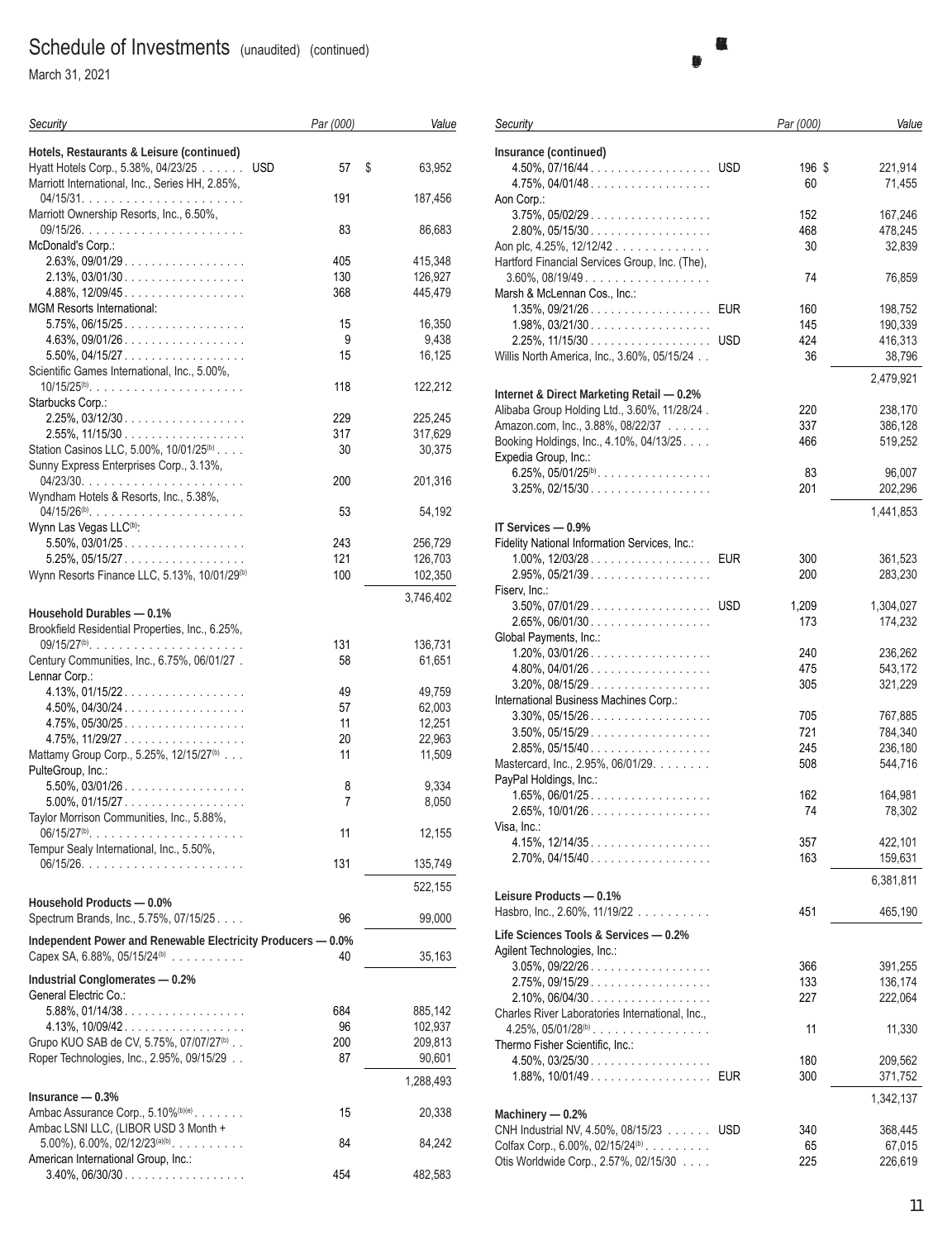March 31, 2021

| Security                                                                             | Par (000)  | Value              |
|--------------------------------------------------------------------------------------|------------|--------------------|
| Hotels, Restaurants & Leisure (continued)<br>Hyatt Hotels Corp., 5.38%, 04/23/25 USD | 57         | \$<br>63,952       |
| Marriott International, Inc., Series HH, 2.85%,                                      | 191        | 187,456            |
| Marriott Ownership Resorts, Inc., 6.50%,                                             | 83         | 86,683             |
| McDonald's Corp.:                                                                    |            |                    |
| $2.63\%$ , 09/01/29<br>$2.13\%$ , 03/01/30                                           | 405<br>130 | 415,348<br>126,927 |
| $4.88\%$ , 12/09/45.                                                                 | 368        | 445,479            |
| MGM Resorts International:                                                           |            |                    |
| $5.75\%$ , 06/15/25                                                                  | 15         | 16,350             |
| $4.63\%$ , 09/01/26.<br>$5.50\%$ , 04/15/27                                          | 9<br>15    | 9,438<br>16,125    |
| Scientific Games International, Inc., 5.00%,                                         |            |                    |
| 10/15/25 <sup>(b)</sup>                                                              | 118        | 122,212            |
| Starbucks Corp.:                                                                     |            |                    |
| $2.25\%$ , 03/12/30                                                                  | 229        | 225.245            |
| $2.55\%$ , 11/15/30<br>Station Casinos LLC, 5.00%, 10/01/25 <sup>(b)</sup>           | 317<br>30  | 317,629<br>30,375  |
| Sunny Express Enterprises Corp., 3.13%,                                              |            |                    |
|                                                                                      | 200        | 201,316            |
| Wyndham Hotels & Resorts, Inc., 5.38%,                                               |            |                    |
| Wynn Las Vegas LLC <sup>(b)</sup> :                                                  | 53         | 54,192             |
| $5.50\%$ , 03/01/25.                                                                 | 243        | 256,729            |
| $5.25\%$ , 05/15/27                                                                  | 121        | 126,703            |
| Wynn Resorts Finance LLC, 5.13%, 10/01/29 <sup>(b)</sup>                             | 100        | 102,350            |
|                                                                                      |            | 3,746,402          |
| Household Durables - 0.1%                                                            |            |                    |
| Brookfield Residential Properties, Inc., 6.25%,                                      |            |                    |
| $09/15/27^{(b)}$<br>Century Communities, Inc., 6.75%, 06/01/27.                      | 131<br>58  | 136,731<br>61,651  |
| Lennar Corp.:                                                                        |            |                    |
| $4.13\%$ , 01/15/22.                                                                 | 49         | 49,759             |
| $4.50\%$ , $04/30/24$                                                                | 57         | 62,003             |
| $4.75\%$ , 05/30/25                                                                  | 11         | 12,251             |
| $4.75\%$ , $11/29/27$                                                                | 20         | 22,963             |
| Mattamy Group Corp., 5.25%, 12/15/27 <sup>(b)</sup><br>PulteGroup, Inc.:             | 11         | 11,509             |
| $5.50\%$ , 03/01/26.<br>$5.00\%$ , 01/15/27                                          | 8<br>7     | 9,334<br>8,050     |
| Taylor Morrison Communities, Inc., 5.88%,                                            |            |                    |
| $06/15/27^{(b)}$                                                                     | 11         | 12,155             |
| Tempur Sealy International, Inc., 5.50%,                                             |            |                    |
|                                                                                      | 131        | 135,749            |
|                                                                                      |            | 522,155            |
| Household Products - 0.0%<br>Spectrum Brands, Inc., 5.75%, 07/15/25.                 | 96         | 99,000             |
| Independent Power and Renewable Electricity Producers - 0.0%                         |            |                    |
| Capex SA, $6.88\%$ , $05/15/24^{(b)}$                                                | 40         | 35,163             |
| Industrial Conglomerates - 0.2%                                                      |            |                    |
| General Electric Co.:                                                                |            |                    |
| $5.88\%, 01/14/38 \dots  \dots $                                                     | 684        | 885,142            |
| $4.13\%$ , $10/09/42$                                                                | 96         | 102,937            |
| Grupo KUO SAB de CV, 5.75%, 07/07/27 <sup>(b)</sup>                                  | 200        | 209,813            |
| Roper Technologies, Inc., 2.95%, 09/15/29                                            | 87         | 90,601             |
|                                                                                      |            | 1,288,493          |
| $Insurance - 0.3%$<br>Ambac Assurance Corp., 5.10%(b)(e).                            | 15         | 20,338             |
| Ambac LSNI LLC, (LIBOR USD 3 Month +                                                 |            |                    |
| $5.00\%$ , 6.00%, 02/12/23 <sup>(a)(b)</sup> .                                       | 84         | 84,242             |
| American International Group, Inc.:                                                  |            |                    |
| $3.40\%, 06/30/30 \dots \dots \dots \dots \dots \dots$                               | 454        | 482,583            |

| Security                                                                      |            | Par (000)  | Value              |
|-------------------------------------------------------------------------------|------------|------------|--------------------|
| Insurance (continued)                                                         |            |            |                    |
| 4.50%, 07/16/44. USD                                                          |            | 196 \$     | 221,914            |
| $4.75\%$ , 04/01/48                                                           |            | 60         | 71,455             |
| Aon Corp.:                                                                    |            |            |                    |
| $3.75\%$ , $05/02/29$                                                         |            | 152        | 167,246            |
| $2.80\%$ , 05/15/30                                                           |            | 468        | 478,245            |
| Aon plc, 4.25%, 12/12/42                                                      |            | 30         | 32,839             |
| Hartford Financial Services Group, Inc. (The),                                |            |            |                    |
| $3.60\%$ , 08/19/49                                                           |            | 74         | 76,859             |
| Marsh & McLennan Cos., Inc.:                                                  |            |            |                    |
|                                                                               |            | 160        | 198,752            |
| $1.98\%$ , 03/21/30                                                           |            | 145        | 190,339            |
| 2.25%, 11/15/30 USD                                                           |            | 424        | 416,313            |
| Willis North America, Inc., 3.60%, 05/15/24                                   |            | 36         | 38,796             |
|                                                                               |            |            | 2,479,921          |
| Internet & Direct Marketing Retail - 0.2%                                     |            |            |                    |
| Alibaba Group Holding Ltd., 3.60%, 11/28/24.                                  |            | 220        | 238,170            |
| Amazon.com, Inc., 3.88%, 08/22/37<br>Booking Holdings, Inc., 4.10%, 04/13/25. |            | 337<br>466 | 386,128            |
| Expedia Group, Inc.:                                                          |            |            | 519,252            |
| $6.25\%$ , $05/01/25^{(b)}$ .                                                 |            | 83         | 96,007             |
| $3.25\%$ , 02/15/30                                                           |            | 201        | 202,296            |
|                                                                               |            |            | 1,441,853          |
| IT Services — 0.9%                                                            |            |            |                    |
| Fidelity National Information Services, Inc.:                                 |            |            |                    |
| 1.00%, 12/03/28. EUR                                                          |            | 300        | 361,523            |
| $2.95\%$ , 05/21/39.                                                          |            | 200        | 283,230            |
| Fiserv, Inc.:                                                                 |            |            |                    |
| 3.50%, 07/01/29. USD                                                          |            | 1,209      | 1,304,027          |
| $2.65\%$ , 06/01/30                                                           |            | 173        | 174,232            |
| Global Payments, Inc.:                                                        |            |            |                    |
| $1.20\%$ , 03/01/26.                                                          |            | 240        | 236,262            |
| $4.80\%$ , $04/01/26$<br>$3.20\%$ , 08/15/29                                  |            | 475<br>305 | 543,172<br>321,229 |
| International Business Machines Corp.:                                        |            |            |                    |
| $3.30\%$ , $05/15/26$                                                         |            | 705        | 767,885            |
| 3.50%, 05/15/29                                                               |            | 721        | 784,340            |
| $2.85\%$ , 05/15/40                                                           |            | 245        | 236,180            |
| Mastercard, Inc., 2.95%, 06/01/29.                                            |            | 508        | 544,716            |
| PayPal Holdings, Inc.:                                                        |            |            |                    |
| $1.65\%$ , 06/01/25                                                           |            | 162        | 164,981            |
| $2.65\%$ , $10/01/26$                                                         |            | 74         | 78,302             |
| Visa, Inc.:                                                                   |            |            |                    |
| $4.15\%$ , $12/14/35$                                                         |            | 357        | 422,101            |
| $2.70\%$ , 04/15/40                                                           |            | 163        | 159,631            |
|                                                                               |            |            | 6,381,811          |
| Leisure Products - 0.1%                                                       |            |            |                    |
| Hasbro, Inc., 2.60%, 11/19/22                                                 |            | 451        | 465,190            |
| Life Sciences Tools & Services - 0.2%                                         |            |            |                    |
| Agilent Technologies, Inc.:                                                   |            |            |                    |
| 3.05%, 09/22/26                                                               |            | 366        | 391,255            |
| $2.75\%$ , 09/15/29.                                                          |            | 133        | 136,174            |
| 2.10%, 06/04/30                                                               |            | 227        | 222,064            |
| Charles River Laboratories International, Inc.,                               |            | 11         |                    |
| $4.25\%$ , $05/01/28^{(b)}$                                                   |            |            | 11,330             |
| Thermo Fisher Scientific, Inc.:                                               |            |            |                    |
| $4.50\%$ , 03/25/30                                                           |            | 180<br>300 | 209,562            |
|                                                                               |            |            | 371,752            |
|                                                                               |            |            | 1,342,137          |
| Machinery — 0.2%<br>CNH Industrial NV, 4.50%, 08/15/23                        | <b>USD</b> | 340        | 368,445            |
| Colfax Corp., $6.00\%$ , $02/15/24^{(b)}$                                     |            | 65         | 67,015             |
| Otis Worldwide Corp., 2.57%, 02/15/30                                         |            | 225        | 226,619            |
|                                                                               |            |            |                    |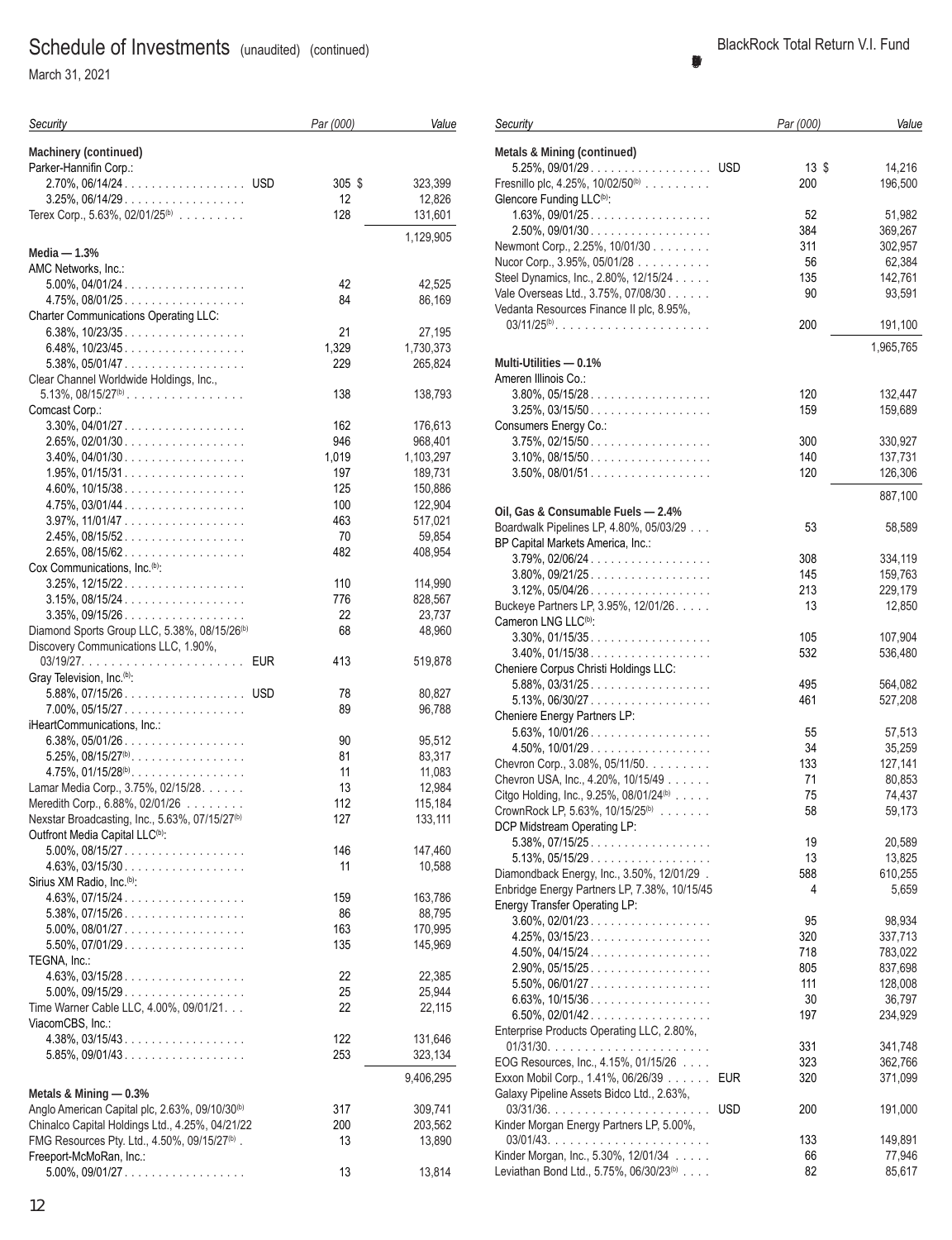March 31, 2021

| Security                                                                        | Par (000)    | Value                |
|---------------------------------------------------------------------------------|--------------|----------------------|
| <b>Machinery (continued)</b><br>Parker-Hannifin Corp.:                          |              |                      |
| 2.70%, 06/14/24. USD                                                            | 305 \$       | 323,399              |
| $3.25\%$ , 06/14/29                                                             | 12           | 12,826               |
| Terex Corp., 5.63%, 02/01/25 <sup>(b)</sup>                                     | 128          | 131,601              |
|                                                                                 |              | 1,129,905            |
| Media $- 1.3%$                                                                  |              |                      |
| AMC Networks, Inc.:<br>$5.00\%$ , 04/01/24                                      | 42           | 42,525               |
| 4.75%, 08/01/25.                                                                | 84           | 86,169               |
| <b>Charter Communications Operating LLC:</b>                                    |              |                      |
| 6.38%, $10/23/35$                                                               | 21           | 27,195               |
| $6.48\%$ , 10/23/45<br>$5.38\%$ , 05/01/47                                      | 1,329<br>229 | 1,730,373<br>265,824 |
| Clear Channel Worldwide Holdings, Inc.,                                         |              |                      |
| $5.13\%$ , $08/15/27^{(b)}$                                                     | 138          | 138,793              |
| Comcast Corp.:                                                                  |              |                      |
| $3.30\%$ , $04/01/27$                                                           | 162          | 176,613              |
| $2.65\%$ , 02/01/30<br>$3.40\%$ , 04/01/30                                      | 946<br>1,019 | 968,401<br>1,103,297 |
| $1.95\%$ , 01/15/31.                                                            | 197          | 189,731              |
| $4.60\%$ , 10/15/38                                                             | 125          | 150,886              |
| $4.75\%$ , 03/01/44                                                             | 100          | 122,904              |
| $3.97\%$ , $11/01/47$                                                           | 463<br>70    | 517,021              |
| 2.45%, 08/15/52.<br>$2.65\%$ , 08/15/62.                                        | 482          | 59,854<br>408,954    |
| Cox Communications, Inc. <sup>(b)</sup> :                                       |              |                      |
| $3.25\%$ , $12/15/22$                                                           | 110          | 114,990              |
| $3.15\%, 08/15/24$                                                              | 776          | 828,567              |
| $3.35\%$ , 09/15/26<br>Diamond Sports Group LLC, 5.38%, 08/15/26 <sup>(b)</sup> | 22<br>68     | 23,737<br>48,960     |
| Discovery Communications LLC, 1.90%,                                            |              |                      |
| <b>EUR</b>                                                                      | 413          | 519,878              |
| Gray Television, Inc. <sup>(b)</sup> :                                          |              |                      |
| 5.88%, 07/15/26. USD<br>7.00%, 05/15/27                                         | 78<br>89     | 80,827<br>96,788     |
| iHeartCommunications, Inc.:                                                     |              |                      |
| $6.38\%$ , 05/01/26.                                                            | 90           | 95,512               |
| $5.25\%$ , $08/15/27^{(b)}$                                                     | 81           | 83,317               |
| $4.75\%$ , $01/15/28^{(b)}$                                                     | 11           | 11,083               |
| Lamar Media Corp., 3.75%, 02/15/28.<br>Meredith Corp., 6.88%, 02/01/26          | 13<br>112    | 12,984<br>115,184    |
| Nexstar Broadcasting, Inc., 5.63%, 07/15/27 <sup>(b)</sup>                      | 127          | 133,111              |
| Outfront Media Capital LLC <sup>(b)</sup> :                                     |              |                      |
| $5.00\%$ , 08/15/27                                                             | 146          | 147,460              |
| $4.63\%$ , 03/15/30<br>Sirius XM Radio, Inc. <sup>(b)</sup> :                   | 11           | 10,588               |
| $4.63\%$ , 07/15/24.                                                            | 159          | 163,786              |
| $5.38\%, 07/15/26 \dots  \dots $                                                | 86           | 88,795               |
| $5.00\%$ , 08/01/27                                                             | 163          | 170,995              |
| $5.50\%$ , $07/01/29$<br>TEGNA, Inc.:                                           | 135          | 145,969              |
| $4.63\%$ , 03/15/28.                                                            | 22           | 22,385               |
| $5.00\%$ , 09/15/29                                                             | 25           | 25,944               |
| Time Warner Cable LLC, 4.00%, 09/01/21.                                         | 22           | 22,115               |
| ViacomCBS, Inc.:                                                                |              |                      |
| $4.38\%$ , 03/15/43<br>$5.85\%$ , 09/01/43                                      | 122<br>253   | 131,646<br>323,134   |
|                                                                                 |              |                      |
| Metals & Mining - 0.3%                                                          |              | 9,406,295            |
| Anglo American Capital plc, 2.63%, 09/10/30 <sup>(b)</sup>                      | 317          | 309,741              |
| Chinalco Capital Holdings Ltd., 4.25%, 04/21/22                                 | 200          | 203,562              |
| FMG Resources Pty. Ltd., 4.50%, 09/15/27 <sup>(b)</sup> .                       | 13           | 13,890               |
| Freeport-McMoRan, Inc.:                                                         |              |                      |
| $5.00\%$ , 09/01/27                                                             | 13           | 13,814               |

| Security                                                                        | Par (000)         | Value     |
|---------------------------------------------------------------------------------|-------------------|-----------|
| <b>Metals &amp; Mining (continued)</b>                                          |                   |           |
| 5.25%, 09/01/29. USD                                                            | $13 \text{ } $$   | 14,216    |
| Fresnillo plc, 4.25%, $10/02/50^{(b)}$                                          | 200               | 196,500   |
| Glencore Funding LLC <sup>(b)</sup> :                                           |                   |           |
| $1.63\%$ , 09/01/25.                                                            | 52                | 51,982    |
| $2.50\%$ , 09/01/30                                                             | 384               | 369,267   |
| Newmont Corp., 2.25%, 10/01/30                                                  | 311               | 302,957   |
| Nucor Corp., 3.95%, 05/01/28                                                    | 56                | 62,384    |
| Steel Dynamics, Inc., 2.80%, 12/15/24                                           | 135               | 142,761   |
| Vale Overseas Ltd., 3.75%, 07/08/30                                             | 90                | 93,591    |
| Vedanta Resources Finance II plc, 8.95%,                                        |                   |           |
| $03/11/25^{(b)}$                                                                | 200               | 191,100   |
|                                                                                 |                   | 1,965,765 |
| Multi-Utilities — 0.1%                                                          |                   |           |
| Ameren Illinois Co.:                                                            |                   |           |
| $3.80\%$ , $05/15/28$                                                           | 120               | 132,447   |
| $3.25\%$ , 03/15/50                                                             | 159               | 159,689   |
|                                                                                 |                   |           |
| Consumers Energy Co.:                                                           |                   |           |
| $3.75\%$ , 02/15/50                                                             | 300               | 330,927   |
| $3.10\%$ , 08/15/50                                                             | 140               | 137,731   |
| $3.50\%$ , 08/01/51                                                             | 120               | 126,306   |
|                                                                                 |                   | 887,100   |
| Oil, Gas & Consumable Fuels - 2.4%                                              |                   |           |
| Boardwalk Pipelines LP, 4.80%, 05/03/29                                         | 53                | 58,589    |
| BP Capital Markets America, Inc.:                                               |                   |           |
| $3.79\%$ , $02/06/24$                                                           | 308               | 334,119   |
| $3.80\%$ , $09/21/25$                                                           | 145               | 159,763   |
| $3.12\%$ , $05/04/26$                                                           | 213               | 229,179   |
| Buckeye Partners LP, 3.95%, 12/01/26.                                           | 13                | 12,850    |
| Cameron LNG LLC <sup>(b)</sup> :                                                |                   |           |
| $3.30\%$ , $01/15/35$                                                           | 105               | 107,904   |
| 3.40%, 01/15/38                                                                 | 532               | 536,480   |
| Cheniere Corpus Christi Holdings LLC:                                           |                   |           |
| $5.88\%$ , 03/31/25.                                                            | 495               | 564,082   |
| $5.13\%$ , 06/30/27                                                             | 461               | 527,208   |
| Cheniere Energy Partners LP:                                                    |                   |           |
| $5.63\%$ , $10/01/26$                                                           | 55                | 57,513    |
| $4.50\%$ , 10/01/29.                                                            | 34                | 35,259    |
| Chevron Corp., 3.08%, 05/11/50.                                                 | 133               | 127,141   |
| Chevron USA, Inc., 4.20%, 10/15/49                                              | 71                | 80,853    |
| Citgo Holding, Inc., 9.25%, 08/01/24 $(b)$                                      | 75                | 74,437    |
| CrownRock LP, 5.63%, $10/15/25^{(b)}$                                           | 58                | 59,173    |
| DCP Midstream Operating LP:                                                     |                   |           |
| $5.38\%$ , 07/15/25.                                                            | 19                | 20,589    |
| $5.13\%$ , $05/15/29$                                                           | 13                | 13,825    |
| Diamondback Energy, Inc., 3.50%, 12/01/29.                                      | 588               | 610,255   |
| Enbridge Energy Partners LP, 7.38%, 10/15/45                                    | 4                 | 5,659     |
| Energy Transfer Operating LP:                                                   |                   |           |
| $3.60\%$ , 02/01/23.                                                            | 95                | 98,934    |
| $4.25\%$ , 03/15/23                                                             | 320               | 337,713   |
| $4.50\%$ , 04/15/24                                                             | 718               | 783,022   |
| $2.90\%$ , 05/15/25.                                                            | 805               | 837,698   |
| $5.50\%$ , 06/01/27                                                             | 111               | 128,008   |
| $6.63\%$ , 10/15/36                                                             | 30                | 36,797    |
| $6.50\%$ , 02/01/42.                                                            | 197               | 234,929   |
| Enterprise Products Operating LLC, 2.80%,                                       |                   |           |
|                                                                                 | 331               | 341,748   |
| EOG Resources, Inc., 4.15%, 01/15/26                                            | 323               | 362,766   |
|                                                                                 | EUR               |           |
| Exxon Mobil Corp., 1.41%, 06/26/39<br>Galaxy Pipeline Assets Bidco Ltd., 2.63%, | 320               | 371,099   |
|                                                                                 |                   |           |
|                                                                                 | <b>USD</b><br>200 | 191,000   |
| Kinder Morgan Energy Partners LP, 5.00%,                                        | 133               | 149,891   |
| Kinder Morgan, Inc., 5.30%, 12/01/34                                            |                   |           |
| Leviathan Bond Ltd., 5.75%, 06/30/23 <sup>(b)</sup>                             | 66<br>82          | 77,946    |
|                                                                                 |                   | 85,617    |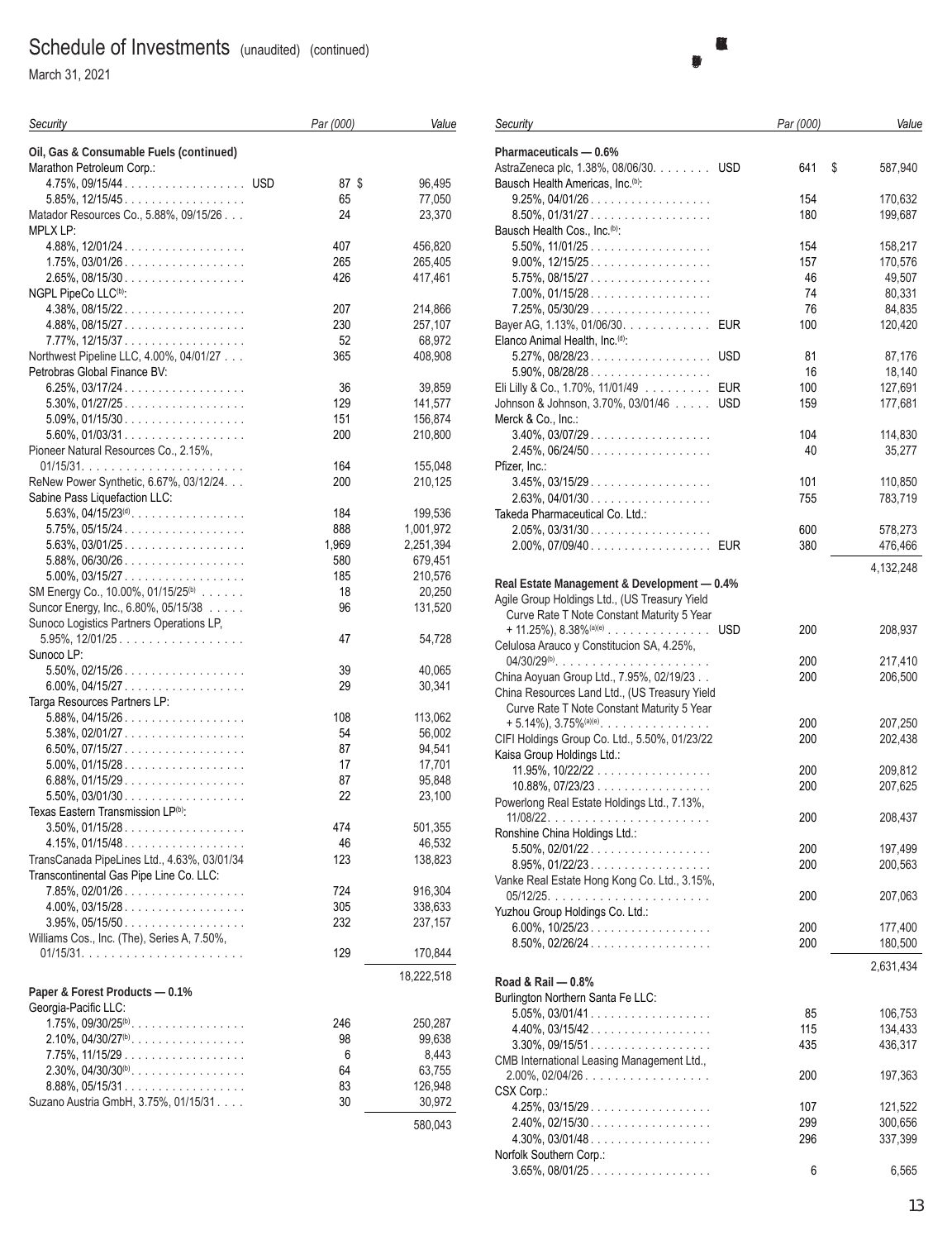March 31, 2021

| Security                                                                         | Par (000) | Value             |
|----------------------------------------------------------------------------------|-----------|-------------------|
| Oil, Gas & Consumable Fuels (continued)                                          |           |                   |
| Marathon Petroleum Corp.:                                                        |           |                   |
| 4.75%, 09/15/44. USD                                                             | 87 \$     | 96,495            |
| $5.85\%$ , $12/15/45$                                                            | 65        | 77,050            |
| Matador Resources Co., 5.88%, 09/15/26<br>MPLX LP:                               | 24        | 23,370            |
| $4.88\%, 12/01/24. \ldots \ldots \ldots \ldots \ldots$                           | 407       | 456,820           |
| $1.75\%$ , 03/01/26                                                              | 265       | 265,405           |
| $2.65\%$ , 08/15/30                                                              | 426       | 417,461           |
| NGPL PipeCo LLC <sup>(b)</sup> :                                                 |           |                   |
| $4.38\%$ , 08/15/22                                                              | 207       | 214,866           |
| $4.88\%, 08/15/27 \ldots \ldots \ldots \ldots \ldots$                            | 230       | 257,107           |
| 7.77%, 12/15/37.                                                                 | 52        | 68,972            |
| Northwest Pipeline LLC, 4.00%, 04/01/27<br>Petrobras Global Finance BV:          | 365       | 408,908           |
| $6.25\%$ , 03/17/24                                                              | 36        | 39,859            |
| $5.30\%$ , $01/27/25$                                                            | 129       | 141,577           |
| $5.09\%$ , 01/15/30                                                              | 151       | 156,874           |
| $5.60\%$ , 01/03/31.                                                             | 200       | 210,800           |
| Pioneer Natural Resources Co., 2.15%,                                            |           |                   |
|                                                                                  | 164       | 155,048           |
| ReNew Power Synthetic, 6.67%, 03/12/24.                                          | 200       | 210,125           |
| Sabine Pass Liquefaction LLC:                                                    |           |                   |
| $5.63\%$ , $04/15/23^{(d)}$ .                                                    | 184       | 199,536           |
| $5.75\%$ , 05/15/24.                                                             | 888       | 1,001,972         |
| $5.63\%, 03/01/25 \dots  \dots $                                                 | 1,969     | 2,251,394         |
| $5.88\%, 06/30/26 \dots  \dots $                                                 | 580       | 679,451           |
| $5.00\%$ , 03/15/27                                                              | 185       | 210,576           |
| SM Energy Co., 10.00%, 01/15/25 <sup>(b)</sup>                                   | 18        | 20,250            |
| Suncor Energy, Inc., 6.80%, 05/15/38<br>Sunoco Logistics Partners Operations LP, | 96        | 131,520           |
| 5.95%, 12/01/25                                                                  | 47        | 54,728            |
| Sunoco LP:                                                                       |           |                   |
| $5.50\%$ , 02/15/26                                                              | 39        | 40,065            |
| $6.00\%$ , 04/15/27                                                              | 29        | 30,341            |
| Targa Resources Partners LP:                                                     |           |                   |
| $5.88\%$ , 04/15/26                                                              | 108       | 113,062           |
| $5.38\%, 02/01/27 \dots  \dots $                                                 | 54        | 56,002            |
| $6.50\%$ , 07/15/27                                                              | 87        | 94,541            |
| $5.00\%$ , 01/15/28.                                                             | 17        | 17,701            |
| $6.88\%$ , 01/15/29.                                                             | 87        | 95,848            |
| $5.50\%$ , 03/01/30                                                              | 22        | 23,100            |
| Texas Eastern Transmission LP(b):<br>$3.50\%$ , $01/15/28$                       |           |                   |
| $4.15\%, 01/15/48 \dots  \dots $                                                 | 474<br>46 | 501,355<br>46,532 |
| TransCanada PipeLines Ltd., 4.63%, 03/01/34                                      | 123       | 138,823           |
| Transcontinental Gas Pipe Line Co. LLC:                                          |           |                   |
| $7.85\%$ , 02/01/26.                                                             | 724       | 916,304           |
| $4.00\%$ , 03/15/28.                                                             | 305       | 338,633           |
| $3.95\%, 05/15/50 \dots  \dots $                                                 | 232       | 237,157           |
| Williams Cos., Inc. (The), Series A, 7.50%,                                      |           |                   |
|                                                                                  | 129       | 170,844           |
|                                                                                  |           | 18,222,518        |
| Paper & Forest Products - 0.1%                                                   |           |                   |
| Georgia-Pacific LLC:                                                             |           |                   |
| $1.75\%$ , 09/30/25 <sup>(b)</sup>                                               | 246       | 250,287           |
| $2.10\%$ , $04/30/27^{(b)}$                                                      | 98        | 99,638            |
| $7.75\%$ , $11/15/29$                                                            | 6         | 8,443             |
| $2.30\%$ , $04/30/30^{(b)}$ .                                                    | 64        | 63,755            |
| $8.88\%$ , 05/15/31                                                              | 83        | 126,948           |
| Suzano Austria GmbH, 3.75%, 01/15/31.                                            | 30        | 30,972            |
|                                                                                  |           | 580,043           |
|                                                                                  |           |                   |

| Security                                                                               |            | Par (000)  | Value              |
|----------------------------------------------------------------------------------------|------------|------------|--------------------|
| Pharmaceuticals - 0.6%                                                                 |            |            |                    |
| AstraZeneca plc, 1.38%, 08/06/30. USD<br>Bausch Health Americas, Inc. <sup>(b)</sup> : |            | 641        | \$<br>587,940      |
| $9.25\%$ , $04/01/26$                                                                  |            | 154        | 170,632            |
| $8.50\%$ , 01/31/27                                                                    |            | 180        | 199,687            |
| Bausch Health Cos., Inc. <sup>(b)</sup> :                                              |            |            |                    |
| $5.50\%$ , $11/01/25$                                                                  |            | 154        | 158,217            |
| $9.00\%$ , $12/15/25$                                                                  |            | 157<br>46  | 170,576            |
| $5.75\%$ , 08/15/27<br>$7.00\%$ , 01/15/28                                             |            | 74         | 49,507<br>80,331   |
| $7.25\%$ , $05/30/29$                                                                  |            | 76         | 84,835             |
| Bayer AG, 1.13%, 01/06/30. EUR                                                         |            | 100        | 120,420            |
| Elanco Animal Health, Inc. <sup>(d)</sup> :                                            |            |            |                    |
| $5.27\%$ , 08/28/23. USD                                                               |            | 81         | 87,176             |
| $5.90\%$ , $08/28/28$                                                                  |            | 16         | 18,140             |
| Eli Lilly & Co., 1.70%, 11/01/49 EUR                                                   |            | 100        | 127,691            |
| Johnson & Johnson, 3.70%, 03/01/46                                                     | <b>USD</b> | 159        | 177,681            |
| Merck & Co., Inc.:                                                                     |            |            |                    |
| 3.40%, 03/07/29<br>2.45%, 06/24/50                                                     |            | 104<br>40  | 114,830<br>35,277  |
| Pfizer, Inc.:                                                                          |            |            |                    |
| $3.45\%, 03/15/29 \dots  \dots $                                                       |            | 101        | 110,850            |
| $2.63\%$ , 04/01/30                                                                    |            | 755        | 783,719            |
| Takeda Pharmaceutical Co. Ltd.:                                                        |            |            |                    |
| $2.05\%$ , $03/31/30$                                                                  |            | 600        | 578,273            |
| 2.00%, 07/09/40 EUR                                                                    |            | 380        | 476,466            |
|                                                                                        |            |            | 4,132,248          |
| Real Estate Management & Development - 0.4%                                            |            |            |                    |
| Agile Group Holdings Ltd., (US Treasury Yield                                          |            |            |                    |
| Curve Rate T Note Constant Maturity 5 Year                                             |            |            |                    |
|                                                                                        |            | 200        | 208,937            |
| Celulosa Arauco y Constitucion SA, 4.25%,                                              |            | 200        |                    |
| China Aoyuan Group Ltd., 7.95%, 02/19/23                                               |            | 200        | 217,410<br>206,500 |
| China Resources Land Ltd., (US Treasury Yield                                          |            |            |                    |
| Curve Rate T Note Constant Maturity 5 Year                                             |            |            |                    |
| $+ 5.14\%$ , 3.75% <sup>(a)(e)</sup>                                                   |            | 200        | 207,250            |
| CIFI Holdings Group Co. Ltd., 5.50%, 01/23/22                                          |            | 200        | 202,438            |
| Kaisa Group Holdings Ltd.:                                                             |            |            |                    |
| 11.95%, $10/22/22$                                                                     |            | 200        | 209,812            |
| $10.88\%$ , $07/23/23$<br>Powerlong Real Estate Holdings Ltd., 7.13%,                  |            | 200        | 207,625            |
|                                                                                        |            | 200        | 208,437            |
| Ronshine China Holdings Ltd.:                                                          |            |            |                    |
| 5.50%, 02/01/22                                                                        |            | 200        | 197,499            |
| $8.95\%, 01/22/23 \dots  \dots $                                                       |            | 200        | 200,563            |
| Vanke Real Estate Hong Kong Co. Ltd., 3.15%,                                           |            |            |                    |
|                                                                                        |            | 200        | 207,063            |
| Yuzhou Group Holdings Co. Ltd.:                                                        |            |            |                    |
| $6.00\%$ , $10/25/23$<br>$8.50\%$ , 02/26/24                                           |            | 200<br>200 | 177,400<br>180,500 |
|                                                                                        |            |            |                    |
|                                                                                        |            |            | 2,631,434          |
| Road & Rail - 0.8%<br>Burlington Northern Santa Fe LLC:                                |            |            |                    |
| $5.05\%$ , $03/01/41$                                                                  |            | 85         | 106,753            |
| $4.40\%$ , 03/15/42                                                                    |            | 115        | 134,433            |
| $3.30\%$ , 09/15/51                                                                    |            | 435        | 436,317            |
| CMB International Leasing Management Ltd.,                                             |            |            |                    |
| 2.00%, 02/04/26                                                                        |            | 200        | 197,363            |
| CSX Corp.:                                                                             |            |            |                    |
| $4.25\%, 03/15/29 \dots  \dots $                                                       |            | 107        | 121,522            |
| 2.40%, 02/15/30<br>$4.30\%$ , $03/01/48$                                               |            | 299<br>296 | 300,656            |
| Norfolk Southern Corp.:                                                                |            |            | 337,399            |
| $3.65\%, 08/01/25 \dots  \dots $                                                       |            | 6          | 6,565              |
|                                                                                        |            |            |                    |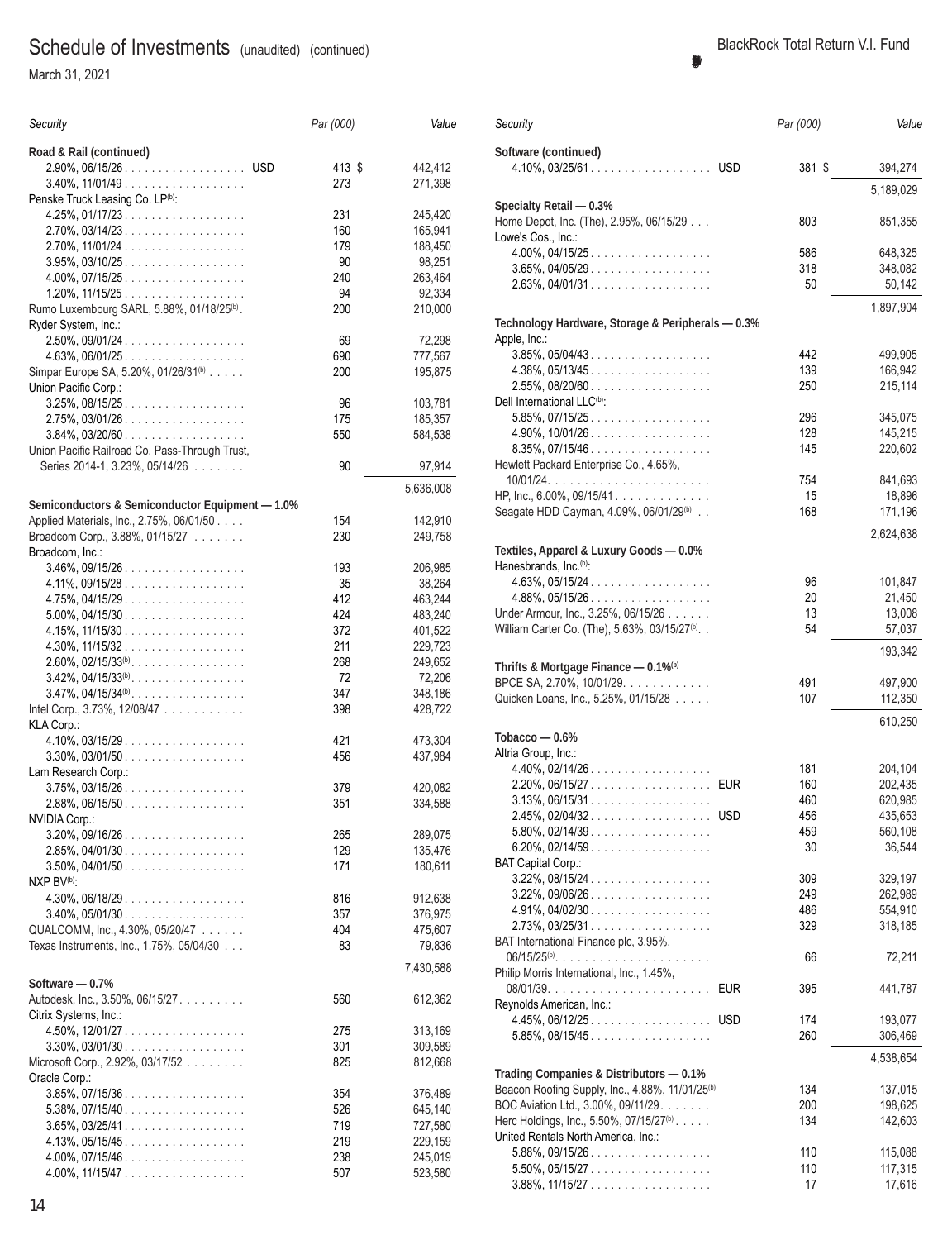March 31, 2021

| Security                                               | Par (000) | Value     |
|--------------------------------------------------------|-----------|-----------|
| Road & Rail (continued)                                |           |           |
| 2.90%, 06/15/26. USD                                   | 413 \$    | 442,412   |
| $3.40\%$ , $11/01/49$                                  | 273       | 271,398   |
| Penske Truck Leasing Co. LP(b):                        |           |           |
| $4.25\%$ , 01/17/23                                    | 231       | 245,420   |
| $2.70\%$ , 03/14/23.                                   | 160       | 165,941   |
| $2.70\%$ , 11/01/24                                    | 179       | 188,450   |
| $3.95\%$ , 03/10/25                                    | 90        | 98,251    |
| $4.00\%$ , 07/15/25.                                   | 240       | 263,464   |
| $1.20\%$ , $11/15/25$                                  | 94        | 92,334    |
| Rumo Luxembourg SARL, 5.88%, 01/18/25 <sup>(b)</sup> . | 200       | 210,000   |
| Ryder System, Inc.:                                    |           |           |
| $2.50\%$ , 09/01/24.                                   | 69        | 72,298    |
| $4.63\%$ , $06/01/25$                                  | 690       | 777,567   |
| Simpar Europe SA, 5.20%, 01/26/31 <sup>(b)</sup>       | 200       | 195,875   |
| Union Pacific Corp.:                                   |           |           |
| $3.25\%$ , 08/15/25.                                   | 96        | 103,781   |
| $2.75\%$ , 03/01/26                                    | 175       | 185,357   |
| $3.84\%$ , 03/20/60                                    | 550       | 584,538   |
| Union Pacific Railroad Co. Pass-Through Trust,         |           |           |
| Series 2014-1, 3.23%, 05/14/26                         | 90        | 97,914    |
|                                                        |           | 5,636,008 |
| Semiconductors & Semiconductor Equipment - 1.0%        |           |           |
| Applied Materials, Inc., 2.75%, 06/01/50               | 154       | 142,910   |
| Broadcom Corp., 3.88%, 01/15/27                        | 230       | 249,758   |
| Broadcom, Inc.:                                        |           |           |
| $3.46\%, 09/15/26 \dots  \dots $                       | 193       | 206,985   |
| $4.11\%, 09/15/28 \dots $                              | 35        | 38,264    |
| $4.75\%$ , 04/15/29.                                   | 412       | 463,244   |
| $5.00\%$ , 04/15/30                                    | 424       | 483,240   |
| $4.15\%$ , $11/15/30$                                  | 372       | 401,522   |
| $4.30\%$ , $11/15/32$                                  | 211       | 229,723   |
| $2.60\%$ , 02/15/33 <sup>(b)</sup>                     | 268       | 249,652   |
| $3.42\%$ , $04/15/33^{(b)}$                            | 72        | 72,206    |
| $3.47\%$ , $04/15/34^{(b)}$ .                          | 347       | 348,186   |
| Intel Corp., 3.73%, 12/08/47                           | 398       | 428,722   |
| KLA Corp.:                                             |           |           |
| $4.10\%$ , 03/15/29.                                   | 421       | 473,304   |
| $3.30\%$ , 03/01/50                                    | 456       | 437,984   |
| Lam Research Corp.:                                    |           |           |
| $3.75\%$ , 03/15/26                                    | 379       | 420,082   |
| $2.88\%$ , 06/15/50                                    | 351       | 334,588   |
| NVIDIA Corp.:                                          |           |           |
| $3.20\%$ , 09/16/26                                    | 265       | 289,075   |
| $2.85\%$ , 04/01/30                                    | 129       | 135,476   |
| $3.50\%$ , 04/01/50                                    | 171       | 180,611   |
| NXP BV <sup>(b)</sup> :                                |           |           |
| $4.30\%$ , 06/18/29.                                   | 816       | 912,638   |
|                                                        | 357       |           |
| $3.40\%$ , $05/01/30$                                  |           | 376,975   |
| QUALCOMM, Inc., 4.30%, 05/20/47                        | 404       | 475,607   |
| Texas Instruments, Inc., 1.75%, 05/04/30               | 83        | 79,836    |
|                                                        |           | 7,430,588 |
| Software - 0.7%<br>Autodesk, Inc., 3.50%, 06/15/27.    | 560       | 612,362   |
| Citrix Systems, Inc.:                                  |           |           |
| $4.50\%$ , 12/01/27                                    | 275       | 313,169   |
| $3.30\%$ , $03/01/30$                                  | 301       | 309,589   |
| Microsoft Corp., 2.92%, 03/17/52                       | 825       | 812,668   |
| Oracle Corp.:                                          |           |           |
| $3.85\%$ , 07/15/36                                    | 354       | 376,489   |
| $5.38\%$ , 07/15/40                                    | 526       | 645,140   |
| $3.65\%$ , 03/25/41                                    | 719       | 727,580   |
|                                                        | 219       |           |
| $4.13\%$ , 05/15/45.                                   | 238       | 229,159   |
| $4.00\%$ , 07/15/46                                    |           | 245,019   |
| 4.00%, $11/15/47$                                      | 507       | 523,580   |

| Security                                                                                   | Par (000)  | Value              |
|--------------------------------------------------------------------------------------------|------------|--------------------|
| Software (continued)                                                                       |            |                    |
| 4.10%, 03/25/61. USD                                                                       | 381 \$     | 394,274            |
|                                                                                            |            | 5,189,029          |
| Specialty Retail - 0.3%                                                                    |            |                    |
| Home Depot, Inc. (The), 2.95%, 06/15/29<br>Lowe's Cos., Inc.:                              | 803        | 851,355            |
| $4.00\%$ , $04/15/25$                                                                      | 586        | 648,325            |
| $3.65\%$ , 04/05/29.                                                                       | 318        | 348,082            |
| $2.63\%$ , 04/01/31                                                                        | 50         | 50,142             |
|                                                                                            |            | 1,897,904          |
| Technology Hardware, Storage & Peripherals - 0.3%                                          |            |                    |
| Apple, Inc.:                                                                               |            |                    |
| $3.85\%$ , 05/04/43                                                                        | 442        | 499,905            |
| $4.38\%$ , $05/13/45$<br>$2.55\%$ , 08/20/60                                               | 139<br>250 | 166,942<br>215,114 |
| Dell International LLC <sup>(b)</sup> :                                                    |            |                    |
| $5.85\%$ , 07/15/25.                                                                       | 296        | 345,075            |
| $4.90\%$ , 10/01/26                                                                        | 128        | 145,215            |
| $8.35\%$ , 07/15/46                                                                        | 145        | 220,602            |
| Hewlett Packard Enterprise Co., 4.65%,                                                     |            |                    |
|                                                                                            | 754        | 841,693            |
| HP, Inc., 6.00%, 09/15/41.                                                                 | 15         | 18,896             |
| Seagate HDD Cayman, 4.09%, 06/01/29 <sup>(b)</sup>                                         | 168        | 171,196            |
|                                                                                            |            | 2,624,638          |
| Textiles, Apparel & Luxury Goods - 0.0%                                                    |            |                    |
| Hanesbrands, Inc. <sup>(b)</sup> :                                                         |            |                    |
| $4.63\%$ , 05/15/24.<br>$4.88\%$ , 05/15/26                                                | 96<br>20   | 101,847<br>21,450  |
| Under Armour, Inc., 3.25%, 06/15/26                                                        | 13         | 13,008             |
| William Carter Co. (The), 5.63%, 03/15/27 <sup>(b)</sup> . .                               | 54         | 57,037             |
|                                                                                            |            | 193,342            |
| Thrifts & Mortgage Finance - 0.1% <sup>(b)</sup>                                           |            |                    |
| BPCE SA, 2.70%, 10/01/29.                                                                  | 491        | 497,900            |
| Quicken Loans, Inc., 5.25%, 01/15/28                                                       | 107        | 112,350            |
|                                                                                            |            | 610,250            |
| Tobacco — 0.6%                                                                             |            |                    |
| Altria Group, Inc.:                                                                        |            |                    |
| $4.40\%$ , 02/14/26.                                                                       | 181        | 204,104            |
|                                                                                            | 160        | 202,435            |
| $3.13\%$ , 06/15/31<br>$2.45\%$ , 02/04/32.                                                | 460<br>456 | 620,985            |
| <b>USD</b><br>$5.80\%$ , $02/14/39$                                                        | 459        | 435,653<br>560,108 |
| 6.20%, 02/14/59.                                                                           | 30         | 36,544             |
| <b>BAT Capital Corp.:</b>                                                                  |            |                    |
| $3.22\%$ , 08/15/24.                                                                       | 309        | 329,197            |
| $3.22\%$ , 09/06/26                                                                        | 249        | 262,989            |
| $4.91\%, 04/02/30 \ldots \ldots \ldots \ldots \ldots$                                      | 486        | 554,910            |
| $2.73\%$ , 03/25/31                                                                        | 329        | 318,185            |
| BAT International Finance plc, 3.95%,                                                      |            | 72,211             |
| 06/15/25 <sup>(b)</sup><br>Philip Morris International, Inc., 1.45%,                       | 66         |                    |
| <b>EUR</b>                                                                                 | 395        | 441,787            |
| Reynolds American, Inc.:                                                                   |            |                    |
| 4.45%, 06/12/25. USD                                                                       | 174        | 193,077            |
| $5.85\%$ , 08/15/45.                                                                       | 260        | 306,469            |
|                                                                                            |            | 4,538,654          |
| Trading Companies & Distributors - 0.1%                                                    |            |                    |
| Beacon Roofing Supply, Inc., 4.88%, 11/01/25 <sup>(b)</sup>                                | 134        | 137,015            |
| BOC Aviation Ltd., 3.00%, 09/11/29.<br>Herc Holdings, Inc., 5.50%, 07/15/27 <sup>(b)</sup> | 200<br>134 | 198,625<br>142,603 |
| United Rentals North America, Inc.:                                                        |            |                    |
| $5.88\%$ , 09/15/26                                                                        | 110        | 115,088            |
| $5.50\%$ , $05/15/27$                                                                      | 110        | 117,315            |
|                                                                                            | 17         | 17,616             |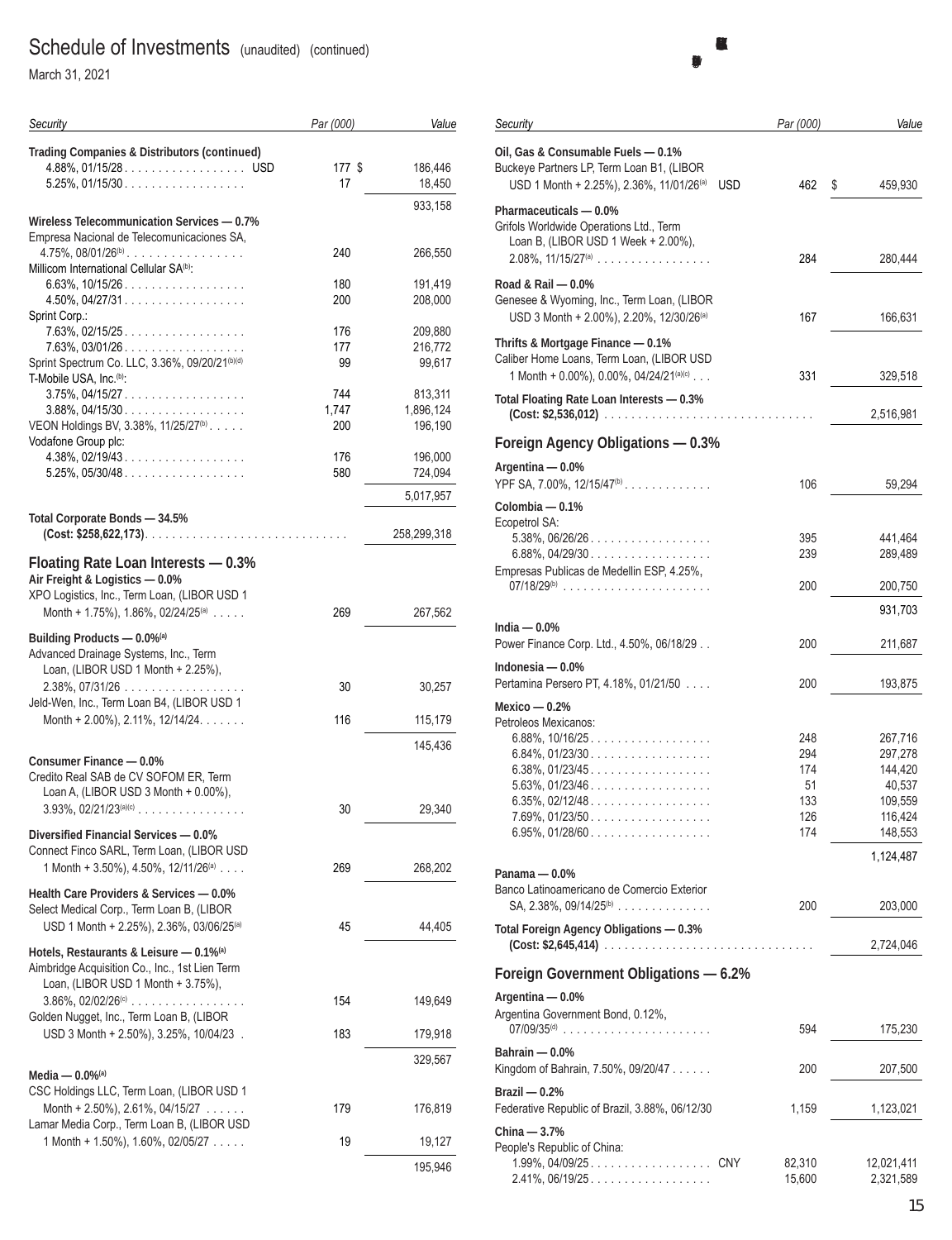March 31, 2021

| Security                                                                                  | Par (000)    | Value              |
|-------------------------------------------------------------------------------------------|--------------|--------------------|
| <b>Trading Companies &amp; Distributors (continued)</b>                                   |              |                    |
| 4.88%, 01/15/28. USD<br>$5.25\%$ , 01/15/30.                                              | 177 \$<br>17 | 186,446<br>18,450  |
|                                                                                           |              | 933,158            |
| Wireless Telecommunication Services - 0.7%<br>Empresa Nacional de Telecomunicaciones SA,  |              |                    |
| $4.75\%$ , 08/01/26 <sup>(b)</sup><br>Millicom International Cellular SA <sup>(b)</sup> : | 240          | 266,550            |
| $6.63\%$ , 10/15/26.<br>4.50%, 04/27/31.                                                  | 180<br>200   | 191,419<br>208,000 |
| Sprint Corp.:                                                                             |              |                    |
| $7.63\%$ , 02/15/25.<br>$7.63\%$ , 03/01/26                                               | 176<br>177   | 209,880            |
| Sprint Spectrum Co. LLC, 3.36%, 09/20/21(b)(d)                                            | 99           | 216,772<br>99,617  |
| T-Mobile USA, Inc. <sup>(b)</sup> :                                                       |              |                    |
| $3.75\%$ , 04/15/27.                                                                      | 744          | 813,311            |
| $3.88\%$ , 04/15/30                                                                       | 1,747        | 1,896,124          |
| VEON Holdings BV, 3.38%, 11/25/27 <sup>(b)</sup> .<br>Vodafone Group plc:                 | 200          | 196,190            |
| $4.38\%$ , 02/19/43.                                                                      | 176          | 196,000            |
| $5.25\%$ , 05/30/48                                                                       | 580          | 724,094            |
|                                                                                           |              | 5,017,957          |
| Total Corporate Bonds - 34.5%                                                             |              |                    |
|                                                                                           |              | 258,299,318        |
| Floating Rate Loan Interests - 0.3%<br>Air Freight & Logistics - 0.0%                     |              |                    |
| XPO Logistics, Inc., Term Loan, (LIBOR USD 1                                              |              |                    |
| Month + 1.75%), 1.86%, 02/24/25 <sup>(a)</sup>                                            | 269          | 267,562            |
| Building Products - 0.0%(a)                                                               |              |                    |
| Advanced Drainage Systems, Inc., Term                                                     |              |                    |
| Loan, (LIBOR USD 1 Month + 2.25%),                                                        |              |                    |
| $2.38\%$ , 07/31/26<br>Jeld-Wen, Inc., Term Loan B4, (LIBOR USD 1                         | 30           | 30,257             |
| Month + 2.00%), 2.11%, 12/14/24.                                                          | 116          | 115,179            |
|                                                                                           |              |                    |
| Consumer Finance - 0.0%                                                                   |              | 145,436            |
| Credito Real SAB de CV SOFOM ER, Term                                                     |              |                    |
| Loan A, (LIBOR USD 3 Month + 0.00%),                                                      |              |                    |
| $3.93\%$ , $02/21/23^{(a)(c)}$                                                            | 30           | 29,340             |
| Diversified Financial Services - 0.0%                                                     |              |                    |
| Connect Finco SARL, Term Loan, (LIBOR USD                                                 |              |                    |
| 1 Month + 3.50%), 4.50%, 12/11/26 <sup>(a)</sup>                                          | 269          | 268,202            |
| Health Care Providers & Services - 0.0%                                                   |              |                    |
| Select Medical Corp., Term Loan B, (LIBOR                                                 |              |                    |
| USD 1 Month + 2.25%), 2.36%, 03/06/25 <sup>(a)</sup>                                      | 45           | 44,405             |
| Hotels, Restaurants & Leisure - 0.1% <sup>(a)</sup>                                       |              |                    |
| Aimbridge Acquisition Co., Inc., 1st Lien Term<br>Loan, (LIBOR USD 1 Month + 3.75%),      |              |                    |
| $3.86\%$ , $02/02/26$ <sup>(c)</sup>                                                      | 154          | 149,649            |
| Golden Nugget, Inc., Term Loan B, (LIBOR                                                  |              |                    |
| USD 3 Month + 2.50%), 3.25%, 10/04/23.                                                    | 183          | 179,918            |
|                                                                                           |              | 329,567            |
| Media — $0.0\%$ <sup>(a)</sup>                                                            |              |                    |
| CSC Holdings LLC, Term Loan, (LIBOR USD 1                                                 |              |                    |
| Month + 2.50%), 2.61%, 04/15/27 $\ldots$ .<br>Lamar Media Corp., Term Loan B, (LIBOR USD  | 179          | 176,819            |
| 1 Month + 1.50%), 1.60%, 02/05/27 $\ldots$                                                | 19           | 19,127             |
|                                                                                           |              |                    |
|                                                                                           |              | 195,946            |

| Security                                                                                                                                | Par (000)         | Value         |
|-----------------------------------------------------------------------------------------------------------------------------------------|-------------------|---------------|
| Oil, Gas & Consumable Fuels - 0.1%<br>Buckeye Partners LP, Term Loan B1, (LIBOR<br>USD 1 Month + 2.25%), 2.36%, 11/01/26 <sup>(a)</sup> | 462<br><b>USD</b> | \$<br>459,930 |
| Pharmaceuticals - 0.0%<br>Grifols Worldwide Operations Ltd., Term<br>Loan B, (LIBOR USD 1 Week + 2.00%),<br>$2.08\%$ , $11/15/27^{(a)}$ | 284               | 280,444       |
| Road & Rail - 0.0%<br>Genesee & Wyoming, Inc., Term Loan, (LIBOR                                                                        |                   |               |
| USD 3 Month + 2.00%), 2.20%, 12/30/26 <sup>(a)</sup><br>Thrifts & Mortgage Finance - 0.1%<br>Caliber Home Loans, Term Loan, (LIBOR USD  | 167               | 166,631       |
| 1 Month + 0.00%), 0.00%, 04/24/21(a)(c)<br>Total Floating Rate Loan Interests - 0.3%                                                    | 331               | 329,518       |
| (Cost: \$2,536,012)                                                                                                                     |                   | 2,516,981     |
| Foreign Agency Obligations - 0.3%                                                                                                       |                   |               |
| Argentina - 0.0%<br>YPF SA, 7.00%, $12/15/47^{(b)}$                                                                                     | 106               | 59,294        |
| Colombia — 0.1%                                                                                                                         |                   |               |
| Ecopetrol SA:<br>$5.38\%$ , 06/26/26.                                                                                                   | 395               | 441,464       |
| 6.88%, 04/29/30.                                                                                                                        | 239               | 289,489       |
| Empresas Publicas de Medellin ESP, 4.25%,                                                                                               |                   |               |
|                                                                                                                                         | 200               | 200,750       |
|                                                                                                                                         |                   | 931,703       |
| India $-0.0\%$<br>Power Finance Corp. Ltd., 4.50%, 06/18/29                                                                             | 200               | 211,687       |
| Indonesia - 0.0%                                                                                                                        |                   |               |
| Pertamina Persero PT, 4.18%, 01/21/50                                                                                                   | 200               | 193,875       |
| Mexico — $0.2%$                                                                                                                         |                   |               |
| Petroleos Mexicanos:                                                                                                                    |                   |               |
| $6.88\%$ , 10/16/25                                                                                                                     | 248               | 267,716       |
| $6.84\%$ , 01/23/30                                                                                                                     | 294               | 297,278       |
| $6.38\%$ , 01/23/45                                                                                                                     | 174               | 144,420       |
| $5.63\%$ , 01/23/46                                                                                                                     | 51                | 40,537        |
| $6.35\%$ , 02/12/48                                                                                                                     | 133               | 109,559       |
| $7.69\%$ , 01/23/50                                                                                                                     | 126               | 116,424       |
| $6.95\%$ , 01/28/60                                                                                                                     | 174               | 148,553       |
| Panama — 0.0%                                                                                                                           |                   | 1,124,487     |
| Banco Latinoamericano de Comercio Exterior                                                                                              |                   |               |
| SA, $2.38\%$ , $09/14/25^{(b)}$                                                                                                         | 200               | 203,000       |
| Total Foreign Agency Obligations - 0.3%                                                                                                 |                   | 2,724,046     |
| Foreign Government Obligations - 6.2%                                                                                                   |                   |               |
| Argentina - 0.0%                                                                                                                        |                   |               |
| Argentina Government Bond, 0.12%,<br>07/09/35 <sup>(d)</sup>                                                                            | 594               | 175,230       |
|                                                                                                                                         |                   |               |
| Bahrain - 0.0%<br>Kingdom of Bahrain, 7.50%, 09/20/47                                                                                   | 200               | 207,500       |
| Brazil $-0.2%$                                                                                                                          |                   |               |
| Federative Republic of Brazil, 3.88%, 06/12/30                                                                                          | 1,159             | 1,123,021     |
| China - 3.7%                                                                                                                            |                   |               |
| People's Republic of China:                                                                                                             | 82,310            | 12,021,411    |
| $2.41\%$ , 06/19/25                                                                                                                     | 15,600            | 2,321,589     |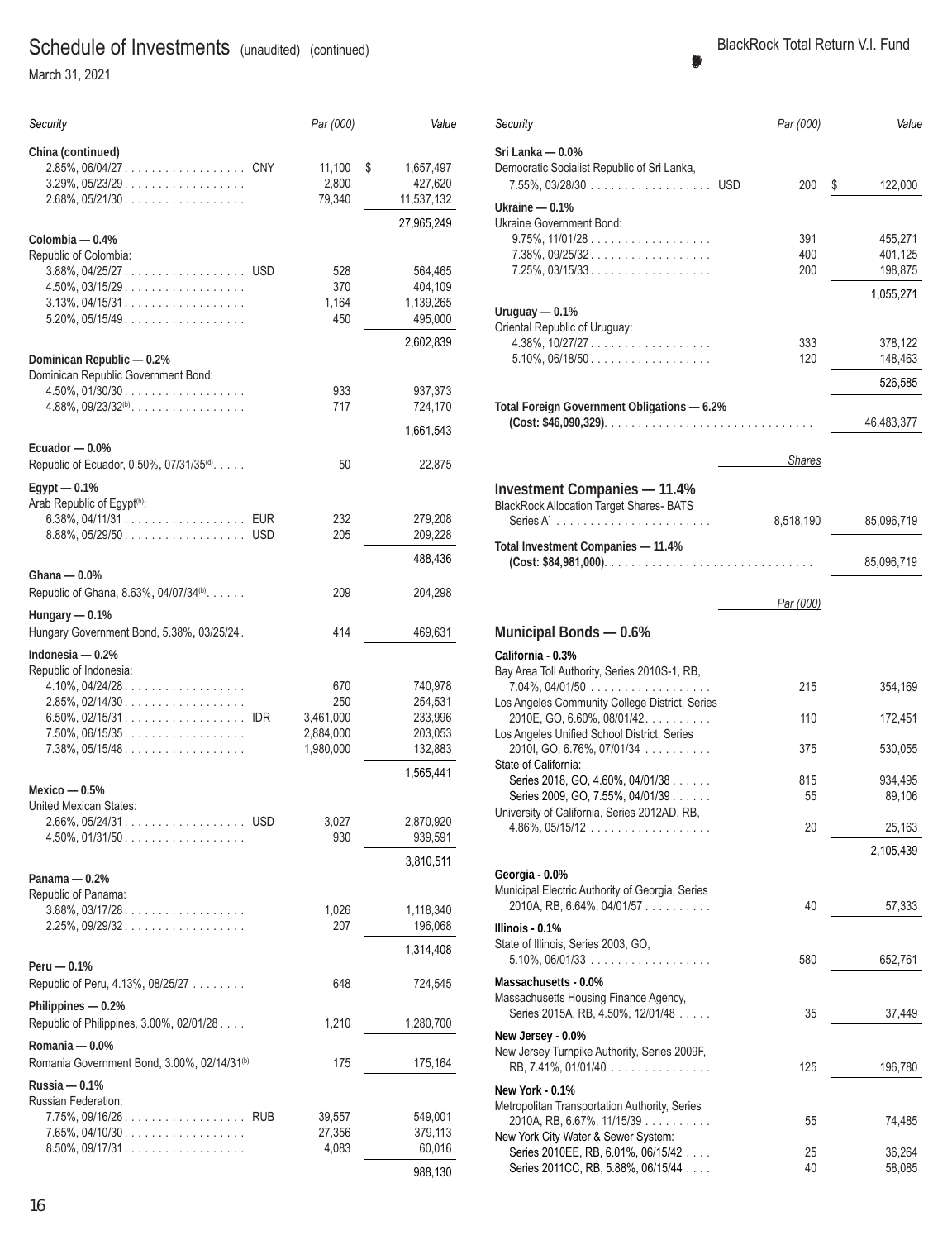March 31, 2021

| Security                                                                                     | Par (000)                                         | Value                                               |
|----------------------------------------------------------------------------------------------|---------------------------------------------------|-----------------------------------------------------|
| China (continued)<br>$3.29\%$ , $05/23/29$<br>$2.68\%$ , 05/21/30                            | 11,100<br>2,800<br>79,340                         | \$<br>1,657,497<br>427,620<br>11,537,132            |
| Colombia — 0.4%                                                                              |                                                   | 27,965,249                                          |
| Republic of Colombia:<br>$4.50\%$ , $03/15/29$<br>$3.13\%$ , 04/15/31<br>$5.20\%$ , 05/15/49 | 528<br>370<br>1,164<br>450                        | 564,465<br>404,109<br>1,139,265<br>495,000          |
| Dominican Republic - 0.2%                                                                    |                                                   | 2,602,839                                           |
| Dominican Republic Government Bond:<br>$4.50\%$ , $01/30/30$<br>$4.88\%$ , $09/23/32^{(b)}$  | 933<br>717                                        | 937,373<br>724,170                                  |
| Ecuador - 0.0%                                                                               |                                                   | 1,661,543                                           |
| Republic of Ecuador, 0.50%, 07/31/35(d).<br>$Egypt - 0.1%$                                   | 50                                                | 22,875                                              |
| Arab Republic of Egypt <sup>(b)</sup> :<br>8.88%, 05/29/50USD                                | 232<br>205                                        | 279,208<br>209,228                                  |
| Ghana — 0.0%                                                                                 |                                                   | 488,436                                             |
| Republic of Ghana, 8.63%, 04/07/34 <sup>(b)</sup> .                                          | 209                                               | 204,298                                             |
| Hungary $-0.1%$<br>Hungary Government Bond, 5.38%, 03/25/24.                                 | 414                                               | 469,631                                             |
| Indonesia — 0.2%<br>Republic of Indonesia:                                                   |                                                   |                                                     |
| $4.10\%$ , $04/24/28$<br>$2.85\%$ , 02/14/30<br>$7.50\%$ , 06/15/35<br>$7.38\%$ , 05/15/48   | 670<br>250<br>3,461,000<br>2,884,000<br>1,980,000 | 740,978<br>254,531<br>233,996<br>203,053<br>132,883 |
| Mexico $-0.5%$                                                                               |                                                   | 1,565,441                                           |
| United Mexican States:<br>2.66%, 05/24/31.<br><b>USD</b><br>4.50%, 01/31/50.                 | 3,027<br>930                                      | 2,870,920<br>939,591<br>3,810,511                   |
| Panama - 0.2%<br>Republic of Panama:                                                         |                                                   |                                                     |
| $3.88\%$ , 03/17/28.<br>2.25%, 09/29/32                                                      | 1,026<br>207                                      | 1,118,340<br>196,068                                |
| Peru - 0.1%                                                                                  |                                                   | 1,314,408                                           |
| Republic of Peru, 4.13%, 08/25/27                                                            | 648                                               | 724,545                                             |
| Philippines - 0.2%<br>Republic of Philippines, 3.00%, 02/01/28                               | 1,210                                             | 1,280,700                                           |
| Romania - 0.0%<br>Romania Government Bond, 3.00%, 02/14/31 <sup>(b)</sup>                    | 175                                               | 175,164                                             |
| Russia — 0.1%<br>Russian Federation:                                                         |                                                   |                                                     |
| 7.75%, 09/16/26 RUB<br>$7.65\%$ , 04/10/30<br>$8.50\%$ , 09/17/31                            | 39,557<br>27,356<br>4,083                         | 549,001<br>379,113<br>60,016<br>988,130             |

| Security                                                             | Par (000)     | Value             |
|----------------------------------------------------------------------|---------------|-------------------|
| Sri Lanka — 0.0%                                                     |               |                   |
| Democratic Socialist Republic of Sri Lanka,                          |               |                   |
| 7.55%, 03/28/30 USD                                                  | 200           | \$<br>122,000     |
|                                                                      |               |                   |
| Ukraine — 0.1%                                                       |               |                   |
| Ukraine Government Bond:                                             |               |                   |
| $9.75\%$ , $11/01/28$                                                | 391           | 455,271           |
| $7.38\%$ , 09/25/32.                                                 | 400           | 401,125           |
| $7.25\%$ , 03/15/33.                                                 | 200           | 198,875           |
|                                                                      |               | 1,055,271         |
| Uruguay — 0.1%                                                       |               |                   |
| Oriental Republic of Uruguay:                                        |               |                   |
| $4.38\%$ , 10/27/27                                                  | 333           | 378,122           |
| $5.10\%$ , 06/18/50                                                  | 120           | 148,463           |
|                                                                      |               |                   |
|                                                                      |               | 526,585           |
| Total Foreign Government Obligations - 6.2%                          |               |                   |
|                                                                      |               | 46,483,377        |
|                                                                      |               |                   |
|                                                                      |               |                   |
|                                                                      | <b>Shares</b> |                   |
| <b>Investment Companies - 11.4%</b>                                  |               |                   |
| <b>BlackRock Allocation Target Shares- BATS</b>                      |               |                   |
|                                                                      | 8,518,190     | 85,096,719        |
|                                                                      |               |                   |
| Total Investment Companies - 11.4%                                   |               |                   |
|                                                                      |               | 85,096,719        |
|                                                                      |               |                   |
|                                                                      | Par (000)     |                   |
|                                                                      |               |                   |
| <b>Municipal Bonds - 0.6%</b>                                        |               |                   |
|                                                                      |               |                   |
| California - 0.3%                                                    |               |                   |
| Bay Area Toll Authority, Series 2010S-1, RB,                         |               |                   |
| $7.04\%$ , $04/01/50$                                                | 215           | 354,169           |
| Los Angeles Community College District, Series                       |               |                   |
| 2010E, GO, 6.60%, 08/01/42.                                          | 110           | 172,451           |
| Los Angeles Unified School District, Series                          |               |                   |
| 2010I, GO, 6.76%, 07/01/34<br>State of California:                   | 375           | 530,055           |
|                                                                      |               |                   |
| Series 2018, GO, 4.60%, 04/01/38<br>Series 2009, GO, 7.55%, 04/01/39 | 815<br>55     | 934,495<br>89,106 |
| University of California, Series 2012AD, RB,                         |               |                   |
| $4.86\%$ , 05/15/12                                                  | 20            | 25,163            |
|                                                                      |               |                   |
|                                                                      |               | 2,105,439         |
| Georgia - 0.0%                                                       |               |                   |
| Municipal Electric Authority of Georgia, Series                      |               |                   |
| 2010A, RB, 6.64%, 04/01/57                                           | 40            | 57,333            |
|                                                                      |               |                   |
| Illinois - 0.1%                                                      |               |                   |
| State of Illinois, Series 2003, GO,                                  |               |                   |
| $5.10\%$ , 06/01/33 $\dots$                                          | 580           | 652,761           |
| Massachusetts - 0.0%                                                 |               |                   |
| Massachusetts Housing Finance Agency,                                |               |                   |
| Series 2015A, RB, 4.50%, 12/01/48                                    | 35            | 37,449            |
| New Jersey - 0.0%                                                    |               |                   |
| New Jersey Turnpike Authority, Series 2009F,                         |               |                   |
|                                                                      | 125           |                   |
| RB, 7.41%, 01/01/40                                                  |               | 196,780           |
| New York - 0.1%                                                      |               |                   |
| Metropolitan Transportation Authority, Series                        |               |                   |
| 2010A, RB, 6.67%, 11/15/39                                           | 55            | 74,485            |
| New York City Water & Sewer System:                                  |               |                   |
| Series 2010EE, RB, 6.01%, 06/15/42                                   | 25            | 36,264            |
| Series 2011CC, RB, 5.88%, 06/15/44                                   | 40            | 58,085            |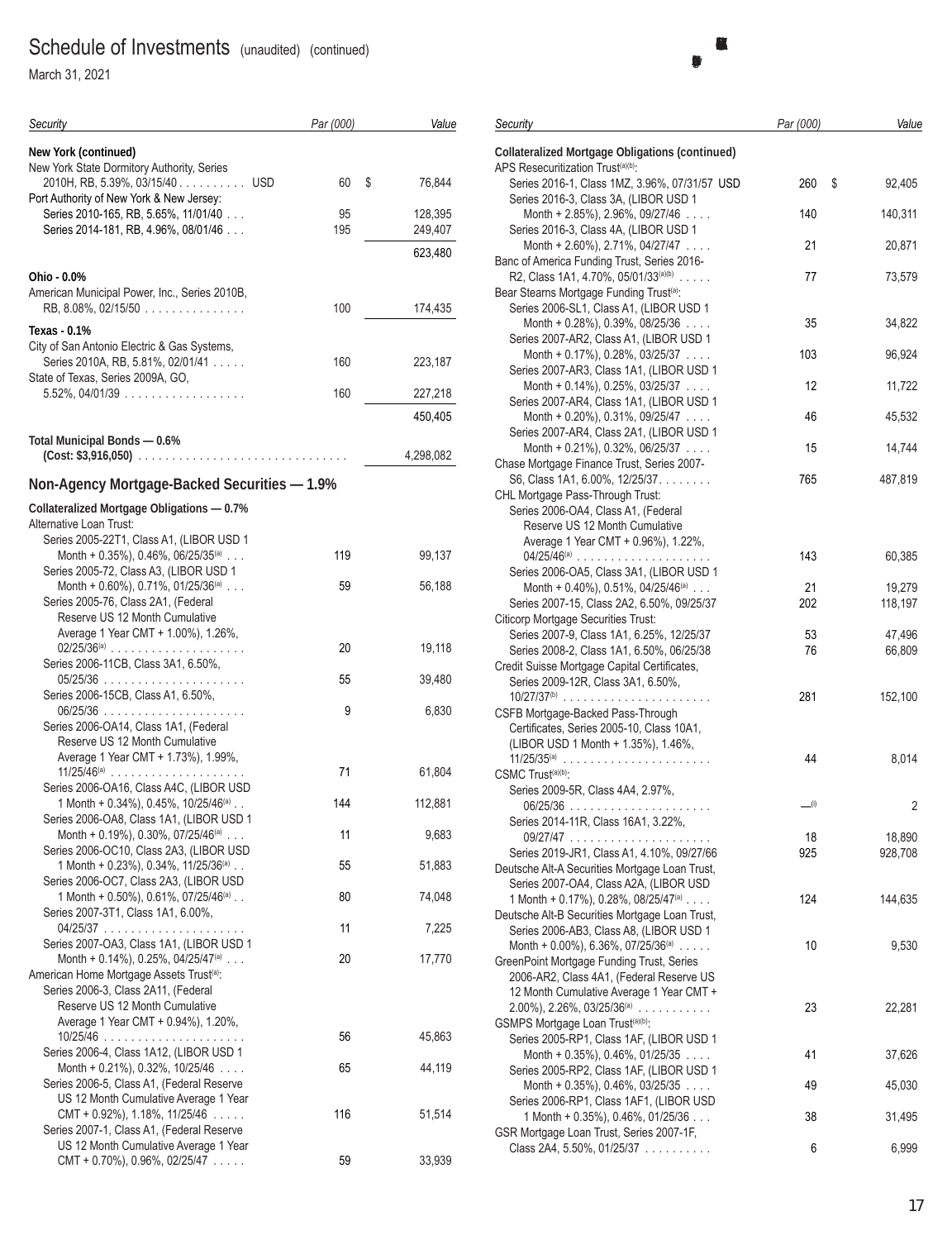March 31, 2021

| Security                                                                                                | Par (000) | Value              |
|---------------------------------------------------------------------------------------------------------|-----------|--------------------|
| <b>New York (continued)</b>                                                                             |           |                    |
| New York State Dormitory Authority, Series                                                              |           |                    |
| 2010H, RB, 5.39%, 03/15/40 USD                                                                          | 60<br>\$  | 76,844             |
| Port Authority of New York & New Jersey:<br>Series 2010-165, RB, 5.65%, 11/01/40                        | 95        |                    |
| Series 2014-181, RB, 4.96%, 08/01/46                                                                    | 195       | 128,395<br>249,407 |
|                                                                                                         |           |                    |
|                                                                                                         |           | 623,480            |
| Ohio - 0.0%                                                                                             |           |                    |
| American Municipal Power, Inc., Series 2010B,<br>$RB$ , 8.08%, 02/15/50 $\dots \dots \dots \dots \dots$ | 100       | 174,435            |
|                                                                                                         |           |                    |
| Texas - 0.1%                                                                                            |           |                    |
| City of San Antonio Electric & Gas Systems,<br>Series 2010A, RB, 5.81%, 02/01/41                        | 160       | 223,187            |
| State of Texas, Series 2009A, GO,                                                                       |           |                    |
| $5.52\%$ , 04/01/39                                                                                     | 160       | 227,218            |
|                                                                                                         |           | 450,405            |
| Total Municipal Bonds - 0.6%                                                                            |           |                    |
|                                                                                                         |           | 4,298,082          |
| Non-Agency Mortgage-Backed Securities - 1.9%                                                            |           |                    |
| <b>Collateralized Mortgage Obligations - 0.7%</b>                                                       |           |                    |
| Alternative Loan Trust:                                                                                 |           |                    |
| Series 2005-22T1, Class A1, (LIBOR USD 1<br>Month + 0.35%), 0.46%, 06/25/35(a)                          |           |                    |
| Series 2005-72, Class A3, (LIBOR USD 1                                                                  | 119       | 99,137             |
| Month + $0.60\%$ ), 0.71%, 01/25/36 <sup>(a)</sup>                                                      | 59        | 56,188             |
| Series 2005-76, Class 2A1, (Federal                                                                     |           |                    |
| Reserve US 12 Month Cumulative                                                                          |           |                    |
| Average 1 Year CMT + 1.00%), 1.26%,                                                                     |           |                    |
| $02/25/36^{(a)}$<br>Series 2006-11CB, Class 3A1, 6.50%,                                                 | 20        | 19,118             |
|                                                                                                         | 55        | 39,480             |
| Series 2006-15CB, Class A1, 6.50%,                                                                      |           |                    |
| Series 2006-OA14, Class 1A1, (Federal                                                                   | 9         | 6,830              |
| Reserve US 12 Month Cumulative                                                                          |           |                    |
| Average 1 Year CMT + 1.73%), 1.99%,                                                                     |           |                    |
|                                                                                                         | 71        | 61,804             |
| Series 2006-OA16, Class A4C, (LIBOR USD                                                                 |           |                    |
| 1 Month + 0.34%), 0.45%, 10/25/46(a)                                                                    | 144       | 112,881            |
| Series 2006-OA8, Class 1A1, (LIBOR USD 1<br>Month + 0.19%), 0.30%, 07/25/46 <sup>(a)</sup>              | 11        | 9,683              |
| Series 2006-OC10, Class 2A3, (LIBOR USD                                                                 |           |                    |
| 1 Month + 0.23%), 0.34%, 11/25/36 <sup>(a)</sup>                                                        | 55        | 51,883             |
| Series 2006-OC7, Class 2A3, (LIBOR USD                                                                  |           |                    |
| 1 Month + 0.50%), 0.61%, 07/25/46 <sup>(a)</sup><br>Series 2007-3T1, Class 1A1, 6.00%,                  | 80        | 74,048             |
|                                                                                                         | 11        | 7,225              |
| Series 2007-OA3, Class 1A1, (LIBOR USD 1                                                                |           |                    |
| Month + 0.14%), 0.25%, 04/25/47(a)                                                                      | 20        | 17,770             |
| American Home Mortgage Assets Trust <sup>(a)</sup> :<br>Series 2006-3, Class 2A11, (Federal             |           |                    |
| Reserve US 12 Month Cumulative                                                                          |           |                    |
| Average 1 Year CMT + 0.94%), 1.20%,                                                                     |           |                    |
|                                                                                                         | 56        | 45,863             |
| Series 2006-4, Class 1A12, (LIBOR USD 1                                                                 |           |                    |
| Month + $0.21\%$ ), $0.32\%$ , $10/25/46$                                                               | 65        | 44,119             |
| Series 2006-5, Class A1, (Federal Reserve                                                               |           |                    |
| US 12 Month Cumulative Average 1 Year<br>$CMT + 0.92\%$ , 1.18%, 11/25/46                               | 116       | 51,514             |
| Series 2007-1, Class A1, (Federal Reserve                                                               |           |                    |
| US 12 Month Cumulative Average 1 Year                                                                   |           |                    |
| CMT + 0.70%), 0.96%, 02/25/47 $\ldots$                                                                  | 59        | 33,939             |

| Security                                                                                                 | Par (000) | Value        |
|----------------------------------------------------------------------------------------------------------|-----------|--------------|
| <b>Collateralized Mortgage Obligations (continued)</b><br>APS Resecuritization Trust <sup>(a)(b)</sup> : |           |              |
| Series 2016-1, Class 1MZ, 3.96%, 07/31/57 USD<br>Series 2016-3, Class 3A, (LIBOR USD 1                   | 260       | \$<br>92,405 |
| Month + 2.85%), 2.96%, 09/27/46<br>Series 2016-3, Class 4A, (LIBOR USD 1                                 | 140       | 140,311      |
| Month + 2.60%), 2.71%, 04/27/47                                                                          | 21        | 20,871       |
| Banc of America Funding Trust, Series 2016-<br>R2, Class 1A1, 4.70%, 05/01/33(a)(b)                      | 77        | 73,579       |
| Bear Stearns Mortgage Funding Trust <sup>(a)</sup> :<br>Series 2006-SL1, Class A1, (LIBOR USD 1          |           |              |
| Month + $0.28\%$ ), $0.39\%$ , $0.8/25/36$<br>Series 2007-AR2, Class A1, (LIBOR USD 1                    | 35        | 34,822       |
| Month + 0.17%), 0.28%, 03/25/37<br>Series 2007-AR3, Class 1A1, (LIBOR USD 1                              | 103       | 96,924       |
| Month + $0.14\%$ ), 0.25%, 03/25/37                                                                      | 12        | 11,722       |
| Series 2007-AR4, Class 1A1, (LIBOR USD 1<br>Month + $0.20\%$ ), $0.31\%$ , $09/25/47$                    | 46        | 45,532       |
| Series 2007-AR4, Class 2A1, (LIBOR USD 1<br>Month + $0.21\%$ ), $0.32\%$ , $06/25/37$                    | 15        | 14,744       |
| Chase Mortgage Finance Trust, Series 2007-<br>S6, Class 1A1, 6.00%, 12/25/37.                            | 765       | 487,819      |
| CHL Mortgage Pass-Through Trust:<br>Series 2006-OA4, Class A1, (Federal                                  |           |              |
| Reserve US 12 Month Cumulative                                                                           |           |              |
| Average 1 Year CMT + 0.96%), 1.22%,<br>$04/25/46^{(a)}$                                                  | 143       | 60,385       |
| Series 2006-OA5, Class 3A1, (LIBOR USD 1<br>Month + 0.40%), 0.51%, 04/25/46 <sup>(a)</sup>               | 21        | 19,279       |
| Series 2007-15, Class 2A2, 6.50%, 09/25/37<br><b>Citicorp Mortgage Securities Trust:</b>                 | 202       | 118,197      |
| Series 2007-9, Class 1A1, 6.25%, 12/25/37<br>Series 2008-2, Class 1A1, 6.50%, 06/25/38                   | 53<br>76  | 47,496       |
| Credit Suisse Mortgage Capital Certificates,                                                             |           | 66,809       |
| Series 2009-12R, Class 3A1, 6.50%,<br>$10/27/37^{(b)}$<br>$\sim$                                         | 281       | 152,100      |
| CSFB Mortgage-Backed Pass-Through<br>Certificates, Series 2005-10, Class 10A1,                           |           |              |
| (LIBOR USD 1 Month + 1.35%), 1.46%,                                                                      | 44        | 8,014        |
| CSMC Trust <sup>(a)(b)</sup> :<br>Series 2009-5R, Class 4A4, 2.97%,                                      |           |              |
|                                                                                                          | __(i)     | 2            |
| Series 2014-11R, Class 16A1, 3.22%,                                                                      | 18        | 18,890       |
| Series 2019-JR1, Class A1, 4.10%, 09/27/66<br>Deutsche Alt-A Securities Mortgage Loan Trust,             | 925       | 928,708      |
| Series 2007-OA4, Class A2A, (LIBOR USD<br>1 Month + 0.17%), 0.28%, 08/25/47 <sup>(a)</sup>               | 124       | 144,635      |
| Deutsche Alt-B Securities Mortgage Loan Trust,                                                           |           |              |
| Series 2006-AB3, Class A8, (LIBOR USD 1<br>Month + 0.00%), 6.36%, 07/25/36(a) $\ldots$ .                 | 10        | 9,530        |
| GreenPoint Mortgage Funding Trust, Series<br>2006-AR2, Class 4A1, (Federal Reserve US                    |           |              |
| 12 Month Cumulative Average 1 Year CMT +<br>$2.00\%$ ), $2.26\%$ , $03/25/36$ <sup>(a)</sup>             | 23        | 22,281       |
| GSMPS Mortgage Loan Trust <sup>(a)(b)</sup> :<br>Series 2005-RP1, Class 1AF, (LIBOR USD 1                |           |              |
| Month + $0.35\%$ ), 0.46%, 01/25/35 $\ldots$<br>Series 2005-RP2, Class 1AF, (LIBOR USD 1                 | 41        | 37,626       |
| Month + $0.35\%$ ), 0.46%, 03/25/35 $\ldots$                                                             | 49        | 45,030       |
| Series 2006-RP1, Class 1AF1, (LIBOR USD<br>1 Month + 0.35%), 0.46%, 01/25/36                             | 38        | 31,495       |
| GSR Mortgage Loan Trust, Series 2007-1F,<br>Class 2A4, 5.50%, 01/25/37                                   | 6         | 6,999        |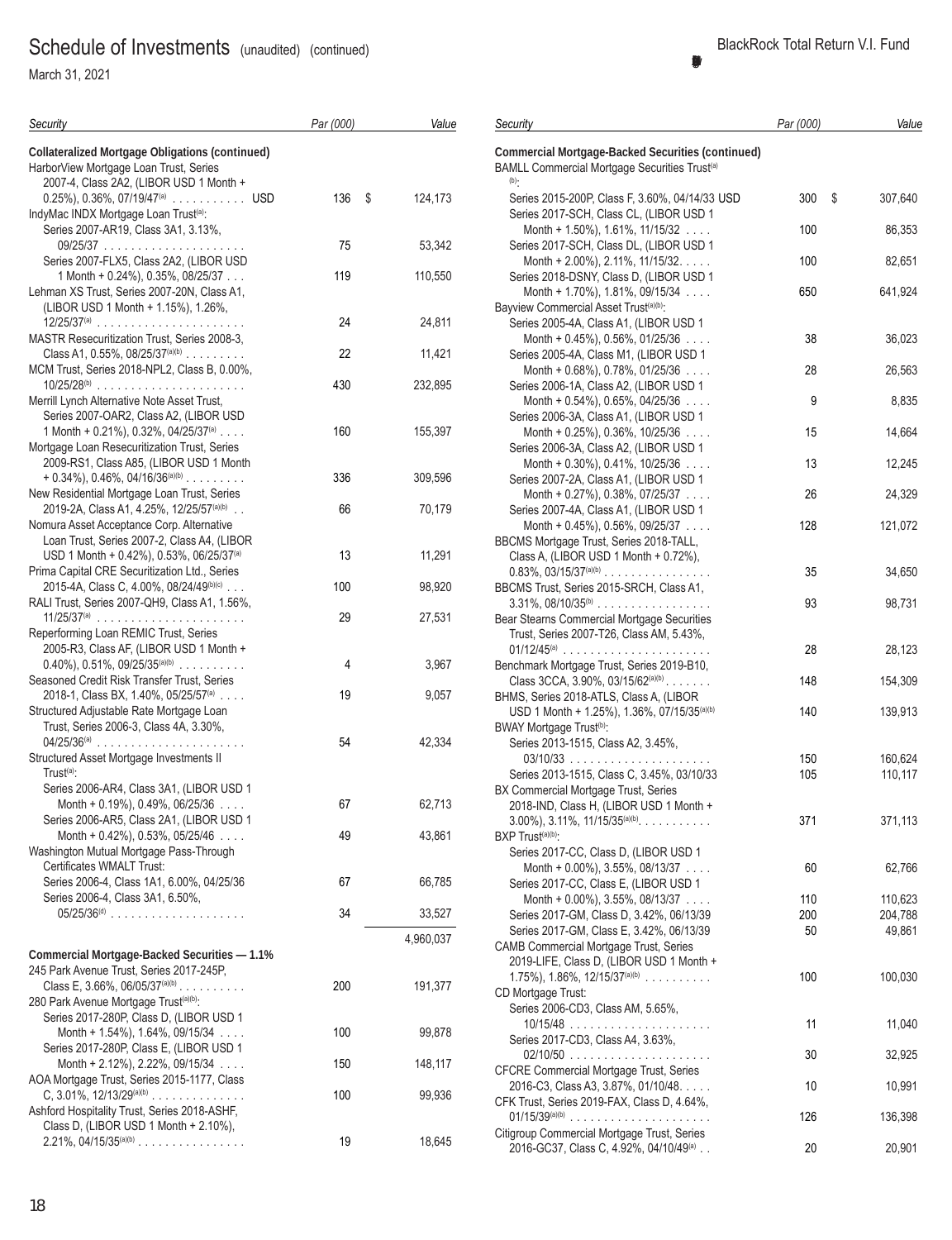March 31, 2021

| Security                                                                                                                                     | Par (000) | Value     | Sec               |
|----------------------------------------------------------------------------------------------------------------------------------------------|-----------|-----------|-------------------|
| <b>Collateralized Mortgage Obligations (continued)</b><br>HarborView Mortgage Loan Trust, Series<br>2007-4, Class 2A2, (LIBOR USD 1 Month +  |           |           | Con<br>BAN<br>(b) |
| $0.25\%$ , 0.36%, 07/19/47 <sup>(a)</sup> USD<br>IndyMac INDX Mortgage Loan Trust <sup>(a)</sup> :                                           | 136<br>\$ | 124,173   | S<br>S            |
| Series 2007-AR19, Class 3A1, 3.13%,<br>Series 2007-FLX5, Class 2A2, (LIBOR USD                                                               | 75        | 53,342    | S                 |
| 1 Month + 0.24%), 0.35%, 08/25/37<br>Lehman XS Trust, Series 2007-20N, Class A1,                                                             | 119       | 110,550   | S                 |
| (LIBOR USD 1 Month + 1.15%), 1.26%,<br>$12/25/37^{(a)}$                                                                                      | 24        | 24,811    | Bay<br>S          |
| MASTR Resecuritization Trust, Series 2008-3,<br>Class A1, $0.55\%$ , $08/25/37^{(a)(b)}$<br>MCM Trust, Series 2018-NPL2, Class B, 0.00%,     | 22        | 11,421    | S                 |
| $10/25/28^{(b)}$<br>Merrill Lynch Alternative Note Asset Trust,                                                                              | 430       | 232,895   | S                 |
| Series 2007-OAR2, Class A2, (LIBOR USD<br>1 Month + 0.21%), 0.32%, 04/25/37 <sup>(a)</sup><br>Mortgage Loan Resecuritization Trust, Series   | 160       | 155,397   | S<br>S            |
| 2009-RS1, Class A85, (LIBOR USD 1 Month<br>$+ 0.34\%$ , 0.46%, 04/16/36 <sup>(a)(b)</sup>                                                    | 336       | 309,596   | S                 |
| New Residential Mortgage Loan Trust, Series<br>2019-2A, Class A1, 4.25%, 12/25/57(a)(b).<br>Nomura Asset Acceptance Corp. Alternative        | 66        | 70,179    | S                 |
| Loan Trust, Series 2007-2, Class A4, (LIBOR<br>USD 1 Month + 0.42%), 0.53%, 06/25/37 <sup>(a)</sup>                                          | 13        | 11,291    | BBC<br>C          |
| Prima Capital CRE Securitization Ltd., Series<br>2015-4A, Class C, 4.00%, 08/24/49(b)(c)<br>RALI Trust, Series 2007-QH9, Class A1, 1.56%,    | 100       | 98,920    | 0<br>BBC<br>3     |
| $11/25/37^{(a)}$<br>Reperforming Loan REMIC Trust, Series                                                                                    | 29        | 27,531    | Bea<br>Τ          |
| 2005-R3, Class AF, (LIBOR USD 1 Month +<br>$0.40\%$ , $0.51\%$ , $09/25/35^{(a)(b)}$                                                         | 4         | 3,967     | 0<br>Ben          |
| Seasoned Credit Risk Transfer Trust, Series<br>2018-1, Class BX, 1.40%, 05/25/57 <sup>(a)</sup>                                              | 19        | 9,057     | C<br>BHN          |
| Structured Adjustable Rate Mortgage Loan<br>Trust, Series 2006-3, Class 4A, 3.30%,<br>$04/25/36^{(a)}$                                       | 54        | 42,334    | BW/<br>S          |
| Structured Asset Mortgage Investments II<br>$Trust(a)$ :<br>Series 2006-AR4, Class 3A1, (LIBOR USD 1                                         |           |           | S<br>BX (         |
| Month + $0.19\%$ ), 0.49%, 06/25/36 $\ldots$<br>Series 2006-AR5, Class 2A1, (LIBOR USD 1                                                     | 67        | 62,713    | 2<br>3            |
| Month + $0.42\%$ ), $0.53\%$ , $05/25/46$<br>Washington Mutual Mortgage Pass-Through<br>Certificates WMALT Trust:                            | 49        | 43,861    | <b>BXF</b><br>S   |
| Series 2006-4, Class 1A1, 6.00%, 04/25/36<br>Series 2006-4, Class 3A1, 6.50%,                                                                | 67        | 66,785    | S                 |
|                                                                                                                                              | 34        | 33,527    | S                 |
| <b>Commercial Mortgage-Backed Securities - 1.1%</b>                                                                                          |           | 4,960,037 | S<br>CAN<br>2     |
| 245 Park Avenue Trust, Series 2017-245P,<br>Class E, 3.66%, 06/05/37 <sup>(a)(b)</sup><br>280 Park Avenue Mortgage Trust <sup>(a)(b)</sup> : | 200       | 191,377   | 1<br>CD I<br>Ś,   |

| Security                                                                                                              | Par (000) | Value             |
|-----------------------------------------------------------------------------------------------------------------------|-----------|-------------------|
| <b>Commercial Mortgage-Backed Securities (continued)</b><br>BAMLL Commercial Mortgage Securities Trust <sup>(a)</sup> |           |                   |
| $(b)$ .<br>Series 2015-200P, Class F, 3.60%, 04/14/33 USD                                                             | 300       | \$<br>307,640     |
| Series 2017-SCH, Class CL, (LIBOR USD 1<br>Month + 1.50%), 1.61%, 11/15/32                                            | 100       | 86,353            |
| Series 2017-SCH, Class DL, (LIBOR USD 1<br>Month + 2.00%), 2.11%, 11/15/32.                                           | 100       | 82,651            |
| Series 2018-DSNY, Class D, (LIBOR USD 1<br>Month + 1.70%), 1.81%, 09/15/34 $\ldots$                                   | 650       | 641,924           |
| Bayview Commercial Asset Trust <sup>(a)(b)</sup> :<br>Series 2005-4A, Class A1, (LIBOR USD 1                          |           |                   |
| Month + 0.45%), 0.56%, 01/25/36<br>Series 2005-4A, Class M1, (LIBOR USD 1                                             | 38        | 36,023            |
| Month + $0.68\%$ ), 0.78%, 01/25/36 $\ldots$<br>Series 2006-1A, Class A2, (LIBOR USD 1                                | 28        | 26,563            |
| Month + $0.54\%$ ), $0.65\%$ , $04/25/36$<br>Series 2006-3A, Class A1, (LIBOR USD 1                                   | 9         | 8,835             |
| Month + $0.25\%$ ), 0.36%, 10/25/36 $\ldots$                                                                          | 15        | 14,664            |
| Series 2006-3A, Class A2, (LIBOR USD 1<br>Month + $0.30\%$ ), $0.41\%$ , $10/25/36$                                   | 13        | 12,245            |
| Series 2007-2A, Class A1, (LIBOR USD 1<br>Month + $0.27\%$ ), 0.38%, 07/25/37                                         | 26        | 24,329            |
| Series 2007-4A, Class A1, (LIBOR USD 1<br>Month + $0.45\%$ ), $0.56\%$ , $09/25/37$                                   | 128       | 121,072           |
| BBCMS Mortgage Trust, Series 2018-TALL,<br>Class A, (LIBOR USD 1 Month + 0.72%),                                      |           |                   |
| $0.83\%$ , $03/15/37^{(a)(b)}$<br>BBCMS Trust, Series 2015-SRCH, Class A1,                                            | 35        | 34,650            |
| $3.31\%$ , $08/10/35^{(b)}$<br>Bear Stearns Commercial Mortgage Securities                                            | 93        | 98,731            |
| Trust, Series 2007-T26, Class AM, 5.43%,<br>$01/12/45$ <sup>(a)</sup>                                                 | 28        | 28,123            |
| Benchmark Mortgage Trust, Series 2019-B10,<br>Class 3CCA, 3.90%, 03/15/62 $(ab)$                                      | 148       | 154,309           |
| BHMS, Series 2018-ATLS, Class A, (LIBOR<br>USD 1 Month + 1.25%), 1.36%, 07/15/35(a)(b)                                | 140       | 139,913           |
| BWAY Mortgage Trust <sup>(b)</sup> :<br>Series 2013-1515, Class A2, 3.45%,                                            |           |                   |
| $03/10/33$                                                                                                            | 150       | 160,624           |
| Series 2013-1515, Class C, 3.45%, 03/10/33<br>BX Commercial Mortgage Trust, Series                                    | 105       | 110,117           |
| 2018-IND, Class H, (LIBOR USD 1 Month +<br>$3.00\%$ , $3.11\%$ , $11/15/35^{(a)(b)}$ .                                | 371       | 371,113           |
| BXP Trust <sup>(a)(b)</sup> :<br>Series 2017-CC, Class D, (LIBOR USD 1                                                |           |                   |
| Month + $0.00\%$ ), $3.55\%$ , $08/13/37$<br>Series 2017-CC, Class E, (LIBOR USD 1                                    | 60        | 62,766            |
| Month + $0.00\%$ ), 3.55%, 08/13/37                                                                                   | 110       | 110,623           |
| Series 2017-GM, Class D, 3.42%, 06/13/39<br>Series 2017-GM, Class E, 3.42%, 06/13/39                                  | 200<br>50 | 204,788<br>49,861 |
| CAMB Commercial Mortgage Trust, Series<br>2019-LIFE, Class D, (LIBOR USD 1 Month +                                    |           |                   |
| 1.75%), 1.86%, $12/15/37^{(a)(b)}$                                                                                    | 100       | 100,030           |
| CD Mortgage Trust:<br>Series 2006-CD3, Class AM, 5.65%,                                                               |           |                   |
| Series 2017-CD3, Class A4, 3.63%,                                                                                     | 11        | 11,040            |
| CFCRE Commercial Mortgage Trust, Series                                                                               | 30        | 32,925            |
| 2016-C3, Class A3, 3.87%, 01/10/48.<br>CFK Trust, Series 2019-FAX, Class D, 4.64%,                                    | 10        | 10,991            |
| $01/15/39^{(a)(b)}$<br>Citigroup Commercial Mortgage Trust, Series                                                    | 126       | 136,398           |
| 2016-GC37, Class C, 4.92%, 04/10/49 <sup>(a)</sup>                                                                    | 20        | 20,901            |

Series 2017-280P, Class D, (LIBOR USD 1

Series 2017-280P, Class E, (LIBOR USD 1

AOA Mortgage Trust, Series 2015-1177, Class

Ashford Hospitality Trust, Series 2018-ASHF, Class D, (LIBOR USD 1 Month + 2.10%),

Month + 1.54%), 1.64%, 09/15/34 .... 100 99,878

Month + 2.12%), 2.22%, 09/15/34 .... 150 150

C, 3.01%, 12/13/29(a)(b) .............. 100 99,936

2.21%, 04/15/35(a)(b) ................ 19 18,645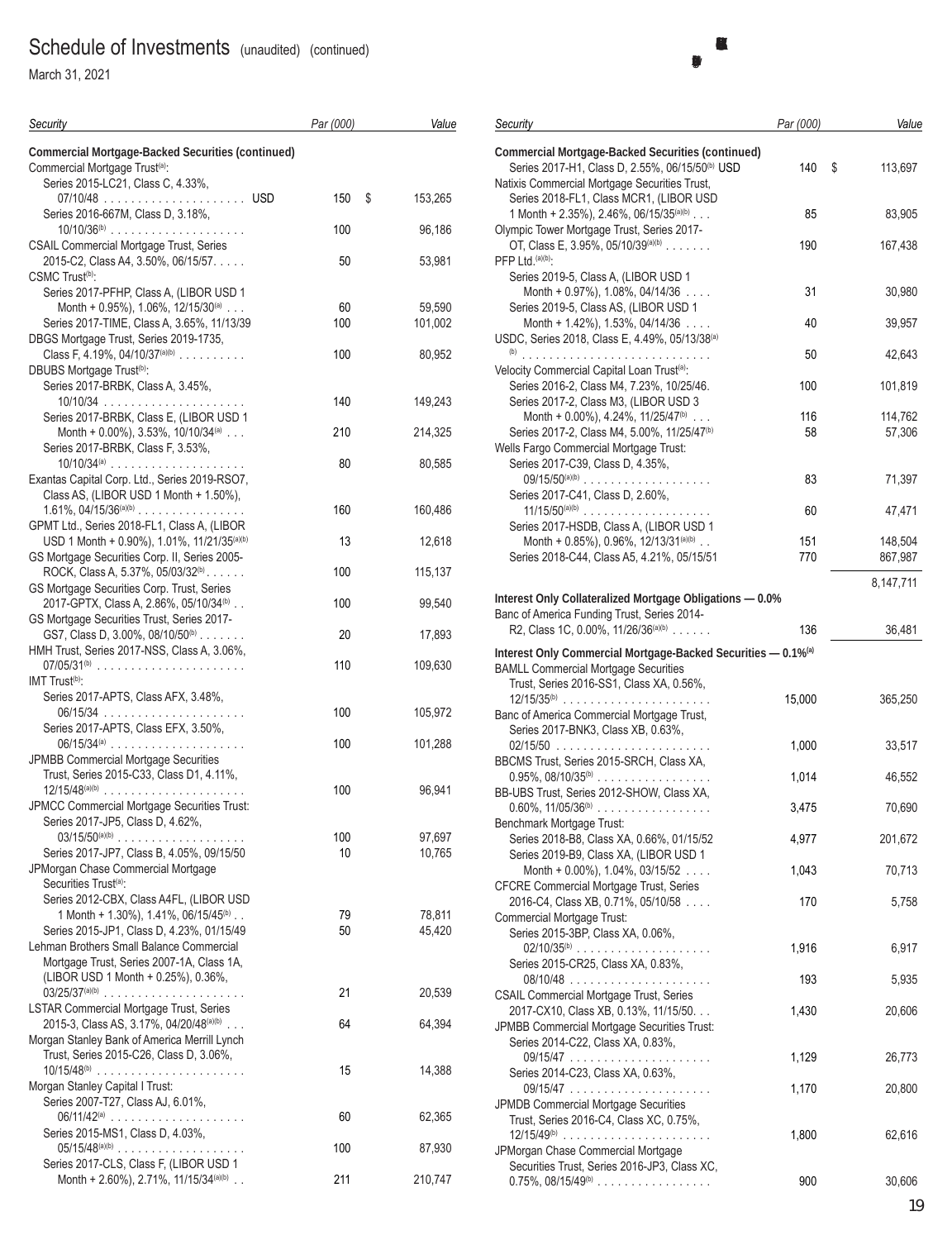March 31, 2021

| Security                                                                                               | Par (000) | Value            |
|--------------------------------------------------------------------------------------------------------|-----------|------------------|
| <b>Commercial Mortgage-Backed Securities (continued)</b><br>Commercial Mortgage Trust <sup>(a)</sup> : |           |                  |
| Series 2015-LC21, Class C, 4.33%,                                                                      | \$<br>150 | 153,265          |
| Series 2016-667M, Class D, 3.18%,<br>$10/10/36^{(b)}$                                                  | 100       | 96,186           |
| <b>CSAIL Commercial Mortgage Trust, Series</b><br>2015-C2, Class A4, 3.50%, 06/15/57.                  | 50        | 53,981           |
| CSMC Trust <sup>(b)</sup> :<br>Series 2017-PFHP, Class A, (LIBOR USD 1                                 |           |                  |
| Month + 0.95%), 1.06%, 12/15/30(a)                                                                     | 60        | 59,590           |
| Series 2017-TIME, Class A, 3.65%, 11/13/39<br>DBGS Mortgage Trust, Series 2019-1735,                   | 100       | 101,002          |
| Class F, 4.19%, $04/10/37^{(a)(b)}$<br>DBUBS Mortgage Trust <sup>(b)</sup> :                           | 100       | 80,952           |
| Series 2017-BRBK, Class A, 3.45%,                                                                      |           |                  |
| Series 2017-BRBK, Class E, (LIBOR USD 1                                                                | 140       | 149,243          |
| Month + $0.00\%$ ), 3.53%, 10/10/34(a)<br>Series 2017-BRBK, Class F, 3.53%,                            | 210       | 214,325          |
| $10/10/34^{(a)}$<br>Exantas Capital Corp. Ltd., Series 2019-RSO7,                                      | 80        | 80,585           |
| Class AS, (LIBOR USD 1 Month + 1.50%),                                                                 |           |                  |
| $1.61\%$ , $04/15/36^{(a)(b)}$<br>GPMT Ltd., Series 2018-FL1, Class A, (LIBOR                          | 160       | 160,486          |
| USD 1 Month + 0.90%), 1.01%, 11/21/35(a)(b)<br>GS Mortgage Securities Corp. II, Series 2005-           | 13        | 12,618           |
| ROCK, Class A, 5.37%, 05/03/32(b).                                                                     | 100       | 115,137          |
| GS Mortgage Securities Corp. Trust, Series<br>2017-GPTX, Class A, 2.86%, 05/10/34 <sup>(b)</sup>       | 100       | 99,540           |
| GS Mortgage Securities Trust, Series 2017-<br>GS7, Class D, 3.00%, 08/10/50 <sup>(b)</sup>             | 20        | 17,893           |
| HMH Trust, Series 2017-NSS, Class A, 3.06%,<br>07/05/31 <sup>(b)</sup>                                 | 110       | 109,630          |
| IMT Trust <sup>(b)</sup> :                                                                             |           |                  |
| Series 2017-APTS, Class AFX, 3.48%,<br>06/15/34<br>$\mathbb{Z}^2$ . $\mathbb{Z}^2$                     | 100       | 105,972          |
| Series 2017-APTS, Class EFX, 3.50%,                                                                    | 100       | 101,288          |
| JPMBB Commercial Mortgage Securities<br>Trust, Series 2015-C33, Class D1, 4.11%,                       |           |                  |
| $12/15/48^{(a)(b)}$                                                                                    | 100       | 96,941           |
| JPMCC Commercial Mortgage Securities Trust:<br>Series 2017-JP5, Class D, 4.62%,                        |           |                  |
| $03/15/50^{(a)(b)}$<br>Series 2017-JP7, Class B, 4.05%, 09/15/50                                       | 100<br>10 | 97,697<br>10,765 |
| JPMorgan Chase Commercial Mortgage<br>Securities Trust <sup>(a)</sup> :                                |           |                  |
| Series 2012-CBX, Class A4FL, (LIBOR USD                                                                |           |                  |
| 1 Month + 1.30%), 1.41%, 06/15/45 <sup>(b)</sup><br>Series 2015-JP1, Class D, 4.23%, 01/15/49          | 79<br>50  | 78,811<br>45,420 |
| Lehman Brothers Small Balance Commercial<br>Mortgage Trust, Series 2007-1A, Class 1A,                  |           |                  |
| (LIBOR USD 1 Month + 0.25%), 0.36%,                                                                    |           |                  |
| <b>LSTAR Commercial Mortgage Trust, Series</b>                                                         | 21        | 20,539           |
| 2015-3, Class AS, 3.17%, 04/20/48(a)(b)<br>Morgan Stanley Bank of America Merrill Lynch                | 64        | 64,394           |
| Trust, Series 2015-C26, Class D, 3.06%,<br>$10/15/48^{(b)}$                                            | 15        | 14,388           |
| Morgan Stanley Capital I Trust:                                                                        |           |                  |
| Series 2007-T27, Class AJ, 6.01%,<br>$06/11/42^{(a)}$                                                  | 60        | 62,365           |
| Series 2015-MS1, Class D, 4.03%,<br>$05/15/48^{(a)(b)}$                                                | 100       | 87,930           |
| Series 2017-CLS, Class F, (LIBOR USD 1<br>Month + 2.60%), 2.71%, 11/15/34(a)(b)                        | 211       | 210,747          |

#### **BlackRock Total Return V.I. Fund (Percentages shown are based on Net Assets)**

| Security                                                                                                                                                                 | Par (000)  | Value              |
|--------------------------------------------------------------------------------------------------------------------------------------------------------------------------|------------|--------------------|
| <b>Commercial Mortgage-Backed Securities (continued)</b><br>Series 2017-H1, Class D, 2.55%, 06/15/50 <sup>(b)</sup> USD<br>Natixis Commercial Mortgage Securities Trust, | 140        | \$<br>113,697      |
| Series 2018-FL1, Class MCR1, (LIBOR USD<br>1 Month + 2.35%), 2.46%, 06/15/35(a)(b)                                                                                       | 85         | 83,905             |
| Olympic Tower Mortgage Trust, Series 2017-<br>OT, Class E, 3.95%, 05/10/39(a)(b)<br>PFP Ltd. (a)(b):                                                                     | 190        | 167,438            |
| Series 2019-5, Class A, (LIBOR USD 1<br>Month + $0.97\%$ ), 1.08%, 04/14/36 $\ldots$                                                                                     | 31         | 30,980             |
| Series 2019-5, Class AS, (LIBOR USD 1<br>Month + $1.42\%$ ), $1.53\%$ , 04/14/36 $\ldots$                                                                                | 40         | 39,957             |
| USDC, Series 2018, Class E, 4.49%, 05/13/38(a)                                                                                                                           | 50         | 42,643             |
| Velocity Commercial Capital Loan Trust <sup>(a)</sup> :<br>Series 2016-2, Class M4, 7.23%, 10/25/46.                                                                     | 100        | 101,819            |
| Series 2017-2, Class M3, (LIBOR USD 3<br>Month + 0.00%), 4.24%, 11/25/47 <sup>(b)</sup>                                                                                  | 116        | 114,762            |
| Series 2017-2, Class M4, 5.00%, 11/25/47 <sup>(b)</sup><br>Wells Fargo Commercial Mortgage Trust:<br>Series 2017-C39, Class D, 4.35%,                                    | 58         | 57,306             |
| $09/15/50^{(a)(b)}$<br>Series 2017-C41, Class D, 2.60%,                                                                                                                  | 83         | 71,397             |
| $11/15/50^{(a)(b)}$<br>Series 2017-HSDB, Class A, (LIBOR USD 1                                                                                                           | 60         | 47,471             |
| Month + 0.85%), 0.96%, 12/13/31(a)(b)<br>Series 2018-C44, Class A5, 4.21%, 05/15/51                                                                                      | 151<br>770 | 148,504<br>867,987 |
|                                                                                                                                                                          |            | 8,147,711          |
| Interest Only Collateralized Mortgage Obligations - 0.0%<br>Banc of America Funding Trust, Series 2014-                                                                  |            |                    |
| R2, Class 1C, 0.00%, 11/26/36 <sup>(a)(b)</sup>                                                                                                                          | 136        | 36,481             |
| Interest Only Commercial Mortgage-Backed Securities - 0.1% <sup>(a)</sup><br><b>BAMLL Commercial Mortgage Securities</b>                                                 |            |                    |
| Trust, Series 2016-SS1, Class XA, 0.56%,<br>$12/15/35^{(b)}$                                                                                                             | 15,000     | 365,250            |
| Banc of America Commercial Mortgage Trust,<br>Series 2017-BNK3, Class XB, 0.63%.                                                                                         | 1,000      | 33,517             |
| BBCMS Trust, Series 2015-SRCH, Class XA,                                                                                                                                 |            |                    |
| $0.95\%$ , $08/10/35^{(b)}$<br>BB-UBS Trust, Series 2012-SHOW, Class XA,                                                                                                 | 1,014      | 46,552             |
| $0.60\%$ , $11/05/36^{(b)}$<br>Benchmark Mortgage Trust:                                                                                                                 | 3,475      | 70,690             |
| Series 2018-B8, Class XA, 0.66%, 01/15/52<br>Series 2019-B9, Class XA, (LIBOR USD 1                                                                                      | 4,977      | 201,672            |
| Month + $0.00\%$ ), 1.04%, 03/15/52<br><b>CFCRE Commercial Mortgage Trust, Series</b>                                                                                    | 1,043      | 70,713             |
| 2016-C4, Class XB, 0.71%, 05/10/58                                                                                                                                       | 170        | 5,758              |
| Commercial Mortgage Trust:<br>Series 2015-3BP, Class XA, 0.06%,                                                                                                          |            |                    |
| Series 2015-CR25, Class XA, 0.83%,                                                                                                                                       | 1,916      | 6,917              |
| <b>CSAIL Commercial Mortgage Trust, Series</b>                                                                                                                           | 193        | 5,935              |
| 2017-CX10, Class XB, 0.13%, 11/15/50.<br>JPMBB Commercial Mortgage Securities Trust:<br>Series 2014-C22, Class XA, 0.83%,                                                | 1,430      | 20,606             |
|                                                                                                                                                                          | 1,129      | 26,773             |
| Series 2014-C23, Class XA, 0.63%,                                                                                                                                        | 1,170      | 20,800             |
| JPMDB Commercial Mortgage Securities<br>Trust, Series 2016-C4, Class XC, 0.75%,<br>$12/15/49^{(b)}$                                                                      | 1,800      | 62,616             |
| JPMorgan Chase Commercial Mortgage<br>Securities Trust, Series 2016-JP3, Class XC,                                                                                       |            |                    |

0.75%, 08/15/49(b) ................. 900 30,606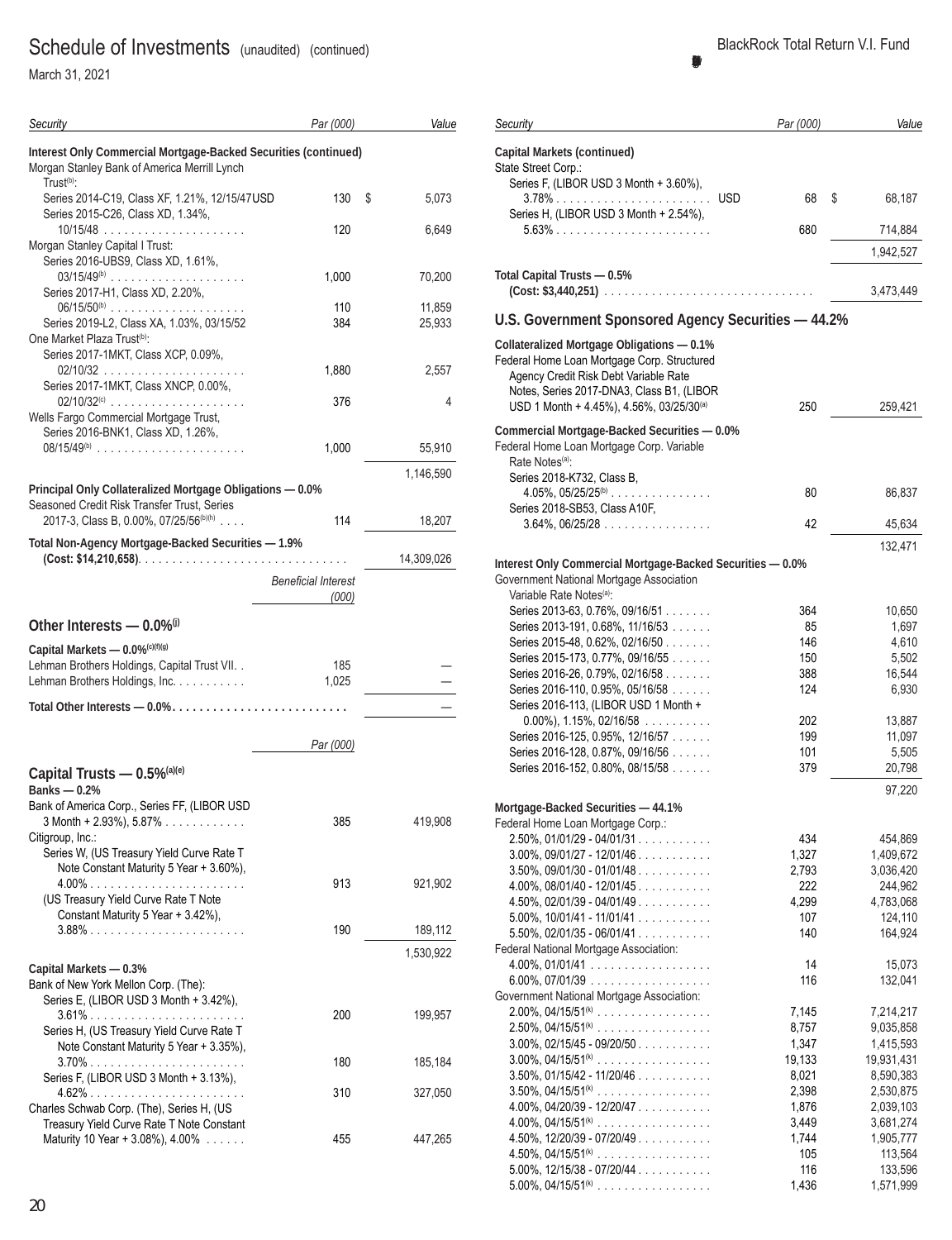March 31, 2021

| Security                                                                                                                                        | Par (000)                           | Value            |
|-------------------------------------------------------------------------------------------------------------------------------------------------|-------------------------------------|------------------|
| Interest Only Commercial Mortgage-Backed Securities (continued)<br>Morgan Stanley Bank of America Merrill Lynch<br>Trust <sup>(b)</sup> :       |                                     |                  |
| Series 2014-C19, Class XF, 1.21%, 12/15/47USD<br>Series 2015-C26, Class XD, 1.34%,                                                              | 130                                 | \$<br>5,073      |
| Morgan Stanley Capital I Trust:<br>Series 2016-UBS9, Class XD, 1.61%,                                                                           | 120                                 | 6,649            |
| Series 2017-H1, Class XD, 2.20%,                                                                                                                | 1,000                               | 70,200           |
| $06/15/50^{(b)}$<br>Series 2019-L2, Class XA, 1.03%, 03/15/52<br>One Market Plaza Trust <sup>(b)</sup> :<br>Series 2017-1MKT, Class XCP, 0.09%, | 110<br>384                          | 11,859<br>25,933 |
| Series 2017-1MKT, Class XNCP, 0.00%,                                                                                                            | 1,880                               | 2,557            |
| $02/10/32^{(c)}$<br>Wells Fargo Commercial Mortgage Trust,<br>Series 2016-BNK1, Class XD, 1.26%,                                                | 376                                 | 4                |
| $08/15/49^{(b)}$                                                                                                                                | 1,000                               | 55,910           |
| Principal Only Collateralized Mortgage Obligations - 0.0%                                                                                       |                                     | 1,146,590        |
| Seasoned Credit Risk Transfer Trust, Series<br>2017-3, Class B, 0.00%, 07/25/56 <sup>(b)(h)</sup>                                               | 114                                 | 18,207           |
| Total Non-Agency Mortgage-Backed Securities - 1.9%                                                                                              |                                     | 14,309,026       |
|                                                                                                                                                 | <b>Beneficial Interest</b><br>(000) |                  |
| Other Interests $-$ 0.0% $\degree$                                                                                                              |                                     |                  |
| Capital Markets - 0.0% <sup>(c)(f)(g)</sup><br>Lehman Brothers Holdings, Capital Trust VII. .<br>Lehman Brothers Holdings, Inc.                 | 185<br>1,025                        |                  |
|                                                                                                                                                 |                                     |                  |
|                                                                                                                                                 | Par (000)                           |                  |
| Capital Trusts - 0.5%(a)(e)<br>Banks $-0.2%$                                                                                                    |                                     |                  |
| Bank of America Corp., Series FF, (LIBOR USD<br>$3$ Month + 2.93%), 5.87%<br>Citigroup, Inc.:<br>Series W, (US Treasury Yield Curve Rate T      | 385                                 | 419,908          |
| Note Constant Maturity 5 Year + 3.60%),<br>(US Treasury Yield Curve Rate T Note                                                                 | 913                                 | 921,902          |
| Constant Maturity 5 Year + 3.42%),                                                                                                              | 190                                 | 189,112          |
| Capital Markets - 0.3%                                                                                                                          |                                     | 1,530,922        |
| Bank of New York Mellon Corp. (The):<br>Series E, (LIBOR USD 3 Month + 3.42%),<br>3.61%                                                         | 200                                 | 199,957          |
| Series H, (US Treasury Yield Curve Rate T<br>Note Constant Maturity 5 Year + 3.35%),                                                            | 180                                 | 185,184          |
| Series F, (LIBOR USD 3 Month + 3.13%),                                                                                                          | 310                                 | 327,050          |
| Charles Schwab Corp. (The), Series H, (US<br>Treasury Yield Curve Rate T Note Constant<br>Maturity 10 Year + 3.08%), 4.00%                      | 455                                 | 447,265          |

| Security                                                            | Par (000)    | Value                |
|---------------------------------------------------------------------|--------------|----------------------|
|                                                                     |              |                      |
| <b>Capital Markets (continued)</b>                                  |              |                      |
| State Street Corp.:<br>Series F, (LIBOR USD 3 Month + 3.60%),       |              |                      |
|                                                                     | 68           | \$<br>68,187         |
| Series H, (LIBOR USD 3 Month + 2.54%),                              |              |                      |
| 5.63%                                                               | 680          | 714,884              |
|                                                                     |              |                      |
|                                                                     |              | 1,942,527            |
| Total Capital Trusts - 0.5%                                         |              |                      |
| $(Cost: $3,440,251)$                                                |              | 3,473,449            |
|                                                                     |              |                      |
| U.S. Government Sponsored Agency Securities - 44.2%                 |              |                      |
| <b>Collateralized Mortgage Obligations - 0.1%</b>                   |              |                      |
| Federal Home Loan Mortgage Corp. Structured                         |              |                      |
| Agency Credit Risk Debt Variable Rate                               |              |                      |
| Notes, Series 2017-DNA3, Class B1, (LIBOR                           |              |                      |
| USD 1 Month + 4.45%), 4.56%, 03/25/30 <sup>(a)</sup>                | 250          | 259,421              |
| <b>Commercial Mortgage-Backed Securities - 0.0%</b>                 |              |                      |
| Federal Home Loan Mortgage Corp. Variable                           |              |                      |
| Rate Notes <sup>(a)</sup> :                                         |              |                      |
| Series 2018-K732, Class B,                                          |              |                      |
| $4.05\%$ , $05/25/25^{(b)}$                                         | 80           | 86,837               |
| Series 2018-SB53, Class A10F,                                       |              |                      |
| $3.64\%$ , 06/25/28                                                 | 42           | 45,634               |
|                                                                     |              |                      |
|                                                                     |              | 132,471              |
| Interest Only Commercial Mortgage-Backed Securities - 0.0%          |              |                      |
| Government National Mortgage Association                            |              |                      |
| Variable Rate Notes <sup>(a)</sup> :                                |              |                      |
| Series 2013-63, 0.76%, 09/16/51                                     | 364          | 10,650               |
| Series 2013-191, 0.68%, 11/16/53                                    | 85           | 1,697                |
| Series 2015-48, 0.62%, 02/16/50<br>Series 2015-173, 0.77%, 09/16/55 | 146          | 4,610<br>5,502       |
| Series 2016-26, 0.79%, 02/16/58                                     | 150<br>388   | 16,544               |
| Series 2016-110, 0.95%, 05/16/58                                    | 124          | 6,930                |
| Series 2016-113, (LIBOR USD 1 Month +                               |              |                      |
| $0.00\%$ , 1.15%, 02/16/58                                          | 202          | 13,887               |
| Series 2016-125, 0.95%, 12/16/57                                    | 199          | 11,097               |
| Series 2016-128, 0.87%, 09/16/56                                    | 101          | 5,505                |
| Series 2016-152, 0.80%, 08/15/58                                    | 379          | 20,798               |
|                                                                     |              |                      |
|                                                                     |              | 97,220               |
| Mortgage-Backed Securities - 44.1%                                  |              |                      |
| Federal Home Loan Mortgage Corp.:                                   |              |                      |
| $2.50\%$ , 01/01/29 - 04/01/31                                      | 434          | 454,869              |
| $3.00\%$ , 09/01/27 - 12/01/46                                      | 1,327        | 1,409,672            |
| $3.50\%$ , 09/01/30 - 01/01/48                                      | 2,793<br>222 | 3,036,420            |
| $4.00\%$ , $08/01/40 - 12/01/45$<br>$4.50\%$ , 02/01/39 - 04/01/49  | 4,299        | 244,962<br>4,783,068 |
| $5.00\%$ , $10/01/41 - 11/01/41$                                    | 107          | 124,110              |
| $5.50\%$ , 02/01/35 - 06/01/41                                      | 140          | 164.924              |
| Federal National Mortgage Association:                              |              |                      |
| 4.00%, 01/01/41                                                     | 14           | 15,073               |
| $6.00\%$ , 07/01/39                                                 | 116          | 132,041              |
| Government National Mortgage Association:                           |              |                      |
| $2.00\%$ , 04/15/51 <sup>(k)</sup>                                  | 7,145        | 7,214,217            |
| $2.50\%$ , 04/15/51 <sup>(k)</sup>                                  | 8,757        | 9,035,858            |
| $3.00\%$ , 02/15/45 - 09/20/50                                      | 1,347        | 1,415,593            |
| $3.00\%$ , 04/15/51 <sup>(k)</sup>                                  | 19,133       | 19,931,431           |
| $3.50\%$ , $01/15/42 - 11/20/46$                                    | 8,021        | 8,590,383            |
| $3.50\%$ , 04/15/51 <sup>(k)</sup>                                  | 2,398        | 2,530,875            |
| $4.00\%$ , $04/20/39 - 12/20/47$                                    | 1,876        | 2,039,103            |
| $4.00\%$ , $04/15/51^{(k)}$                                         | 3,449        | 3,681,274            |
| $4.50\%$ , $12/20/39 - 07/20/49$                                    | 1,744        | 1,905,777            |
| $4.50\%$ , $04/15/51^{(k)}$                                         | 105          | 113,564              |
| $5.00\%$ , $12/15/38 - 07/20/44$                                    | 116          | 133,596              |

5.00%, 04/15/51(k) ................. 1,436 1,571,999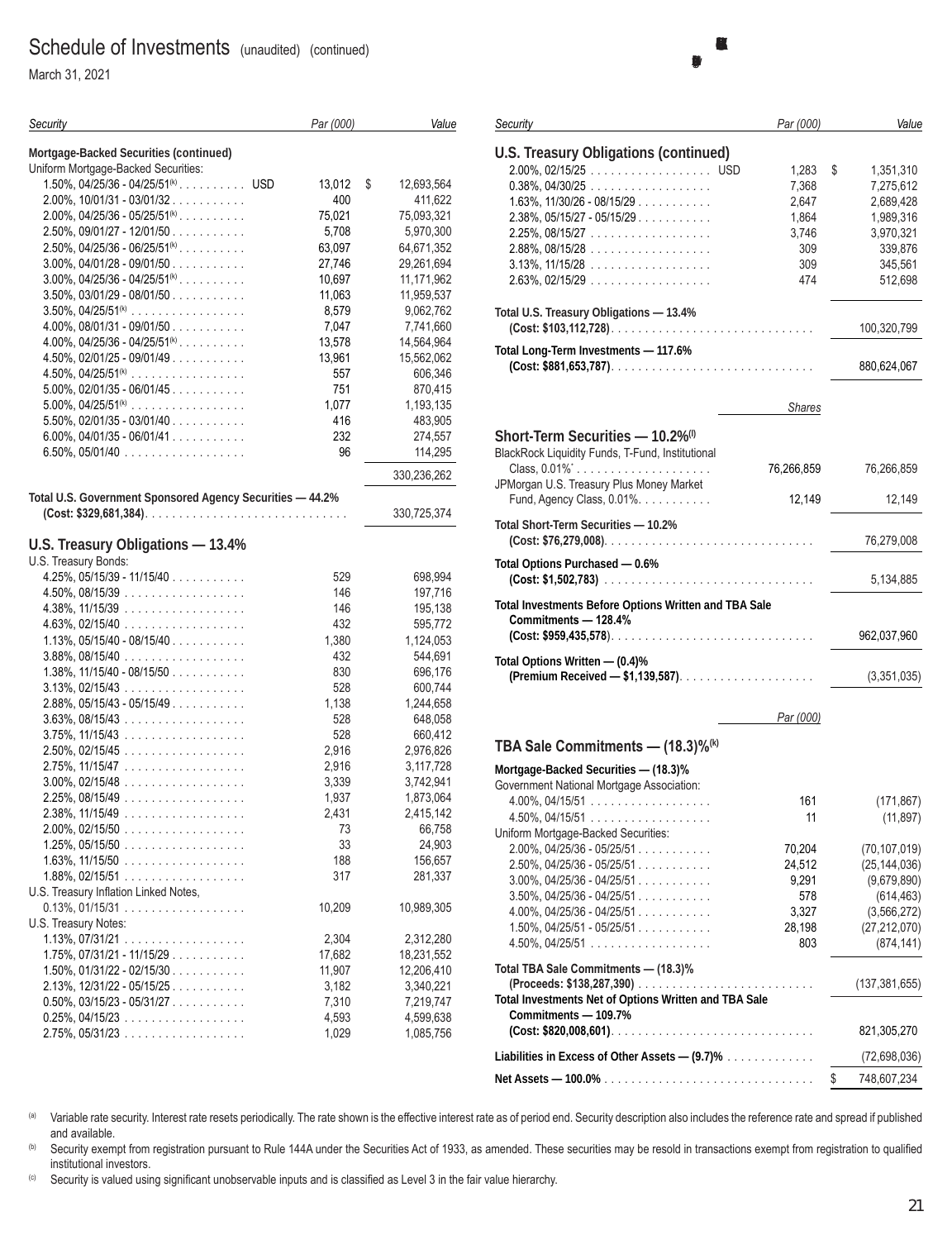March 31, 2021

| Security                                                  | Par (000) | Value            |
|-----------------------------------------------------------|-----------|------------------|
| Mortgage-Backed Securities (continued)                    |           |                  |
| Uniform Mortgage-Backed Securities:                       |           |                  |
| $1.50\%$ , 04/25/36 - 04/25/51 <sup>(k)</sup> USD         | 13,012    | 12,693,564<br>\$ |
| $2.00\%$ , 10/01/31 - 03/01/32                            | 400       | 411,622          |
| $2.00\%$ , 04/25/36 - 05/25/51 <sup>(k)</sup>             | 75,021    | 75,093,321       |
| $2.50\%$ , 09/01/27 - 12/01/50                            | 5,708     | 5,970,300        |
| $2.50\%$ , 04/25/36 - 06/25/51 <sup>(k)</sup> .           | 63,097    | 64,671,352       |
| $3.00\%$ , $04/01/28 - 09/01/50$                          | 27,746    | 29,261,694       |
| $3.00\%$ , 04/25/36 - 04/25/51 <sup>(k)</sup>             | 10,697    | 11,171,962       |
| $3.50\%$ , $03/01/29 - 08/01/50$                          | 11,063    | 11,959,537       |
| $3.50\%$ , $04/25/51^{(k)}$                               | 8,579     | 9,062,762        |
| $4.00\%$ , $08/01/31 - 09/01/50$                          | 7,047     | 7,741,660        |
| $4.00\%$ , $04/25/36 - 04/25/51^{(k)}$                    | 13,578    | 14,564,964       |
| $4.50\%$ , 02/01/25 - 09/01/49                            | 13,961    | 15,562,062       |
| $4.50\%$ , $04/25/51^{(k)}$                               | 557       | 606,346          |
| $5.00\%$ , 02/01/35 - 06/01/45                            | 751       | 870,415          |
| $5.00\%$ , $04/25/51^{(k)}$                               | 1,077     | 1,193,135        |
| $5.50\%$ , 02/01/35 - 03/01/40                            | 416       | 483,905          |
| $6.00\%$ , 04/01/35 - 06/01/41                            | 232       | 274,557          |
| $6.50\%$ , 05/01/40                                       | 96        | 114,295          |
|                                                           |           | 330,236,262      |
| Total U.S. Government Sponsored Agency Securities - 44.2% |           |                  |
|                                                           |           | 330,725,374      |
| U.S. Treasury Obligations - 13.4%                         |           |                  |
| U.S. Treasury Bonds:                                      |           |                  |
| $4.25\%$ , 05/15/39 - 11/15/40                            | 529       | 698,994          |
| $4.50\%$ , 08/15/39                                       | 146       | 197,716          |
| $4.38\%$ , 11/15/39                                       | 146       | 195,138          |
| $4.63\%, 02/15/40 \dots  \dots $                          | 432       | 595,772          |
| $1.13\%$ , 05/15/40 - 08/15/40                            | 1,380     | 1,124,053        |
| $3.88\%$ , 08/15/40                                       | 432       | 544,691          |
| $1.38\%$ , $11/15/40 - 08/15/50$                          | 830       | 696,176          |
| $3.13\%$ , 02/15/43                                       | 528       | 600,744          |
| $2.88\%$ , 05/15/43 - 05/15/49                            | 1,138     | 1,244,658        |
| $3.63\%, 08/15/43 \dots $                                 | 528       | 648,058          |
| $3.75\%$ , 11/15/43                                       | 528       | 660,412          |
| $2.50\%$ , 02/15/45                                       | 2,916     | 2,976,826        |
| $2.75\%$ , 11/15/47                                       | 2,916     | 3,117,728        |
| $3.00\%$ , 02/15/48                                       | 3,339     | 3,742,941        |
| $2.25\%$ , 08/15/49                                       | 1,937     | 1,873,064        |
| $2.38\%$ , 11/15/49                                       | 2,431     | 2,415,142        |
| $2.00\%$ , 02/15/50                                       | 73        | 66,758           |
| $1.25\%$ , 05/15/50                                       | 33        | 24,903           |
| $1.63\%$ , $11/15/50$                                     | 188       | 156,657          |
| $1.88\%$ , 02/15/51                                       | 317       | 281,337          |
| U.S. Treasury Inflation Linked Notes,                     | 10,209    |                  |
| $0.13\%$ , $01/15/31$<br>U.S. Treasury Notes:             |           | 10,989,305       |
| $1.13\%$ , 07/31/21                                       | 2,304     | 2,312,280        |
| $1.75\%$ , 07/31/21 - 11/15/29                            | 17,682    | 18,231,552       |
| $1.50\%$ , $01/31/22 - 02/15/30$                          | 11,907    | 12,206,410       |
| $2.13\%$ , $12/31/22 - 05/15/25$                          | 3,182     | 3,340,221        |
| $0.50\%$ , $03/15/23 - 05/31/27$                          | 7,310     | 7,219,747        |
| $0.25\%$ , 04/15/23                                       | 4,593     | 4,599,638        |
| $2.75\%$ , 05/31/23                                       | 1,029     | 1,085,756        |
|                                                           |           |                  |

| Security                                                     | Par (000)     | Value             |
|--------------------------------------------------------------|---------------|-------------------|
|                                                              |               |                   |
| <b>U.S. Treasury Obligations (continued)</b>                 |               |                   |
| 2.00%, 02/15/25 USD                                          | 1,283         | \$<br>1,351,310   |
| $0.38\%$ , $04/30/25$                                        | 7,368         | 7,275,612         |
| $1.63\%$ , $11/30/26 - 08/15/29$                             | 2,647         | 2,689,428         |
| $2.38\%$ , $05/15/27 - 05/15/29$                             | 1,864         | 1,989,316         |
| $2.25\%$ , 08/15/27                                          | 3,746         | 3,970,321         |
| 2.88%, 08/15/28                                              | 309           | 339,876           |
| $3.13\%$ , $11/15/28$                                        | 309           | 345,561           |
| $2.63\%$ , 02/15/29                                          | 474           | 512,698           |
|                                                              |               |                   |
| Total U.S. Treasury Obligations - 13.4%                      |               |                   |
|                                                              |               | 100,320,799       |
| Total Long-Term Investments - 117.6%                         |               |                   |
|                                                              |               | 880,624,067       |
|                                                              |               |                   |
|                                                              |               |                   |
|                                                              | <b>Shares</b> |                   |
|                                                              |               |                   |
| Short-Term Securities - 10.2% <sup>(1)</sup>                 |               |                   |
| BlackRock Liquidity Funds, T-Fund, Institutional             |               |                   |
| Class, $0.01\%$                                              | 76,266,859    | 76,266,859        |
| JPMorgan U.S. Treasury Plus Money Market                     |               |                   |
| Fund, Agency Class, 0.01%.                                   | 12,149        | 12,149            |
| Total Short-Term Securities - 10.2%                          |               |                   |
|                                                              |               | 76,279,008        |
|                                                              |               |                   |
| Total Options Purchased - 0.6%                               |               |                   |
|                                                              |               | 5,134,885         |
| <b>Total Investments Before Options Written and TBA Sale</b> |               |                   |
| Commitments - 128.4%                                         |               |                   |
|                                                              |               | 962,037,960       |
|                                                              |               |                   |
| Total Options Written - (0.4)%                               |               |                   |
|                                                              |               | (3,351,035)       |
|                                                              |               |                   |
|                                                              | Par (000)     |                   |
|                                                              |               |                   |
| TBA Sale Commitments - (18.3)% <sup>(k)</sup>                |               |                   |
| Mortgage-Backed Securities - (18.3)%                         |               |                   |
| Government National Mortgage Association:                    |               |                   |
| $4.00\%$ , 04/15/51                                          | 161           | (171, 867)        |
| $4.50\%$ , 04/15/51                                          | 11            | (11, 897)         |
| Uniform Mortgage-Backed Securities:                          |               |                   |
| $2.00\%$ , 04/25/36 - 05/25/51                               | 70,204        | (70, 107, 019)    |
| $2.50\%$ , 04/25/36 - 05/25/51                               | 24,512        | (25, 144, 036)    |
| $3.00\%$ , 04/25/36 - 04/25/51                               | 9,291         | (9,679,890)       |
| $3.50\%$ , 04/25/36 - 04/25/51                               | 578           | (614, 463)        |
| $4.00\%$ , $04/25/36 - 04/25/51$                             | 3,327         | (3, 566, 272)     |
| $1.50\%$ , $04/25/51 - 05/25/51$                             | 28,198        | (27, 212, 070)    |
|                                                              |               |                   |
| $4.50\%$ , 04/25/51                                          | 803           | (874, 141)        |
| Total TBA Sale Commitments - (18.3)%                         |               |                   |
|                                                              |               | (137, 381, 655)   |
| Total Investments Net of Options Written and TBA Sale        |               |                   |
| Commitments - 109.7%                                         |               |                   |
|                                                              |               | 821,305,270       |
|                                                              |               |                   |
| Liabilities in Excess of Other Assets $- (9.7)$ %            |               | (72, 698, 036)    |
|                                                              |               | \$<br>748,607,234 |

(a) Variable rate security. Interest rate resets periodically. The rate shown is the effective interest rate as of period end. Security description also includes the reference rate and spread if published and available.

(b) Security exempt from registration pursuant to Rule 144A under the Securities Act of 1933, as amended. These securities may be resold in transactions exempt from registration to qualified institutional investors.

(c) Security is valued using significant unobservable inputs and is classified as Level 3 in the fair value hierarchy.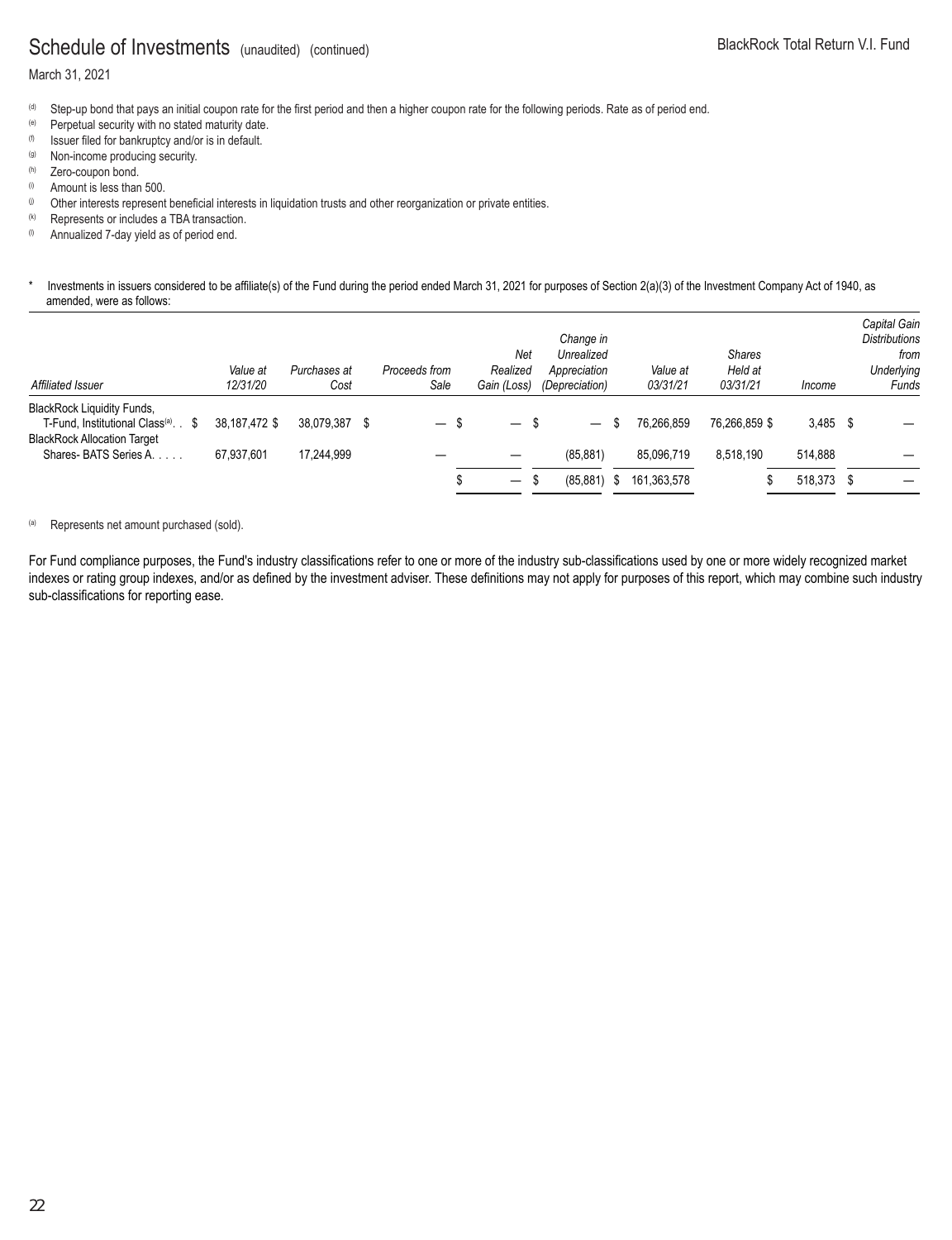#### March 31, 2021

- (d) Step-up bond that pays an initial coupon rate for the first period and then a higher coupon rate for the following periods. Rate as of period end.
- (e) Perpetual security with no stated maturity date.
- (f) Issuer filed for bankruptcy and/or is in default.
- (g) Non-income producing security.<br>
(h) Zero-coupon bond.
- 
- $\ddot{\text{o}}$  Amount is less than 500.
- (i) Other interests represent beneficial interests in liquidation trusts and other reorganization or private entities.
- (k) Represents or includes a TBA transaction.
- $\%$  Annualized 7-day yield as of period end.

#### \* Investments in issuers considered to be affiliate(s) of the Fund during the period ended March 31, 2021 for purposes of Section 2(a)(3) of the Investment Company Act of 1940, as amended, were as follows:

| Affiliated Issuer                                                                                                          | Value at<br>12/31/20 | Purchases at<br>Cost |   | Proceeds from<br>Sale | Net<br>Realized<br>Gain (Loss)   | Change in<br>Unrealized<br>Appreciation<br>(Depreciation) |    | Value at<br>03/31/21 | <b>Shares</b><br>Held at<br>03/31/21 | Income     | Capital Gain<br><b>Distributions</b><br>from<br>Underlying<br>Funds |
|----------------------------------------------------------------------------------------------------------------------------|----------------------|----------------------|---|-----------------------|----------------------------------|-----------------------------------------------------------|----|----------------------|--------------------------------------|------------|---------------------------------------------------------------------|
| <b>BlackRock Liquidity Funds,</b><br>T-Fund, Institutional Class <sup>(a)</sup> . \$<br><b>BlackRock Allocation Target</b> | 38.187.472 \$        | 38.079.387           | S |                       | - \$<br>$\overline{\phantom{0}}$ |                                                           | S. | 76.266.859           | 76.266.859 \$                        | $3,485$ \$ |                                                                     |
| Shares-BATS Series A.                                                                                                      | 67.937.601           | 17.244.999           |   |                       |                                  | (85, 881)                                                 |    | 85,096,719           | 8,518,190                            | 514.888    |                                                                     |
|                                                                                                                            |                      |                      |   |                       | -S<br>$\overline{\phantom{m}}$   | (85, 881)                                                 | S. | 161,363,578          |                                      | 518,373 \$ |                                                                     |

#### (a) Represents net amount purchased (sold).

For Fund compliance purposes, the Fund's industry classifications refer to one or more of the industry sub-classifications used by one or more widely recognized market indexes or rating group indexes, and/or as defined by the investment adviser. These definitions may not apply for purposes of this report, which may combine such industry sub-classifications for reporting ease.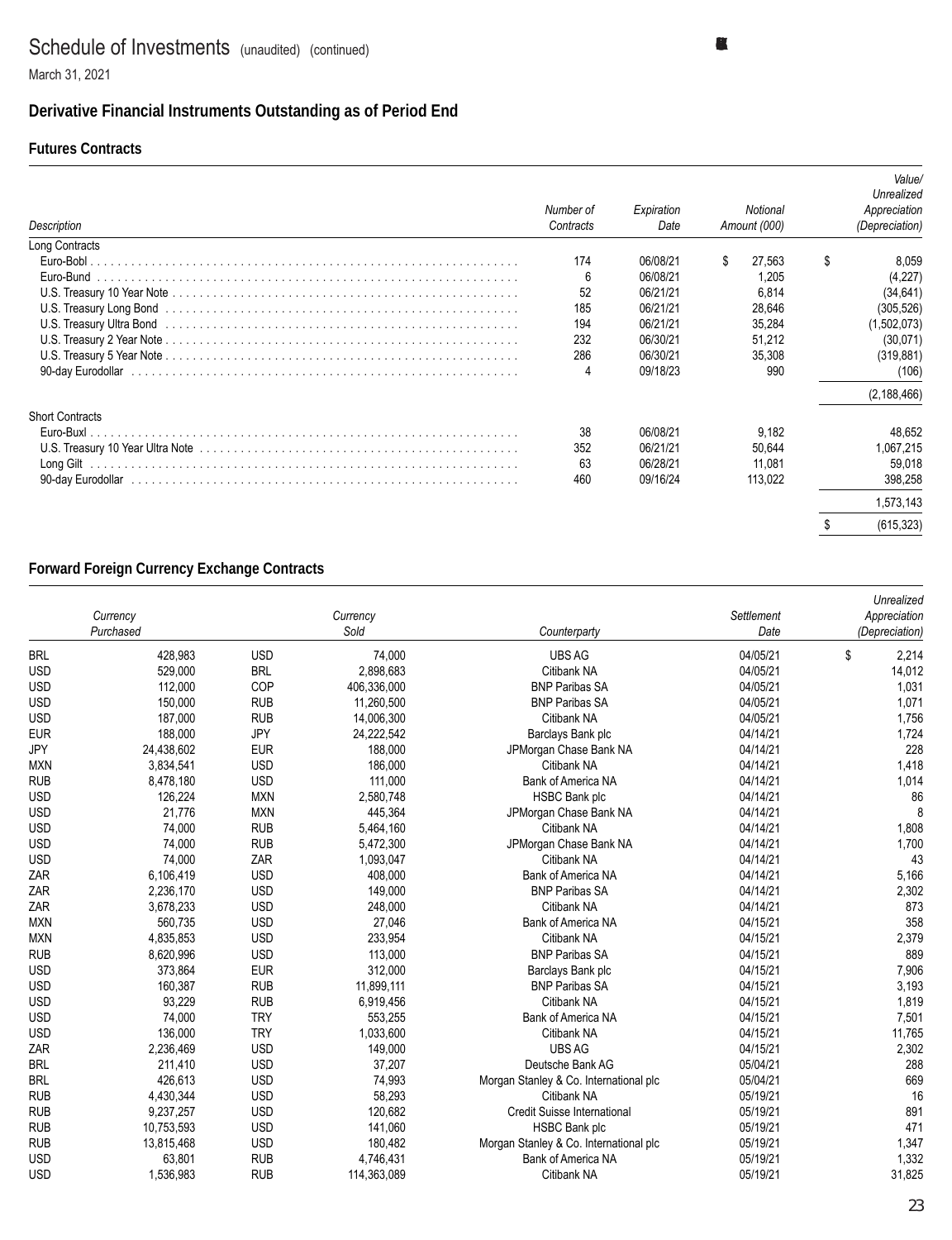### **Derivative Financial Instruments Outstanding as of Period End**

#### **Futures Contracts**

| Description                                                                                                                                                                                                                    | Number of<br>Contracts | Expiration<br>Date | Notional<br>Amount (000) |   | Value/<br>Unrealized<br>Appreciation<br>(Depreciation) |
|--------------------------------------------------------------------------------------------------------------------------------------------------------------------------------------------------------------------------------|------------------------|--------------------|--------------------------|---|--------------------------------------------------------|
| Long Contracts                                                                                                                                                                                                                 |                        |                    |                          |   |                                                        |
|                                                                                                                                                                                                                                | 174                    | 06/08/21           | \$.<br>27.563            | S | 8,059                                                  |
| Euro-Bund                                                                                                                                                                                                                      | 6                      | 06/08/21           | 1.205                    |   | (4,227)                                                |
|                                                                                                                                                                                                                                | 52                     | 06/21/21           | 6.814                    |   | (34, 641)                                              |
|                                                                                                                                                                                                                                | 185                    | 06/21/21           | 28,646                   |   | (305, 526)                                             |
| U.S. Treasury Ultra Bond (and accommodal contact and accommodal contact and accommodal contact and accommodal contact and accommodal contact and accommodal contact and accommodal contact and accommodal contact and accommod | 194                    | 06/21/21           | 35,284                   |   | (1,502,073)                                            |
|                                                                                                                                                                                                                                | 232                    | 06/30/21           | 51.212                   |   | (30,071)                                               |
|                                                                                                                                                                                                                                | 286                    | 06/30/21           | 35,308                   |   | (319, 881)                                             |
|                                                                                                                                                                                                                                | 4                      | 09/18/23           | 990                      |   | (106)                                                  |
|                                                                                                                                                                                                                                |                        |                    |                          |   | (2, 188, 466)                                          |
| <b>Short Contracts</b>                                                                                                                                                                                                         |                        |                    |                          |   |                                                        |
|                                                                                                                                                                                                                                | 38                     | 06/08/21           | 9.182                    |   | 48.652                                                 |
|                                                                                                                                                                                                                                | 352                    | 06/21/21           | 50,644                   |   | 1,067,215                                              |
|                                                                                                                                                                                                                                | 63                     | 06/28/21           | 11.081                   |   | 59,018                                                 |
|                                                                                                                                                                                                                                | 460                    | 09/16/24           | 113,022                  |   | 398,258                                                |
|                                                                                                                                                                                                                                |                        |                    |                          |   | 1,573,143                                              |
|                                                                                                                                                                                                                                |                        |                    |                          |   | (615, 323)                                             |

#### **Forward Foreign Currency Exchange Contracts**

|            |            |            |             |                                        |            | Unrealized     |
|------------|------------|------------|-------------|----------------------------------------|------------|----------------|
|            | Currency   |            | Currency    |                                        | Settlement | Appreciation   |
|            | Purchased  |            | Sold        | Counterparty                           | Date       | (Depreciation) |
| <b>BRL</b> | 428,983    | <b>USD</b> | 74,000      | <b>UBS AG</b>                          | 04/05/21   | \$<br>2,214    |
| <b>USD</b> | 529,000    | <b>BRL</b> | 2,898,683   | Citibank NA                            | 04/05/21   | 14,012         |
| <b>USD</b> | 112,000    | COP        | 406,336,000 | <b>BNP Paribas SA</b>                  | 04/05/21   | 1,031          |
| <b>USD</b> | 150,000    | <b>RUB</b> | 11,260,500  | <b>BNP Paribas SA</b>                  | 04/05/21   | 1,071          |
| <b>USD</b> | 187,000    | <b>RUB</b> | 14,006,300  | Citibank NA                            | 04/05/21   | 1,756          |
| <b>EUR</b> | 188,000    | JPY        | 24,222,542  | Barclays Bank plc                      | 04/14/21   | 1,724          |
| <b>JPY</b> | 24,438,602 | <b>EUR</b> | 188,000     | JPMorgan Chase Bank NA                 | 04/14/21   | 228            |
| <b>MXN</b> | 3,834,541  | <b>USD</b> | 186,000     | Citibank NA                            | 04/14/21   | 1,418          |
| <b>RUB</b> | 8,478,180  | <b>USD</b> | 111,000     | Bank of America NA                     | 04/14/21   | 1,014          |
| <b>USD</b> | 126,224    | <b>MXN</b> | 2,580,748   | <b>HSBC Bank plc</b>                   | 04/14/21   | 86             |
| <b>USD</b> | 21,776     | <b>MXN</b> | 445,364     | JPMorgan Chase Bank NA                 | 04/14/21   |                |
| <b>USD</b> | 74,000     | <b>RUB</b> | 5,464,160   | Citibank NA                            | 04/14/21   | 1,808          |
| <b>USD</b> | 74,000     | <b>RUB</b> | 5,472,300   | JPMorgan Chase Bank NA                 | 04/14/21   | 1,700          |
| <b>USD</b> | 74,000     | ZAR        | 1,093,047   | Citibank NA                            | 04/14/21   | 43             |
| ZAR        | 6,106,419  | <b>USD</b> | 408,000     | <b>Bank of America NA</b>              | 04/14/21   | 5,166          |
| ZAR        | 2,236,170  | <b>USD</b> | 149,000     | <b>BNP Paribas SA</b>                  | 04/14/21   | 2,302          |
| ZAR        | 3,678,233  | <b>USD</b> | 248,000     | Citibank NA                            | 04/14/21   | 873            |
| <b>MXN</b> | 560,735    | <b>USD</b> | 27,046      | <b>Bank of America NA</b>              | 04/15/21   | 358            |
| <b>MXN</b> | 4,835,853  | <b>USD</b> | 233,954     | Citibank NA                            | 04/15/21   | 2,379          |
| <b>RUB</b> | 8,620,996  | <b>USD</b> | 113,000     | <b>BNP Paribas SA</b>                  | 04/15/21   | 889            |
| <b>USD</b> | 373,864    | <b>EUR</b> | 312,000     | Barclays Bank plc                      | 04/15/21   | 7,906          |
| <b>USD</b> | 160,387    | <b>RUB</b> | 11,899,111  | <b>BNP Paribas SA</b>                  | 04/15/21   | 3,193          |
| <b>USD</b> | 93,229     | <b>RUB</b> | 6,919,456   | Citibank NA                            | 04/15/21   | 1,819          |
| <b>USD</b> | 74,000     | <b>TRY</b> | 553,255     | Bank of America NA                     | 04/15/21   | 7,501          |
| <b>USD</b> | 136,000    | <b>TRY</b> | 1,033,600   | Citibank NA                            | 04/15/21   | 11,765         |
| ZAR        | 2,236,469  | <b>USD</b> | 149,000     | <b>UBS AG</b>                          | 04/15/21   | 2,302          |
| <b>BRL</b> | 211,410    | <b>USD</b> | 37,207      | Deutsche Bank AG                       | 05/04/21   | 288            |
| <b>BRL</b> | 426,613    | <b>USD</b> | 74,993      | Morgan Stanley & Co. International plc | 05/04/21   | 669            |
| <b>RUB</b> | 4,430,344  | <b>USD</b> | 58,293      | Citibank NA                            | 05/19/21   | 16             |
| <b>RUB</b> | 9,237,257  | <b>USD</b> | 120,682     | Credit Suisse International            | 05/19/21   | 891            |
| <b>RUB</b> | 10,753,593 | <b>USD</b> | 141,060     | <b>HSBC Bank plc</b>                   | 05/19/21   | 471            |
| <b>RUB</b> | 13,815,468 | <b>USD</b> | 180,482     | Morgan Stanley & Co. International plc | 05/19/21   | 1,347          |
| <b>USD</b> | 63,801     | <b>RUB</b> | 4,746,431   | Bank of America NA                     | 05/19/21   | 1,332          |
| <b>USD</b> | 1,536,983  | <b>RUB</b> | 114,363,089 | Citibank NA                            | 05/19/21   | 31,825         |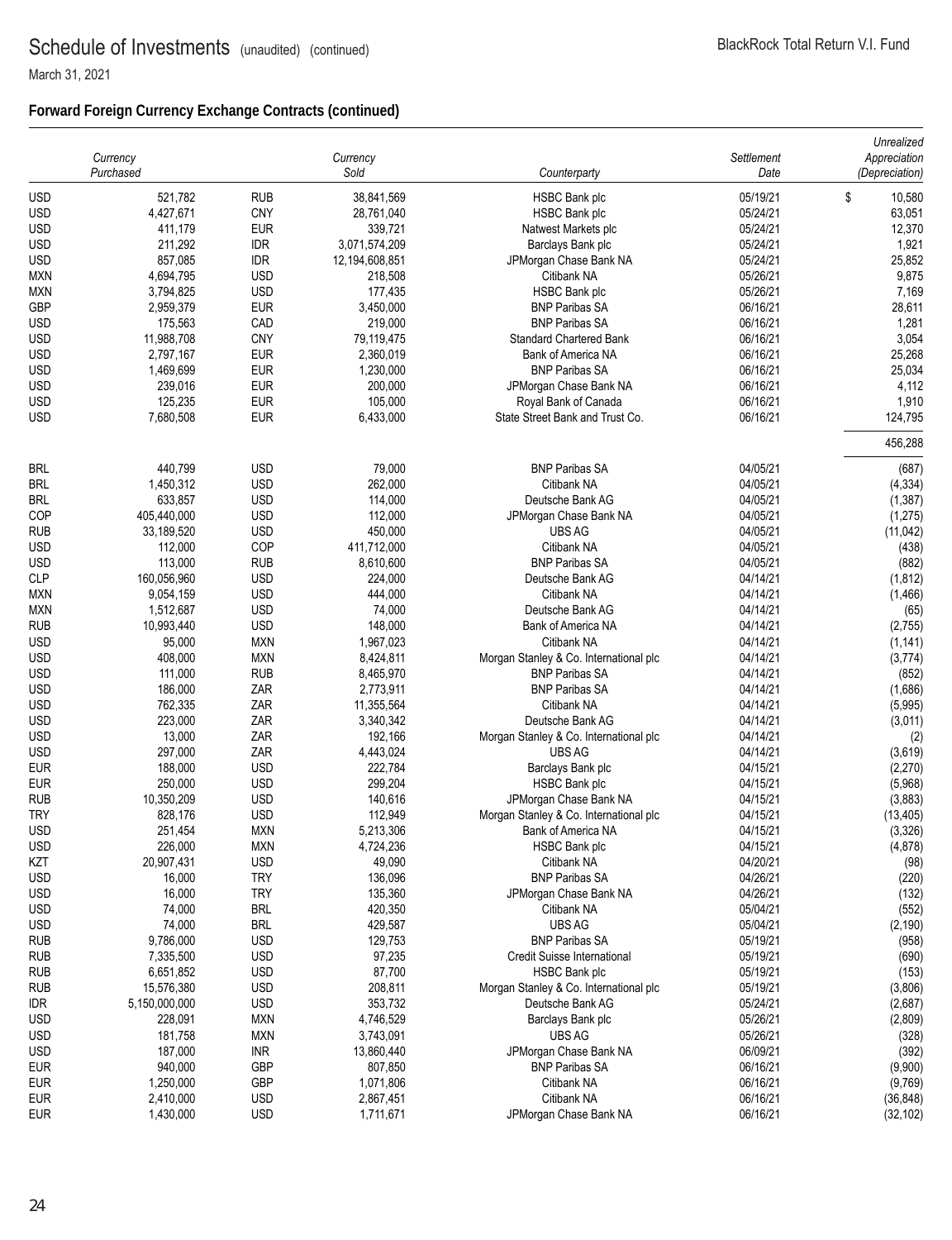### **Forward Foreign Currency Exchange Contracts (continued)**

|            | Currency<br>Purchased |            | Currency<br>Sold | Counterparty                           | Settlement<br>Date | Unrealized<br>Appreciation<br>(Depreciation) |
|------------|-----------------------|------------|------------------|----------------------------------------|--------------------|----------------------------------------------|
| <b>USD</b> | 521,782               | <b>RUB</b> | 38,841,569       | <b>HSBC Bank plc</b>                   | 05/19/21           | \$<br>10,580                                 |
| <b>USD</b> | 4,427,671             | <b>CNY</b> | 28,761,040       | <b>HSBC Bank plc</b>                   | 05/24/21           | 63,051                                       |
| <b>USD</b> | 411,179               | <b>EUR</b> | 339,721          | Natwest Markets plc                    | 05/24/21           | 12,370                                       |
| USD        | 211,292               | <b>IDR</b> | 3,071,574,209    | Barclays Bank plc                      | 05/24/21           | 1,921                                        |
| USD        | 857,085               | IDR        | 12,194,608,851   | JPMorgan Chase Bank NA                 | 05/24/21           | 25,852                                       |
| <b>MXN</b> | 4,694,795             | <b>USD</b> | 218,508          | Citibank NA                            | 05/26/21           | 9,875                                        |
| MXN        | 3,794,825             | <b>USD</b> | 177,435          | <b>HSBC Bank plc</b>                   | 05/26/21           | 7,169                                        |
| <b>GBP</b> | 2,959,379             | <b>EUR</b> | 3,450,000        | <b>BNP Paribas SA</b>                  | 06/16/21           | 28,611                                       |
| USD        | 175,563               | CAD        | 219,000          | <b>BNP Paribas SA</b>                  | 06/16/21           | 1,281                                        |
| <b>USD</b> | 11,988,708            | <b>CNY</b> | 79,119,475       | <b>Standard Chartered Bank</b>         | 06/16/21           | 3,054                                        |
| USD        | 2,797,167             | <b>EUR</b> | 2,360,019        | Bank of America NA                     | 06/16/21           | 25,268                                       |
| <b>USD</b> | 1,469,699             | <b>EUR</b> | 1,230,000        | <b>BNP Paribas SA</b>                  | 06/16/21           | 25,034                                       |
| USD        | 239,016               | <b>EUR</b> | 200,000          | JPMorgan Chase Bank NA                 | 06/16/21           | 4,112                                        |
| <b>USD</b> | 125,235               | <b>EUR</b> | 105,000          | Royal Bank of Canada                   | 06/16/21           | 1,910                                        |
| <b>USD</b> | 7,680,508             | <b>EUR</b> | 6,433,000        | State Street Bank and Trust Co.        | 06/16/21           | 124,795                                      |
|            |                       |            |                  |                                        |                    |                                              |
|            |                       |            |                  |                                        |                    | 456,288                                      |
| <b>BRL</b> | 440,799               | <b>USD</b> | 79,000           | <b>BNP Paribas SA</b>                  | 04/05/21           | (687)                                        |
| BRL        | 1,450,312             | <b>USD</b> | 262,000          | Citibank NA                            | 04/05/21           | (4, 334)                                     |
| <b>BRL</b> | 633,857               | <b>USD</b> | 114,000          | Deutsche Bank AG                       | 04/05/21           | (1, 387)                                     |
| COP        | 405,440,000           | <b>USD</b> | 112,000          | JPMorgan Chase Bank NA                 | 04/05/21           | (1, 275)                                     |
| RUB        | 33,189,520            | <b>USD</b> | 450.000          | UBS AG                                 | 04/05/21           | (11, 042)                                    |
| <b>USD</b> | 112,000               | COP        | 411,712,000      | Citibank NA                            | 04/05/21           | (438)                                        |
| USD        | 113,000               | <b>RUB</b> | 8,610,600        | <b>BNP Paribas SA</b>                  | 04/05/21           | (882)                                        |
| CLP        | 160,056,960           | <b>USD</b> | 224,000          | Deutsche Bank AG                       | 04/14/21           | (1, 812)                                     |
| <b>MXN</b> | 9,054,159             | <b>USD</b> | 444,000          | Citibank NA                            | 04/14/21           | (1, 466)                                     |
| MXN        | 1,512,687             | <b>USD</b> | 74,000           | Deutsche Bank AG                       | 04/14/21           | (65)                                         |
| rub        | 10,993,440            | <b>USD</b> | 148,000          | Bank of America NA                     | 04/14/21           | (2,755)                                      |
| <b>USD</b> | 95,000                | <b>MXN</b> | 1,967,023        | Citibank NA                            | 04/14/21           | (1, 141)                                     |
| USD        | 408,000               | <b>MXN</b> | 8,424,811        | Morgan Stanley & Co. International plc | 04/14/21           | (3, 774)                                     |
| USD        | 111,000               | <b>RUB</b> | 8,465,970        | <b>BNP Paribas SA</b>                  | 04/14/21           | (852)                                        |
| USD        | 186,000               | ZAR        | 2,773,911        | <b>BNP Paribas SA</b>                  | 04/14/21           | (1,686)                                      |
| USD        | 762,335               | ZAR        | 11,355,564       | Citibank NA                            | 04/14/21           | (5,995)                                      |
| <b>USD</b> | 223,000               | ZAR        | 3,340,342        | Deutsche Bank AG                       | 04/14/21           | (3,011)                                      |
| USD        | 13,000                | ZAR        | 192,166          | Morgan Stanley & Co. International plc | 04/14/21           | (2)                                          |
| USD        | 297,000               | ZAR        | 4,443,024        | <b>UBS AG</b>                          | 04/14/21           | (3,619)                                      |
| <b>EUR</b> | 188,000               | <b>USD</b> | 222,784          | Barclays Bank plc                      | 04/15/21           | (2, 270)                                     |
| <b>EUR</b> | 250,000               | <b>USD</b> | 299,204          | <b>HSBC Bank plc</b>                   | 04/15/21           | (5,968)                                      |
| <b>RUB</b> | 10,350,209            | <b>USD</b> | 140,616          | JPMorgan Chase Bank NA                 | 04/15/21           | (3,883)                                      |
| <b>TRY</b> | 828,176               | <b>USD</b> | 112,949          | Morgan Stanley & Co. International plc | 04/15/21           | (13, 405)                                    |
| USD        | 251,454               | <b>MXN</b> | 5,213,306        | Bank of America NA                     | 04/15/21           | (3,326)                                      |
| <b>USD</b> | 226,000               | <b>MXN</b> | 4,724,236        | <b>HSBC Bank plc</b>                   | 04/15/21           | (4, 878)                                     |
| KZT        | 20,907,431            | <b>USD</b> | 49,090           | Citibank NA                            | 04/20/21           | (98)                                         |
| <b>USD</b> | 16,000                | <b>TRY</b> | 136,096          | <b>BNP Paribas SA</b>                  | 04/26/21           | (220)                                        |
| <b>USD</b> | 16,000                | <b>TRY</b> | 135,360          | JPMorgan Chase Bank NA                 | 04/26/21           | (132)                                        |
| <b>USD</b> | 74,000                | <b>BRL</b> | 420,350          | Citibank NA                            | 05/04/21           | (552)                                        |
| <b>USD</b> | 74,000                | <b>BRL</b> | 429,587          | UBS AG                                 | 05/04/21           | (2, 190)                                     |
| <b>RUB</b> | 9,786,000             | <b>USD</b> | 129,753          | <b>BNP Paribas SA</b>                  | 05/19/21           | (958)                                        |
| <b>RUB</b> | 7,335,500             | <b>USD</b> | 97,235           | Credit Suisse International            | 05/19/21           | (690)                                        |
| <b>RUB</b> | 6,651,852             | <b>USD</b> | 87,700           | <b>HSBC Bank plc</b>                   | 05/19/21           | (153)                                        |
| <b>RUB</b> | 15,576,380            | <b>USD</b> | 208,811          | Morgan Stanley & Co. International plc | 05/19/21           | (3,806)                                      |
| <b>IDR</b> | 5,150,000,000         | <b>USD</b> | 353,732          | Deutsche Bank AG                       | 05/24/21           | (2,687)                                      |
| <b>USD</b> | 228,091               | <b>MXN</b> | 4,746,529        | Barclays Bank plc                      | 05/26/21           | (2,809)                                      |
| <b>USD</b> | 181,758               | <b>MXN</b> | 3,743,091        | UBS AG                                 | 05/26/21           | (328)                                        |
| <b>USD</b> | 187,000               | <b>INR</b> | 13,860,440       | JPMorgan Chase Bank NA                 | 06/09/21           | (392)                                        |
| <b>EUR</b> | 940,000               | GBP        | 807,850          | <b>BNP Paribas SA</b>                  | 06/16/21           | (9,900)                                      |
| <b>EUR</b> | 1,250,000             | GBP        | 1,071,806        | Citibank NA                            | 06/16/21           | (9,769)                                      |
| <b>EUR</b> | 2,410,000             | <b>USD</b> | 2,867,451        | Citibank NA                            | 06/16/21           | (36, 848)                                    |
| <b>EUR</b> | 1,430,000             | <b>USD</b> | 1,711,671        | JPMorgan Chase Bank NA                 | 06/16/21           | (32, 102)                                    |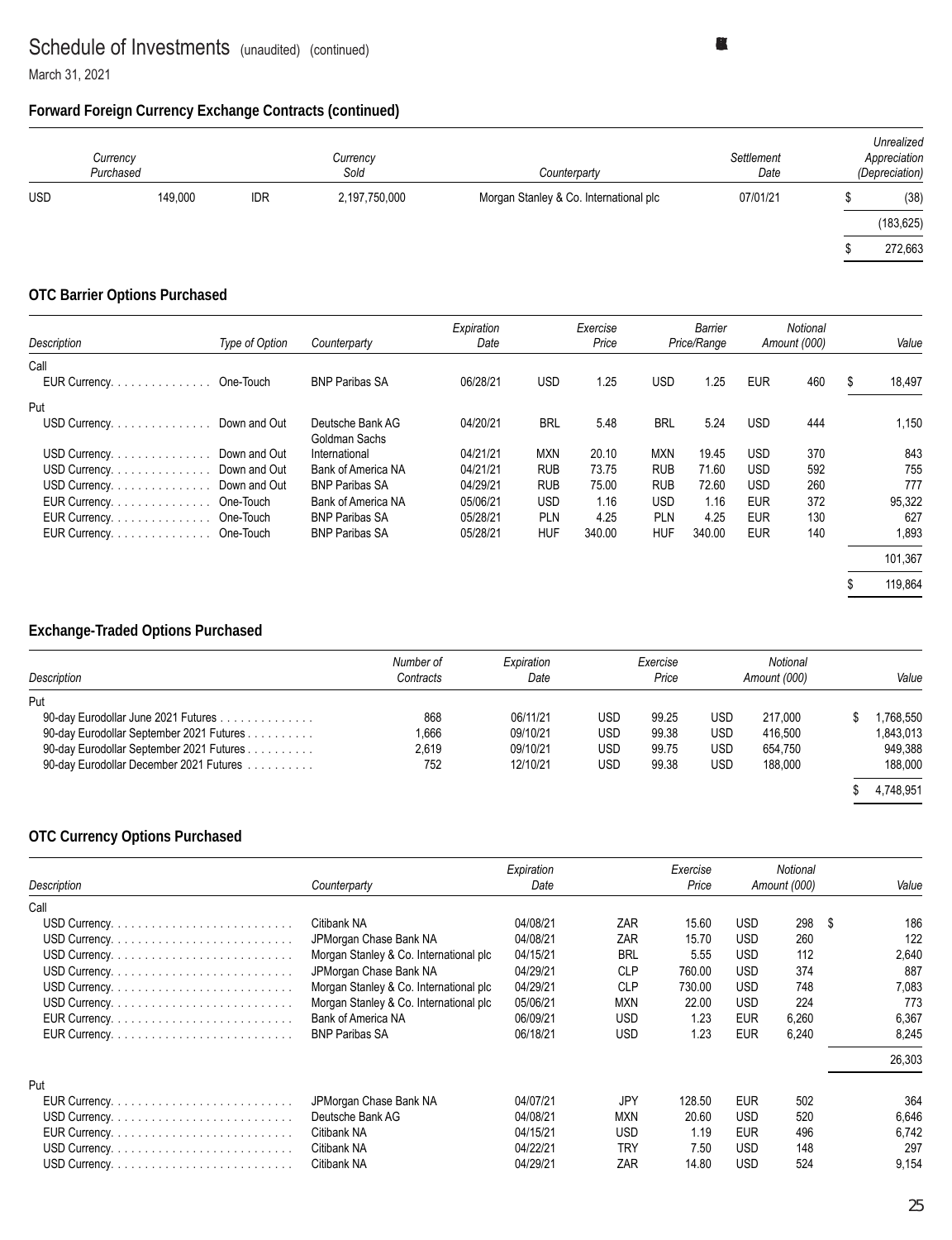March 31, 2021

#### **Forward Foreign Currency Exchange Contracts (continued)**

|            | Currency<br>Purchased |            | Currency<br>Sold | Counterparty                           | Settlement<br>Date | Unrealized<br>Appreciation<br>(Depreciation) |
|------------|-----------------------|------------|------------------|----------------------------------------|--------------------|----------------------------------------------|
| <b>USD</b> | 149.000               | <b>IDR</b> | 2,197,750,000    | Morgan Stanley & Co. International plc | 07/01/21           | (38)                                         |
|            |                       |            |                  |                                        |                    | (183, 625)                                   |
|            |                       |            |                  |                                        |                    | 272,663                                      |

#### **OTC Barrier Options Purchased**

| Description             | Type of Option | Counterparty                      | Expiration<br>Date |            | Exercise<br>Price |            | Barrier<br>Price/Range |            | Notional<br>Amount (000) | Value        |
|-------------------------|----------------|-----------------------------------|--------------------|------------|-------------------|------------|------------------------|------------|--------------------------|--------------|
| Call                    |                |                                   |                    |            |                   |            |                        |            |                          |              |
| EUR Currency.           | One-Touch      | <b>BNP Paribas SA</b>             | 06/28/21           | <b>USD</b> | 1.25              | <b>USD</b> | 1.25                   | <b>EUR</b> | 460                      | \$<br>18,497 |
| Put                     |                |                                   |                    |            |                   |            |                        |            |                          |              |
| USD Currency.           | Down and Out   | Deutsche Bank AG<br>Goldman Sachs | 04/20/21           | <b>BRL</b> | 5.48              | <b>BRL</b> | 5.24                   | <b>USD</b> | 444                      | 1,150        |
| USD Currency.           | Down and Out   | International                     | 04/21/21           | <b>MXN</b> | 20.10             | <b>MXN</b> | 19.45                  | <b>USD</b> | 370                      | 843          |
| USD Currency.           | Down and Out   | Bank of America NA                | 04/21/21           | <b>RUB</b> | 73.75             | <b>RUB</b> | 71.60                  | <b>USD</b> | 592                      | 755          |
| USD Currency.           | Down and Out   | <b>BNP Paribas SA</b>             | 04/29/21           | <b>RUB</b> | 75.00             | <b>RUB</b> | 72.60                  | <b>USD</b> | 260                      | 777          |
| EUR Currency.           | One-Touch      | Bank of America NA                | 05/06/21           | <b>USD</b> | 1.16              | USD        | 1.16                   | <b>EUR</b> | 372                      | 95,322       |
| EUR Currency. One-Touch |                | <b>BNP Paribas SA</b>             | 05/28/21           | <b>PLN</b> | 4.25              | PLN        | 4.25                   | <b>EUR</b> | 130                      | 627          |
| EUR Currency. One-Touch |                | <b>BNP Paribas SA</b>             | 05/28/21           | <b>HUF</b> | 340.00            | <b>HUF</b> | 340.00                 | <b>EUR</b> | 140                      | 1,893        |
|                         |                |                                   |                    |            |                   |            |                        |            |                          | 101,367      |
|                         |                |                                   |                    |            |                   |            |                        |            |                          | 119,864      |

### **Exchange-Traded Options Purchased**

| Description                              | Number of<br>Contracts | Expiration<br>Date |     | Exercise<br>Price |            | Notional<br>Amount (000) | Value     |
|------------------------------------------|------------------------|--------------------|-----|-------------------|------------|--------------------------|-----------|
| Put                                      |                        |                    |     |                   |            |                          |           |
| 90-day Eurodollar June 2021 Futures      | 868                    | 06/11/21           | USD | 99.25             | <b>USD</b> | 217.000                  | .768.550  |
| 90-day Eurodollar September 2021 Futures | .666                   | 09/10/21           | USD | 99.38             | <b>USD</b> | 416.500                  | 1,843,013 |
| 90-day Eurodollar September 2021 Futures | 2.619                  | 09/10/21           | USD | 99.75             | <b>USD</b> | 654.750                  | 949,388   |
| 90-day Eurodollar December 2021 Futures  | 752                    | 12/10/21           | USD | 99.38             | <b>USD</b> | 188.000                  | 188,000   |
|                                          |                        |                    |     |                   |            |                          | 4,748,951 |

#### **OTC Currency Options Purchased**

|             |                                        | Expiration |            | Exercise |            | <b>Notional</b> |      |        |
|-------------|----------------------------------------|------------|------------|----------|------------|-----------------|------|--------|
| Description | Counterparty                           | Date       |            | Price    |            | Amount (000)    |      | Value  |
| Call        |                                        |            |            |          |            |                 |      |        |
|             | Citibank NA                            | 04/08/21   | ZAR        | 15.60    | <b>USD</b> | 298             | - \$ | 186    |
|             | JPMorgan Chase Bank NA                 | 04/08/21   | ZAR        | 15.70    | <b>USD</b> | 260             |      | 122    |
|             | Morgan Stanley & Co. International plc | 04/15/21   | <b>BRL</b> | 5.55     | <b>USD</b> | 112             |      | 2,640  |
|             | JPMorgan Chase Bank NA                 | 04/29/21   | <b>CLP</b> | 760.00   | <b>USD</b> | 374             |      | 887    |
|             | Morgan Stanley & Co. International plc | 04/29/21   | <b>CLP</b> | 730.00   | <b>USD</b> | 748             |      | 7,083  |
|             | Morgan Stanley & Co. International plc | 05/06/21   | <b>MXN</b> | 22.00    | <b>USD</b> | 224             |      | 773    |
|             | Bank of America NA                     | 06/09/21   | <b>USD</b> | 1.23     | EUR        | 6,260           |      | 6,367  |
|             | <b>BNP Paribas SA</b>                  | 06/18/21   | <b>USD</b> | 1.23     | <b>EUR</b> | 6,240           |      | 8.245  |
|             |                                        |            |            |          |            |                 |      | 26,303 |
| Put         |                                        |            |            |          |            |                 |      |        |
|             | JPMorgan Chase Bank NA                 | 04/07/21   | JPY        | 128.50   | <b>EUR</b> | 502             |      | 364    |
|             | Deutsche Bank AG                       | 04/08/21   | <b>MXN</b> | 20.60    | <b>USD</b> | 520             |      | 6,646  |
|             | Citibank NA                            | 04/15/21   | <b>USD</b> | 1.19     | <b>EUR</b> | 496             |      | 6.742  |
|             | Citibank NA                            | 04/22/21   | <b>TRY</b> | 7.50     | <b>USD</b> | 148             |      | 297    |
|             | Citibank NA                            | 04/29/21   | ZAR        | 14.80    | <b>USD</b> | 524             |      | 9,154  |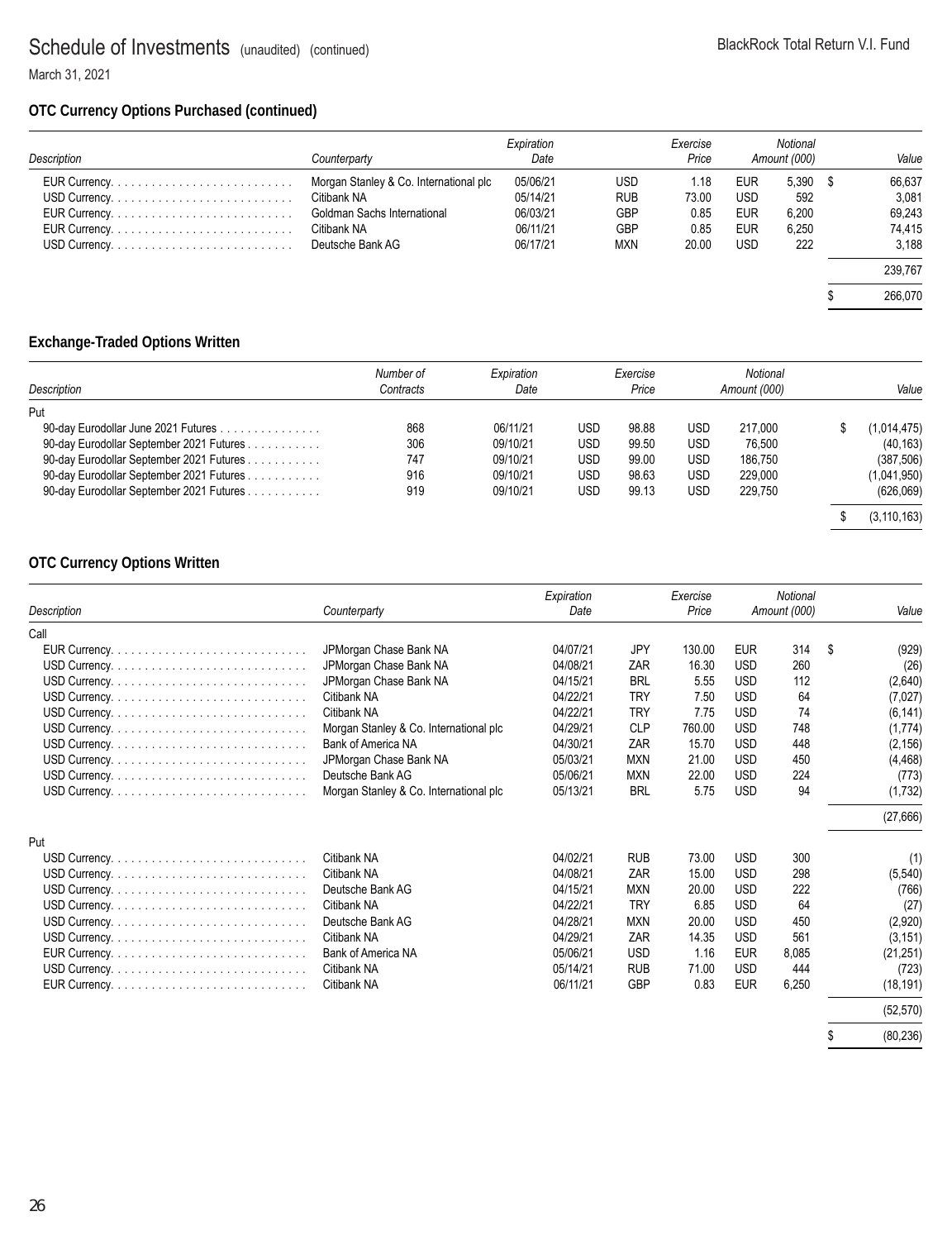March 31, 2021

#### **OTC Currency Options Purchased (continued)**

| Description | Counterpartv                           | Expiration<br>Date |            | Exercise<br>Price |            | Notional<br>Amount (000) | Value   |
|-------------|----------------------------------------|--------------------|------------|-------------------|------------|--------------------------|---------|
|             | Morgan Stanley & Co. International plc | 05/06/21           | USD        | 1.18              | <b>EUR</b> | 5,390                    | 66,637  |
|             | Citibank NA                            | 05/14/21           | <b>RUB</b> | 73.00             | <b>USD</b> | 592                      | 3,081   |
|             | Goldman Sachs International            | 06/03/21           | <b>GBP</b> | 0.85              | <b>EUR</b> | 6,200                    | 69,243  |
|             | Citibank NA                            | 06/11/21           | <b>GBP</b> | 0.85              | <b>EUR</b> | 6,250                    | 74,415  |
|             | Deutsche Bank AG                       | 06/17/21           | <b>MXN</b> | 20.00             | <b>USD</b> | 222                      | 3.188   |
|             |                                        |                    |            |                   |            |                          | 239.767 |
|             |                                        |                    |            |                   |            |                          | 266,070 |

### **Exchange-Traded Options Written**

| Description                              | Number of<br>Contracts | Expiration<br>Date |            | Exercise<br>Price |            | Notional<br>Amount (000) | Value         |
|------------------------------------------|------------------------|--------------------|------------|-------------------|------------|--------------------------|---------------|
| Put                                      |                        |                    |            |                   |            |                          |               |
| 90-day Eurodollar June 2021 Futures      | 868                    | 06/11/21           | USD        | 98.88             | USD.       | 217.000                  | (1,014,475)   |
| 90-day Eurodollar September 2021 Futures | 306                    | 09/10/21           | <b>USD</b> | 99.50             | <b>USD</b> | 76.500                   | (40, 163)     |
| 90-day Eurodollar September 2021 Futures | 747                    | 09/10/21           | <b>USD</b> | 99.00             | <b>USD</b> | 186.750                  | (387, 506)    |
| 90-day Eurodollar September 2021 Futures | 916                    | 09/10/21           | <b>USD</b> | 98.63             | <b>USD</b> | 229.000                  | (1,041,950)   |
| 90-day Eurodollar September 2021 Futures | 919                    | 09/10/21           | <b>USD</b> | 99.13             | USD        | 229.750                  | (626,069)     |
|                                          |                        |                    |            |                   |            |                          | (3, 110, 163) |

### **OTC Currency Options Written**

|             |                                        | Expiration |            | Exercise |            | <b>Notional</b> |             |
|-------------|----------------------------------------|------------|------------|----------|------------|-----------------|-------------|
| Description | Counterparty                           | Date       |            | Price    |            | Amount (000)    | Value       |
| Call        |                                        |            |            |          |            |                 |             |
|             | JPMorgan Chase Bank NA                 | 04/07/21   | <b>JPY</b> | 130.00   | <b>EUR</b> | 314             | \$<br>(929) |
|             | JPMorgan Chase Bank NA                 | 04/08/21   | ZAR        | 16.30    | <b>USD</b> | 260             | (26)        |
|             | JPMorgan Chase Bank NA                 | 04/15/21   | <b>BRL</b> | 5.55     | <b>USD</b> | 112             | (2,640)     |
|             | Citibank NA                            | 04/22/21   | <b>TRY</b> | 7.50     | <b>USD</b> | 64              | (7,027)     |
|             | Citibank NA                            | 04/22/21   | <b>TRY</b> | 7.75     | <b>USD</b> | 74              | (6, 141)    |
|             | Morgan Stanley & Co. International plc | 04/29/21   | <b>CLP</b> | 760.00   | <b>USD</b> | 748             | (1,774)     |
|             | Bank of America NA                     | 04/30/21   | ZAR        | 15.70    | <b>USD</b> | 448             | (2, 156)    |
|             | JPMorgan Chase Bank NA                 | 05/03/21   | <b>MXN</b> | 21.00    | <b>USD</b> | 450             | (4, 468)    |
|             | Deutsche Bank AG                       | 05/06/21   | <b>MXN</b> | 22.00    | <b>USD</b> | 224             | (773)       |
|             | Morgan Stanley & Co. International plc | 05/13/21   | <b>BRL</b> | 5.75     | <b>USD</b> | 94              | (1,732)     |
|             |                                        |            |            |          |            |                 | (27,666)    |
| Put         |                                        |            |            |          |            |                 |             |
|             | Citibank NA                            | 04/02/21   | <b>RUB</b> | 73.00    | <b>USD</b> | 300             | (1)         |
|             | Citibank NA                            | 04/08/21   | ZAR        | 15.00    | <b>USD</b> | 298             | (5, 540)    |
|             | Deutsche Bank AG                       | 04/15/21   | <b>MXN</b> | 20.00    | <b>USD</b> | 222             | (766)       |
|             | Citibank NA                            | 04/22/21   | <b>TRY</b> | 6.85     | <b>USD</b> | 64              | (27)        |
|             | Deutsche Bank AG                       | 04/28/21   | <b>MXN</b> | 20.00    | <b>USD</b> | 450             | (2,920)     |
|             | Citibank NA                            | 04/29/21   | ZAR        | 14.35    | <b>USD</b> | 561             | (3, 151)    |
|             | Bank of America NA                     | 05/06/21   | <b>USD</b> | 1.16     | <b>EUR</b> | 8,085           | (21, 251)   |
|             | Citibank NA                            | 05/14/21   | <b>RUB</b> | 71.00    | <b>USD</b> | 444             | (723)       |
|             | Citibank NA                            | 06/11/21   | <b>GBP</b> | 0.83     | <b>EUR</b> | 6,250           | (18, 191)   |
|             |                                        |            |            |          |            |                 | (52, 570)   |
|             |                                        |            |            |          |            |                 |             |

\$ (80,236)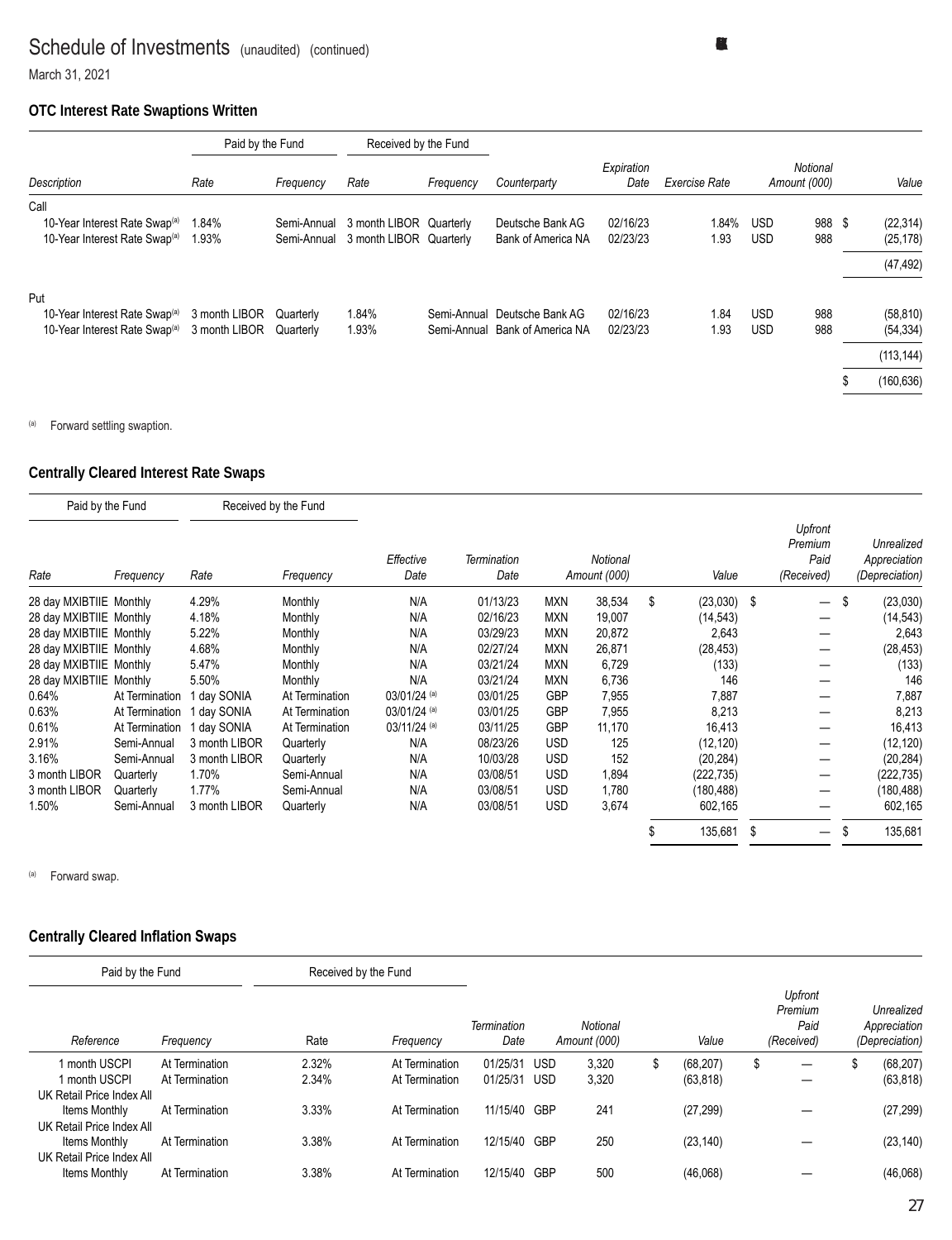March 31, 2021

#### **OTC Interest Rate Swaptions Written**

|                                           | Paid by the Fund |             | Received by the Fund    |           |                                |                    |               |            |                          |                 |
|-------------------------------------------|------------------|-------------|-------------------------|-----------|--------------------------------|--------------------|---------------|------------|--------------------------|-----------------|
| Description                               | Rate             | Frequency   | Rate                    | Frequency | Counterparty                   | Expiration<br>Date | Exercise Rate |            | Notional<br>Amount (000) | Value           |
| Call                                      |                  |             |                         |           |                                |                    |               |            |                          |                 |
| 10-Year Interest Rate Swap <sup>(a)</sup> | 1.84%            | Semi-Annual | 3 month LIBOR Quarterly |           | Deutsche Bank AG               | 02/16/23           | 1.84%         | <b>USD</b> | 988                      | \$<br>(22, 314) |
| 10-Year Interest Rate Swap <sup>(a)</sup> | 1.93%            | Semi-Annual | 3 month LIBOR Quarterly |           | Bank of America NA             | 02/23/23           | 1.93          | <b>USD</b> | 988                      | (25, 178)       |
|                                           |                  |             |                         |           |                                |                    |               |            |                          | (47, 492)       |
| Put                                       |                  |             |                         |           |                                |                    |               |            |                          |                 |
| 10-Year Interest Rate Swap <sup>(a)</sup> | 3 month LIBOR    | Quarterly   | 1.84%                   |           | Semi-Annual Deutsche Bank AG   | 02/16/23           | 1.84          | <b>USD</b> | 988                      | (58, 810)       |
| 10-Year Interest Rate Swap <sup>(a)</sup> | 3 month LIBOR    | Quarterly   | 1.93%                   |           | Semi-Annual Bank of America NA | 02/23/23           | 1.93          | <b>USD</b> | 988                      | (54, 334)       |
|                                           |                  |             |                         |           |                                |                    |               |            |                          | (113, 144)      |
|                                           |                  |             |                         |           |                                |                    |               |            |                          | (160, 636)      |

(a) Forward settling swaption.

#### **Centrally Cleared Interest Rate Swaps**

| Paid by the Fund        |                |               | Received by the Fund |                   |                     |            |                          |                     |      |                                          |                                              |
|-------------------------|----------------|---------------|----------------------|-------------------|---------------------|------------|--------------------------|---------------------|------|------------------------------------------|----------------------------------------------|
| Rate                    | Frequency      | Rate          | Frequency            | Effective<br>Date | Termination<br>Date |            | Notional<br>Amount (000) | Value               |      | Upfront<br>Premium<br>Paid<br>(Received) | Unrealized<br>Appreciation<br>(Depreciation) |
| 28 day MXIBTIIE Monthly |                | 4.29%         | Monthly              | N/A               | 01/13/23            | <b>MXN</b> | 38,534                   | \$<br>$(23,030)$ \$ |      | $\overline{\phantom{0}}$                 | \$<br>(23,030)                               |
| 28 day MXIBTIIE Monthly |                | 4.18%         | Monthly              | N/A               | 02/16/23            | <b>MXN</b> | 19,007                   | (14, 543)           |      |                                          | (14,543)                                     |
| 28 day MXIBTIIE Monthly |                | 5.22%         | Monthly              | N/A               | 03/29/23            | <b>MXN</b> | 20,872                   | 2,643               |      |                                          | 2,643                                        |
| 28 day MXIBTIIE Monthly |                | 4.68%         | Monthly              | N/A               | 02/27/24            | <b>MXN</b> | 26,871                   | (28, 453)           |      |                                          | (28, 453)                                    |
| 28 day MXIBTIIE Monthly |                | 5.47%         | Monthly              | N/A               | 03/21/24            | <b>MXN</b> | 6,729                    | (133)               |      |                                          | (133)                                        |
| 28 day MXIBTIIE Monthly |                | 5.50%         | Monthly              | N/A               | 03/21/24            | <b>MXN</b> | 6,736                    | 146                 |      |                                          | 146                                          |
| 0.64%                   | At Termination | 1 day SONIA   | At Termination       | 03/01/24 (a)      | 03/01/25            | <b>GBP</b> | 7,955                    | 7,887               |      |                                          | 7,887                                        |
| 0.63%                   | At Termination | day SONIA     | At Termination       | 03/01/24 (a)      | 03/01/25            | <b>GBP</b> | 7,955                    | 8,213               |      |                                          | 8,213                                        |
| 0.61%                   | At Termination | l day SONIA   | At Termination       | $03/11/24$ (a)    | 03/11/25            | <b>GBP</b> | 11,170                   | 16,413              |      |                                          | 16,413                                       |
| 2.91%                   | Semi-Annual    | 3 month LIBOR | Quarterly            | N/A               | 08/23/26            | <b>USD</b> | 125                      | (12, 120)           |      |                                          | (12, 120)                                    |
| 3.16%                   | Semi-Annual    | 3 month LIBOR | Quarterly            | N/A               | 10/03/28            | <b>USD</b> | 152                      | (20, 284)           |      |                                          | (20, 284)                                    |
| 3 month LIBOR           | Quarterly      | 1.70%         | Semi-Annual          | N/A               | 03/08/51            | <b>USD</b> | 1,894                    | (222, 735)          |      |                                          | (222, 735)                                   |
| 3 month LIBOR           | Quarterly      | 1.77%         | Semi-Annual          | N/A               | 03/08/51            | <b>USD</b> | 1,780                    | (180, 488)          |      |                                          | (180, 488)                                   |
| 1.50%                   | Semi-Annual    | 3 month LIBOR | Quarterly            | N/A               | 03/08/51            | <b>USD</b> | 3,674                    | 602,165             |      |                                          | 602,165                                      |
|                         |                |               |                      |                   |                     |            |                          | 135,681             | - \$ |                                          | 135,681                                      |

(a) Forward swap.

#### **Centrally Cleared Inflation Swaps**

| Paid by the Fund                           |                | Received by the Fund |                |                     |            |                          |                 |                                          |                                              |
|--------------------------------------------|----------------|----------------------|----------------|---------------------|------------|--------------------------|-----------------|------------------------------------------|----------------------------------------------|
| Reference                                  | Frequency      | Rate                 | Frequency      | Termination<br>Date |            | Notional<br>Amount (000) | Value           | Upfront<br>Premium<br>Paid<br>(Received) | Unrealized<br>Appreciation<br>(Depreciation) |
| 1 month USCPI                              | At Termination | 2.32%                | At Termination | 01/25/31            | <b>USD</b> | 3,320                    | \$<br>(68, 207) | \$<br>—                                  | (68, 207)                                    |
| 1 month USCPI<br>UK Retail Price Index All | At Termination | 2.34%                | At Termination | 01/25/31            | USD        | 3,320                    | (63, 818)       |                                          | (63, 818)                                    |
| Items Monthly<br>UK Retail Price Index All | At Termination | 3.33%                | At Termination | 11/15/40 GBP        |            | 241                      | (27, 299)       |                                          | (27, 299)                                    |
| Items Monthly                              | At Termination | 3.38%                | At Termination | 12/15/40            | GBP        | 250                      | (23, 140)       |                                          | (23, 140)                                    |
| UK Retail Price Index All<br>Items Monthly | At Termination | 3.38%                | At Termination | 12/15/40            | <b>GBP</b> | 500                      | (46,068)        |                                          | (46,068)                                     |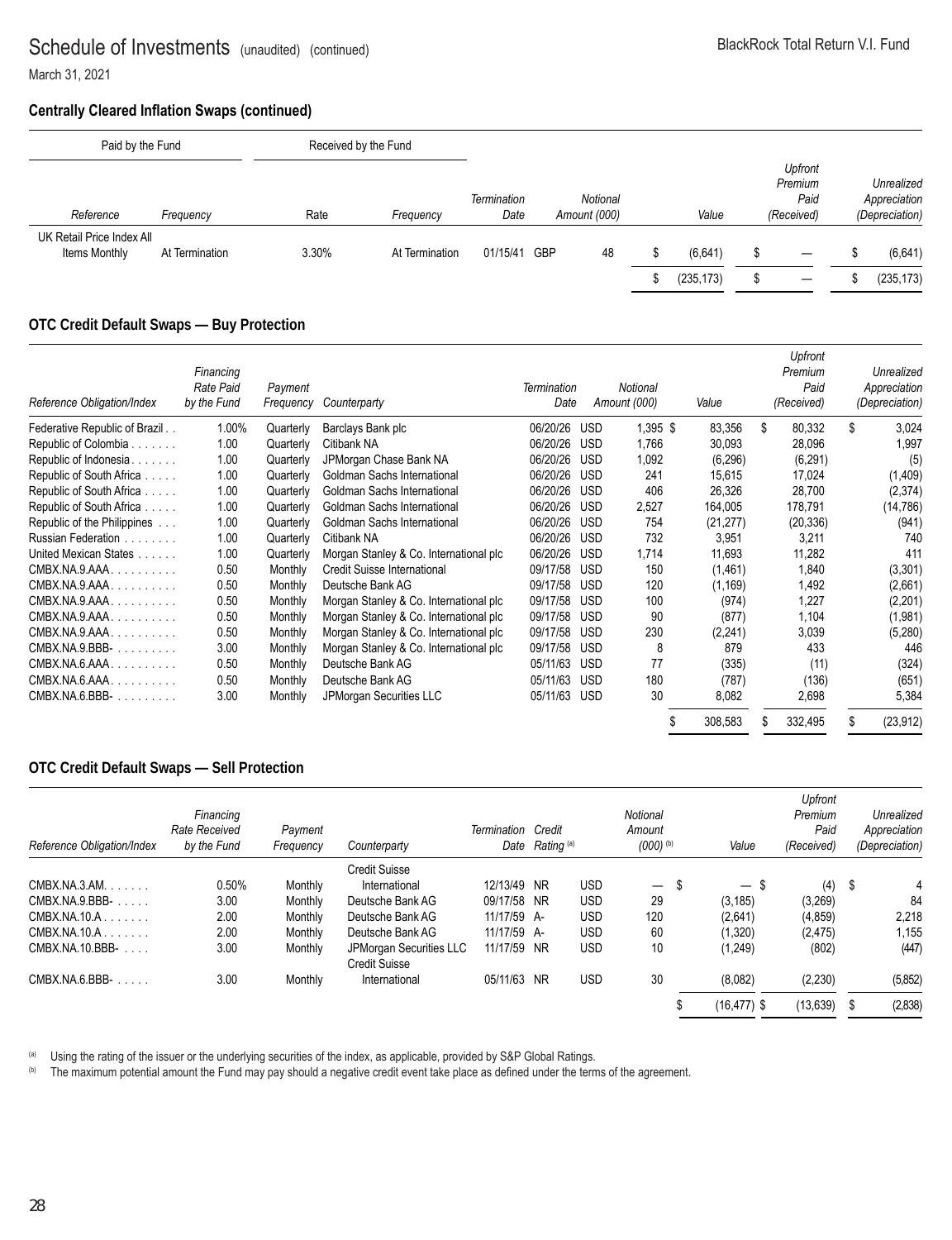March 31, 2021

#### **Centrally Cleared Inflation Swaps (continued)**

| Paid by the Fund                           |                | Received by the Fund |                |                     |            |                          |   |                       |                                          |                                              |
|--------------------------------------------|----------------|----------------------|----------------|---------------------|------------|--------------------------|---|-----------------------|------------------------------------------|----------------------------------------------|
| Reference                                  | Frequency      | Rate                 | Frequency      | Termination<br>Date |            | Notional<br>Amount (000) |   | Value                 | Upfront<br>Premium<br>Paid<br>(Received) | Unrealized<br>Appreciation<br>(Depreciation) |
| UK Retail Price Index All<br>Items Monthly | At Termination | 3.30%                | At Termination | 01/15/41            | <b>GBP</b> | 48                       | S | (6,641)<br>(235, 173) |                                          | (6,641)<br>(235, 173)                        |

#### **OTC Credit Default Swaps — Buy Protection**

| Reference Obligation/Index             | Financing<br>Rate Paid<br>by the Fund | Payment<br>Frequency | Counterparty                           | Termination<br>Date |            | Notional<br>Amount (000) | Value     |    | Upfront<br>Premium<br>Paid<br>(Received) |    | Unrealized<br>Appreciation<br>(Depreciation) |
|----------------------------------------|---------------------------------------|----------------------|----------------------------------------|---------------------|------------|--------------------------|-----------|----|------------------------------------------|----|----------------------------------------------|
| Federative Republic of Brazil          | 1.00%                                 | Quarterly            | Barclays Bank plc                      | 06/20/26            | USD        | $1.395$ \$               | 83.356    | \$ | 80,332                                   | \$ | 3,024                                        |
| Republic of Colombia                   | 1.00                                  | Quarterly            | Citibank NA                            | 06/20/26            | <b>USD</b> | 1,766                    | 30,093    |    | 28,096                                   |    | 1,997                                        |
| Republic of Indonesia.<br><b>Sanda</b> | 1.00                                  | Quarterly            | JPMorgan Chase Bank NA                 | 06/20/26            | <b>USD</b> | 1,092                    | (6, 296)  |    | (6, 291)                                 |    | (5)                                          |
| Republic of South Africa               | 1.00                                  | Quarterly            | Goldman Sachs International            | 06/20/26            | <b>USD</b> | 241                      | 15,615    |    | 17,024                                   |    | (1,409)                                      |
| Republic of South Africa               | 1.00                                  | Quarterly            | Goldman Sachs International            | 06/20/26            | <b>USD</b> | 406                      | 26,326    |    | 28,700                                   |    | (2,374)                                      |
| Republic of South Africa.<br>a a a a   | 1.00                                  | Quarterly            | Goldman Sachs International            | 06/20/26            | <b>USD</b> | 2,527                    | 164,005   |    | 178,791                                  |    | (14,786)                                     |
| Republic of the Philippines            | 1.00                                  | Quarterly            | Goldman Sachs International            | 06/20/26            | <b>USD</b> | 754                      | (21, 277) |    | (20, 336)                                |    | (941)                                        |
| Russian Federation                     | 1.00                                  | Quarterly            | Citibank NA                            | 06/20/26            | <b>USD</b> | 732                      | 3,951     |    | 3,211                                    |    | 740                                          |
| United Mexican States                  | 1.00                                  | Quarterly            | Morgan Stanley & Co. International plc | 06/20/26            | <b>USD</b> | 1,714                    | 11,693    |    | 11,282                                   |    | 411                                          |
| $CMBX.NA.9.AAA.$                       | 0.50                                  | Monthly              | Credit Suisse International            | 09/17/58            | <b>USD</b> | 150                      | (1,461)   |    | 1,840                                    |    | (3,301)                                      |
| $CMBX.NA.9.AAA.$                       | 0.50                                  | Monthly              | Deutsche Bank AG                       | 09/17/58            | <b>USD</b> | 120                      | (1, 169)  |    | 1,492                                    |    | (2,661)                                      |
| $CMBX.NA.9.AAA.$                       | 0.50                                  | Monthly              | Morgan Stanley & Co. International plc | 09/17/58            | <b>USD</b> | 100                      | (974)     |    | 1,227                                    |    | (2,201)                                      |
| $CMBX.NA.9.AAA.$                       | 0.50                                  | Monthly              | Morgan Stanley & Co. International plc | 09/17/58            | <b>USD</b> | 90                       | (877)     |    | 1,104                                    |    | (1,981)                                      |
| $CMBX.NA.9.AAA.$                       | 0.50                                  | Monthly              | Morgan Stanley & Co. International plc | 09/17/58            | <b>USD</b> | 230                      | (2, 241)  |    | 3,039                                    |    | (5,280)                                      |
| $CMBX.NA.9.BBB-.$                      | 3.00                                  | Monthly              | Morgan Stanley & Co. International plc | 09/17/58            | <b>USD</b> | 8                        | 879       |    | 433                                      |    | 446                                          |
| $CMBX.NA.6.AAA.$                       | 0.50                                  | Monthly              | Deutsche Bank AG                       | 05/11/63            | <b>USD</b> | 77                       | (335)     |    | (11)                                     |    | (324)                                        |
| $CMBX.NA.6.AAA.$                       | 0.50                                  | Monthly              | Deutsche Bank AG                       | 05/11/63            | <b>USD</b> | 180                      | (787)     |    | (136)                                    |    | (651)                                        |
| $CMBX NA.6.BBB-.$                      | 3.00                                  | Monthly              | JPMorgan Securities LLC                | 05/11/63            | <b>USD</b> | 30                       | 8,082     |    | 2,698                                    |    | 5,384                                        |
|                                        |                                       |                      |                                        |                     |            | S.                       | 308,583   | S  | 332,495                                  | S  | (23, 912)                                    |

#### **OTC Credit Default Swaps — Sell Protection**

| Reference Obligation/Index | Financing<br>Rate Received<br>by the Fund | Payment<br>Frequency | Counterparty                                    | Termination<br>Date | Credit<br>Rating <sup>(a)</sup> |            | Notional<br>Amount<br>$(000)$ <sup>(b)</sup> |   | Value          | <b>Upfront</b><br>Premium<br>Paid<br>(Received) |      | Unrealized<br>Appreciation<br>(Depreciation) |
|----------------------------|-------------------------------------------|----------------------|-------------------------------------------------|---------------------|---------------------------------|------------|----------------------------------------------|---|----------------|-------------------------------------------------|------|----------------------------------------------|
|                            |                                           |                      | Credit Suisse                                   |                     |                                 |            |                                              |   |                |                                                 |      |                                              |
| $CMBX.NA.3.AM.$            | 0.50%                                     | Monthly              | International                                   | 12/13/49 NR         |                                 | <b>USD</b> | $\overline{\phantom{0}}$                     | S | -S             | (4)                                             | - \$ | 4                                            |
| $CMBX.NA.9.BBB-.$          | 3.00                                      | Monthly              | Deutsche Bank AG                                | 09/17/58 NR         |                                 | <b>USD</b> | 29                                           |   | (3.185)        | (3,269)                                         |      | 84                                           |
| $CMBX.NA.10.A.$            | 2.00                                      | Monthly              | Deutsche Bank AG                                | 11/17/59 A-         |                                 | <b>USD</b> | 120                                          |   | (2.641)        | (4, 859)                                        |      | 2,218                                        |
| $CMBX, NA.10.A.$           | 2.00                                      | Monthly              | Deutsche Bank AG                                | 11/17/59 A-         |                                 | <b>USD</b> | 60                                           |   | (1,320)        | (2, 475)                                        |      | 1,155                                        |
| CMBX NA.10.BBB-<br>1.1.1.1 | 3.00                                      | Monthly              | JPMorgan Securities LLC<br><b>Credit Suisse</b> | 11/17/59 NR         |                                 | <b>USD</b> | 10                                           |   | (1,249)        | (802)                                           |      | (447)                                        |
| CMBX NA.6.BBB-             | 3.00                                      | Monthly              | International                                   | 05/11/63            | <b>NR</b>                       | <b>USD</b> | 30                                           |   | (8.082)        | (2, 230)                                        |      | (5,852)                                      |
|                            |                                           |                      |                                                 |                     |                                 |            |                                              |   | $(16, 477)$ \$ | (13,639)                                        |      | (2,838)                                      |

<sup>(a)</sup> Using the rating of the issuer or the underlying securities of the index, as applicable, provided by S&P Global Ratings.

(b) The maximum potential amount the Fund may pay should a negative credit event take place as defined under the terms of the agreement.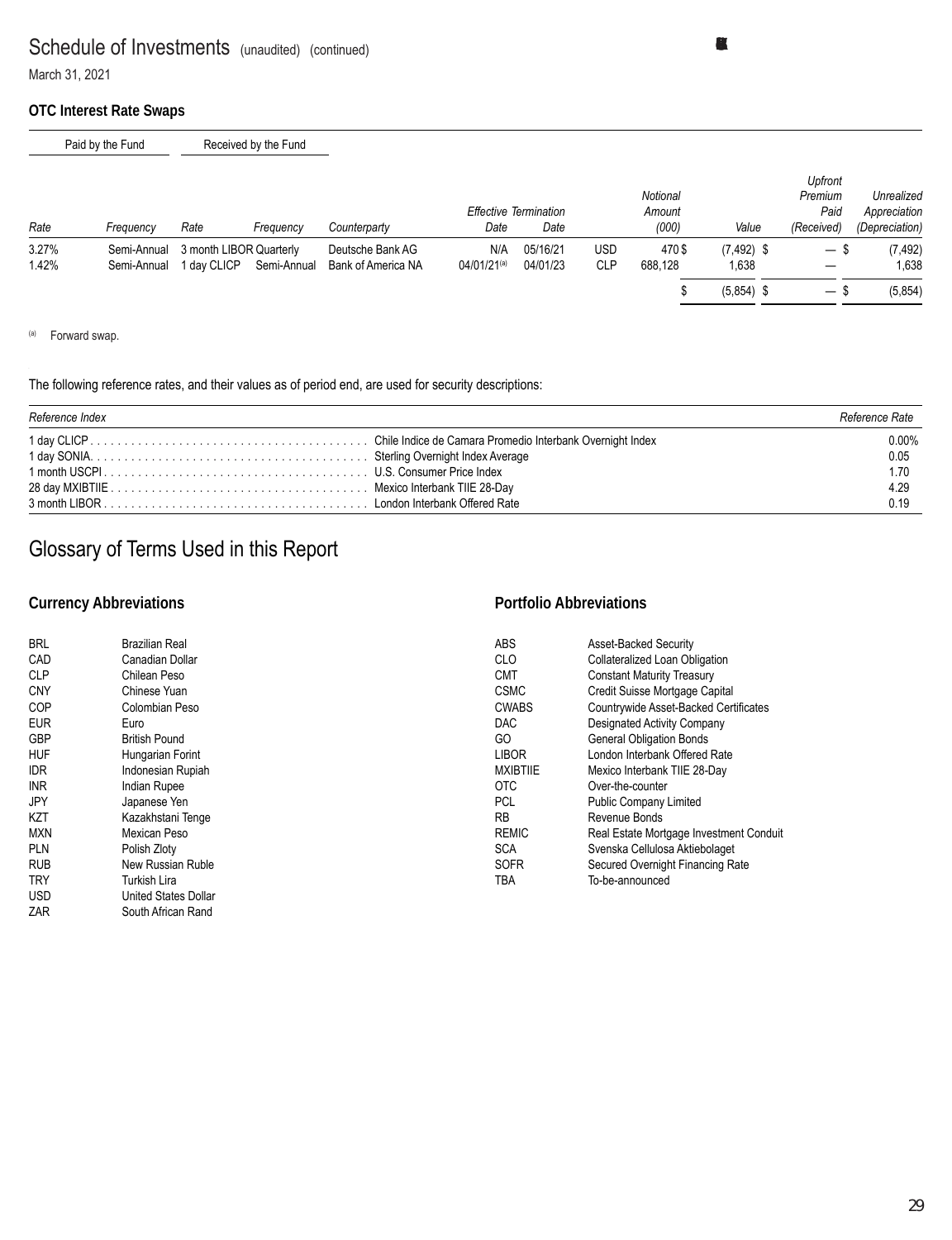#### **OTC Interest Rate Swaps**

|                | Paid by the Fund           |             | Received by the Fund                   |                                        |                                |                                      |                   |                             |                        |                                          |                                              |
|----------------|----------------------------|-------------|----------------------------------------|----------------------------------------|--------------------------------|--------------------------------------|-------------------|-----------------------------|------------------------|------------------------------------------|----------------------------------------------|
| Rate           | Frequency                  | Rate        | Frequency                              | Counterparty                           | Date                           | <b>Effective Termination</b><br>Date |                   | Notional<br>Amount<br>(000) | Value                  | Upfront<br>Premium<br>Paid<br>(Received) | Unrealized<br>Appreciation<br>(Depreciation) |
| 3.27%<br>1.42% | Semi-Annual<br>Semi-Annual | 1 dav CLICP | 3 month LIBOR Quarterly<br>Semi-Annual | Deutsche Bank AG<br>Bank of America NA | N/A<br>04/01/21 <sup>(a)</sup> | 05/16/21<br>04/01/23                 | USD<br><b>CLP</b> | 470\$<br>688,128            | $(7, 492)$ \$<br>1,638 | — \$                                     | (7, 492)<br>1,638                            |
|                |                            |             |                                        |                                        |                                |                                      |                   |                             | $(5,854)$ \$           | — ა                                      | (5,854)                                      |

(a) Forward swap.

#### The following reference rates, and their values as of period end, are used for security descriptions:

| Reference Index | Reference Rate |
|-----------------|----------------|
|                 | $0.00\%$       |
|                 | 0.05           |
|                 | 1.70           |
|                 | 4.29           |
|                 | 0.19           |

# Glossary of Terms Used in this Report

### **Currency Abbreviations**

### **Portfolio Abbreviations**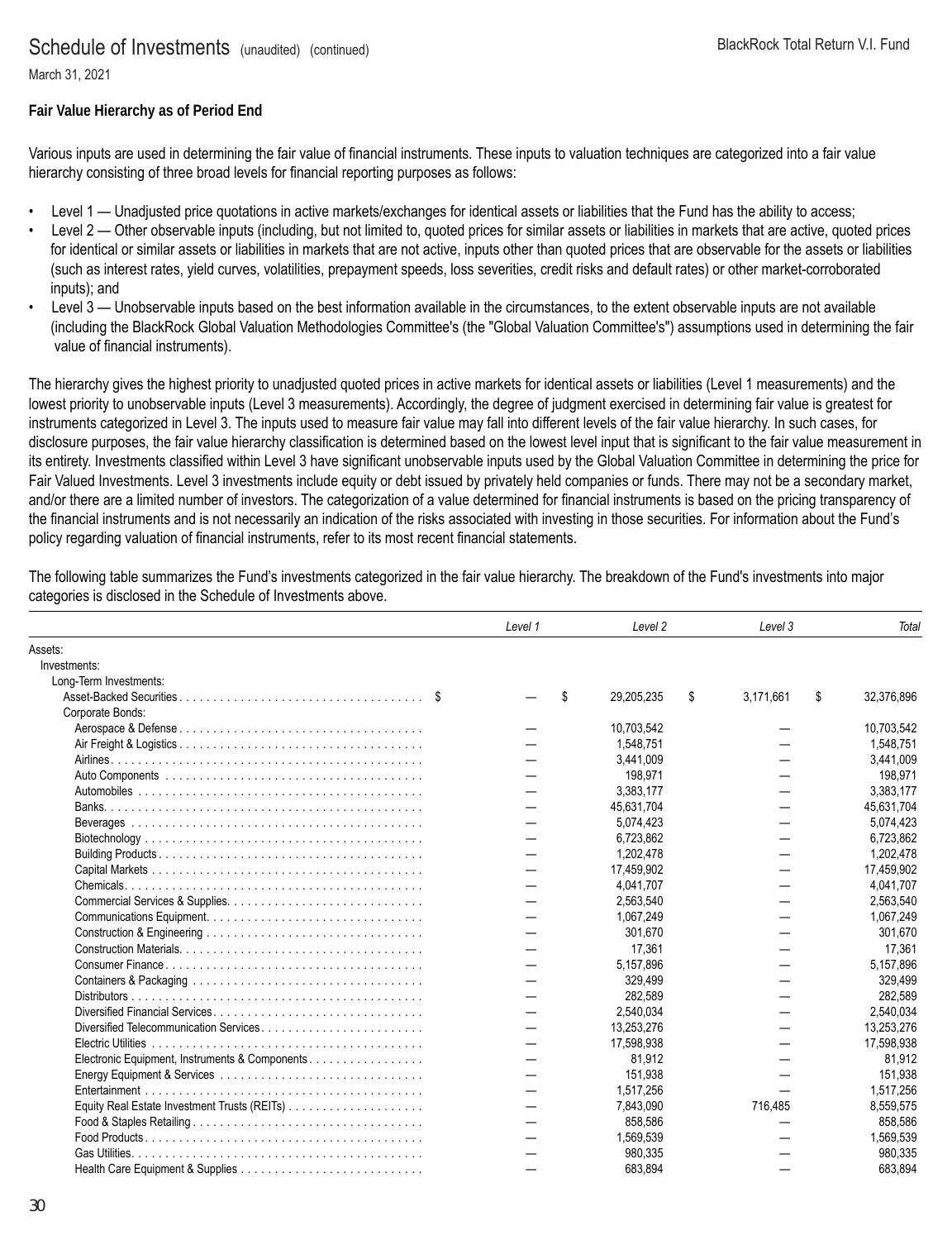March 31, 2021

#### **Fair Value Hierarchy as of Period End**

Various inputs are used in determining the fair value of financial instruments. These inputs to valuation techniques are categorized into a fair value hierarchy consisting of three broad levels for financial reporting purposes as follows:

- Level 1 Unadjusted price quotations in active markets/exchanges for identical assets or liabilities that the Fund has the ability to access;
- Level 2 Other observable inputs (including, but not limited to, quoted prices for similar assets or liabilities in markets that are active, quoted prices for identical or similar assets or liabilities in markets that are not active, inputs other than quoted prices that are observable for the assets or liabilities (such as interest rates, yield curves, volatilities, prepayment speeds, loss severities, credit risks and default rates) or other market-corroborated inputs); and
- Level 3 Unobservable inputs based on the best information available in the circumstances, to the extent observable inputs are not available (including the BlackRock Global Valuation Methodologies Committee's (the "Global Valuation Committee's") assumptions used in determining the fair value of financial instruments).

The hierarchy gives the highest priority to unadjusted quoted prices in active markets for identical assets or liabilities (Level 1 measurements) and the lowest priority to unobservable inputs (Level 3 measurements). Accordingly, the degree of judgment exercised in determining fair value is greatest for instruments categorized in Level 3. The inputs used to measure fair value may fall into different levels of the fair value hierarchy. In such cases, for disclosure purposes, the fair value hierarchy classification is determined based on the lowest level input that is significant to the fair value measurement in its entirety. Investments classified within Level 3 have significant unobservable inputs used by the Global Valuation Committee in determining the price for Fair Valued Investments. Level 3 investments include equity or debt issued by privately held companies or funds. There may not be a secondary market, and/or there are a limited number of investors. The categorization of a value determined for financial instruments is based on the pricing transparency of the financial instruments and is not necessarily an indication of the risks associated with investing in those securities. For information about the Fund's policy regarding valuation of financial instruments, refer to its most recent financial statements.

The following table summarizes the Fund's investments categorized in the fair value hierarchy. The breakdown of the Fund's investments into major categories is disclosed in the Schedule of Investments above.

|                                                | Level 1 | Level 2          | Level 3   | Total            |
|------------------------------------------------|---------|------------------|-----------|------------------|
| Assets:                                        |         |                  |           |                  |
| Investments:                                   |         |                  |           |                  |
| Long-Term Investments:                         |         |                  |           |                  |
|                                                | \$      | \$<br>29,205,235 | 3,171,661 | \$<br>32,376,896 |
| Corporate Bonds:                               |         |                  |           |                  |
|                                                |         | 10,703,542       |           | 10,703,542       |
|                                                |         | 1,548,751        |           | 1,548,751        |
|                                                |         | 3,441,009        |           | 3,441,009        |
|                                                |         | 198.971          |           | 198,971          |
|                                                |         | 3.383.177        |           | 3,383,177        |
|                                                |         | 45.631.704       |           | 45,631,704       |
|                                                |         | 5.074.423        |           | 5.074,423        |
|                                                |         | 6.723.862        |           | 6,723,862        |
|                                                |         | 1.202.478        |           | 1,202,478        |
|                                                |         | 17.459.902       |           | 17,459,902       |
|                                                |         | 4.041.707        |           | 4.041.707        |
|                                                |         | 2,563,540        |           | 2,563,540        |
|                                                |         | 1.067.249        |           | 1,067,249        |
|                                                |         | 301.670          |           | 301,670          |
|                                                |         | 17.361           |           | 17,361           |
|                                                |         | 5,157,896        |           | 5,157,896        |
|                                                |         | 329.499          |           | 329.499          |
|                                                |         | 282.589          |           | 282,589          |
|                                                |         | 2,540,034        |           | 2,540,034        |
| Diversified Telecommunication Services         |         | 13.253.276       |           | 13.253.276       |
|                                                |         | 17,598,938       |           | 17,598,938       |
| Electronic Equipment, Instruments & Components |         | 81,912           |           | 81,912           |
|                                                |         | 151,938          |           | 151,938          |
|                                                |         | 1,517,256        |           | 1,517,256        |
|                                                |         | 7.843.090        | 716.485   | 8,559,575        |
|                                                |         | 858,586          |           | 858,586          |
|                                                |         | 1,569,539        |           | 1,569,539        |
|                                                |         | 980,335          |           | 980,335          |
|                                                |         | 683,894          |           | 683,894          |
|                                                |         |                  |           |                  |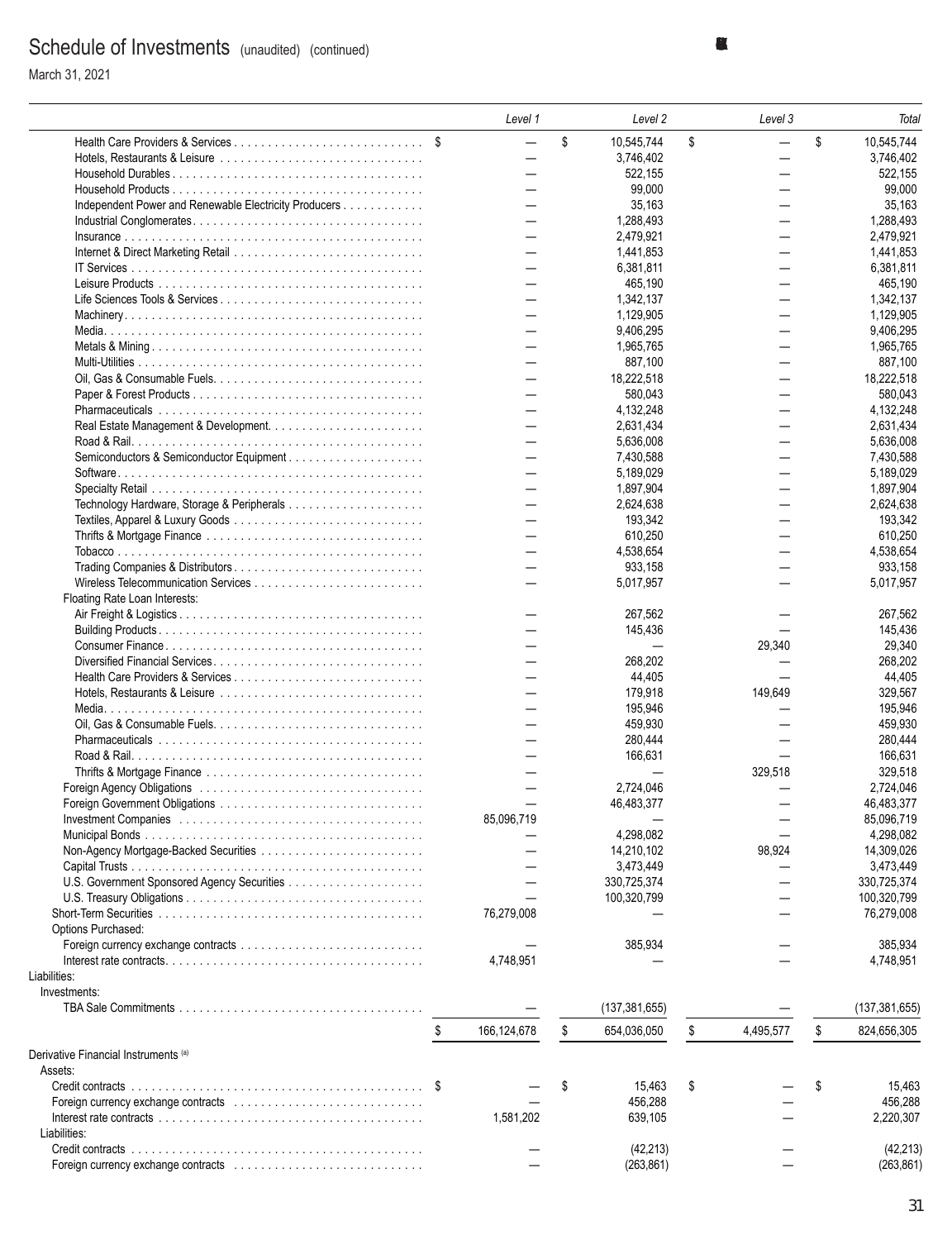March 31, 2021

|                                                       | Level 1                  | Level 2           | Level 3                  | Total             |
|-------------------------------------------------------|--------------------------|-------------------|--------------------------|-------------------|
|                                                       | $\overline{\phantom{0}}$ | \$<br>10,545,744  | \$                       | \$<br>10,545,744  |
|                                                       | $\overline{\phantom{0}}$ | 3,746,402         | —                        | 3,746,402         |
|                                                       |                          | 522,155           |                          | 522,155           |
|                                                       |                          | 99,000            |                          | 99,000            |
| Independent Power and Renewable Electricity Producers |                          | 35,163            |                          | 35,163            |
|                                                       |                          | 1,288,493         |                          | 1,288,493         |
|                                                       |                          | 2,479,921         |                          | 2,479,921         |
|                                                       |                          | 1,441,853         |                          | 1,441,853         |
|                                                       |                          | 6,381,811         |                          | 6,381,811         |
|                                                       |                          | 465,190           |                          | 465,190           |
| Life Sciences Tools & Services                        |                          | 1,342,137         |                          | 1,342,137         |
|                                                       |                          | 1,129,905         |                          | 1,129,905         |
|                                                       |                          | 9,406,295         |                          | 9,406,295         |
|                                                       |                          | 1,965,765         |                          | 1,965,765         |
|                                                       |                          | 887,100           | —                        | 887,100           |
|                                                       |                          | 18,222,518        | $\overline{\phantom{0}}$ | 18,222,518        |
|                                                       |                          | 580,043           |                          | 580,043           |
|                                                       |                          | 4,132,248         | —                        | 4,132,248         |
|                                                       |                          | 2,631,434         |                          | 2,631,434         |
|                                                       |                          | 5,636,008         |                          | 5,636,008         |
| Semiconductors & Semiconductor Equipment              |                          | 7,430,588         |                          | 7,430,588         |
|                                                       |                          | 5,189,029         |                          | 5,189,029         |
|                                                       |                          | 1,897,904         |                          | 1,897,904         |
|                                                       |                          | 2,624,638         | —                        | 2,624,638         |
|                                                       |                          | 193,342           |                          | 193,342           |
|                                                       |                          | 610,250           |                          | 610,250           |
|                                                       |                          | 4,538,654         |                          | 4,538,654         |
|                                                       |                          |                   |                          |                   |
|                                                       |                          | 933,158           |                          | 933,158           |
|                                                       |                          | 5,017,957         |                          | 5,017,957         |
| Floating Rate Loan Interests:                         |                          |                   |                          |                   |
|                                                       |                          | 267,562           |                          | 267,562           |
|                                                       |                          | 145,436           |                          | 145,436           |
|                                                       |                          |                   | 29,340                   | 29,340            |
|                                                       |                          | 268,202           |                          | 268,202           |
|                                                       |                          | 44,405            |                          | 44,405            |
|                                                       |                          | 179,918           | 149,649                  | 329,567           |
|                                                       |                          | 195,946           |                          | 195.946           |
|                                                       |                          | 459,930           |                          | 459,930           |
|                                                       |                          | 280,444           |                          | 280,444           |
|                                                       |                          | 166,631           |                          | 166,631           |
|                                                       |                          |                   | 329.518                  | 329,518           |
|                                                       |                          | 2,724,046         |                          | 2,724,046         |
|                                                       |                          | 46.483.377        |                          | 46,483,377        |
|                                                       | 85.096.719               |                   |                          | 85.096.719        |
|                                                       |                          | 4,298,082         |                          | 4,298,082         |
|                                                       |                          | 14,210,102        | 98,924                   | 14,309,026        |
|                                                       |                          | 3,473,449         |                          | 3,473,449         |
|                                                       |                          | 330,725,374       |                          | 330.725.374       |
|                                                       |                          | 100,320,799       |                          | 100,320,799       |
|                                                       | 76,279,008               |                   |                          | 76,279,008        |
| Options Purchased:                                    |                          |                   |                          |                   |
|                                                       |                          | 385,934           |                          | 385,934           |
|                                                       | 4,748,951                |                   |                          | 4,748,951         |
| Liabilities:                                          |                          |                   |                          |                   |
| Investments:                                          |                          |                   |                          |                   |
|                                                       |                          | (137, 381, 655)   |                          | (137, 381, 655)   |
|                                                       | \$<br>166,124,678        | \$<br>654,036,050 | \$<br>4,495,577          | \$<br>824,656,305 |
|                                                       |                          |                   |                          |                   |
| Derivative Financial Instruments <sup>(a)</sup>       |                          |                   |                          |                   |
| Assets:                                               |                          |                   |                          |                   |
|                                                       |                          | 15,463            | \$                       | \$<br>15,463      |
|                                                       |                          | 456,288           |                          | 456,288           |
|                                                       | 1,581,202                | 639,105           |                          | 2,220,307         |
| Liabilities:                                          |                          |                   |                          |                   |
|                                                       |                          | (42, 213)         |                          | (42, 213)         |
|                                                       |                          | (263, 861)        |                          | (263, 861)        |